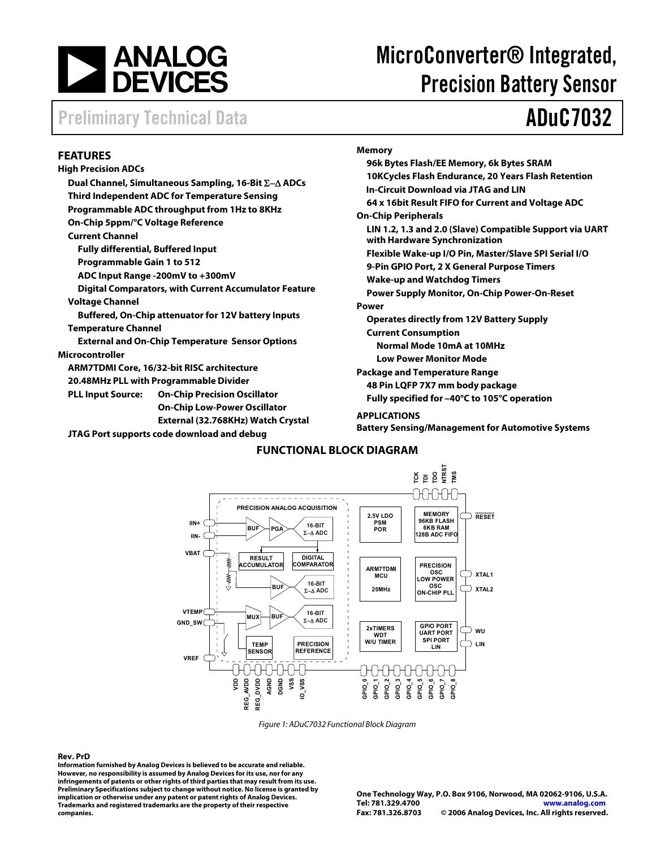

# MicroConverter® Integrated, Precision Battery Sensor

## Preliminary Technical Data ADuC7032

### **FEATURES**

### **High Precision ADCs**

**Dual Channel, Simultaneous Sampling, 16-Bit** Σ−∆ **ADCs Third Independent ADC for Temperature Sensing Programmable ADC throughput from 1Hz to 8KHz On-Chip 5ppm/°C Voltage Reference Current Channel Fully differential, Buffered Input Programmable Gain 1 to 512 ADC Input Range -200mV to +300mV Digital Comparators, with Current Accumulator Feature Voltage Channel Buffered, On-Chip attenuator for 12V battery Inputs Temperature Channel External and On-Chip Temperature Sensor Options Microcontroller ARM7TDMI Core, 16/32-bit RISC architecture 20.48MHz PLL with Programmable Divider PLL Input Source: On-Chip Precision Oscillator On-Chip Low-Power Oscillator** 

**JTAG Port supports code download and debug** 

 **External (32.768KHz) Watch Crystal** 

**Memory 96k Bytes Flash/EE Memory, 6k Bytes SRAM 10KCycles Flash Endurance, 20 Years Flash Retention In-Circuit Download via JTAG and LIN 64 x 16bit Result FIFO for Current and Voltage ADC On-Chip Peripherals LIN 1.2, 1.3 and 2.0 (Slave) Compatible Support via UART with Hardware Synchronization Flexible Wake-up I/O Pin, Master/Slave SPI Serial I/O 9-Pin GPIO Port, 2 X General Purpose Timers Wake-up and Watchdog Timers Power Supply Monitor, On-Chip Power-On-Reset Power Operates directly from 12V Battery Supply Current Consumption Normal Mode 10mA at 10MHz Low Power Monitor Mode Package and Temperature Range 48 Pin LQFP 7X7 mm body package Fully specified for –40°C to 105°C operation APPLICATIONS** 

**Battery Sensing/Management for Automotive Systems** 

### **FUNCTIONAL BLOCK DIAGRAM**



Figure 1: ADuC7032 Functional Block Diagram

### **Rev. PrD**

**Information furnished by Analog Devices is believed to be accurate and reliable. However, no responsibility is assumed by Analog Devices for its use, nor for any infringements of patents or other rights of third parties that may result from its use. Preliminary Specifications subject to change without notice. No license is granted by implication or otherwise under any patent or patent rights of Analog Devices. Trademarks and registered trademarks are the property of their respective companies.**

**One Technology Way, P.O. Box 9106, Norwood, MA 02062-9106, U.S.A. Tel: 781.329.4700 www.analog.com Fax: 781.326.8703 © 2006 Analog Devices, Inc. All rights reserved.**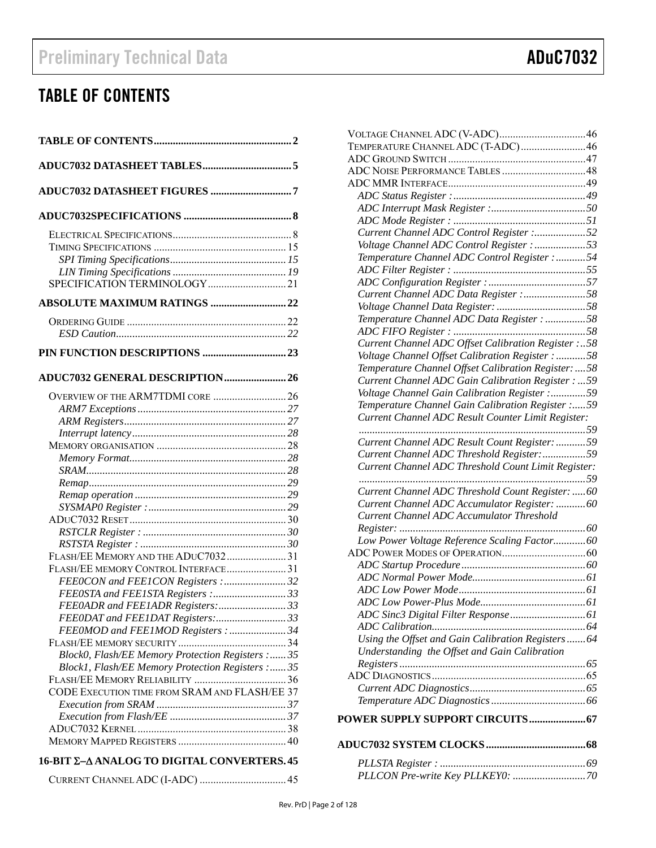## TABLE OF CONTENTS

| <b>ABSOLUTE MAXIMUM RATINGS  22</b>               |
|---------------------------------------------------|
|                                                   |
|                                                   |
|                                                   |
| <b>ADUC7032 GENERAL DESCRIPTION 26</b>            |
| OVERVIEW OF THE ARM7TDMI CORE  26                 |
|                                                   |
|                                                   |
|                                                   |
|                                                   |
|                                                   |
|                                                   |
|                                                   |
|                                                   |
|                                                   |
|                                                   |
|                                                   |
| FLASH/EE MEMORY AND THE ADUC703231                |
| FLASH/EE MEMORY CONTROL INTERFACE 31              |
| FEEOCON and FEE1CON Registers :32                 |
|                                                   |
|                                                   |
| FEE0DAT and FEE1DAT Registers: 33                 |
| FEE0MOD and FEE1MOD Registers :  34               |
|                                                   |
| Block0, Flash/EE Memory Protection Registers : 35 |
| Block1, Flash/EE Memory Protection Registers : 35 |
|                                                   |
| CODE EXECUTION TIME FROM SRAM AND FLASH/EE 37     |
|                                                   |
|                                                   |
|                                                   |
| 16-ΒΙΤ Σ-ΔΑΝΑLOG ΤΟ DIGITAL CONVERTERS. 45        |

### CURRENT CHANNEL ADC (I-ADC) ................................ 45

| VOLTAGE CHANNEL ADC (V-ADC)46                        |  |
|------------------------------------------------------|--|
| TEMPERATURE CHANNEL ADC (T-ADC) 46                   |  |
|                                                      |  |
|                                                      |  |
|                                                      |  |
|                                                      |  |
|                                                      |  |
|                                                      |  |
| Current Channel ADC Control Register :52             |  |
| Voltage Channel ADC Control Register:53              |  |
| Temperature Channel ADC Control Register : 54        |  |
|                                                      |  |
|                                                      |  |
| Current Channel ADC Data Register :58                |  |
|                                                      |  |
| Temperature Channel ADC Data Register : 58           |  |
|                                                      |  |
| Current Channel ADC Offset Calibration Register :58  |  |
| Voltage Channel Offset Calibration Register: 58      |  |
| Temperature Channel Offset Calibration Register:  58 |  |
| Current Channel ADC Gain Calibration Register :  59  |  |
| Voltage Channel Gain Calibration Register :59        |  |
| Temperature Channel Gain Calibration Register :59    |  |
| Current Channel ADC Result Counter Limit Register:   |  |
|                                                      |  |
| Current Channel ADC Result Count Register: 59        |  |
| Current Channel ADC Threshold Register: 59           |  |
| Current Channel ADC Threshold Count Limit Register:  |  |
|                                                      |  |
| Current Channel ADC Threshold Count Register:  60    |  |
| Current Channel ADC Accumulator Register: 60         |  |
| Current Channel ADC Accumulator Threshold            |  |
|                                                      |  |
| Low Power Voltage Reference Scaling Factor60         |  |
|                                                      |  |
|                                                      |  |
|                                                      |  |
|                                                      |  |
|                                                      |  |
|                                                      |  |
|                                                      |  |
| Using the Offset and Gain Calibration Registers64    |  |
| Understanding the Offset and Gain Calibration        |  |
|                                                      |  |
|                                                      |  |
|                                                      |  |
|                                                      |  |
|                                                      |  |
|                                                      |  |
|                                                      |  |
|                                                      |  |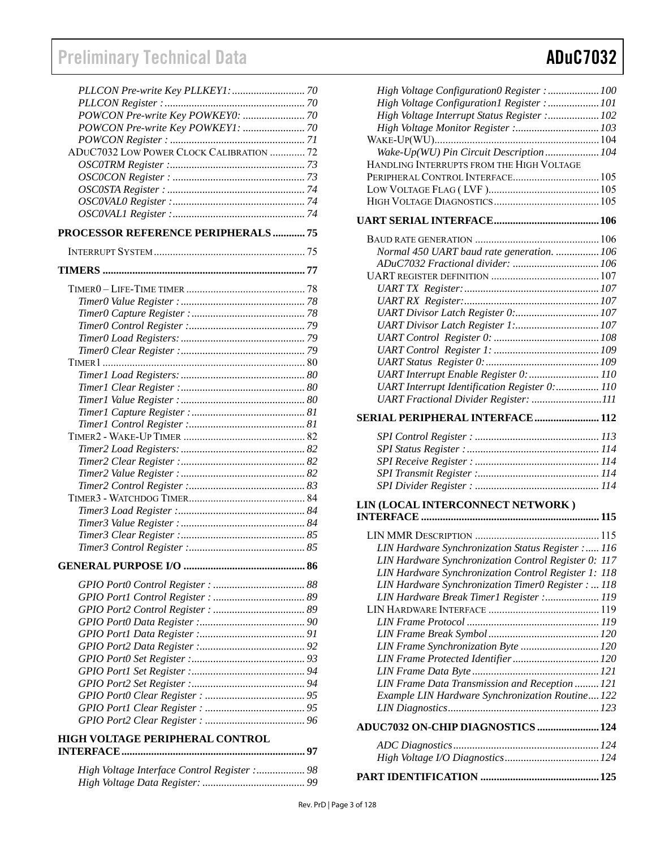| POWCON Pre-write Key POWKEY0:  70            |  |
|----------------------------------------------|--|
| POWCON Pre-write Key POWKEY1:  70            |  |
|                                              |  |
|                                              |  |
| ADUC7032 LOW POWER CLOCK CALIBRATION  72     |  |
|                                              |  |
|                                              |  |
|                                              |  |
|                                              |  |
|                                              |  |
| <b>PROCESSOR REFERENCE PERIPHERALS  75</b>   |  |
|                                              |  |
|                                              |  |
|                                              |  |
|                                              |  |
|                                              |  |
|                                              |  |
|                                              |  |
|                                              |  |
|                                              |  |
|                                              |  |
|                                              |  |
|                                              |  |
|                                              |  |
|                                              |  |
|                                              |  |
|                                              |  |
|                                              |  |
|                                              |  |
|                                              |  |
|                                              |  |
|                                              |  |
|                                              |  |
|                                              |  |
|                                              |  |
|                                              |  |
|                                              |  |
|                                              |  |
|                                              |  |
|                                              |  |
|                                              |  |
|                                              |  |
|                                              |  |
|                                              |  |
|                                              |  |
|                                              |  |
|                                              |  |
|                                              |  |
|                                              |  |
|                                              |  |
|                                              |  |
|                                              |  |
| HIGH VOLTAGE PERIPHERAL CONTROL              |  |
|                                              |  |
|                                              |  |
| High Voltage Interface Control Register : 98 |  |

| High Voltage Configuration0 Register :  100          |  |
|------------------------------------------------------|--|
| High Voltage Configuration1 Register :  101          |  |
| High Voltage Interrupt Status Register : 102         |  |
| High Voltage Monitor Register : 103                  |  |
|                                                      |  |
| Wake-Up(WU) Pin Circuit Description 104              |  |
| HANDLING INTERRUPTS FROM THE HIGH VOLTAGE            |  |
| PERIPHERAL CONTROL INTERFACE 105                     |  |
|                                                      |  |
|                                                      |  |
|                                                      |  |
|                                                      |  |
|                                                      |  |
|                                                      |  |
| Normal 450 UART baud rate generation.  106           |  |
| ADuC7032 Fractional divider:  106                    |  |
|                                                      |  |
|                                                      |  |
|                                                      |  |
|                                                      |  |
| UART Divisor Latch Register 0: 107                   |  |
| UART Divisor Latch Register 1: 107                   |  |
|                                                      |  |
|                                                      |  |
|                                                      |  |
| UART Interrupt Enable Register 0:  110               |  |
| UART Interrupt Identification Register 0:  110       |  |
| UART Fractional Divider Register: 111                |  |
|                                                      |  |
| SERIAL PERIPHERAL INTERFACE 112                      |  |
|                                                      |  |
|                                                      |  |
|                                                      |  |
|                                                      |  |
|                                                      |  |
|                                                      |  |
|                                                      |  |
|                                                      |  |
| LIN (LOCAL INTERCONNECT NETWORK)                     |  |
|                                                      |  |
|                                                      |  |
| LIN Hardware Synchronization Status Register : 116   |  |
| LIN Hardware Synchronization Control Register 0: 117 |  |
| LIN Hardware Synchronization Control Register 1: 118 |  |
|                                                      |  |
| LIN Hardware Synchronization Timer0 Register :  118  |  |
| LIN Hardware Break Timer1 Register : 119             |  |
|                                                      |  |
|                                                      |  |
|                                                      |  |
| LIN Frame Synchronization Byte  120                  |  |
| LIN Frame Protected Identifier 120                   |  |
|                                                      |  |
| LIN Frame Data Transmission and Reception  121       |  |
|                                                      |  |
| Example LIN Hardware Synchronization Routine 122     |  |
|                                                      |  |
| ADUC7032 ON-CHIP DIAGNOSTICS  124                    |  |
|                                                      |  |
|                                                      |  |
|                                                      |  |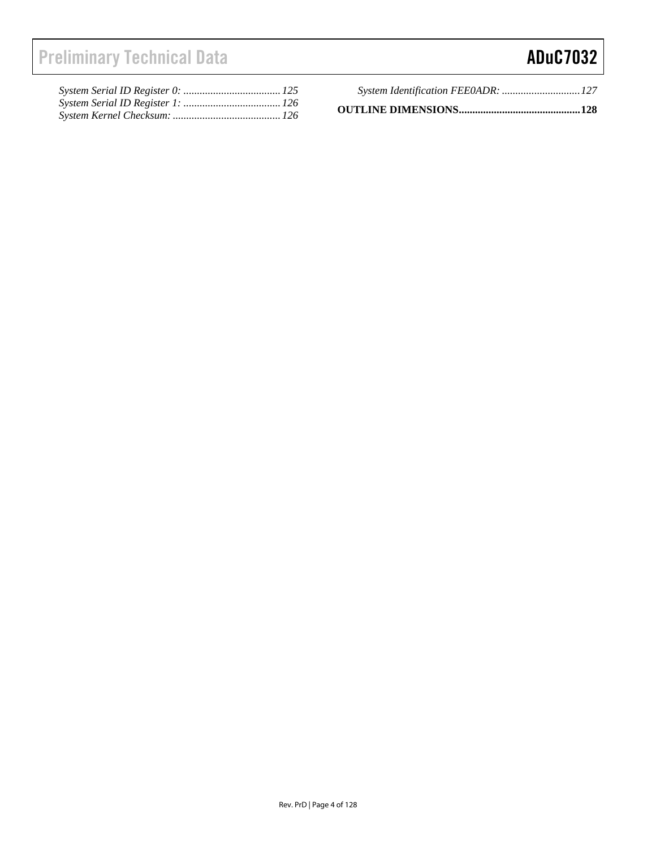|  | <b>ADuC7032</b> |  |
|--|-----------------|--|
|  |                 |  |

| System Identification FEE0ADR:  127 |  |
|-------------------------------------|--|
|                                     |  |

**OUTLINE DIMENSIONS.............................................128**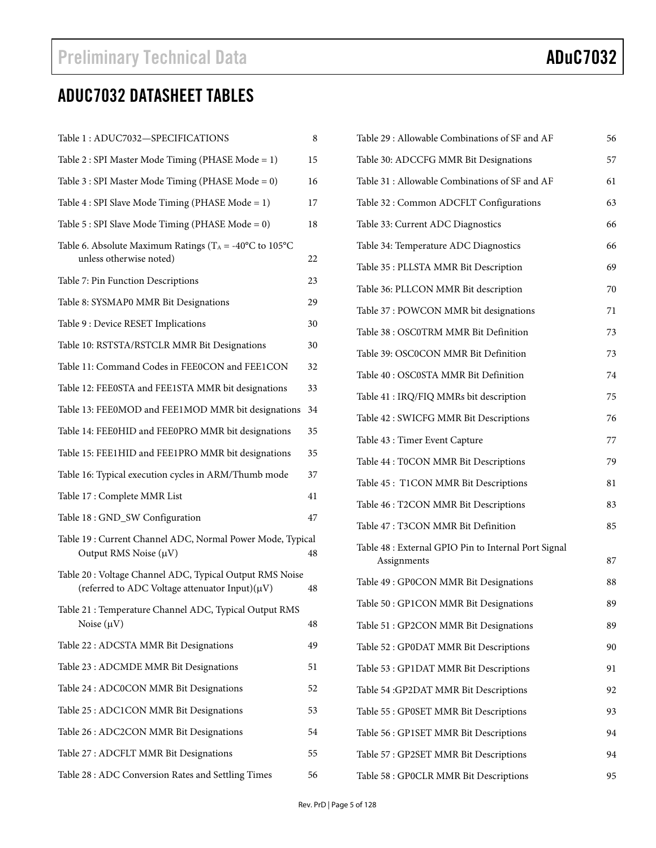## ADUC7032 DATASHEET TABLES

| Table 1: ADUC7032-SPECIFICATIONS                                                                          | 8  |
|-----------------------------------------------------------------------------------------------------------|----|
| Table 2 : SPI Master Mode Timing (PHASE Mode = 1)                                                         | 15 |
| Table 3 : SPI Master Mode Timing (PHASE Mode = 0)                                                         | 16 |
| Table 4 : SPI Slave Mode Timing (PHASE Mode = 1)                                                          | 17 |
| Table 5 : SPI Slave Mode Timing (PHASE Mode = 0)                                                          | 18 |
| Table 6. Absolute Maximum Ratings ( $T_A = -40^{\circ}C$ to 105°C<br>unless otherwise noted)              | 22 |
| Table 7: Pin Function Descriptions                                                                        | 23 |
| Table 8: SYSMAP0 MMR Bit Designations                                                                     | 29 |
| Table 9 : Device RESET Implications                                                                       | 30 |
| Table 10: RSTSTA/RSTCLR MMR Bit Designations                                                              | 30 |
| Table 11: Command Codes in FEE0CON and FEE1CON                                                            | 32 |
| Table 12: FEE0STA and FEE1STA MMR bit designations                                                        | 33 |
| Table 13: FEE0MOD and FEE1MOD MMR bit designations                                                        | 34 |
| Table 14: FEE0HID and FEE0PRO MMR bit designations                                                        | 35 |
| Table 15: FEE1HID and FEE1PRO MMR bit designations                                                        | 35 |
| Table 16: Typical execution cycles in ARM/Thumb mode                                                      | 37 |
| Table 17 : Complete MMR List                                                                              | 41 |
| Table 18: GND_SW Configuration                                                                            | 47 |
| Table 19: Current Channel ADC, Normal Power Mode, Typical<br>Output RMS Noise (μV)                        | 48 |
| Table 20: Voltage Channel ADC, Typical Output RMS Noise<br>(referred to ADC Voltage attenuator Input)(µV) | 48 |
| Table 21 : Temperature Channel ADC, Typical Output RMS<br>Noise $(\mu V)$                                 | 48 |
| Table 22 : ADCSTA MMR Bit Designations                                                                    | 49 |
| Table 23 : ADCMDE MMR Bit Designations                                                                    | 51 |
| Table 24 : ADC0CON MMR Bit Designations                                                                   | 52 |
| Table 25 : ADC1CON MMR Bit Designations                                                                   | 53 |
| Table 26 : ADC2CON MMR Bit Designations                                                                   | 54 |
| Table 27 : ADCFLT MMR Bit Designations                                                                    | 55 |
| Table 28 : ADC Conversion Rates and Settling Times                                                        | 56 |

| Table 29 : Allowable Combinations of SF and AF                      | 56 |
|---------------------------------------------------------------------|----|
| Table 30: ADCCFG MMR Bit Designations                               | 57 |
| Table 31 : Allowable Combinations of SF and AF                      | 61 |
| Table 32 : Common ADCFLT Configurations                             | 63 |
| Table 33: Current ADC Diagnostics                                   | 66 |
| Table 34: Temperature ADC Diagnostics                               | 66 |
| Table 35 : PLLSTA MMR Bit Description                               | 69 |
| Table 36: PLLCON MMR Bit description                                | 70 |
| Table 37 : POWCON MMR bit designations                              | 71 |
| Table 38 : OSC0TRM MMR Bit Definition                               | 73 |
| Table 39: OSC0CON MMR Bit Definition                                | 73 |
| Table 40: OSC0STA MMR Bit Definition                                | 74 |
| Table 41 : IRQ/FIQ MMRs bit description                             | 75 |
| Table 42 : SWICFG MMR Bit Descriptions                              | 76 |
| Table 43 : Timer Event Capture                                      | 77 |
| Table 44 : T0CON MMR Bit Descriptions                               | 79 |
| Table 45 : T1CON MMR Bit Descriptions                               | 81 |
| Table 46 : T2CON MMR Bit Descriptions                               | 83 |
| Table 47: T3CON MMR Bit Definition                                  | 85 |
| Table 48 : External GPIO Pin to Internal Port Signal<br>Assignments | 87 |
| Table 49 : GP0CON MMR Bit Designations                              | 88 |
| Table 50 : GP1CON MMR Bit Designations                              | 89 |
| Table 51 : GP2CON MMR Bit Designations                              | 89 |
| Table 52 : GP0DAT MMR Bit Descriptions                              | 90 |
| Table 53 : GP1DAT MMR Bit Descriptions                              | 91 |
| Table 54 :GP2DAT MMR Bit Descriptions                               | 92 |
| Table 55 : GP0SET MMR Bit Descriptions                              | 93 |
| Table 56 : GP1SET MMR Bit Descriptions                              | 94 |
| Table 57 : GP2SET MMR Bit Descriptions                              | 94 |
| Table 58 : GP0CLR MMR Bit Descriptions                              | 95 |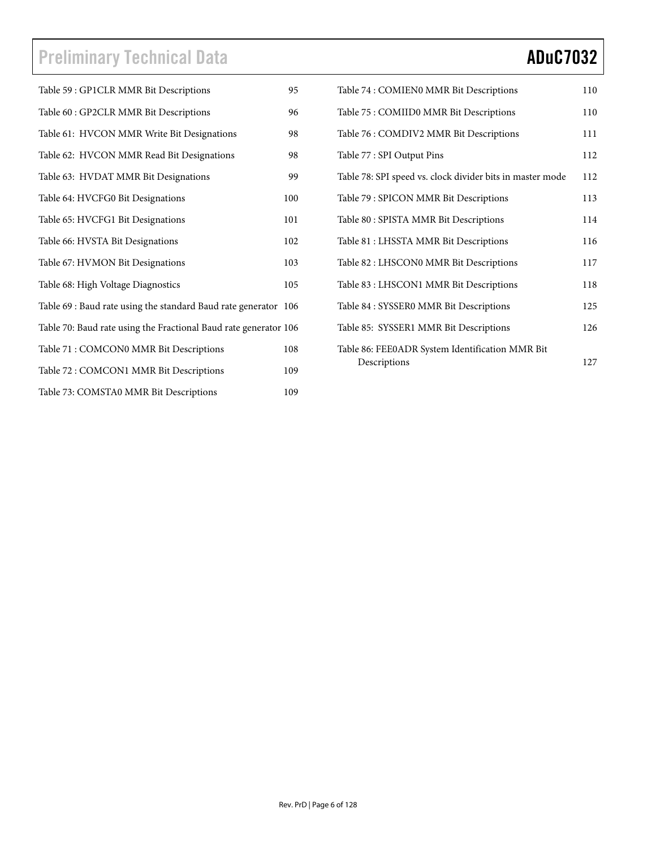| Table 59 : GP1CLR MMR Bit Descriptions                           | 95  |
|------------------------------------------------------------------|-----|
| Table 60 : GP2CLR MMR Bit Descriptions                           | 96  |
| Table 61: HVCON MMR Write Bit Designations                       | 98  |
| Table 62: HVCON MMR Read Bit Designations                        | 98  |
| Table 63: HVDAT MMR Bit Designations                             | 99  |
| Table 64: HVCFG0 Bit Designations                                | 100 |
| Table 65: HVCFG1 Bit Designations                                | 101 |
| Table 66: HVSTA Bit Designations                                 | 102 |
| Table 67: HVMON Bit Designations                                 | 103 |
| Table 68: High Voltage Diagnostics                               | 105 |
| Table 69 : Baud rate using the standard Baud rate generator      | 106 |
| Table 70: Baud rate using the Fractional Baud rate generator 106 |     |
| Table 71 : COMCON0 MMR Bit Descriptions                          | 108 |
| Table 72 : COMCON1 MMR Bit Descriptions                          | 109 |
| Table 73: COMSTA0 MMR Bit Descriptions                           | 109 |
|                                                                  |     |

| Table 74 : COMIEN0 MMR Bit Descriptions                         | 110  |
|-----------------------------------------------------------------|------|
| Table 75 : COMIID0 MMR Bit Descriptions                         | 110  |
| Table 76 : COMDIV2 MMR Bit Descriptions                         | 111  |
| Table 77 : SPI Output Pins                                      | 112  |
| Table 78: SPI speed vs. clock divider bits in master mode       | 112  |
| Table 79 : SPICON MMR Bit Descriptions                          | 113  |
| Table 80 : SPISTA MMR Bit Descriptions                          | 114  |
| Table 81 : LHSSTA MMR Bit Descriptions                          | 116  |
| Table 82 : LHSCON0 MMR Bit Descriptions                         | 117  |
| Table 83 : LHSCON1 MMR Bit Descriptions                         | 118  |
| Table 84 : SYSSER0 MMR Bit Descriptions                         | 125  |
| Table 85: SYSSER1 MMR Bit Descriptions                          | 126  |
| Table 86: FEE0ADR System Identification MMR Bit<br>Descriptions | 12.7 |
|                                                                 |      |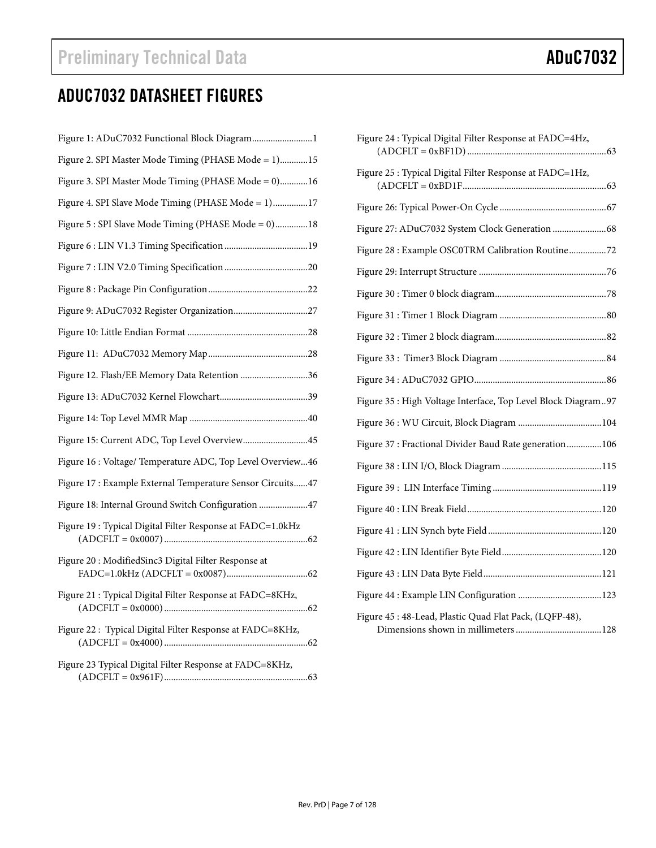## ADUC7032 DATASHEET FIGURES

| Figure 1: ADuC7032 Functional Block Diagram 1              |
|------------------------------------------------------------|
| Figure 2. SPI Master Mode Timing (PHASE Mode = 1)15        |
| Figure 3. SPI Master Mode Timing (PHASE Mode = 0)16        |
| Figure 4. SPI Slave Mode Timing (PHASE Mode = 1)17         |
| Figure 5: SPI Slave Mode Timing (PHASE Mode = 0)18         |
|                                                            |
|                                                            |
|                                                            |
|                                                            |
|                                                            |
|                                                            |
| Figure 12. Flash/EE Memory Data Retention 36               |
|                                                            |
|                                                            |
|                                                            |
| Figure 15: Current ADC, Top Level Overview45               |
| Figure 16: Voltage/ Temperature ADC, Top Level Overview46  |
| Figure 17 : Example External Temperature Sensor Circuits47 |
| Figure 18: Internal Ground Switch Configuration 47         |
| Figure 19: Typical Digital Filter Response at FADC=1.0kHz  |
| Figure 20 : ModifiedSinc3 Digital Filter Response at       |
| Figure 21 : Typical Digital Filter Response at FADC=8KHz,  |
| Figure 22: Typical Digital Filter Response at FADC=8KHz,   |

| Figure 24 : Typical Digital Filter Response at FADC=4Hz,      |
|---------------------------------------------------------------|
| Figure 25 : Typical Digital Filter Response at FADC=1Hz,      |
|                                                               |
|                                                               |
| Figure 28 : Example OSC0TRM Calibration Routine72             |
|                                                               |
|                                                               |
|                                                               |
|                                                               |
|                                                               |
|                                                               |
| Figure 35 : High Voltage Interface, Top Level Block Diagram97 |
|                                                               |
| Figure 37 : Fractional Divider Baud Rate generation106        |
|                                                               |
|                                                               |
|                                                               |
|                                                               |
|                                                               |
|                                                               |
|                                                               |
| Figure 45 : 48-Lead, Plastic Quad Flat Pack, (LQFP-48),       |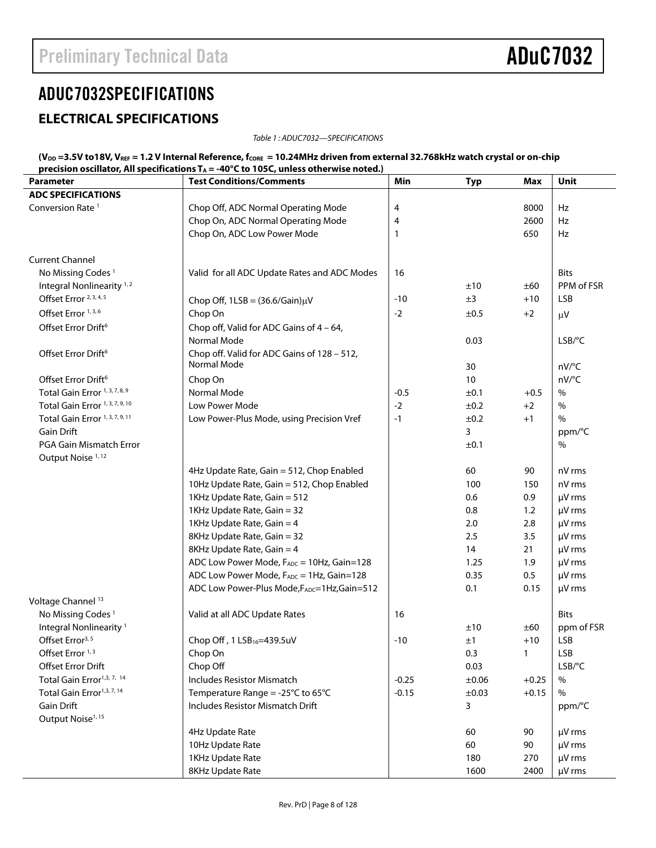# ADUC7032SPECIFICATIONS

### **ELECTRICAL SPECIFICATIONS**

Table 1 : ADUC7032—SPECIFICATIONS

### (V<sub>DD</sub> =3.5V to18V, V<sub>REF</sub> = 1.2 V Internal Reference, f<sub>coRE</sub> = 10.24MHz driven from external 32.768kHz watch crystal or on-chip **precision** oscillator. All specifications  $T_0 = -40^{\circ}C$  to 105C, unless otherwise noted.) **precision oscillator, All specifications TA = -40°C to 105C, unless otherwise noted.)**

| Parameter                                   | precision oscinator, Air specifications TA = -40 C to TOSC, unless otherwise noted.)<br><b>Test Conditions/Comments</b> | Min     | <b>Typ</b>      | <b>Max</b> | Unit        |
|---------------------------------------------|-------------------------------------------------------------------------------------------------------------------------|---------|-----------------|------------|-------------|
| <b>ADC SPECIFICATIONS</b>                   |                                                                                                                         |         |                 |            |             |
| Conversion Rate <sup>1</sup>                | Chop Off, ADC Normal Operating Mode                                                                                     | 4       |                 | 8000       | Hz          |
|                                             | Chop On, ADC Normal Operating Mode                                                                                      | 4       |                 | 2600       | Hz          |
|                                             | Chop On, ADC Low Power Mode                                                                                             | 1       |                 | 650        | Hz          |
|                                             |                                                                                                                         |         |                 |            |             |
| <b>Current Channel</b>                      |                                                                                                                         |         |                 |            |             |
| No Missing Codes <sup>1</sup>               | Valid for all ADC Update Rates and ADC Modes                                                                            | 16      |                 |            | <b>Bits</b> |
| Integral Nonlinearity <sup>1,2</sup>        |                                                                                                                         |         | ±10             | ±60        | PPM of FSR  |
| Offset Error <sup>2, 3, 4, 5</sup>          | Chop Off, $1LSB = (36.6/Gain)\mu V$                                                                                     | -10     | ±3              | $+10$      | <b>LSB</b>  |
| Offset Error 1, 3, 6                        | Chop On                                                                                                                 | $-2$    | ±0.5            | $+2$       | $\mu$ V     |
| Offset Error Drift <sup>6</sup>             | Chop off, Valid for ADC Gains of $4 - 64$ ,                                                                             |         |                 |            |             |
|                                             | Normal Mode                                                                                                             |         | 0.03            |            | LSB/°C      |
| Offset Error Drift <sup>6</sup>             | Chop off. Valid for ADC Gains of 128 - 512,                                                                             |         |                 |            |             |
|                                             | Normal Mode                                                                                                             |         | 30              |            | nV/°C       |
| Offset Error Drift <sup>6</sup>             | Chop On                                                                                                                 |         | 10 <sup>°</sup> |            | nV/°C       |
| Total Gain Error 1, 3, 7, 8, 9              | Normal Mode                                                                                                             | $-0.5$  | $\pm 0.1$       | $+0.5$     | $\%$        |
| Total Gain Error 1, 3, 7, 9, 10             | Low Power Mode                                                                                                          | $-2$    | ±0.2            | $+2$       | $\%$        |
| Total Gain Error 1, 3, 7, 9, 11             | Low Power-Plus Mode, using Precision Vref                                                                               | $-1$    | ±0.2            | $+1$       | $\%$        |
| Gain Drift                                  |                                                                                                                         |         | 3               |            | ppm/°C      |
| <b>PGA Gain Mismatch Error</b>              |                                                                                                                         |         | ±0.1            |            | $\%$        |
| Output Noise <sup>1,12</sup>                |                                                                                                                         |         |                 |            |             |
|                                             | 4Hz Update Rate, Gain = 512, Chop Enabled                                                                               |         | 60              | 90         | nV rms      |
|                                             | 10Hz Update Rate, Gain = 512, Chop Enabled                                                                              |         | 100             | 150        | nV rms      |
|                                             | 1KHz Update Rate, Gain = 512                                                                                            |         | 0.6             | 0.9        | µV rms      |
|                                             | 1KHz Update Rate, Gain = 32                                                                                             |         | 0.8             | 1.2        | µV rms      |
|                                             | 1KHz Update Rate, Gain = 4                                                                                              |         | 2.0             | 2.8        | µV rms      |
|                                             | 8KHz Update Rate, Gain = 32                                                                                             |         | 2.5             | 3.5        | µV rms      |
|                                             | 8KHz Update Rate, Gain = 4                                                                                              |         | 14              | 21         | µV rms      |
|                                             | ADC Low Power Mode, FADC = 10Hz, Gain=128                                                                               |         | 1.25            | 1.9        | µV rms      |
|                                             | ADC Low Power Mode, FADC = 1Hz, Gain=128                                                                                |         | 0.35            | 0.5        | µV rms      |
|                                             | ADC Low Power-Plus Mode, FADC=1Hz, Gain=512                                                                             |         | 0.1             | 0.15       | µV rms      |
| Voltage Channel <sup>13</sup>               |                                                                                                                         |         |                 |            |             |
| No Missing Codes <sup>1</sup>               | Valid at all ADC Update Rates                                                                                           | 16      |                 |            | <b>Bits</b> |
| Integral Nonlinearity <sup>1</sup>          |                                                                                                                         |         | ±10             | ±60        | ppm of FSR  |
| Offset Error <sup>3, 5</sup>                | Chop Off, 1 LSB16=439.5uV                                                                                               | $-10$   | ±1              | $+10$      | <b>LSB</b>  |
| Offset Error <sup>1,3</sup>                 | Chop On                                                                                                                 |         | 0.3             | 1          | <b>LSB</b>  |
| Offset Error Drift                          | Chop Off                                                                                                                |         | 0.03            |            | LSB/°C      |
| Total Gain Error <sup>1,3, 7, 14</sup>      | Includes Resistor Mismatch                                                                                              | $-0.25$ | ±0.06           | $+0.25$    | $\%$        |
| Total Gain Error <sup>1,3, 7, 14</sup>      | Temperature Range = -25°C to 65°C                                                                                       | $-0.15$ | ±0.03           | $+0.15$    | $\%$        |
| Gain Drift<br>Output Noise <sup>1, 15</sup> | Includes Resistor Mismatch Drift                                                                                        |         | 3               |            | ppm/°C      |
|                                             | 4Hz Update Rate                                                                                                         |         | 60              | 90         | µV rms      |
|                                             | 10Hz Update Rate                                                                                                        |         | 60              | 90         | µV rms      |
|                                             | 1KHz Update Rate                                                                                                        |         | 180             | 270        | µV rms      |
|                                             | 8KHz Update Rate                                                                                                        |         | 1600            | 2400       | µV rms      |
|                                             |                                                                                                                         |         |                 |            |             |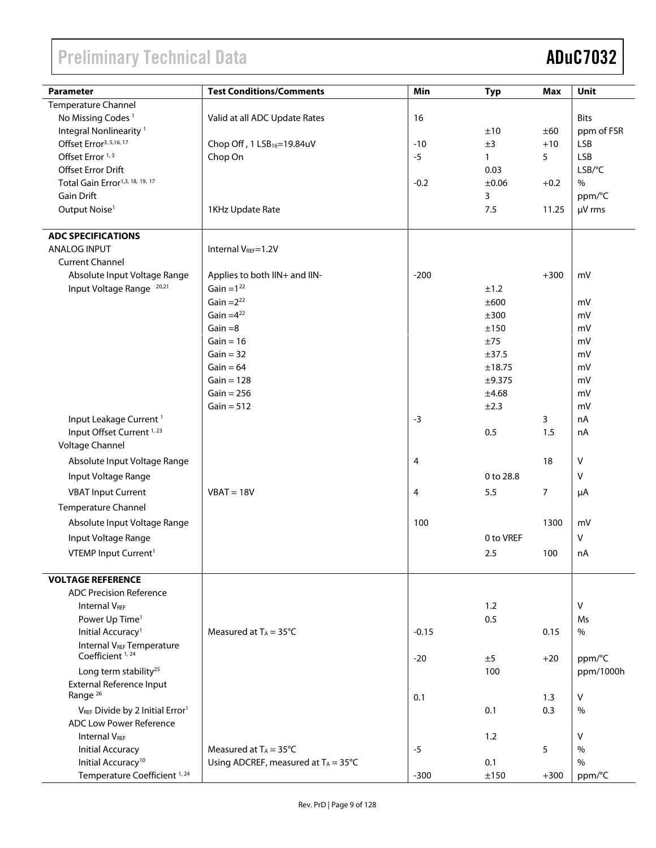| Temperature Channel<br>No Missing Codes <sup>1</sup><br>Valid at all ADC Update Rates<br>16<br><b>Bits</b><br>Integral Nonlinearity <sup>1</sup><br>±10<br>±60<br>ppm of FSR<br>Offset Error <sup>3, 5,16, 17</sup><br>Chop Off, 1 LSB <sub>16</sub> =19.84uV<br>$-10$<br>±3<br>$+10$<br><b>LSB</b><br>Offset Error <sup>1,3</sup><br>5<br>Chop On<br>$-5$<br><b>LSB</b><br>$\mathbf{1}$<br>Offset Error Drift<br>LSB/°C<br>0.03<br>Total Gain Error <sup>1,3, 18, 19, 17</sup><br>$\%$<br>$-0.2$<br>±0.06<br>$+0.2$<br><b>Gain Drift</b><br>3<br>ppm/°C<br>Output Noise <sup>1</sup><br>µV rms<br>1KHz Update Rate<br>7.5<br>11.25<br><b>ADC SPECIFICATIONS</b><br><b>ANALOG INPUT</b><br>Internal VREF=1.2V<br><b>Current Channel</b><br>Absolute Input Voltage Range<br>Applies to both IIN+ and IIN-<br>$-200$<br>$+300$<br>mV<br>Input Voltage Range 20,21<br>Gain = $1^{22}$<br>±1.2<br>Gain $=2^{22}$<br>±600<br>mV<br>Gain $=4^{22}$<br>±300<br>mV<br>Gain $=8$<br>±150<br>mV<br>$Gain = 16$<br>±75<br>mV<br>$Gain = 32$<br>±37.5<br>mV<br>Gain = $64$<br>±18.75<br>mV<br>$Gain = 128$<br>±9.375<br>mV<br>$Gain = 256$<br>±4.68<br>mV<br>$Gain = 512$<br>±2.3<br>mV<br>Input Leakage Current <sup>1</sup><br>$-3$<br>3<br>nA<br>Input Offset Current <sup>1,23</sup><br>0.5<br>1.5<br>nA<br>Voltage Channel<br>Absolute Input Voltage Range<br>18<br>$\mathsf{V}$<br>4<br>Input Voltage Range<br>V<br>0 to 28.8<br>5.5<br><b>VBAT Input Current</b><br>$VBAT = 18V$<br>$\overline{7}$<br>4<br>μA<br><b>Temperature Channel</b><br>Absolute Input Voltage Range<br>100<br>1300<br>mV<br>Input Voltage Range<br>0 to VREF<br>V<br>VTEMP Input Current <sup>1</sup><br>2.5<br>100<br>nA<br><b>VOLTAGE REFERENCE</b><br><b>ADC Precision Reference</b><br>$\mathsf{V}$<br><b>Internal VREF</b><br>1.2<br>0.5<br>Power Up Time <sup>1</sup><br>Ms<br>Initial Accuracy <sup>1</sup><br>Measured at $T_A = 35^{\circ}C$<br>$\%$<br>$-0.15$<br>0.15<br><b>Internal VREF Temperature</b><br>Coefficient <sup>1,24</sup><br>±5<br>ppm/°C<br>$-20$<br>$+20$<br>Long term stability <sup>25</sup><br>100<br>ppm/1000h<br><b>External Reference Input</b><br>Range <sup>26</sup><br>$\mathsf{V}$<br>0.1<br>1.3<br>VREF Divide by 2 Initial Error <sup>1</sup><br>0.1<br>0.3<br>$\%$<br><b>ADC Low Power Reference</b><br>$\mathsf{V}$<br><b>Internal VREF</b><br>1.2<br><b>Initial Accuracy</b><br>Measured at $T_A = 35^{\circ}C$<br>5<br>$\%$<br>$-5$<br>Initial Accuracy <sup>10</sup><br>$\%$<br>Using ADCREF, measured at $T_A = 35^{\circ}C$<br>0.1 | <b>Parameter</b>                        | <b>Test Conditions/Comments</b> | Min    |            | <b>Max</b> | Unit   |
|------------------------------------------------------------------------------------------------------------------------------------------------------------------------------------------------------------------------------------------------------------------------------------------------------------------------------------------------------------------------------------------------------------------------------------------------------------------------------------------------------------------------------------------------------------------------------------------------------------------------------------------------------------------------------------------------------------------------------------------------------------------------------------------------------------------------------------------------------------------------------------------------------------------------------------------------------------------------------------------------------------------------------------------------------------------------------------------------------------------------------------------------------------------------------------------------------------------------------------------------------------------------------------------------------------------------------------------------------------------------------------------------------------------------------------------------------------------------------------------------------------------------------------------------------------------------------------------------------------------------------------------------------------------------------------------------------------------------------------------------------------------------------------------------------------------------------------------------------------------------------------------------------------------------------------------------------------------------------------------------------------------------------------------------------------------------------------------------------------------------------------------------------------------------------------------------------------------------------------------------------------------------------------------------------------------------------------------------------------------------------------------------------------------------------------------------------------------------------------------------------------------------------------------------------|-----------------------------------------|---------------------------------|--------|------------|------------|--------|
|                                                                                                                                                                                                                                                                                                                                                                                                                                                                                                                                                                                                                                                                                                                                                                                                                                                                                                                                                                                                                                                                                                                                                                                                                                                                                                                                                                                                                                                                                                                                                                                                                                                                                                                                                                                                                                                                                                                                                                                                                                                                                                                                                                                                                                                                                                                                                                                                                                                                                                                                                      |                                         |                                 |        | <b>Typ</b> |            |        |
|                                                                                                                                                                                                                                                                                                                                                                                                                                                                                                                                                                                                                                                                                                                                                                                                                                                                                                                                                                                                                                                                                                                                                                                                                                                                                                                                                                                                                                                                                                                                                                                                                                                                                                                                                                                                                                                                                                                                                                                                                                                                                                                                                                                                                                                                                                                                                                                                                                                                                                                                                      |                                         |                                 |        |            |            |        |
|                                                                                                                                                                                                                                                                                                                                                                                                                                                                                                                                                                                                                                                                                                                                                                                                                                                                                                                                                                                                                                                                                                                                                                                                                                                                                                                                                                                                                                                                                                                                                                                                                                                                                                                                                                                                                                                                                                                                                                                                                                                                                                                                                                                                                                                                                                                                                                                                                                                                                                                                                      |                                         |                                 |        |            |            |        |
|                                                                                                                                                                                                                                                                                                                                                                                                                                                                                                                                                                                                                                                                                                                                                                                                                                                                                                                                                                                                                                                                                                                                                                                                                                                                                                                                                                                                                                                                                                                                                                                                                                                                                                                                                                                                                                                                                                                                                                                                                                                                                                                                                                                                                                                                                                                                                                                                                                                                                                                                                      |                                         |                                 |        |            |            |        |
|                                                                                                                                                                                                                                                                                                                                                                                                                                                                                                                                                                                                                                                                                                                                                                                                                                                                                                                                                                                                                                                                                                                                                                                                                                                                                                                                                                                                                                                                                                                                                                                                                                                                                                                                                                                                                                                                                                                                                                                                                                                                                                                                                                                                                                                                                                                                                                                                                                                                                                                                                      |                                         |                                 |        |            |            |        |
|                                                                                                                                                                                                                                                                                                                                                                                                                                                                                                                                                                                                                                                                                                                                                                                                                                                                                                                                                                                                                                                                                                                                                                                                                                                                                                                                                                                                                                                                                                                                                                                                                                                                                                                                                                                                                                                                                                                                                                                                                                                                                                                                                                                                                                                                                                                                                                                                                                                                                                                                                      |                                         |                                 |        |            |            |        |
|                                                                                                                                                                                                                                                                                                                                                                                                                                                                                                                                                                                                                                                                                                                                                                                                                                                                                                                                                                                                                                                                                                                                                                                                                                                                                                                                                                                                                                                                                                                                                                                                                                                                                                                                                                                                                                                                                                                                                                                                                                                                                                                                                                                                                                                                                                                                                                                                                                                                                                                                                      |                                         |                                 |        |            |            |        |
|                                                                                                                                                                                                                                                                                                                                                                                                                                                                                                                                                                                                                                                                                                                                                                                                                                                                                                                                                                                                                                                                                                                                                                                                                                                                                                                                                                                                                                                                                                                                                                                                                                                                                                                                                                                                                                                                                                                                                                                                                                                                                                                                                                                                                                                                                                                                                                                                                                                                                                                                                      |                                         |                                 |        |            |            |        |
|                                                                                                                                                                                                                                                                                                                                                                                                                                                                                                                                                                                                                                                                                                                                                                                                                                                                                                                                                                                                                                                                                                                                                                                                                                                                                                                                                                                                                                                                                                                                                                                                                                                                                                                                                                                                                                                                                                                                                                                                                                                                                                                                                                                                                                                                                                                                                                                                                                                                                                                                                      |                                         |                                 |        |            |            |        |
|                                                                                                                                                                                                                                                                                                                                                                                                                                                                                                                                                                                                                                                                                                                                                                                                                                                                                                                                                                                                                                                                                                                                                                                                                                                                                                                                                                                                                                                                                                                                                                                                                                                                                                                                                                                                                                                                                                                                                                                                                                                                                                                                                                                                                                                                                                                                                                                                                                                                                                                                                      |                                         |                                 |        |            |            |        |
|                                                                                                                                                                                                                                                                                                                                                                                                                                                                                                                                                                                                                                                                                                                                                                                                                                                                                                                                                                                                                                                                                                                                                                                                                                                                                                                                                                                                                                                                                                                                                                                                                                                                                                                                                                                                                                                                                                                                                                                                                                                                                                                                                                                                                                                                                                                                                                                                                                                                                                                                                      |                                         |                                 |        |            |            |        |
|                                                                                                                                                                                                                                                                                                                                                                                                                                                                                                                                                                                                                                                                                                                                                                                                                                                                                                                                                                                                                                                                                                                                                                                                                                                                                                                                                                                                                                                                                                                                                                                                                                                                                                                                                                                                                                                                                                                                                                                                                                                                                                                                                                                                                                                                                                                                                                                                                                                                                                                                                      |                                         |                                 |        |            |            |        |
|                                                                                                                                                                                                                                                                                                                                                                                                                                                                                                                                                                                                                                                                                                                                                                                                                                                                                                                                                                                                                                                                                                                                                                                                                                                                                                                                                                                                                                                                                                                                                                                                                                                                                                                                                                                                                                                                                                                                                                                                                                                                                                                                                                                                                                                                                                                                                                                                                                                                                                                                                      |                                         |                                 |        |            |            |        |
|                                                                                                                                                                                                                                                                                                                                                                                                                                                                                                                                                                                                                                                                                                                                                                                                                                                                                                                                                                                                                                                                                                                                                                                                                                                                                                                                                                                                                                                                                                                                                                                                                                                                                                                                                                                                                                                                                                                                                                                                                                                                                                                                                                                                                                                                                                                                                                                                                                                                                                                                                      |                                         |                                 |        |            |            |        |
|                                                                                                                                                                                                                                                                                                                                                                                                                                                                                                                                                                                                                                                                                                                                                                                                                                                                                                                                                                                                                                                                                                                                                                                                                                                                                                                                                                                                                                                                                                                                                                                                                                                                                                                                                                                                                                                                                                                                                                                                                                                                                                                                                                                                                                                                                                                                                                                                                                                                                                                                                      |                                         |                                 |        |            |            |        |
|                                                                                                                                                                                                                                                                                                                                                                                                                                                                                                                                                                                                                                                                                                                                                                                                                                                                                                                                                                                                                                                                                                                                                                                                                                                                                                                                                                                                                                                                                                                                                                                                                                                                                                                                                                                                                                                                                                                                                                                                                                                                                                                                                                                                                                                                                                                                                                                                                                                                                                                                                      |                                         |                                 |        |            |            |        |
|                                                                                                                                                                                                                                                                                                                                                                                                                                                                                                                                                                                                                                                                                                                                                                                                                                                                                                                                                                                                                                                                                                                                                                                                                                                                                                                                                                                                                                                                                                                                                                                                                                                                                                                                                                                                                                                                                                                                                                                                                                                                                                                                                                                                                                                                                                                                                                                                                                                                                                                                                      |                                         |                                 |        |            |            |        |
|                                                                                                                                                                                                                                                                                                                                                                                                                                                                                                                                                                                                                                                                                                                                                                                                                                                                                                                                                                                                                                                                                                                                                                                                                                                                                                                                                                                                                                                                                                                                                                                                                                                                                                                                                                                                                                                                                                                                                                                                                                                                                                                                                                                                                                                                                                                                                                                                                                                                                                                                                      |                                         |                                 |        |            |            |        |
|                                                                                                                                                                                                                                                                                                                                                                                                                                                                                                                                                                                                                                                                                                                                                                                                                                                                                                                                                                                                                                                                                                                                                                                                                                                                                                                                                                                                                                                                                                                                                                                                                                                                                                                                                                                                                                                                                                                                                                                                                                                                                                                                                                                                                                                                                                                                                                                                                                                                                                                                                      |                                         |                                 |        |            |            |        |
|                                                                                                                                                                                                                                                                                                                                                                                                                                                                                                                                                                                                                                                                                                                                                                                                                                                                                                                                                                                                                                                                                                                                                                                                                                                                                                                                                                                                                                                                                                                                                                                                                                                                                                                                                                                                                                                                                                                                                                                                                                                                                                                                                                                                                                                                                                                                                                                                                                                                                                                                                      |                                         |                                 |        |            |            |        |
|                                                                                                                                                                                                                                                                                                                                                                                                                                                                                                                                                                                                                                                                                                                                                                                                                                                                                                                                                                                                                                                                                                                                                                                                                                                                                                                                                                                                                                                                                                                                                                                                                                                                                                                                                                                                                                                                                                                                                                                                                                                                                                                                                                                                                                                                                                                                                                                                                                                                                                                                                      |                                         |                                 |        |            |            |        |
|                                                                                                                                                                                                                                                                                                                                                                                                                                                                                                                                                                                                                                                                                                                                                                                                                                                                                                                                                                                                                                                                                                                                                                                                                                                                                                                                                                                                                                                                                                                                                                                                                                                                                                                                                                                                                                                                                                                                                                                                                                                                                                                                                                                                                                                                                                                                                                                                                                                                                                                                                      |                                         |                                 |        |            |            |        |
|                                                                                                                                                                                                                                                                                                                                                                                                                                                                                                                                                                                                                                                                                                                                                                                                                                                                                                                                                                                                                                                                                                                                                                                                                                                                                                                                                                                                                                                                                                                                                                                                                                                                                                                                                                                                                                                                                                                                                                                                                                                                                                                                                                                                                                                                                                                                                                                                                                                                                                                                                      |                                         |                                 |        |            |            |        |
|                                                                                                                                                                                                                                                                                                                                                                                                                                                                                                                                                                                                                                                                                                                                                                                                                                                                                                                                                                                                                                                                                                                                                                                                                                                                                                                                                                                                                                                                                                                                                                                                                                                                                                                                                                                                                                                                                                                                                                                                                                                                                                                                                                                                                                                                                                                                                                                                                                                                                                                                                      |                                         |                                 |        |            |            |        |
|                                                                                                                                                                                                                                                                                                                                                                                                                                                                                                                                                                                                                                                                                                                                                                                                                                                                                                                                                                                                                                                                                                                                                                                                                                                                                                                                                                                                                                                                                                                                                                                                                                                                                                                                                                                                                                                                                                                                                                                                                                                                                                                                                                                                                                                                                                                                                                                                                                                                                                                                                      |                                         |                                 |        |            |            |        |
|                                                                                                                                                                                                                                                                                                                                                                                                                                                                                                                                                                                                                                                                                                                                                                                                                                                                                                                                                                                                                                                                                                                                                                                                                                                                                                                                                                                                                                                                                                                                                                                                                                                                                                                                                                                                                                                                                                                                                                                                                                                                                                                                                                                                                                                                                                                                                                                                                                                                                                                                                      |                                         |                                 |        |            |            |        |
|                                                                                                                                                                                                                                                                                                                                                                                                                                                                                                                                                                                                                                                                                                                                                                                                                                                                                                                                                                                                                                                                                                                                                                                                                                                                                                                                                                                                                                                                                                                                                                                                                                                                                                                                                                                                                                                                                                                                                                                                                                                                                                                                                                                                                                                                                                                                                                                                                                                                                                                                                      |                                         |                                 |        |            |            |        |
|                                                                                                                                                                                                                                                                                                                                                                                                                                                                                                                                                                                                                                                                                                                                                                                                                                                                                                                                                                                                                                                                                                                                                                                                                                                                                                                                                                                                                                                                                                                                                                                                                                                                                                                                                                                                                                                                                                                                                                                                                                                                                                                                                                                                                                                                                                                                                                                                                                                                                                                                                      |                                         |                                 |        |            |            |        |
|                                                                                                                                                                                                                                                                                                                                                                                                                                                                                                                                                                                                                                                                                                                                                                                                                                                                                                                                                                                                                                                                                                                                                                                                                                                                                                                                                                                                                                                                                                                                                                                                                                                                                                                                                                                                                                                                                                                                                                                                                                                                                                                                                                                                                                                                                                                                                                                                                                                                                                                                                      |                                         |                                 |        |            |            |        |
|                                                                                                                                                                                                                                                                                                                                                                                                                                                                                                                                                                                                                                                                                                                                                                                                                                                                                                                                                                                                                                                                                                                                                                                                                                                                                                                                                                                                                                                                                                                                                                                                                                                                                                                                                                                                                                                                                                                                                                                                                                                                                                                                                                                                                                                                                                                                                                                                                                                                                                                                                      |                                         |                                 |        |            |            |        |
|                                                                                                                                                                                                                                                                                                                                                                                                                                                                                                                                                                                                                                                                                                                                                                                                                                                                                                                                                                                                                                                                                                                                                                                                                                                                                                                                                                                                                                                                                                                                                                                                                                                                                                                                                                                                                                                                                                                                                                                                                                                                                                                                                                                                                                                                                                                                                                                                                                                                                                                                                      |                                         |                                 |        |            |            |        |
|                                                                                                                                                                                                                                                                                                                                                                                                                                                                                                                                                                                                                                                                                                                                                                                                                                                                                                                                                                                                                                                                                                                                                                                                                                                                                                                                                                                                                                                                                                                                                                                                                                                                                                                                                                                                                                                                                                                                                                                                                                                                                                                                                                                                                                                                                                                                                                                                                                                                                                                                                      |                                         |                                 |        |            |            |        |
|                                                                                                                                                                                                                                                                                                                                                                                                                                                                                                                                                                                                                                                                                                                                                                                                                                                                                                                                                                                                                                                                                                                                                                                                                                                                                                                                                                                                                                                                                                                                                                                                                                                                                                                                                                                                                                                                                                                                                                                                                                                                                                                                                                                                                                                                                                                                                                                                                                                                                                                                                      |                                         |                                 |        |            |            |        |
|                                                                                                                                                                                                                                                                                                                                                                                                                                                                                                                                                                                                                                                                                                                                                                                                                                                                                                                                                                                                                                                                                                                                                                                                                                                                                                                                                                                                                                                                                                                                                                                                                                                                                                                                                                                                                                                                                                                                                                                                                                                                                                                                                                                                                                                                                                                                                                                                                                                                                                                                                      |                                         |                                 |        |            |            |        |
|                                                                                                                                                                                                                                                                                                                                                                                                                                                                                                                                                                                                                                                                                                                                                                                                                                                                                                                                                                                                                                                                                                                                                                                                                                                                                                                                                                                                                                                                                                                                                                                                                                                                                                                                                                                                                                                                                                                                                                                                                                                                                                                                                                                                                                                                                                                                                                                                                                                                                                                                                      |                                         |                                 |        |            |            |        |
|                                                                                                                                                                                                                                                                                                                                                                                                                                                                                                                                                                                                                                                                                                                                                                                                                                                                                                                                                                                                                                                                                                                                                                                                                                                                                                                                                                                                                                                                                                                                                                                                                                                                                                                                                                                                                                                                                                                                                                                                                                                                                                                                                                                                                                                                                                                                                                                                                                                                                                                                                      |                                         |                                 |        |            |            |        |
|                                                                                                                                                                                                                                                                                                                                                                                                                                                                                                                                                                                                                                                                                                                                                                                                                                                                                                                                                                                                                                                                                                                                                                                                                                                                                                                                                                                                                                                                                                                                                                                                                                                                                                                                                                                                                                                                                                                                                                                                                                                                                                                                                                                                                                                                                                                                                                                                                                                                                                                                                      |                                         |                                 |        |            |            |        |
|                                                                                                                                                                                                                                                                                                                                                                                                                                                                                                                                                                                                                                                                                                                                                                                                                                                                                                                                                                                                                                                                                                                                                                                                                                                                                                                                                                                                                                                                                                                                                                                                                                                                                                                                                                                                                                                                                                                                                                                                                                                                                                                                                                                                                                                                                                                                                                                                                                                                                                                                                      |                                         |                                 |        |            |            |        |
|                                                                                                                                                                                                                                                                                                                                                                                                                                                                                                                                                                                                                                                                                                                                                                                                                                                                                                                                                                                                                                                                                                                                                                                                                                                                                                                                                                                                                                                                                                                                                                                                                                                                                                                                                                                                                                                                                                                                                                                                                                                                                                                                                                                                                                                                                                                                                                                                                                                                                                                                                      |                                         |                                 |        |            |            |        |
|                                                                                                                                                                                                                                                                                                                                                                                                                                                                                                                                                                                                                                                                                                                                                                                                                                                                                                                                                                                                                                                                                                                                                                                                                                                                                                                                                                                                                                                                                                                                                                                                                                                                                                                                                                                                                                                                                                                                                                                                                                                                                                                                                                                                                                                                                                                                                                                                                                                                                                                                                      |                                         |                                 |        |            |            |        |
|                                                                                                                                                                                                                                                                                                                                                                                                                                                                                                                                                                                                                                                                                                                                                                                                                                                                                                                                                                                                                                                                                                                                                                                                                                                                                                                                                                                                                                                                                                                                                                                                                                                                                                                                                                                                                                                                                                                                                                                                                                                                                                                                                                                                                                                                                                                                                                                                                                                                                                                                                      |                                         |                                 |        |            |            |        |
|                                                                                                                                                                                                                                                                                                                                                                                                                                                                                                                                                                                                                                                                                                                                                                                                                                                                                                                                                                                                                                                                                                                                                                                                                                                                                                                                                                                                                                                                                                                                                                                                                                                                                                                                                                                                                                                                                                                                                                                                                                                                                                                                                                                                                                                                                                                                                                                                                                                                                                                                                      |                                         |                                 |        |            |            |        |
|                                                                                                                                                                                                                                                                                                                                                                                                                                                                                                                                                                                                                                                                                                                                                                                                                                                                                                                                                                                                                                                                                                                                                                                                                                                                                                                                                                                                                                                                                                                                                                                                                                                                                                                                                                                                                                                                                                                                                                                                                                                                                                                                                                                                                                                                                                                                                                                                                                                                                                                                                      |                                         |                                 |        |            |            |        |
|                                                                                                                                                                                                                                                                                                                                                                                                                                                                                                                                                                                                                                                                                                                                                                                                                                                                                                                                                                                                                                                                                                                                                                                                                                                                                                                                                                                                                                                                                                                                                                                                                                                                                                                                                                                                                                                                                                                                                                                                                                                                                                                                                                                                                                                                                                                                                                                                                                                                                                                                                      |                                         |                                 |        |            |            |        |
|                                                                                                                                                                                                                                                                                                                                                                                                                                                                                                                                                                                                                                                                                                                                                                                                                                                                                                                                                                                                                                                                                                                                                                                                                                                                                                                                                                                                                                                                                                                                                                                                                                                                                                                                                                                                                                                                                                                                                                                                                                                                                                                                                                                                                                                                                                                                                                                                                                                                                                                                                      |                                         |                                 |        |            |            |        |
|                                                                                                                                                                                                                                                                                                                                                                                                                                                                                                                                                                                                                                                                                                                                                                                                                                                                                                                                                                                                                                                                                                                                                                                                                                                                                                                                                                                                                                                                                                                                                                                                                                                                                                                                                                                                                                                                                                                                                                                                                                                                                                                                                                                                                                                                                                                                                                                                                                                                                                                                                      |                                         |                                 |        |            |            |        |
|                                                                                                                                                                                                                                                                                                                                                                                                                                                                                                                                                                                                                                                                                                                                                                                                                                                                                                                                                                                                                                                                                                                                                                                                                                                                                                                                                                                                                                                                                                                                                                                                                                                                                                                                                                                                                                                                                                                                                                                                                                                                                                                                                                                                                                                                                                                                                                                                                                                                                                                                                      |                                         |                                 |        |            |            |        |
|                                                                                                                                                                                                                                                                                                                                                                                                                                                                                                                                                                                                                                                                                                                                                                                                                                                                                                                                                                                                                                                                                                                                                                                                                                                                                                                                                                                                                                                                                                                                                                                                                                                                                                                                                                                                                                                                                                                                                                                                                                                                                                                                                                                                                                                                                                                                                                                                                                                                                                                                                      |                                         |                                 |        |            |            |        |
|                                                                                                                                                                                                                                                                                                                                                                                                                                                                                                                                                                                                                                                                                                                                                                                                                                                                                                                                                                                                                                                                                                                                                                                                                                                                                                                                                                                                                                                                                                                                                                                                                                                                                                                                                                                                                                                                                                                                                                                                                                                                                                                                                                                                                                                                                                                                                                                                                                                                                                                                                      |                                         |                                 |        |            |            |        |
|                                                                                                                                                                                                                                                                                                                                                                                                                                                                                                                                                                                                                                                                                                                                                                                                                                                                                                                                                                                                                                                                                                                                                                                                                                                                                                                                                                                                                                                                                                                                                                                                                                                                                                                                                                                                                                                                                                                                                                                                                                                                                                                                                                                                                                                                                                                                                                                                                                                                                                                                                      |                                         |                                 |        |            |            |        |
|                                                                                                                                                                                                                                                                                                                                                                                                                                                                                                                                                                                                                                                                                                                                                                                                                                                                                                                                                                                                                                                                                                                                                                                                                                                                                                                                                                                                                                                                                                                                                                                                                                                                                                                                                                                                                                                                                                                                                                                                                                                                                                                                                                                                                                                                                                                                                                                                                                                                                                                                                      |                                         |                                 |        |            |            |        |
|                                                                                                                                                                                                                                                                                                                                                                                                                                                                                                                                                                                                                                                                                                                                                                                                                                                                                                                                                                                                                                                                                                                                                                                                                                                                                                                                                                                                                                                                                                                                                                                                                                                                                                                                                                                                                                                                                                                                                                                                                                                                                                                                                                                                                                                                                                                                                                                                                                                                                                                                                      | Temperature Coefficient <sup>1,24</sup> |                                 | $-300$ | ±150       | $+300$     | ppm/°C |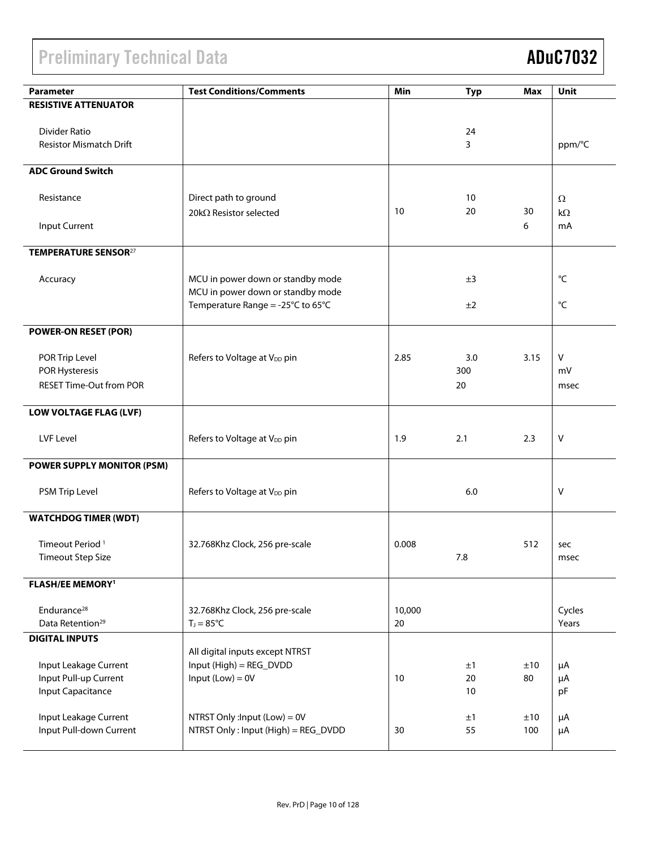| <b>Parameter</b>                   | <b>Test Conditions/Comments</b>          | Min    | <b>Typ</b> | <b>Max</b> | Unit              |
|------------------------------------|------------------------------------------|--------|------------|------------|-------------------|
| <b>RESISTIVE ATTENUATOR</b>        |                                          |        |            |            |                   |
|                                    |                                          |        |            |            |                   |
| Divider Ratio                      |                                          |        | 24         |            |                   |
| <b>Resistor Mismatch Drift</b>     |                                          |        | 3          |            | ppm/°C            |
|                                    |                                          |        |            |            |                   |
| <b>ADC Ground Switch</b>           |                                          |        |            |            |                   |
| Resistance                         | Direct path to ground                    |        | 10         |            | $\Omega$          |
|                                    | 20kΩ Resistor selected                   | 10     | 20         | 30         | $k\Omega$         |
| Input Current                      |                                          |        |            | 6          | mA                |
|                                    |                                          |        |            |            |                   |
| <b>TEMPERATURE SENSOR27</b>        |                                          |        |            |            |                   |
|                                    |                                          |        |            |            |                   |
| Accuracy                           | MCU in power down or standby mode        |        | ±3         |            | °C                |
|                                    | MCU in power down or standby mode        |        |            |            |                   |
|                                    | Temperature Range = -25°C to 65°C        |        | ±2         |            | $^{\circ}{\sf C}$ |
| <b>POWER-ON RESET (POR)</b>        |                                          |        |            |            |                   |
|                                    |                                          |        |            |            |                   |
| POR Trip Level                     | Refers to Voltage at V <sub>DD</sub> pin | 2.85   | 3.0        | 3.15       | V                 |
| <b>POR Hysteresis</b>              |                                          |        | 300        |            | mV                |
| <b>RESET Time-Out from POR</b>     |                                          |        | 20         |            | msec              |
|                                    |                                          |        |            |            |                   |
| <b>LOW VOLTAGE FLAG (LVF)</b>      |                                          |        |            |            |                   |
|                                    |                                          |        |            |            |                   |
| <b>LVF Level</b>                   | Refers to Voltage at V <sub>DD</sub> pin | 1.9    | 2.1        | 2.3        | V                 |
| <b>POWER SUPPLY MONITOR (PSM)</b>  |                                          |        |            |            |                   |
|                                    |                                          |        |            |            |                   |
| PSM Trip Level                     | Refers to Voltage at V <sub>DD</sub> pin |        | 6.0        |            | V                 |
|                                    |                                          |        |            |            |                   |
| <b>WATCHDOG TIMER (WDT)</b>        |                                          |        |            |            |                   |
|                                    |                                          |        |            |            |                   |
| Timeout Period <sup>1</sup>        | 32.768Khz Clock, 256 pre-scale           | 0.008  |            | 512        | sec               |
| <b>Timeout Step Size</b>           |                                          |        | 7.8        |            | msec              |
| <b>FLASH/EE MEMORY<sup>1</sup></b> |                                          |        |            |            |                   |
|                                    |                                          |        |            |            |                   |
| Endurance <sup>28</sup>            | 32.768Khz Clock, 256 pre-scale           | 10,000 |            |            | Cycles            |
| Data Retention <sup>29</sup>       | $T_J = 85$ °C                            | 20     |            |            | Years             |
| <b>DIGITAL INPUTS</b>              |                                          |        |            |            |                   |
|                                    | All digital inputs except NTRST          |        |            |            |                   |
| Input Leakage Current              | Input (High) = REG_DVDD                  |        | ±1         | ±10        | μA                |
| Input Pull-up Current              | Input $(Low) = 0V$                       | 10     | 20         | 80         | μA                |
| <b>Input Capacitance</b>           |                                          |        | 10         |            | pF                |
| Input Leakage Current              | NTRST Only : Input (Low) = 0V            |        | ±1         | ±10        |                   |
| Input Pull-down Current            | NTRST Only: Input (High) = REG_DVDD      | 30     | 55         | 100        | μA<br>μA          |
|                                    |                                          |        |            |            |                   |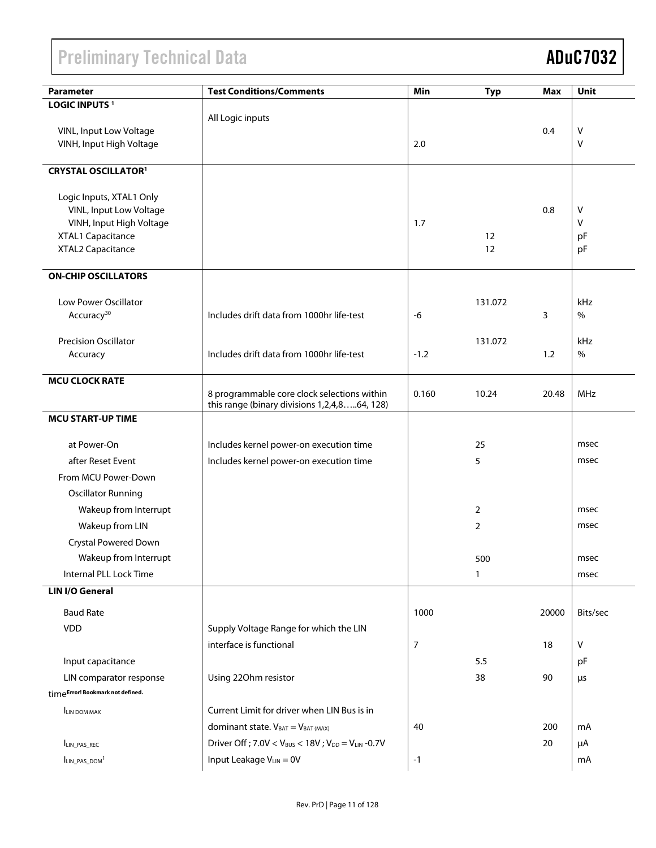| <b>Parameter</b>                                    | <b>Test Conditions/Comments</b>                                                     | Min    | <b>Typ</b>     | <b>Max</b> | Unit        |
|-----------------------------------------------------|-------------------------------------------------------------------------------------|--------|----------------|------------|-------------|
| <b>LOGIC INPUTS<sup>1</sup></b>                     |                                                                                     |        |                |            |             |
|                                                     | All Logic inputs                                                                    |        |                |            |             |
| VINL, Input Low Voltage                             |                                                                                     |        |                | 0.4        | V           |
| VINH, Input High Voltage                            |                                                                                     | 2.0    |                |            | V           |
|                                                     |                                                                                     |        |                |            |             |
| <b>CRYSTAL OSCILLATOR<sup>1</sup></b>               |                                                                                     |        |                |            |             |
|                                                     |                                                                                     |        |                |            |             |
| Logic Inputs, XTAL1 Only<br>VINL, Input Low Voltage |                                                                                     |        |                | 0.8        | v           |
| VINH, Input High Voltage                            |                                                                                     | 1.7    |                |            | V           |
| XTAL1 Capacitance                                   |                                                                                     |        | 12             |            | pF          |
| XTAL2 Capacitance                                   |                                                                                     |        | 12             |            | pF          |
|                                                     |                                                                                     |        |                |            |             |
| <b>ON-CHIP OSCILLATORS</b>                          |                                                                                     |        |                |            |             |
|                                                     |                                                                                     |        |                |            |             |
| Low Power Oscillator<br>Accuracy <sup>30</sup>      | Includes drift data from 1000hr life-test                                           | -6     | 131.072        | 3          | kHz<br>$\%$ |
|                                                     |                                                                                     |        |                |            |             |
| <b>Precision Oscillator</b>                         |                                                                                     |        | 131.072        |            | kHz         |
| Accuracy                                            | Includes drift data from 1000hr life-test                                           | $-1.2$ |                | 1.2        | $\%$        |
|                                                     |                                                                                     |        |                |            |             |
| <b>MCU CLOCK RATE</b>                               |                                                                                     |        |                |            |             |
|                                                     | 8 programmable core clock selections within                                         | 0.160  | 10.24          | 20.48      | MHz         |
| <b>MCU START-UP TIME</b>                            | this range (binary divisions 1,2,4,864, 128)                                        |        |                |            |             |
|                                                     |                                                                                     |        |                |            |             |
| at Power-On                                         | Includes kernel power-on execution time                                             |        | 25             |            | msec        |
| after Reset Event                                   | Includes kernel power-on execution time                                             |        | 5              |            | msec        |
| From MCU Power-Down                                 |                                                                                     |        |                |            |             |
| <b>Oscillator Running</b>                           |                                                                                     |        |                |            |             |
| Wakeup from Interrupt                               |                                                                                     |        | $\overline{2}$ |            | msec        |
|                                                     |                                                                                     |        |                |            |             |
| Wakeup from LIN                                     |                                                                                     |        | $\overline{2}$ |            | msec        |
| <b>Crystal Powered Down</b>                         |                                                                                     |        |                |            |             |
| Wakeup from Interrupt                               |                                                                                     |        | 500            |            | msec        |
| Internal PLL Lock Time                              |                                                                                     |        | 1              |            | msec        |
| <b>LIN I/O General</b>                              |                                                                                     |        |                |            |             |
| <b>Baud Rate</b>                                    |                                                                                     | 1000   |                | 20000      | Bits/sec    |
| <b>VDD</b>                                          | Supply Voltage Range for which the LIN                                              |        |                |            |             |
|                                                     | interface is functional                                                             | 7      |                | 18         | V           |
|                                                     |                                                                                     |        | 5.5            |            |             |
| Input capacitance                                   |                                                                                     |        |                |            | pF          |
| LIN comparator response                             | Using 220hm resistor                                                                |        | 38             | 90         | μs          |
| timeError! Bookmark not defined.                    |                                                                                     |        |                |            |             |
| <b>ILIN DOM MAX</b>                                 | Current Limit for driver when LIN Bus is in                                         |        |                |            |             |
|                                                     | dominant state. $V_{BAT} = V_{BAT (MAX)}$                                           | 40     |                | 200        | mA          |
| LIN_PAS_REC                                         | Driver Off; 7.0V < V <sub>BUS</sub> < 18V; V <sub>DD</sub> = V <sub>LIN</sub> -0.7V |        |                | 20         | μA          |
| $I_{LIN\_PAS\_DOM}$ <sup>1</sup>                    | Input Leakage VLIN = 0V                                                             | $-1$   |                |            | mA          |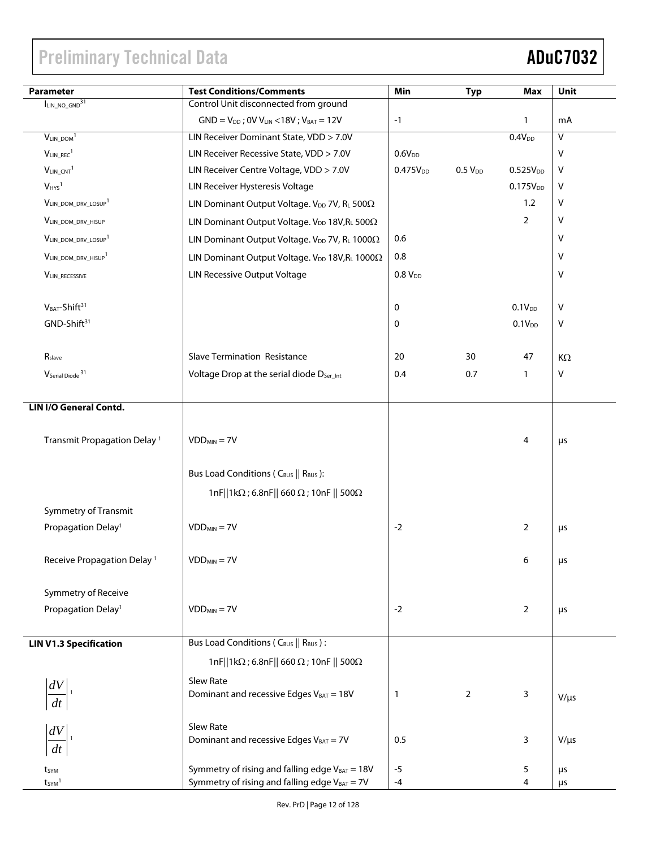| <b>Parameter</b>                            | <b>Test Conditions/Comments</b>                                    | Min                  | <b>Typ</b>          | <b>Max</b>           | Unit                    |
|---------------------------------------------|--------------------------------------------------------------------|----------------------|---------------------|----------------------|-------------------------|
| $I_{LIN\_NO\_GND}^{31}$                     | Control Unit disconnected from ground                              |                      |                     |                      |                         |
|                                             | $GND = V_{DD}$ ; OV V <sub>LIN</sub> < 18V; V <sub>BAT</sub> = 12V | $-1$                 |                     | 1                    | mA                      |
| $V_{LIN\_DOM}$ <sup>1</sup>                 | LIN Receiver Dominant State, VDD > 7.0V                            |                      |                     | 0.4V <sub>DD</sub>   | $\overline{\mathsf{v}}$ |
| $V_{LIN\_REC}$ <sup>1</sup>                 | LIN Receiver Recessive State, VDD > 7.0V                           | $0.6V_{DD}$          |                     |                      | V                       |
| $V_{LIN\_CNT}$ <sup>1</sup>                 | LIN Receiver Centre Voltage, VDD > 7.0V                            | 0.475V <sub>DD</sub> | 0.5 V <sub>DD</sub> | 0.525V <sub>DD</sub> | V                       |
| $V_{HYS}$ <sup>1</sup>                      | LIN Receiver Hysteresis Voltage                                    |                      |                     | 0.175V <sub>DD</sub> | V                       |
| VLIN_DOM_DRV_LOSUP1                         | LIN Dominant Output Voltage. V <sub>DD</sub> 7V, RL 500 $\Omega$   |                      |                     | 1.2                  | V                       |
| VLIN_DOM_DRV_HISUP                          | LIN Dominant Output Voltage. V <sub>DD</sub> 18V, RL 500 $\Omega$  |                      |                     | 2                    | V                       |
| V <sub>LIN</sub> DOM DRV LOSUP <sup>1</sup> | LIN Dominant Output Voltage. V <sub>DD</sub> 7V, RL 1000 $\Omega$  | 0.6                  |                     |                      | V                       |
| $V_{LIN\_DOM\_DRV\_HISUP}$ <sup>1</sup>     | LIN Dominant Output Voltage. V <sub>DD</sub> 18V, RL 1000 $\Omega$ | 0.8                  |                     |                      | V                       |
| VLIN_RECESSIVE                              | LIN Recessive Output Voltage                                       | $0.8 V_{DD}$         |                     |                      | $\mathsf V$             |
| V <sub>BAT</sub> -Shift <sup>31</sup>       |                                                                    | 0                    |                     | 0.1V <sub>DD</sub>   | $\sf V$                 |
| GND-Shift <sup>31</sup>                     |                                                                    | 0                    |                     | $0.1V_{DD}$          | V                       |
|                                             |                                                                    |                      |                     |                      |                         |
| $R_{\text{s}lave}$                          | Slave Termination Resistance                                       | 20                   | 30                  | 47                   | KΩ                      |
| V <sub>Serial</sub> Diode <sup>31</sup>     | Voltage Drop at the serial diode D <sub>Ser_Int</sub>              | 0.4                  | 0.7                 | 1                    | V                       |
|                                             |                                                                    |                      |                     |                      |                         |
| LIN I/O General Contd.                      |                                                                    |                      |                     |                      |                         |
|                                             |                                                                    |                      |                     |                      |                         |
| Transmit Propagation Delay <sup>1</sup>     | $VDD_{MIN} = 7V$                                                   |                      |                     | 4                    | $\mu$ s                 |
|                                             |                                                                    |                      |                     |                      |                         |
|                                             | Bus Load Conditions (CBUS    RBUS):                                |                      |                     |                      |                         |
|                                             | 1nF  1k $\Omega$ ; 6.8nF   660 $\Omega$ ; 10nF    500 $\Omega$     |                      |                     |                      |                         |
| Symmetry of Transmit                        |                                                                    |                      |                     |                      |                         |
| Propagation Delay <sup>1</sup>              | $VDD_{MIN} = 7V$                                                   | $-2$                 |                     | $\overline{2}$       | μs                      |
|                                             |                                                                    |                      |                     |                      |                         |
| Receive Propagation Delay <sup>1</sup>      | $VDD_{MIN} = 7V$                                                   |                      |                     | 6                    | us                      |
|                                             |                                                                    |                      |                     |                      |                         |
| Symmetry of Receive                         |                                                                    |                      |                     |                      |                         |
| Propagation Delay <sup>1</sup>              | $VDD_{MIN} = 7V$                                                   | $-2$                 |                     | $\overline{2}$       | μs                      |
| <b>LIN V1.3 Specification</b>               | Bus Load Conditions (CBUS    RBUS):                                |                      |                     |                      |                         |
|                                             |                                                                    |                      |                     |                      |                         |
|                                             | 1nF  1k $\Omega$ ; 6.8nF   660 $\Omega$ ; 10nF    500 $\Omega$     |                      |                     |                      |                         |
| dV                                          | Slew Rate                                                          |                      |                     |                      |                         |
|                                             | Dominant and recessive Edges $V_{BAT} = 18V$                       | 1                    | $\overline{2}$      | 3                    | $V/\mu s$               |
|                                             | Slew Rate                                                          |                      |                     |                      |                         |
| $d{\cal V}$                                 | Dominant and recessive Edges VBAT = 7V                             | 0.5                  |                     | 3                    | $V/\mu s$               |
| dt                                          |                                                                    |                      |                     |                      |                         |
| t <sub>sym</sub>                            | Symmetry of rising and falling edge $V_{BAT} = 18V$                | $-5$                 |                     | 5                    | μs                      |
| t <sub>sym</sub> 1                          | Symmetry of rising and falling edge $V_{BAT} = 7V$                 | $-4$                 |                     | 4                    | μs                      |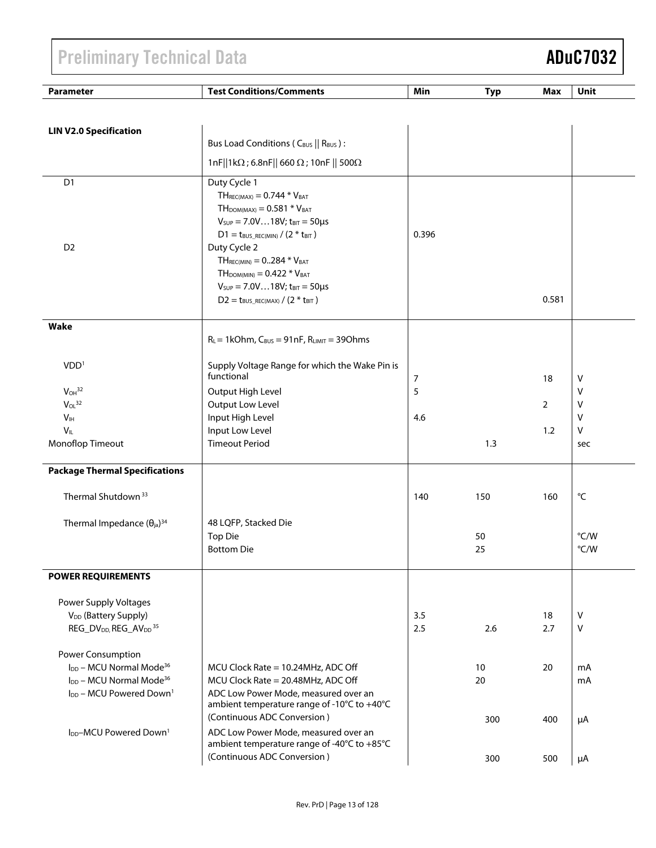| Parameter                                                 | <b>Test Conditions/Comments</b>                                            | Min   | <b>Typ</b> | Max   | Unit          |
|-----------------------------------------------------------|----------------------------------------------------------------------------|-------|------------|-------|---------------|
|                                                           |                                                                            |       |            |       |               |
|                                                           |                                                                            |       |            |       |               |
| <b>LIN V2.0 Specification</b>                             | Bus Load Conditions (C <sub>BUS</sub>    R <sub>BUS</sub> ):               |       |            |       |               |
|                                                           |                                                                            |       |            |       |               |
|                                                           | $1n$ F  1k $\Omega$ ; 6.8nF   660 $\Omega$ ; 10nF    500 $\Omega$          |       |            |       |               |
| D <sub>1</sub>                                            | Duty Cycle 1                                                               |       |            |       |               |
|                                                           | $TH_{REC(MAX)} = 0.744 * V_{BAT}$<br>$TH_{DOM(MAX)} = 0.581 * V_{BAT}$     |       |            |       |               |
|                                                           | $V_{SUP} = 7.0V18V$ ; $t_{BIT} = 50 \mu s$                                 |       |            |       |               |
|                                                           | $D1 = t_{BUS REC(MIN)} / (2 * t_{BIT})$                                    | 0.396 |            |       |               |
| D <sub>2</sub>                                            | Duty Cycle 2                                                               |       |            |       |               |
|                                                           | $TH_{REC(MIN)} = 0.284 * V_{BAT}$                                          |       |            |       |               |
|                                                           | $TH$ <sub>DOM(MIN)</sub> = 0.422 $*$ V <sub>BAT</sub>                      |       |            |       |               |
|                                                           | $V_{SUP} = 7.0V18V$ ; $t_{BIT} = 50 \mu s$                                 |       |            |       |               |
|                                                           | $D2 = t_{BUS\_REC(MAX)} / (2 * t_{BIT})$                                   |       |            | 0.581 |               |
| Wake                                                      |                                                                            |       |            |       |               |
|                                                           | $R_L = 1kOhm$ , $C_{BUS} = 91nF$ , $R_{LIMIT} = 39Ohms$                    |       |            |       |               |
|                                                           |                                                                            |       |            |       |               |
| VDD <sup>1</sup>                                          | Supply Voltage Range for which the Wake Pin is<br>functional               |       |            |       |               |
| V <sub>OH</sub> <sup>32</sup>                             |                                                                            | 7     |            | 18    | $\vee$<br>V   |
| $V_{OL}$ <sup>32</sup>                                    | Output High Level<br><b>Output Low Level</b>                               | 5     |            | 2     | $\vee$        |
| V <sub>IH</sub>                                           | Input High Level                                                           | 4.6   |            |       | $\vee$        |
| $V_{IL}$                                                  | Input Low Level                                                            |       |            | 1.2   | V             |
| Monoflop Timeout                                          | <b>Timeout Period</b>                                                      |       | 1.3        |       | sec           |
| <b>Package Thermal Specifications</b>                     |                                                                            |       |            |       |               |
| Thermal Shutdown <sup>33</sup>                            |                                                                            | 140   | 150        | 160   | °C            |
|                                                           |                                                                            |       |            |       |               |
| Thermal Impedance $(\theta_{ja})^{34}$                    | 48 LQFP, Stacked Die                                                       |       |            |       |               |
|                                                           | <b>Top Die</b>                                                             |       | 50         |       | $\degree$ C/W |
|                                                           | <b>Bottom Die</b>                                                          |       | 25         |       | °C/W          |
| <b>POWER REQUIREMENTS</b>                                 |                                                                            |       |            |       |               |
|                                                           |                                                                            |       |            |       |               |
| Power Supply Voltages                                     |                                                                            |       |            |       |               |
| V <sub>DD</sub> (Battery Supply)                          |                                                                            | 3.5   |            | 18    | $\mathsf{V}$  |
| REG_DV <sub>DD</sub> , REG_AV <sub>DD</sub> <sup>35</sup> |                                                                            | 2.5   | 2.6        | 2.7   | $\mathsf{V}$  |
| Power Consumption                                         |                                                                            |       |            |       |               |
| I <sub>DD</sub> - MCU Normal Mode <sup>36</sup>           | MCU Clock Rate = 10.24MHz, ADC Off                                         |       | 10         | 20    | mA            |
| I <sub>DD</sub> - MCU Normal Mode <sup>36</sup>           | MCU Clock Rate = 20.48MHz, ADC Off                                         |       | 20         |       | mA            |
| I <sub>DD</sub> - MCU Powered Down <sup>1</sup>           | ADC Low Power Mode, measured over an                                       |       |            |       |               |
|                                                           | ambient temperature range of -10°C to +40°C<br>(Continuous ADC Conversion) |       | 300        | 400   |               |
| I <sub>DD</sub> -MCU Powered Down <sup>1</sup>            | ADC Low Power Mode, measured over an                                       |       |            |       | μA            |
|                                                           | ambient temperature range of -40°C to +85°C                                |       |            |       |               |
|                                                           | (Continuous ADC Conversion)                                                |       | 300        | 500   | μA            |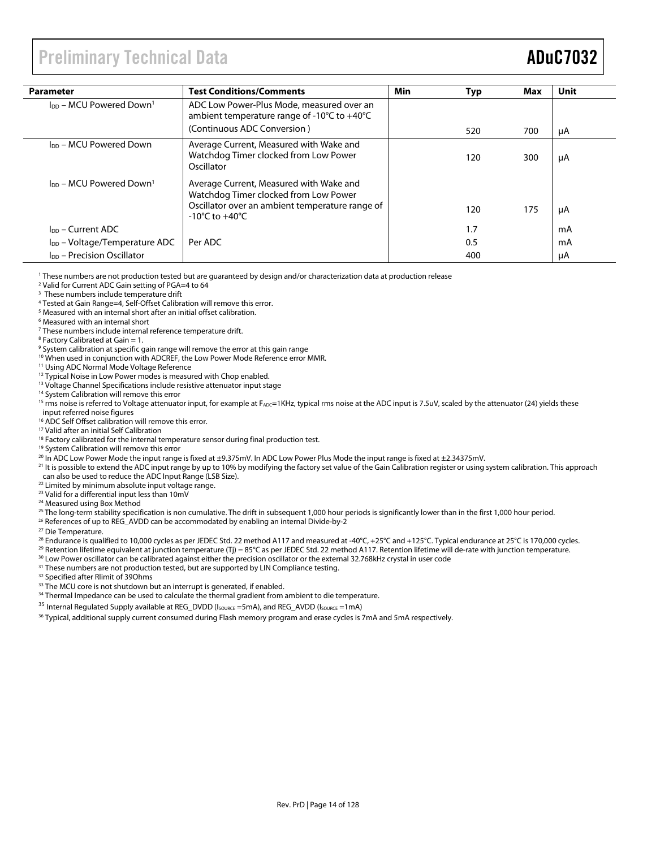| <b>Parameter</b>                          | <b>Test Conditions/Comments</b>                                                                                                                                           | Min | Typ | Max | Unit |
|-------------------------------------------|---------------------------------------------------------------------------------------------------------------------------------------------------------------------------|-----|-----|-----|------|
| $Inp - MCU$ Powered Down <sup>1</sup>     | ADC Low Power-Plus Mode, measured over an<br>ambient temperature range of -10 $\degree$ C to +40 $\degree$ C                                                              |     |     |     |      |
|                                           | (Continuous ADC Conversion)                                                                                                                                               |     | 520 | 700 | μA   |
| I <sub>DD</sub> – MCU Powered Down        | Average Current, Measured with Wake and<br>Watchdog Timer clocked from Low Power<br>Oscillator                                                                            |     | 120 | 300 | μA   |
| In – MCU Powered Down <sup>1</sup>        | Average Current, Measured with Wake and<br>Watchdog Timer clocked from Low Power<br>Oscillator over an ambient temperature range of<br>$-10^{\circ}$ C to $+40^{\circ}$ C |     | 120 | 175 | μA   |
| I <sub>DD</sub> – Current ADC             |                                                                                                                                                                           |     | 1.7 |     | mA   |
| l <sub>DD</sub> – Voltage/Temperature ADC | Per ADC                                                                                                                                                                   |     | 0.5 |     | mA   |
| I <sub>DD</sub> - Precision Oscillator    |                                                                                                                                                                           |     | 400 |     | μA   |

<sup>1</sup> These numbers are not production tested but are guaranteed by design and/or characterization data at production release<br><sup>2</sup> Valid for Current ADC Gain setting of PGA–4 to 64

<sup>2</sup> Valid for Current ADC Gain setting of PGA=4 to 64

3 These numbers include temperature drift

4 Tested at Gain Range=4, Self-Offset Calibration will remove this error.

 $^5$  Measured with an internal short after an initial offset calibration.<br> $^6$  Measured with an internal short

Measured with an internal short

<sup>7</sup> These numbers include internal reference temperature drift.<br><sup>8</sup> Eactory Calibrated at Gain – 1

 $8$  Factory Calibrated at Gain = 1.

<sup>9</sup> System calibration at specific gain range will remove the error at this gain range

<sup>10</sup> When used in conjunction with ADCREF, the Low Power Mode Reference error MMR.

11 Using ADC Normal Mode Voltage Reference

<sup>12</sup> Typical Noise in Low Power modes is measured with Chop enabled.

<sup>13</sup> Voltage Channel Specifications include resistive attenuator input stage 14 System Calibration will remove this error

<sup>15</sup> rms noise is referred to Voltage attenuator input, for example at F<sub>ADC</sub>=1KHz, typical rms noise at the ADC input is 7.5uV, scaled by the attenuator (24) yields these input referred noise figures

<sup>16</sup> ADC Self Offset calibration will remove this error.

17 Valid after an initial Self Calibration

<sup>18</sup> Factory calibrated for the internal temperature sensor during final production test.

19 System Calibration will remove this error

 $^{20}$  In ADC Low Power Mode the input range is fixed at ±9.375mV. In ADC Low Power Plus Mode the input range is fixed at ±2.34375mV.

<sup>21</sup> It is possible to extend the ADC input range by up to 10% by modifying the factory set value of the Gain Calibration register or using system calibration. This approach can also be used to reduce the ADC Input Range (LSB Size).

<sup>22</sup> Limited by minimum absolute input voltage range.

<sup>23</sup> Valid for a differential input less than 10mV

24 Measured using Box Method

<sup>25</sup> The long-term stability specification is non cumulative. The drift in subsequent 1,000 hour periods is significantly lower than in the first 1,000 hour period.

<sup>26</sup> References of up to REG\_AVDD can be accommodated by enabling an internal Divide-by-2

<sup>27</sup> Die Temperature.<br><sup>28</sup> Endurance is qualified to 10,000 cycles as per JEDEC Std. 22 method A117 and measured at -40°C, +25°C and +125°C. Typical endurance at 25°C is 170,000 cycles.

<sup>29</sup> Retention lifetime equivalent at junction temperature (Tj) = 85°C as per JEDEC Std. 22 method A117. Retention lifetime will de-rate with junction temperature.<br><sup>30</sup> Low Power oscillator can be calibrated against eithe

34 Thermal Impedance can be used to calculate the thermal gradient from ambient to die temperature.

<sup>35</sup> Internal Regulated Supply available at REG\_DVDD (I<sub>SOURCE</sub> =5mA), and REG\_AVDD (I<sub>SOURCE</sub> =1mA)<br><sup>36</sup> Typical, additional supply current consumed during Flash memory program and erase cycles is 7mA and 5mA respectivel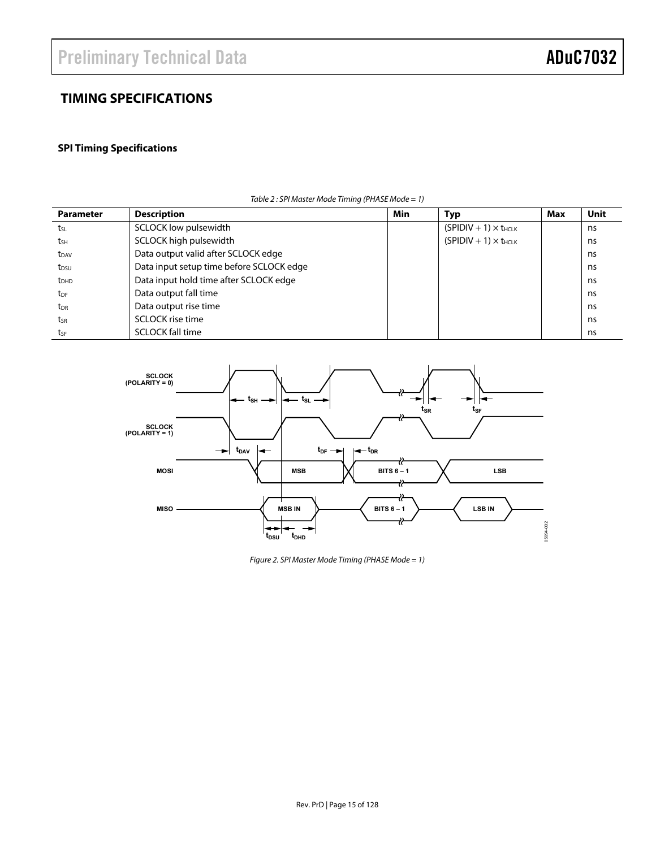### **TIMING SPECIFICATIONS**

### **SPI Timing Specifications**

| <b>Parameter</b> | <b>Description</b>                       | Min | <b>Typ</b>                     | Max | <b>Unit</b> |
|------------------|------------------------------------------|-----|--------------------------------|-----|-------------|
| tsL              | SCLOCK low pulsewidth                    |     | $(SPIDIV + 1) \times t_{HCLK}$ |     | ns          |
| tsh              | SCLOCK high pulsewidth                   |     | $(SPIDIV + 1) \times t_{HCLK}$ |     | ns          |
| t <sub>DAV</sub> | Data output valid after SCLOCK edge      |     |                                |     | ns          |
| t <sub>DSU</sub> | Data input setup time before SCLOCK edge |     |                                |     | ns          |
| $t_{DHD}$        | Data input hold time after SCLOCK edge   |     |                                |     | ns          |
| t <sub>DF</sub>  | Data output fall time                    |     |                                |     | ns          |
| $t_{DR}$         | Data output rise time                    |     |                                |     | ns          |
| tsr              | SCLOCK rise time                         |     |                                |     | ns          |
| tsF              | <b>SCLOCK fall time</b>                  |     |                                |     | ns          |

Table 2 : SPI Master Mode Timing (PHASE Mode = 1)



Figure 2. SPI Master Mode Timing (PHASE Mode = 1)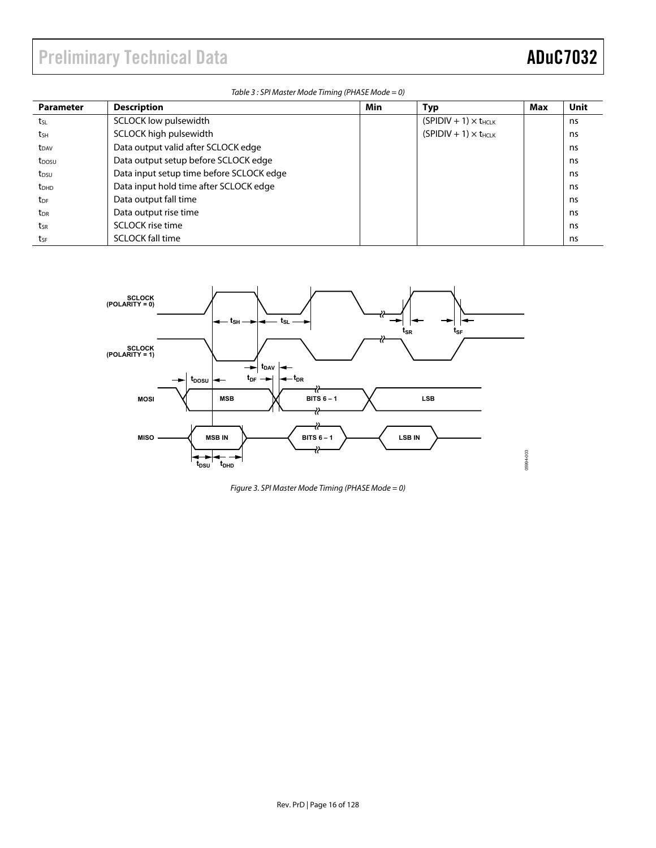Table 3 : SPI Master Mode Timing (PHASE Mode = 0)

| Parameter               | <b>Description</b>                       | Min | Typ                            | Max | Unit |
|-------------------------|------------------------------------------|-----|--------------------------------|-----|------|
| tsı                     | SCLOCK low pulsewidth                    |     | $(SPIDIV + 1) \times t_{HCIK}$ |     | ns   |
| tsн                     | SCLOCK high pulsewidth                   |     | $(SPIDIV + 1) \times t_{HCLK}$ |     | ns   |
| t <sub>DAV</sub>        | Data output valid after SCLOCK edge      |     |                                |     | ns   |
| t <sub>DOSU</sub>       | Data output setup before SCLOCK edge     |     |                                |     | ns   |
| t <sub>DSU</sub>        | Data input setup time before SCLOCK edge |     |                                |     | ns   |
| <b>t</b> <sub>DHD</sub> | Data input hold time after SCLOCK edge   |     |                                |     | ns   |
| $t_{DF}$                | Data output fall time                    |     |                                |     | ns   |
| t <sub>DR</sub>         | Data output rise time                    |     |                                |     | ns   |
| tsr                     | SCLOCK rise time                         |     |                                |     | ns   |
| tse                     | <b>SCLOCK fall time</b>                  |     |                                |     | ns   |



Figure 3. SPI Master Mode Timing (PHASE Mode = 0)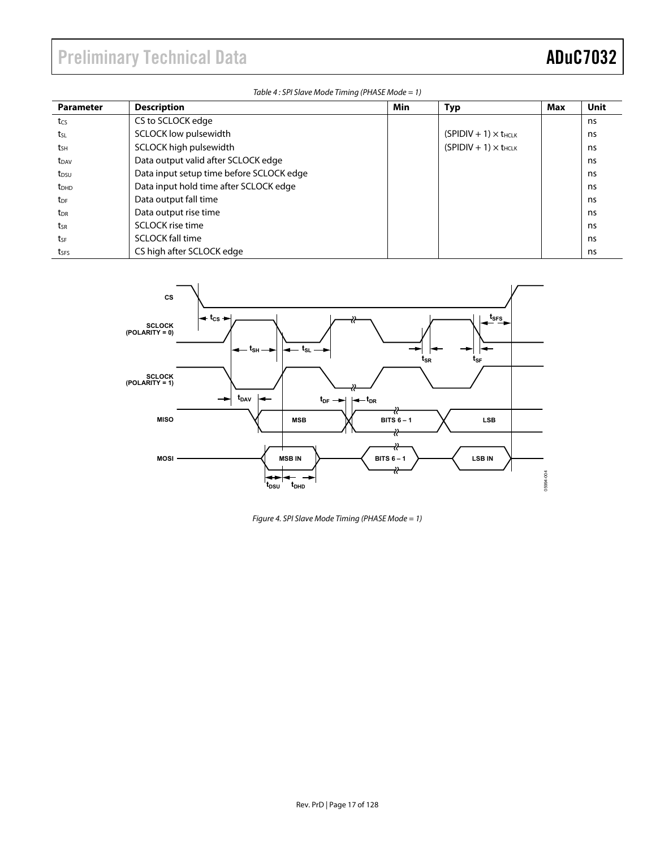Table 4 : SPI Slave Mode Timing (PHASE Mode = 1)

| <b>Parameter</b>        | <b>Description</b>                       | <b>Min</b> | Typ                            | Max | <b>Unit</b> |
|-------------------------|------------------------------------------|------------|--------------------------------|-----|-------------|
| $t_{CS}$                | CS to SCLOCK edge                        |            |                                |     | ns          |
| tsL                     | SCLOCK low pulsewidth                    |            | $(SPIDIV + 1) \times t_{HCLK}$ |     | ns          |
| tsh                     | SCLOCK high pulsewidth                   |            | $(SPIDIV + 1) \times t_{HCLK}$ |     | ns          |
| t <sub>DAV</sub>        | Data output valid after SCLOCK edge      |            |                                |     | ns          |
| t <sub>DSU</sub>        | Data input setup time before SCLOCK edge |            |                                |     | ns          |
| <b>t</b> <sub>DHD</sub> | Data input hold time after SCLOCK edge   |            |                                |     | ns          |
| $t_{DF}$                | Data output fall time                    |            |                                |     | ns          |
| t <sub>DR</sub>         | Data output rise time                    |            |                                |     | ns          |
| tsr                     | SCLOCK rise time                         |            |                                |     | ns          |
| tsF                     | <b>SCLOCK</b> fall time                  |            |                                |     | ns          |
| tses                    | CS high after SCLOCK edge                |            |                                |     | ns          |



Figure 4. SPI Slave Mode Timing (PHASE Mode = 1)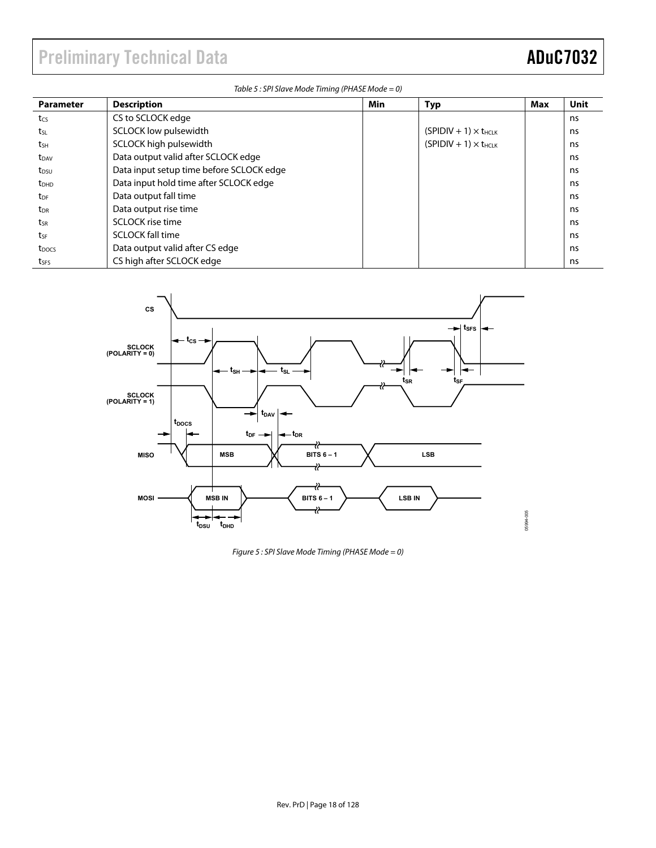Table 5 : SPI Slave Mode Timing (PHASE Mode =  $0$ )

| <b>Parameter</b>        | <b>Description</b>                       | Min | <b>Typ</b>                              | Max | <b>Unit</b> |
|-------------------------|------------------------------------------|-----|-----------------------------------------|-----|-------------|
| t <sub>cs</sub>         | CS to SCLOCK edge                        |     |                                         |     | ns          |
| tsL                     | SCLOCK low pulsewidth                    |     | $(SPIDIV + 1) \times t_{HCLK}$          |     | ns.         |
| tsH                     | SCLOCK high pulsewidth                   |     | $(SPIDIV + 1) \times$ t <sub>HCLK</sub> |     | ns.         |
| t <sub>DAV</sub>        | Data output valid after SCLOCK edge      |     |                                         |     | ns          |
| t <sub>DSU</sub>        | Data input setup time before SCLOCK edge |     |                                         |     | ns          |
| <b>t</b> <sub>DHD</sub> | Data input hold time after SCLOCK edge   |     |                                         |     | ns.         |
| t <sub>DF</sub>         | Data output fall time                    |     |                                         |     | ns.         |
| t <sub>DR</sub>         | Data output rise time                    |     |                                         |     | ns          |
| tsr                     | SCLOCK rise time                         |     |                                         |     | ns.         |
| tsf                     | <b>SCLOCK fall time</b>                  |     |                                         |     | ns.         |
| t <sub>pocs</sub>       | Data output valid after CS edge          |     |                                         |     | ns          |
| tsfs                    | CS high after SCLOCK edge                |     |                                         |     | ns          |



Figure 5 : SPI Slave Mode Timing (PHASE Mode = 0)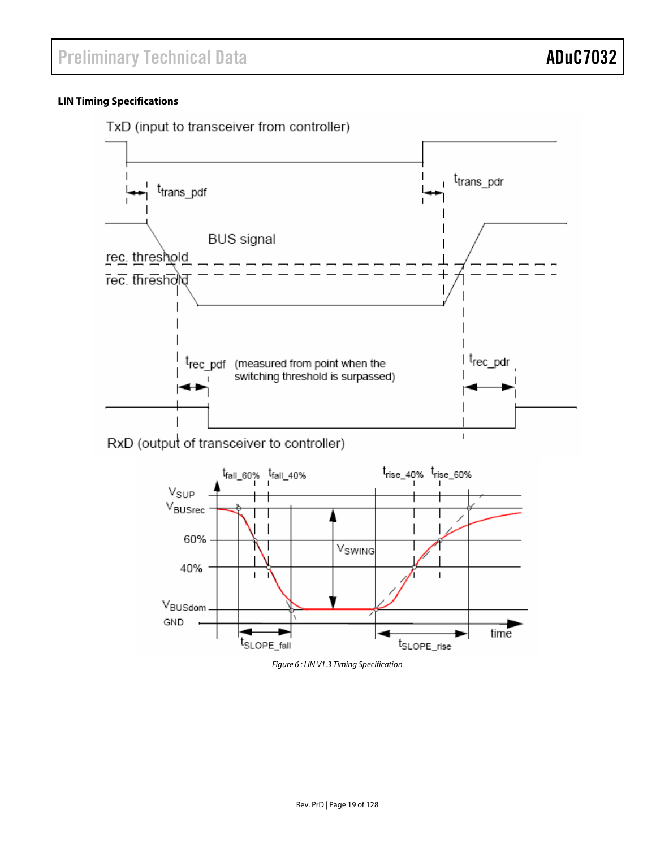### **LIN Timing Specifications**





Figure 6 : LIN V1.3 Timing Specification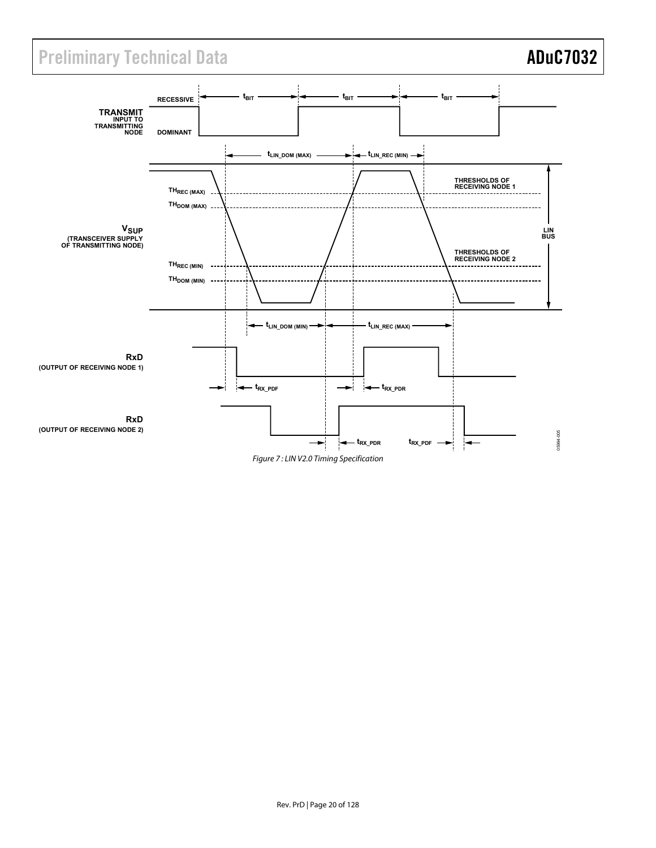

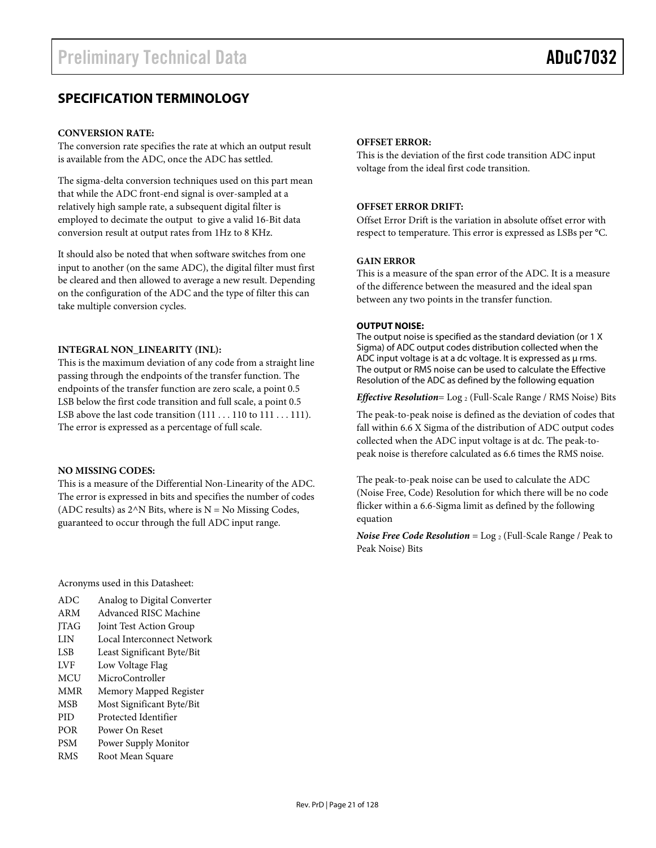### **SPECIFICATION TERMINOLOGY**

### **CONVERSION RATE:**

The conversion rate specifies the rate at which an output result is available from the ADC, once the ADC has settled.

The sigma-delta conversion techniques used on this part mean that while the ADC front-end signal is over-sampled at a relatively high sample rate, a subsequent digital filter is employed to decimate the output to give a valid 16-Bit data conversion result at output rates from 1Hz to 8 KHz.

It should also be noted that when software switches from one input to another (on the same ADC), the digital filter must first be cleared and then allowed to average a new result. Depending on the configuration of the ADC and the type of filter this can take multiple conversion cycles.

### **INTEGRAL NON\_LINEARITY (INL):**

This is the maximum deviation of any code from a straight line passing through the endpoints of the transfer function. The endpoints of the transfer function are zero scale, a point 0.5 LSB below the first code transition and full scale, a point 0.5 LSB above the last code transition (111 . . . 110 to 111 . . . 111). The error is expressed as a percentage of full scale.

### **NO MISSING CODES:**

This is a measure of the Differential Non-Linearity of the ADC. The error is expressed in bits and specifies the number of codes (ADC results) as  $2^N$ N Bits, where is N = No Missing Codes, guaranteed to occur through the full ADC input range.

Acronyms used in this Datasheet:

| <b>ADC</b>  | Analog to Digital Converter |
|-------------|-----------------------------|
| ARM         | Advanced RISC Machine       |
| <b>ITAG</b> | Joint Test Action Group     |
| LIN         | Local Interconnect Network  |
| LSB         | Least Significant Byte/Bit  |
| <b>LVF</b>  | Low Voltage Flag            |
| <b>MCU</b>  | MicroController             |
| <b>MMR</b>  | Memory Mapped Register      |
| <b>MSB</b>  | Most Significant Byte/Bit   |
| <b>PID</b>  | Protected Identifier        |
| <b>POR</b>  | Power On Reset              |
| <b>PSM</b>  | Power Supply Monitor        |
| RMS         | Root Mean Square            |

### **OFFSET ERROR:**

This is the deviation of the first code transition ADC input voltage from the ideal first code transition.

### **OFFSET ERROR DRIFT:**

Offset Error Drift is the variation in absolute offset error with respect to temperature. This error is expressed as LSBs per °C.

### **GAIN ERROR**

This is a measure of the span error of the ADC. It is a measure of the difference between the measured and the ideal span between any two points in the transfer function.

### **OUTPUT NOISE:**

The output noise is specified as the standard deviation (or 1 X Sigma) of ADC output codes distribution collected when the ADC input voltage is at a dc voltage. It is expressed as  $\mu$  rms. The output or RMS noise can be used to calculate the Effective Resolution of the ADC as defined by the following equation

*Effective Resolution*= Log 2 (Full-Scale Range / RMS Noise) Bits

The peak-to-peak noise is defined as the deviation of codes that fall within 6.6 X Sigma of the distribution of ADC output codes collected when the ADC input voltage is at dc. The peak-topeak noise is therefore calculated as 6.6 times the RMS noise.

The peak-to-peak noise can be used to calculate the ADC (Noise Free, Code) Resolution for which there will be no code flicker within a 6.6-Sigma limit as defined by the following equation

*Noise Free Code Resolution* = Log 2 (Full-Scale Range / Peak to Peak Noise) Bits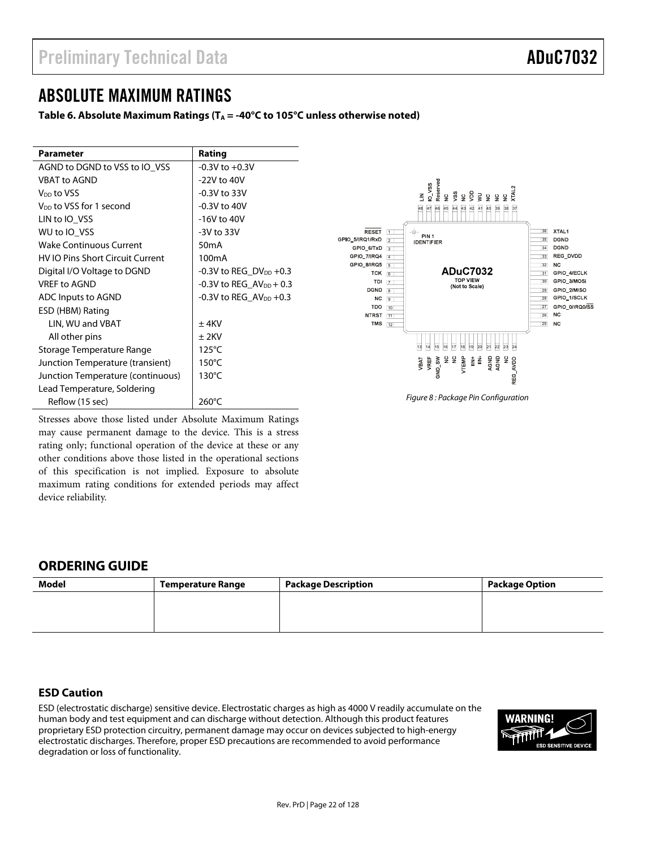### ABSOLUTE MAXIMUM RATINGS

### Table 6. Absolute Maximum Ratings ( $T_A = -40^\circ C$  to 105 $\circ C$  unless otherwise noted)

| <b>Parameter</b>                    | Rating                                 |
|-------------------------------------|----------------------------------------|
| AGND to DGND to VSS to IO VSS       | $-0.3V$ to $+0.3V$                     |
| VBAT to AGND                        | -22V to 40V                            |
| V <sub>DD</sub> to VSS              | $-0.3V$ to 33V                         |
| V <sub>DD</sub> to VSS for 1 second | -0.3V to 40V                           |
| LIN to IO VSS                       | -16V to 40V                            |
| WU to IO_VSS                        | -3V to 33V                             |
| <b>Wake Continuous Current</b>      | 50 <sub>m</sub> A                      |
| HV IO Pins Short Circuit Current    | 100 <sub>m</sub> A                     |
| Digital I/O Voltage to DGND         | $-0.3V$ to REG DV <sub>DD</sub> $+0.3$ |
| <b>VRFF to AGND</b>                 | -0.3V to REG_AV <sub>DD</sub> + 0.3    |
| ADC Inputs to AGND                  | $-0.3V$ to REG $AV_{DD}$ +0.3          |
| ESD (HBM) Rating                    |                                        |
| LIN, WU and VBAT                    | $+4$ KV                                |
| All other pins                      | + 2KV                                  |
| Storage Temperature Range           | $125^{\circ}$ C                        |
| Junction Temperature (transient)    | $150^{\circ}$ C                        |
| Junction Temperature (continuous)   | $130^{\circ}$ C                        |
| Lead Temperature, Soldering         |                                        |
| Reflow (15 sec)                     | 260°C                                  |



Figure 8 : Package Pin Configuration

Stresses above those listed under Absolute Maximum Ratings may cause permanent damage to the device. This is a stress rating only; functional operation of the device at these or any other conditions above those listed in the operational sections of this specification is not implied. Exposure to absolute maximum rating conditions for extended periods may affect device reliability.

### **ORDERING GUIDE**

| <b>Model</b> | <b>Temperature Range</b> | <b>Package Description</b> | <b>Package Option</b> |
|--------------|--------------------------|----------------------------|-----------------------|
|              |                          |                            |                       |
|              |                          |                            |                       |
|              |                          |                            |                       |

### **ESD Caution**

ESD (electrostatic discharge) sensitive device. Electrostatic charges as high as 4000 V readily accumulate on the human body and test equipment and can discharge without detection. Although this product features proprietary ESD protection circuitry, permanent damage may occur on devices subjected to high-energy electrostatic discharges. Therefore, proper ESD precautions are recommended to avoid performance degradation or loss of functionality.

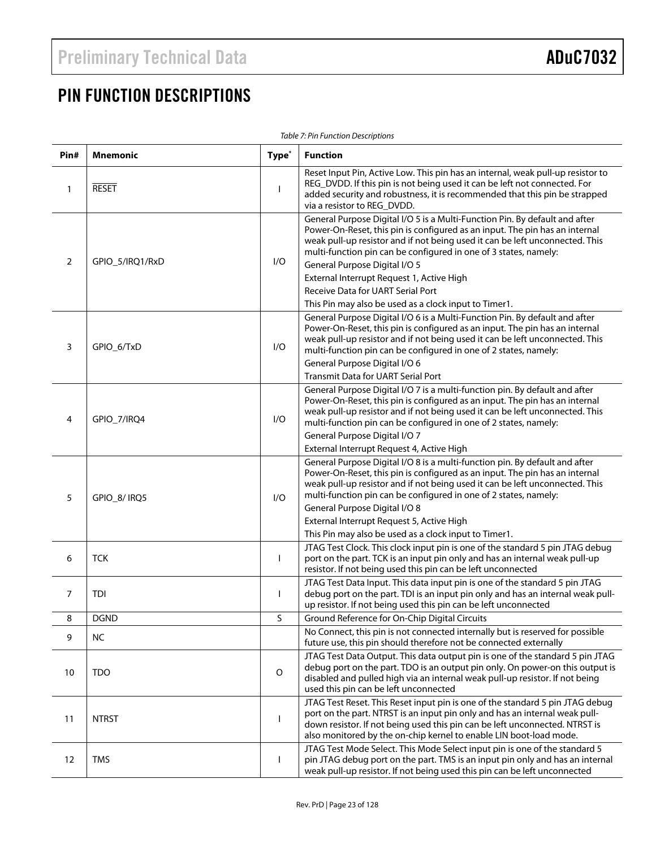## PIN FUNCTION DESCRIPTIONS

|                | Table 7: Pin Function Descriptions |                   |                                                                                                                                                                                                                                                                                                                                                                                                                                                       |  |  |
|----------------|------------------------------------|-------------------|-------------------------------------------------------------------------------------------------------------------------------------------------------------------------------------------------------------------------------------------------------------------------------------------------------------------------------------------------------------------------------------------------------------------------------------------------------|--|--|
| Pin#           | <b>Mnemonic</b>                    | Type <sup>*</sup> | <b>Function</b>                                                                                                                                                                                                                                                                                                                                                                                                                                       |  |  |
| 1              | <b>RESET</b>                       |                   | Reset Input Pin, Active Low. This pin has an internal, weak pull-up resistor to<br>REG_DVDD. If this pin is not being used it can be left not connected. For<br>added security and robustness, it is recommended that this pin be strapped<br>via a resistor to REG_DVDD.                                                                                                                                                                             |  |  |
| 2              | GPIO_5/IRQ1/RxD                    | I/O               | General Purpose Digital I/O 5 is a Multi-Function Pin. By default and after<br>Power-On-Reset, this pin is configured as an input. The pin has an internal<br>weak pull-up resistor and if not being used it can be left unconnected. This<br>multi-function pin can be configured in one of 3 states, namely:<br>General Purpose Digital I/O 5<br>External Interrupt Request 1, Active High                                                          |  |  |
|                |                                    |                   | Receive Data for UART Serial Port                                                                                                                                                                                                                                                                                                                                                                                                                     |  |  |
| 3              | GPIO_6/TxD                         | I/O               | This Pin may also be used as a clock input to Timer1.<br>General Purpose Digital I/O 6 is a Multi-Function Pin. By default and after<br>Power-On-Reset, this pin is configured as an input. The pin has an internal<br>weak pull-up resistor and if not being used it can be left unconnected. This<br>multi-function pin can be configured in one of 2 states, namely:<br>General Purpose Digital I/O 6<br><b>Transmit Data for UART Serial Port</b> |  |  |
| $\overline{4}$ | GPIO_7/IRQ4                        | I/O               | General Purpose Digital I/O 7 is a multi-function pin. By default and after<br>Power-On-Reset, this pin is configured as an input. The pin has an internal<br>weak pull-up resistor and if not being used it can be left unconnected. This<br>multi-function pin can be configured in one of 2 states, namely:<br>General Purpose Digital I/O 7<br>External Interrupt Request 4, Active High                                                          |  |  |
| 5              | GPIO_8/IRQ5                        | I/O               | General Purpose Digital I/O 8 is a multi-function pin. By default and after<br>Power-On-Reset, this pin is configured as an input. The pin has an internal<br>weak pull-up resistor and if not being used it can be left unconnected. This<br>multi-function pin can be configured in one of 2 states, namely:<br>General Purpose Digital I/O 8<br>External Interrupt Request 5, Active High<br>This Pin may also be used as a clock input to Timer1. |  |  |
| 6              | <b>TCK</b>                         |                   | JTAG Test Clock. This clock input pin is one of the standard 5 pin JTAG debug<br>port on the part. TCK is an input pin only and has an internal weak pull-up<br>resistor. If not being used this pin can be left unconnected                                                                                                                                                                                                                          |  |  |
| 7              | <b>TDI</b>                         | I                 | JTAG Test Data Input. This data input pin is one of the standard 5 pin JTAG<br>debug port on the part. TDI is an input pin only and has an internal weak pull-<br>up resistor. If not being used this pin can be left unconnected                                                                                                                                                                                                                     |  |  |
| 8              | <b>DGND</b>                        | S                 | Ground Reference for On-Chip Digital Circuits                                                                                                                                                                                                                                                                                                                                                                                                         |  |  |
| 9              | <b>NC</b>                          |                   | No Connect, this pin is not connected internally but is reserved for possible<br>future use, this pin should therefore not be connected externally                                                                                                                                                                                                                                                                                                    |  |  |
| 10             | <b>TDO</b>                         | $\circ$           | JTAG Test Data Output. This data output pin is one of the standard 5 pin JTAG<br>debug port on the part. TDO is an output pin only. On power-on this output is<br>disabled and pulled high via an internal weak pull-up resistor. If not being<br>used this pin can be left unconnected                                                                                                                                                               |  |  |
| 11             | <b>NTRST</b>                       |                   | JTAG Test Reset. This Reset input pin is one of the standard 5 pin JTAG debug<br>port on the part. NTRST is an input pin only and has an internal weak pull-<br>down resistor. If not being used this pin can be left unconnected. NTRST is<br>also monitored by the on-chip kernel to enable LIN boot-load mode.                                                                                                                                     |  |  |
| 12             | <b>TMS</b>                         |                   | JTAG Test Mode Select. This Mode Select input pin is one of the standard 5<br>pin JTAG debug port on the part. TMS is an input pin only and has an internal<br>weak pull-up resistor. If not being used this pin can be left unconnected                                                                                                                                                                                                              |  |  |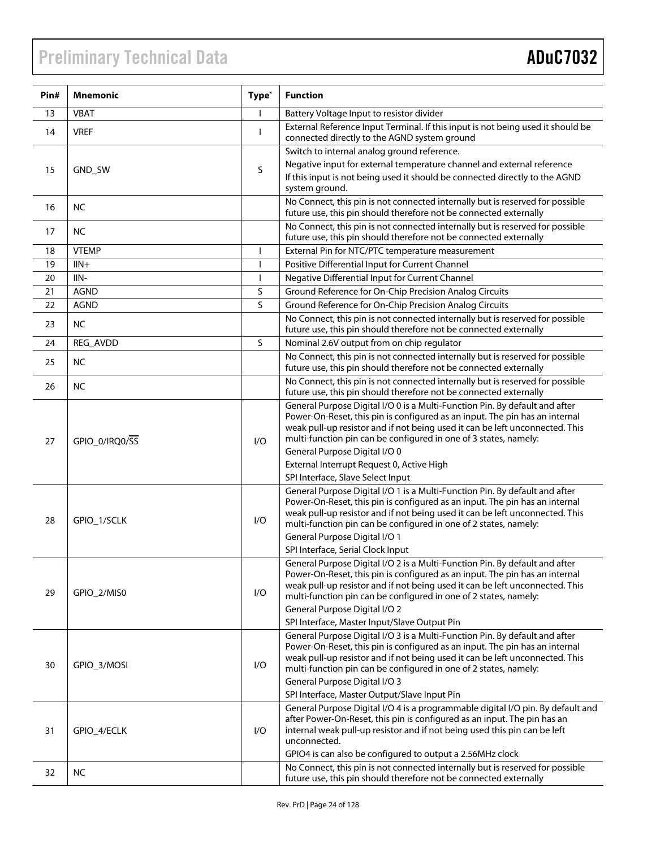| Pin# | <b>Mnemonic</b> | Type <sup>*</sup> | <b>Function</b>                                                                                                                                                                                                                                                                                                                                                                              |
|------|-----------------|-------------------|----------------------------------------------------------------------------------------------------------------------------------------------------------------------------------------------------------------------------------------------------------------------------------------------------------------------------------------------------------------------------------------------|
| 13   | <b>VBAT</b>     |                   | Battery Voltage Input to resistor divider                                                                                                                                                                                                                                                                                                                                                    |
| 14   | <b>VREF</b>     |                   | External Reference Input Terminal. If this input is not being used it should be<br>connected directly to the AGND system ground                                                                                                                                                                                                                                                              |
| 15   | GND_SW          | S                 | Switch to internal analog ground reference.<br>Negative input for external temperature channel and external reference<br>If this input is not being used it should be connected directly to the AGND<br>system ground.                                                                                                                                                                       |
| 16   | <b>NC</b>       |                   | No Connect, this pin is not connected internally but is reserved for possible<br>future use, this pin should therefore not be connected externally                                                                                                                                                                                                                                           |
| 17   | <b>NC</b>       |                   | No Connect, this pin is not connected internally but is reserved for possible<br>future use, this pin should therefore not be connected externally                                                                                                                                                                                                                                           |
| 18   | <b>VTEMP</b>    |                   | External Pin for NTC/PTC temperature measurement                                                                                                                                                                                                                                                                                                                                             |
| 19   | $IIIN+$         |                   | Positive Differential Input for Current Channel                                                                                                                                                                                                                                                                                                                                              |
| 20   | IIN-            |                   | Negative Differential Input for Current Channel                                                                                                                                                                                                                                                                                                                                              |
| 21   | <b>AGND</b>     | S                 | Ground Reference for On-Chip Precision Analog Circuits                                                                                                                                                                                                                                                                                                                                       |
| 22   | <b>AGND</b>     | S                 | Ground Reference for On-Chip Precision Analog Circuits                                                                                                                                                                                                                                                                                                                                       |
| 23   | <b>NC</b>       |                   | No Connect, this pin is not connected internally but is reserved for possible<br>future use, this pin should therefore not be connected externally                                                                                                                                                                                                                                           |
| 24   | REG_AVDD        | S                 | Nominal 2.6V output from on chip regulator                                                                                                                                                                                                                                                                                                                                                   |
| 25   | <b>NC</b>       |                   | No Connect, this pin is not connected internally but is reserved for possible<br>future use, this pin should therefore not be connected externally                                                                                                                                                                                                                                           |
| 26   | <b>NC</b>       |                   | No Connect, this pin is not connected internally but is reserved for possible<br>future use, this pin should therefore not be connected externally                                                                                                                                                                                                                                           |
| 27   | GPIO_0/IRQ0/SS  | I/O               | General Purpose Digital I/O 0 is a Multi-Function Pin. By default and after<br>Power-On-Reset, this pin is configured as an input. The pin has an internal<br>weak pull-up resistor and if not being used it can be left unconnected. This<br>multi-function pin can be configured in one of 3 states, namely:<br>General Purpose Digital I/O 0<br>External Interrupt Request 0, Active High |
|      |                 |                   | SPI Interface, Slave Select Input                                                                                                                                                                                                                                                                                                                                                            |
| 28   | GPIO_1/SCLK     | I/O               | General Purpose Digital I/O 1 is a Multi-Function Pin. By default and after<br>Power-On-Reset, this pin is configured as an input. The pin has an internal<br>weak pull-up resistor and if not being used it can be left unconnected. This<br>multi-function pin can be configured in one of 2 states, namely:<br>General Purpose Digital I/O 1                                              |
|      |                 |                   | SPI Interface, Serial Clock Input                                                                                                                                                                                                                                                                                                                                                            |
| 29   | GPIO_2/MIS0     | I/O               | General Purpose Digital I/O 2 is a Multi-Function Pin. By default and after<br>Power-On-Reset, this pin is configured as an input. The pin has an internal<br>weak pull-up resistor and if not being used it can be left unconnected. This<br>multi-function pin can be configured in one of 2 states, namely:<br>General Purpose Digital I/O 2                                              |
|      |                 |                   | SPI Interface, Master Input/Slave Output Pin                                                                                                                                                                                                                                                                                                                                                 |
| 30   | GPIO_3/MOSI     | I/O               | General Purpose Digital I/O 3 is a Multi-Function Pin. By default and after<br>Power-On-Reset, this pin is configured as an input. The pin has an internal<br>weak pull-up resistor and if not being used it can be left unconnected. This<br>multi-function pin can be configured in one of 2 states, namely:<br>General Purpose Digital I/O 3                                              |
| 31   | GPIO_4/ECLK     | I/O               | SPI Interface, Master Output/Slave Input Pin<br>General Purpose Digital I/O 4 is a programmable digital I/O pin. By default and<br>after Power-On-Reset, this pin is configured as an input. The pin has an<br>internal weak pull-up resistor and if not being used this pin can be left<br>unconnected.<br>GPIO4 is can also be configured to output a 2.56MHz clock                        |
| 32   | <b>NC</b>       |                   | No Connect, this pin is not connected internally but is reserved for possible<br>future use, this pin should therefore not be connected externally                                                                                                                                                                                                                                           |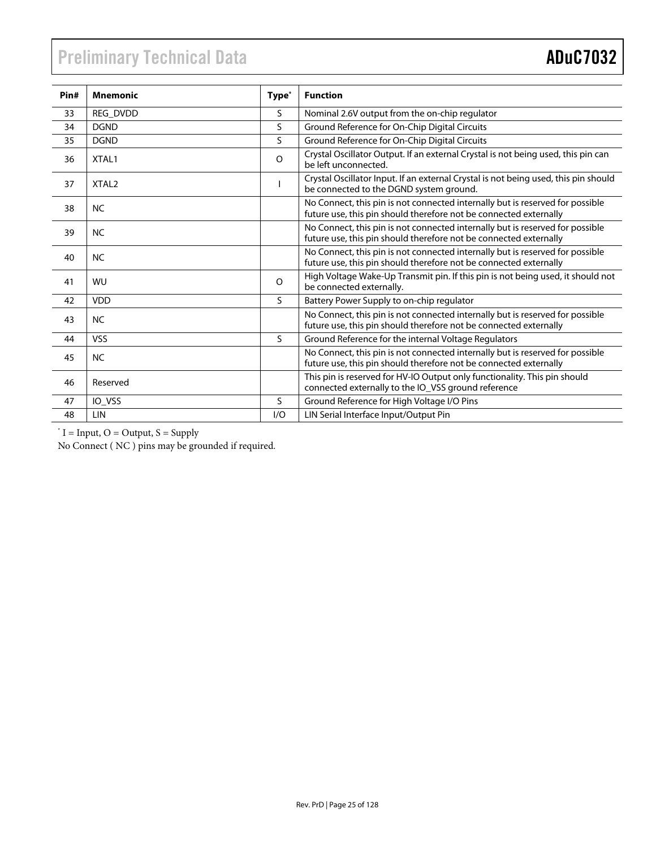| Pin# | <b>Mnemonic</b>   | Type <sup>*</sup> | <b>Function</b>                                                                                                                                    |
|------|-------------------|-------------------|----------------------------------------------------------------------------------------------------------------------------------------------------|
| 33   | REG_DVDD          | S                 | Nominal 2.6V output from the on-chip regulator                                                                                                     |
| 34   | <b>DGND</b>       | S                 | Ground Reference for On-Chip Digital Circuits                                                                                                      |
| 35   | <b>DGND</b>       | S                 | Ground Reference for On-Chip Digital Circuits                                                                                                      |
| 36   | XTAL1             | $\Omega$          | Crystal Oscillator Output. If an external Crystal is not being used, this pin can<br>be left unconnected.                                          |
| 37   | XTAL <sub>2</sub> |                   | Crystal Oscillator Input. If an external Crystal is not being used, this pin should<br>be connected to the DGND system ground.                     |
| 38   | <b>NC</b>         |                   | No Connect, this pin is not connected internally but is reserved for possible<br>future use, this pin should therefore not be connected externally |
| 39   | <b>NC</b>         |                   | No Connect, this pin is not connected internally but is reserved for possible<br>future use, this pin should therefore not be connected externally |
| 40   | <b>NC</b>         |                   | No Connect, this pin is not connected internally but is reserved for possible<br>future use, this pin should therefore not be connected externally |
| 41   | <b>WU</b>         | O                 | High Voltage Wake-Up Transmit pin. If this pin is not being used, it should not<br>be connected externally.                                        |
| 42   | <b>VDD</b>        | S.                | Battery Power Supply to on-chip regulator                                                                                                          |
| 43   | <b>NC</b>         |                   | No Connect, this pin is not connected internally but is reserved for possible<br>future use, this pin should therefore not be connected externally |
| 44   | <b>VSS</b>        | S.                | Ground Reference for the internal Voltage Regulators                                                                                               |
| 45   | <b>NC</b>         |                   | No Connect, this pin is not connected internally but is reserved for possible<br>future use, this pin should therefore not be connected externally |
| 46   | Reserved          |                   | This pin is reserved for HV-IO Output only functionality. This pin should<br>connected externally to the IO_VSS ground reference                   |
| 47   | IO_VSS            | S                 | Ground Reference for High Voltage I/O Pins                                                                                                         |
| 48   | LIN               | 1/O               | LIN Serial Interface Input/Output Pin                                                                                                              |

 $\check{I}$  I = Input, O = Output, S = Supply

No Connect ( NC ) pins may be grounded if required.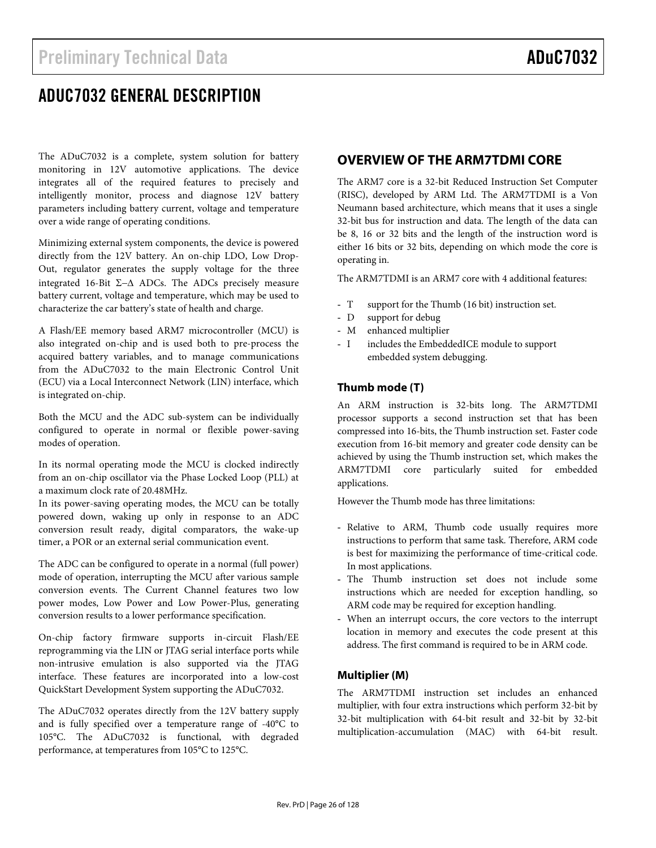### ADUC7032 GENERAL DESCRIPTION

The ADuC7032 is a complete, system solution for battery monitoring in 12V automotive applications. The device integrates all of the required features to precisely and intelligently monitor, process and diagnose 12V battery parameters including battery current, voltage and temperature over a wide range of operating conditions.

Minimizing external system components, the device is powered directly from the 12V battery. An on-chip LDO, Low Drop-Out, regulator generates the supply voltage for the three integrated 16-Bit Σ−∆ ADCs. The ADCs precisely measure battery current, voltage and temperature, which may be used to characterize the car battery's state of health and charge.

A Flash/EE memory based ARM7 microcontroller (MCU) is also integrated on-chip and is used both to pre-process the acquired battery variables, and to manage communications from the ADuC7032 to the main Electronic Control Unit (ECU) via a Local Interconnect Network (LIN) interface, which is integrated on-chip.

Both the MCU and the ADC sub-system can be individually configured to operate in normal or flexible power-saving modes of operation.

In its normal operating mode the MCU is clocked indirectly from an on-chip oscillator via the Phase Locked Loop (PLL) at a maximum clock rate of 20.48MHz.

In its power-saving operating modes, the MCU can be totally powered down, waking up only in response to an ADC conversion result ready, digital comparators, the wake-up timer, a POR or an external serial communication event.

The ADC can be configured to operate in a normal (full power) mode of operation, interrupting the MCU after various sample conversion events. The Current Channel features two low power modes, Low Power and Low Power-Plus, generating conversion results to a lower performance specification.

On-chip factory firmware supports in-circuit Flash/EE reprogramming via the LIN or JTAG serial interface ports while non-intrusive emulation is also supported via the JTAG interface. These features are incorporated into a low-cost QuickStart Development System supporting the ADuC7032.

The ADuC7032 operates directly from the 12V battery supply and is fully specified over a temperature range of -40°C to 105°C. The ADuC7032 is functional, with degraded performance, at temperatures from 105°C to 125°C.

### **OVERVIEW OF THE ARM7TDMI CORE**

The ARM7 core is a 32-bit Reduced Instruction Set Computer (RISC), developed by ARM Ltd. The ARM7TDMI is a Von Neumann based architecture, which means that it uses a single 32-bit bus for instruction and data. The length of the data can be 8, 16 or 32 bits and the length of the instruction word is either 16 bits or 32 bits, depending on which mode the core is operating in.

The ARM7TDMI is an ARM7 core with 4 additional features:

- T support for the Thumb (16 bit) instruction set.
- D support for debug
- M enhanced multiplier
- I includes the EmbeddedICE module to support embedded system debugging.

### **Thumb mode (T)**

An ARM instruction is 32-bits long. The ARM7TDMI processor supports a second instruction set that has been compressed into 16-bits, the Thumb instruction set. Faster code execution from 16-bit memory and greater code density can be achieved by using the Thumb instruction set, which makes the ARM7TDMI core particularly suited for embedded applications.

However the Thumb mode has three limitations:

- Relative to ARM, Thumb code usually requires more instructions to perform that same task. Therefore, ARM code is best for maximizing the performance of time-critical code. In most applications.
- The Thumb instruction set does not include some instructions which are needed for exception handling, so ARM code may be required for exception handling.
- When an interrupt occurs, the core vectors to the interrupt location in memory and executes the code present at this address. The first command is required to be in ARM code.

### **Multiplier (M)**

The ARM7TDMI instruction set includes an enhanced multiplier, with four extra instructions which perform 32-bit by 32-bit multiplication with 64-bit result and 32-bit by 32-bit multiplication-accumulation (MAC) with 64-bit result.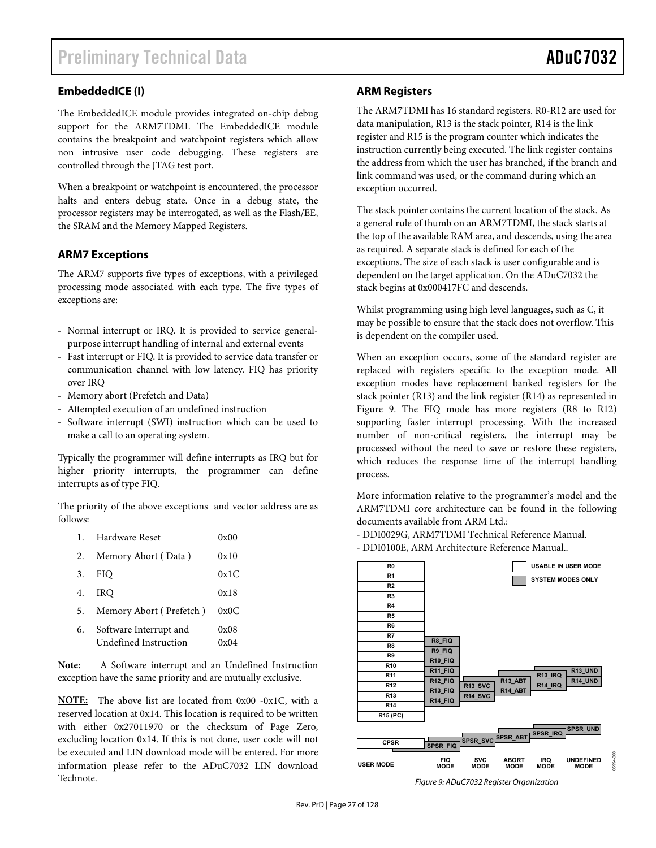### **EmbeddedICE (I)**

The EmbeddedICE module provides integrated on-chip debug support for the ARM7TDMI. The EmbeddedICE module contains the breakpoint and watchpoint registers which allow non intrusive user code debugging. These registers are controlled through the JTAG test port.

When a breakpoint or watchpoint is encountered, the processor halts and enters debug state. Once in a debug state, the processor registers may be interrogated, as well as the Flash/EE, the SRAM and the Memory Mapped Registers.

### **ARM7 Exceptions**

The ARM7 supports five types of exceptions, with a privileged processing mode associated with each type. The five types of exceptions are:

- Normal interrupt or IRQ. It is provided to service generalpurpose interrupt handling of internal and external events
- Fast interrupt or FIQ. It is provided to service data transfer or communication channel with low latency. FIQ has priority over IRQ
- Memory abort (Prefetch and Data)
- Attempted execution of an undefined instruction
- Software interrupt (SWI) instruction which can be used to make a call to an operating system.

Typically the programmer will define interrupts as IRQ but for higher priority interrupts, the programmer can define interrupts as of type FIQ.

The priority of the above exceptions and vector address are as follows:

| 1. Hardware Reset      | 0x00 |
|------------------------|------|
| 2. Memory Abort (Data) | 0x10 |
| $3.$ FIO               | 0x1C |

- 4. IRQ 0x18
- 5. Memory Abort (Prefetch) 0x0C

| 6. | Software Interrupt and | 0x08 |
|----|------------------------|------|
|    | Undefined Instruction  | 0x04 |

**Note:** A Software interrupt and an Undefined Instruction exception have the same priority and are mutually exclusive.

**NOTE:** The above list are located from 0x00 -0x1C, with a reserved location at 0x14. This location is required to be written with either 0x27011970 or the checksum of Page Zero, excluding location 0x14. If this is not done, user code will not be executed and LIN download mode will be entered. For more information please refer to the ADuC7032 LIN download Technote.

### **ARM Registers**

The ARM7TDMI has 16 standard registers. R0-R12 are used for data manipulation, R13 is the stack pointer, R14 is the link register and R15 is the program counter which indicates the instruction currently being executed. The link register contains the address from which the user has branched, if the branch and link command was used, or the command during which an exception occurred.

The stack pointer contains the current location of the stack. As a general rule of thumb on an ARM7TDMI, the stack starts at the top of the available RAM area, and descends, using the area as required. A separate stack is defined for each of the exceptions. The size of each stack is user configurable and is dependent on the target application. On the ADuC7032 the stack begins at 0x000417FC and descends.

Whilst programming using high level languages, such as C, it may be possible to ensure that the stack does not overflow. This is dependent on the compiler used.

When an exception occurs, some of the standard register are replaced with registers specific to the exception mode. All exception modes have replacement banked registers for the stack pointer (R13) and the link register (R14) as represented in Figure 9. The FIQ mode has more registers (R8 to R12) supporting faster interrupt processing. With the increased number of non-critical registers, the interrupt may be processed without the need to save or restore these registers, which reduces the response time of the interrupt handling process.

More information relative to the programmer's model and the ARM7TDMI core architecture can be found in the following documents available from ARM Ltd.:

- DDI0029G, ARM7TDMI Technical Reference Manual.
- DDI0100E, ARM Architecture Reference Manual..



Figure 9: ADuC7032 Register Organization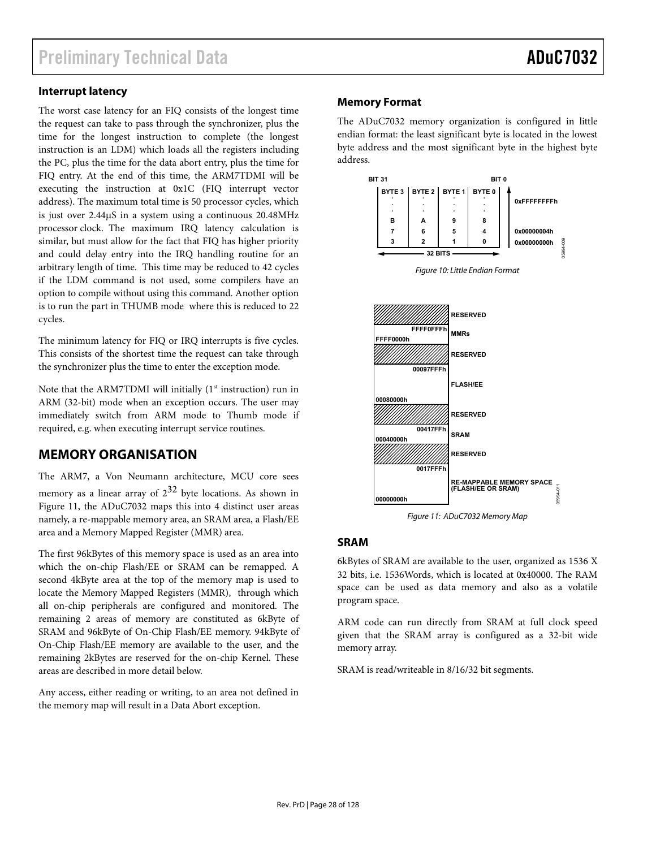### **Interrupt latency**

The worst case latency for an FIQ consists of the longest time the request can take to pass through the synchronizer, plus the time for the longest instruction to complete (the longest instruction is an LDM) which loads all the registers including the PC, plus the time for the data abort entry, plus the time for FIQ entry. At the end of this time, the ARM7TDMI will be executing the instruction at 0x1C (FIQ interrupt vector address). The maximum total time is 50 processor cycles, which is just over 2.44µS in a system using a continuous 20.48MHz processor clock. The maximum IRQ latency calculation is similar, but must allow for the fact that FIQ has higher priority and could delay entry into the IRQ handling routine for an arbitrary length of time. This time may be reduced to 42 cycles if the LDM command is not used, some compilers have an option to compile without using this command. Another option is to run the part in THUMB mode where this is reduced to 22 cycles.

The minimum latency for FIQ or IRQ interrupts is five cycles. This consists of the shortest time the request can take through the synchronizer plus the time to enter the exception mode.

Note that the ARM7TDMI will initially  $(1<sup>st</sup>$  instruction) run in ARM (32-bit) mode when an exception occurs. The user may immediately switch from ARM mode to Thumb mode if required, e.g. when executing interrupt service routines.

### **MEMORY ORGANISATION**

The ARM7, a Von Neumann architecture, MCU core sees memory as a linear array of  $2^{32}$  byte locations. As shown in Figure 11, the ADuC7032 maps this into 4 distinct user areas namely, a re-mappable memory area, an SRAM area, a Flash/EE area and a Memory Mapped Register (MMR) area.

The first 96kBytes of this memory space is used as an area into which the on-chip Flash/EE or SRAM can be remapped. A second 4kByte area at the top of the memory map is used to locate the Memory Mapped Registers (MMR), through which all on-chip peripherals are configured and monitored. The remaining 2 areas of memory are constituted as 6kByte of SRAM and 96kByte of On-Chip Flash/EE memory. 94kByte of On-Chip Flash/EE memory are available to the user, and the remaining 2kBytes are reserved for the on-chip Kernel. These areas are described in more detail below.

Any access, either reading or writing, to an area not defined in the memory map will result in a Data Abort exception.

### **Memory Format**

The ADuC7032 memory organization is configured in little endian format: the least significant byte is located in the lowest byte address and the most significant byte in the highest byte address.





Figure 11: ADuC7032 Memory Map

### **SRAM**

6kBytes of SRAM are available to the user, organized as 1536 X 32 bits, i.e. 1536Words, which is located at 0x40000. The RAM space can be used as data memory and also as a volatile program space.

ARM code can run directly from SRAM at full clock speed given that the SRAM array is configured as a 32-bit wide memory array.

SRAM is read/writeable in 8/16/32 bit segments.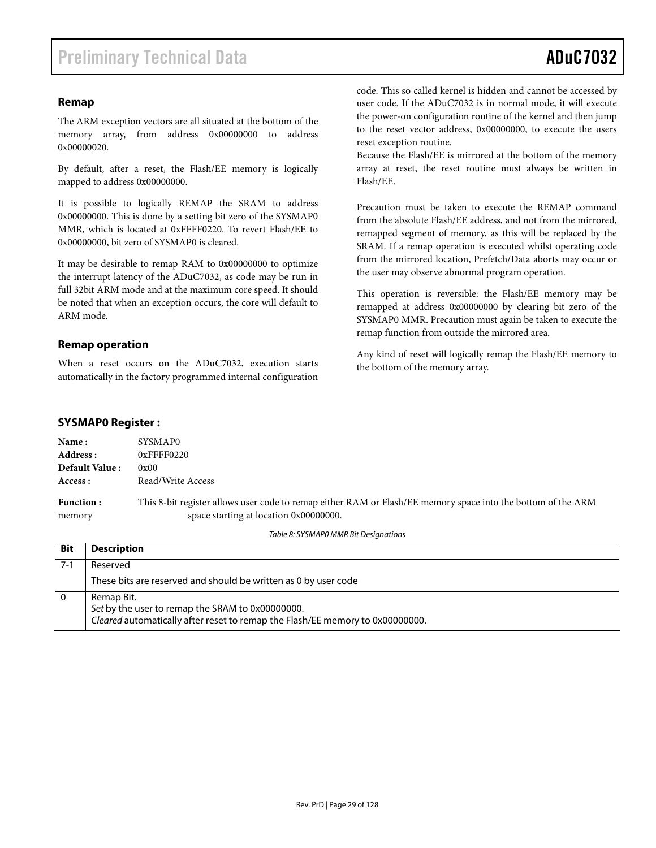### **Remap**

The ARM exception vectors are all situated at the bottom of the memory array, from address 0x00000000 to address 0x00000020.

By default, after a reset, the Flash/EE memory is logically mapped to address 0x00000000.

It is possible to logically REMAP the SRAM to address 0x00000000. This is done by a setting bit zero of the SYSMAP0 MMR, which is located at 0xFFFF0220. To revert Flash/EE to 0x00000000, bit zero of SYSMAP0 is cleared.

It may be desirable to remap RAM to 0x00000000 to optimize the interrupt latency of the ADuC7032, as code may be run in full 32bit ARM mode and at the maximum core speed. It should be noted that when an exception occurs, the core will default to ARM mode.

### **Remap operation**

When a reset occurs on the ADuC7032, execution starts automatically in the factory programmed internal configuration code. This so called kernel is hidden and cannot be accessed by user code. If the ADuC7032 is in normal mode, it will execute the power-on configuration routine of the kernel and then jump to the reset vector address, 0x00000000, to execute the users reset exception routine.

Because the Flash/EE is mirrored at the bottom of the memory array at reset, the reset routine must always be written in Flash/EE.

Precaution must be taken to execute the REMAP command from the absolute Flash/EE address, and not from the mirrored, remapped segment of memory, as this will be replaced by the SRAM. If a remap operation is executed whilst operating code from the mirrored location, Prefetch/Data aborts may occur or the user may observe abnormal program operation.

This operation is reversible: the Flash/EE memory may be remapped at address 0x00000000 by clearing bit zero of the SYSMAP0 MMR. Precaution must again be taken to execute the remap function from outside the mirrored area.

Any kind of reset will logically remap the Flash/EE memory to the bottom of the memory array.

### **SYSMAP0 Register :**

| Name:            | SYSMAP0                                                                                                      |
|------------------|--------------------------------------------------------------------------------------------------------------|
| Address :        | $0x$ FFFF $0220$                                                                                             |
| Default Value:   | 0x00                                                                                                         |
| Access :         | Read/Write Access                                                                                            |
| <b>Function:</b> | This 8-bit register allows user code to remap either RAM or Flash/EE memory space into the bottom of the ARM |
| memory           | space starting at location 0x00000000.                                                                       |

| <b>Bit</b> | <b>Description</b>                                                                                                                              |
|------------|-------------------------------------------------------------------------------------------------------------------------------------------------|
| 7-1        | Reserved                                                                                                                                        |
|            | These bits are reserved and should be written as 0 by user code                                                                                 |
|            | Remap Bit.<br>Set by the user to remap the SRAM to 0x00000000.<br>Cleared automatically after reset to remap the Flash/EE memory to 0x00000000. |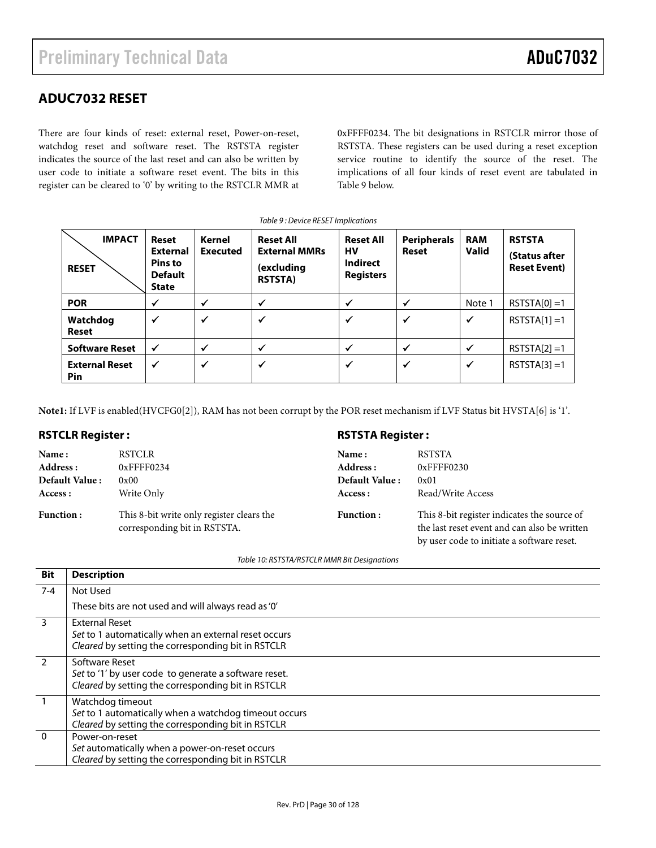### **ADUC7032 RESET**

There are four kinds of reset: external reset, Power-on-reset, watchdog reset and software reset. The RSTSTA register indicates the source of the last reset and can also be written by user code to initiate a software reset event. The bits in this register can be cleared to '0' by writing to the RSTCLR MMR at 0xFFFF0234. The bit designations in RSTCLR mirror those of RSTSTA. These registers can be used during a reset exception service routine to identify the source of the reset. The implications of all four kinds of reset event are tabulated in Table 9 below.

| Table 9: Device RESET Implications  |                                                                                     |                           |                                                                          |                                                        |                             |                            |                                                       |
|-------------------------------------|-------------------------------------------------------------------------------------|---------------------------|--------------------------------------------------------------------------|--------------------------------------------------------|-----------------------------|----------------------------|-------------------------------------------------------|
| <b>IMPACT</b><br><b>RESET</b>       | <b>Reset</b><br><b>External</b><br><b>Pins to</b><br><b>Default</b><br><b>State</b> | Kernel<br><b>Executed</b> | <b>Reset All</b><br><b>External MMRs</b><br>(excluding<br><b>RSTSTA)</b> | <b>Reset All</b><br>HV<br>Indirect<br><b>Registers</b> | <b>Peripherals</b><br>Reset | <b>RAM</b><br><b>Valid</b> | <b>RSTSTA</b><br>(Status after<br><b>Reset Event)</b> |
| <b>POR</b>                          | ✔                                                                                   | ✔                         | ✔                                                                        | ✔                                                      | ✔                           | Note 1                     | $RSTSTA[0] = 1$                                       |
| Watchdog<br><b>Reset</b>            | $\checkmark$                                                                        | ✓                         | $\checkmark$                                                             | ✔                                                      | ✓                           | $\checkmark$               | $RSTSTA[1]=1$                                         |
| <b>Software Reset</b>               | $\checkmark$                                                                        | $\checkmark$              | ✔                                                                        | ✓                                                      | ✔                           | ✔                          | $RSTSTA[2]=1$                                         |
| <b>External Reset</b><br><b>Pin</b> | $\checkmark$                                                                        | $\checkmark$              | $\checkmark$                                                             | $\checkmark$                                           | $\checkmark$                | $\checkmark$               | $RSTSTA[3]=1$                                         |

**Note1:** If LVF is enabled(HVCFG0[2]), RAM has not been corrupt by the POR reset mechanism if LVF Status bit HVSTA[6] is '1'.

### **RSTCLR Register :**

### **RSTSTA Register :**

| Name:            | <b>RSTCLR</b>                                                             | Name:            | <b>RSTSTA</b>                                                                                                                             |
|------------------|---------------------------------------------------------------------------|------------------|-------------------------------------------------------------------------------------------------------------------------------------------|
| Address :        | $0x$ FFFF $0234$                                                          | Address :        | $0x$ FFFF $0230$                                                                                                                          |
| Default Value:   | 0x00                                                                      | Default Value:   | 0x01                                                                                                                                      |
| Access :         | Write Only                                                                | Access :         | Read/Write Access                                                                                                                         |
| <b>Function:</b> | This 8-bit write only register clears the<br>corresponding bit in RSTSTA. | <b>Function:</b> | This 8-bit register indicates the source of<br>the last reset event and can also be written<br>by user code to initiate a software reset. |

### Table 10: RSTSTA/RSTCLR MMR Bit Designations

| <b>Bit</b>    | <b>Description</b>                                    |
|---------------|-------------------------------------------------------|
| $7 - 4$       | Not Used                                              |
|               | These bits are not used and will always read as '0'   |
| $\mathbf{3}$  | <b>External Reset</b>                                 |
|               | Set to 1 automatically when an external reset occurs  |
|               | Cleared by setting the corresponding bit in RSTCLR    |
| $\mathcal{L}$ | Software Reset                                        |
|               | Set to '1' by user code to generate a software reset. |
|               | Cleared by setting the corresponding bit in RSTCLR    |
|               | Watchdog timeout                                      |
|               | Set to 1 automatically when a watchdog timeout occurs |
|               | Cleared by setting the corresponding bit in RSTCLR    |
| $\Omega$      | Power-on-reset                                        |
|               | Set automatically when a power-on-reset occurs        |
|               | Cleared by setting the corresponding bit in RSTCLR    |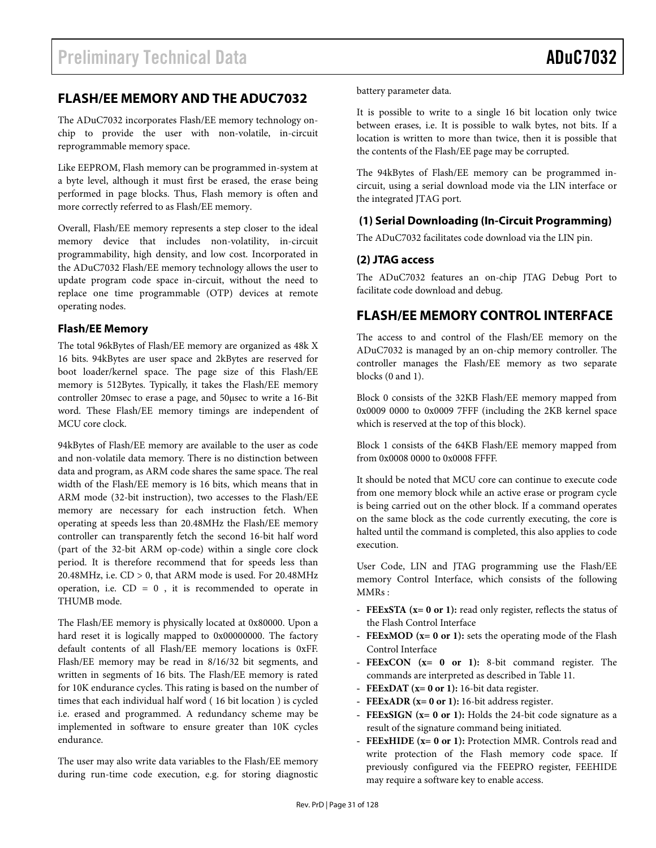### **FLASH/EE MEMORY AND THE ADUC7032**

The ADuC7032 incorporates Flash/EE memory technology onchip to provide the user with non-volatile, in-circuit reprogrammable memory space.

Like EEPROM, Flash memory can be programmed in-system at a byte level, although it must first be erased, the erase being performed in page blocks. Thus, Flash memory is often and more correctly referred to as Flash/EE memory.

Overall, Flash/EE memory represents a step closer to the ideal memory device that includes non-volatility, in-circuit programmability, high density, and low cost. Incorporated in the ADuC7032 Flash/EE memory technology allows the user to update program code space in-circuit, without the need to replace one time programmable (OTP) devices at remote operating nodes.

### **Flash/EE Memory**

The total 96kBytes of Flash/EE memory are organized as 48k X 16 bits. 94kBytes are user space and 2kBytes are reserved for boot loader/kernel space. The page size of this Flash/EE memory is 512Bytes. Typically, it takes the Flash/EE memory controller 20msec to erase a page, and 50µsec to write a 16-Bit word. These Flash/EE memory timings are independent of MCU core clock.

94kBytes of Flash/EE memory are available to the user as code and non-volatile data memory. There is no distinction between data and program, as ARM code shares the same space. The real width of the Flash/EE memory is 16 bits, which means that in ARM mode (32-bit instruction), two accesses to the Flash/EE memory are necessary for each instruction fetch. When operating at speeds less than 20.48MHz the Flash/EE memory controller can transparently fetch the second 16-bit half word (part of the 32-bit ARM op-code) within a single core clock period. It is therefore recommend that for speeds less than 20.48MHz, i.e. CD > 0, that ARM mode is used. For 20.48MHz operation, i.e.  $CD = 0$ , it is recommended to operate in THUMB mode.

The Flash/EE memory is physically located at 0x80000. Upon a hard reset it is logically mapped to 0x00000000. The factory default contents of all Flash/EE memory locations is 0xFF. Flash/EE memory may be read in 8/16/32 bit segments, and written in segments of 16 bits. The Flash/EE memory is rated for 10K endurance cycles. This rating is based on the number of times that each individual half word ( 16 bit location ) is cycled i.e. erased and programmed. A redundancy scheme may be implemented in software to ensure greater than 10K cycles endurance.

The user may also write data variables to the Flash/EE memory during run-time code execution, e.g. for storing diagnostic battery parameter data.

It is possible to write to a single 16 bit location only twice between erases, i.e. It is possible to walk bytes, not bits. If a location is written to more than twice, then it is possible that the contents of the Flash/EE page may be corrupted.

The 94kBytes of Flash/EE memory can be programmed incircuit, using a serial download mode via the LIN interface or the integrated JTAG port.

### **(1) Serial Downloading (In-Circuit Programming)**

The ADuC7032 facilitates code download via the LIN pin.

### **(2) JTAG access**

The ADuC7032 features an on-chip JTAG Debug Port to facilitate code download and debug.

### **FLASH/EE MEMORY CONTROL INTERFACE**

The access to and control of the Flash/EE memory on the ADuC7032 is managed by an on-chip memory controller. The controller manages the Flash/EE memory as two separate blocks (0 and 1).

Block 0 consists of the 32KB Flash/EE memory mapped from 0x0009 0000 to 0x0009 7FFF (including the 2KB kernel space which is reserved at the top of this block).

Block 1 consists of the 64KB Flash/EE memory mapped from from 0x0008 0000 to 0x0008 FFFF.

It should be noted that MCU core can continue to execute code from one memory block while an active erase or program cycle is being carried out on the other block. If a command operates on the same block as the code currently executing, the core is halted until the command is completed, this also applies to code execution.

User Code, LIN and JTAG programming use the Flash/EE memory Control Interface, which consists of the following MMRs :

- **FEExSTA (x= 0 or 1):** read only register, reflects the status of the Flash Control Interface
- **FEExMOD (x= 0 or 1):** sets the operating mode of the Flash Control Interface
- **FEExCON (x= 0 or 1):** 8-bit command register. The commands are interpreted as described in Table 11.
- **FEExDAT (x= 0 or 1):** 16-bit data register.
- **FEExADR (x= 0 or 1):** 16-bit address register.
- **FEExSIGN (x= 0 or 1):** Holds the 24-bit code signature as a result of the signature command being initiated.
- **FEExHIDE (x= 0 or 1):** Protection MMR. Controls read and write protection of the Flash memory code space. If previously configured via the FEEPRO register, FEEHIDE may require a software key to enable access.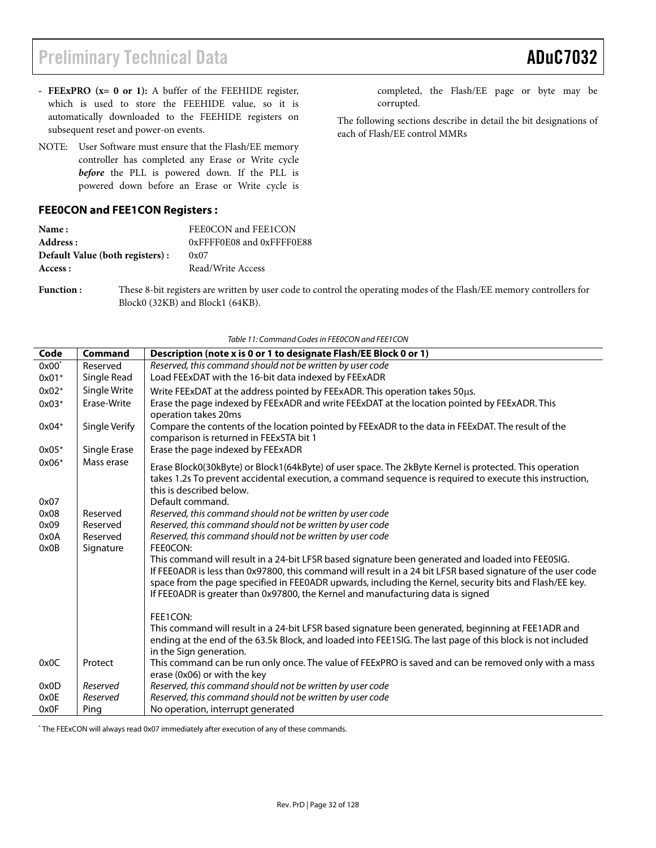- **FEExPRO (x= 0 or 1):** A buffer of the FEEHIDE register, which is used to store the FEEHIDE value, so it is automatically downloaded to the FEEHIDE registers on subsequent reset and power-on events.
- NOTE: User Software must ensure that the Flash/EE memory controller has completed any Erase or Write cycle *before* the PLL is powered down. If the PLL is powered down before an Erase or Write cycle is

### **FEE0CON and FEE1CON Registers :**

| FEE0CON and FEE1CON       |
|---------------------------|
| 0xFFFF0E08 and 0xFFFF0E88 |
| 0x07                      |
| Read/Write Access         |
|                           |

**Function :** These 8-bit registers are written by user code to control the operating modes of the Flash/EE memory controllers for Block0 (32KB) and Block1 (64KB).

|          |               | Table TT: Command Codes in FEEUCON and FEETCON                                                                                                                                                                                                                                                                                                                                                                 |
|----------|---------------|----------------------------------------------------------------------------------------------------------------------------------------------------------------------------------------------------------------------------------------------------------------------------------------------------------------------------------------------------------------------------------------------------------------|
| Code     | Command       | Description (note x is 0 or 1 to designate Flash/EE Block 0 or 1)                                                                                                                                                                                                                                                                                                                                              |
| $0x00^*$ | Reserved      | Reserved, this command should not be written by user code                                                                                                                                                                                                                                                                                                                                                      |
| 0x01*    | Single Read   | Load FEExDAT with the 16-bit data indexed by FEExADR                                                                                                                                                                                                                                                                                                                                                           |
| $0x02*$  | Single Write  | Write FEExDAT at the address pointed by FEExADR. This operation takes 50µs.                                                                                                                                                                                                                                                                                                                                    |
| $0x03*$  | Erase-Write   | Erase the page indexed by FEExADR and write FEExDAT at the location pointed by FEExADR. This<br>operation takes 20ms                                                                                                                                                                                                                                                                                           |
| $0x04*$  | Single Verify | Compare the contents of the location pointed by FEExADR to the data in FEExDAT. The result of the<br>comparison is returned in FEExSTA bit 1                                                                                                                                                                                                                                                                   |
| $0x05*$  | Single Erase  | Erase the page indexed by FEExADR                                                                                                                                                                                                                                                                                                                                                                              |
| $0x06*$  | Mass erase    | Erase Block0(30kByte) or Block1(64kByte) of user space. The 2kByte Kernel is protected. This operation<br>takes 1.2s To prevent accidental execution, a command sequence is required to execute this instruction,<br>this is described below.                                                                                                                                                                  |
| 0x07     |               | Default command.                                                                                                                                                                                                                                                                                                                                                                                               |
| 0x08     | Reserved      | Reserved, this command should not be written by user code                                                                                                                                                                                                                                                                                                                                                      |
| 0x09     | Reserved      | Reserved, this command should not be written by user code                                                                                                                                                                                                                                                                                                                                                      |
| 0x0A     | Reserved      | Reserved, this command should not be written by user code                                                                                                                                                                                                                                                                                                                                                      |
| 0x0B     | Signature     | FEEOCON:                                                                                                                                                                                                                                                                                                                                                                                                       |
|          |               | This command will result in a 24-bit LFSR based signature been generated and loaded into FEE0SIG.<br>If FEE0ADR is less than 0x97800, this command will result in a 24 bit LFSR based signature of the user code<br>space from the page specified in FEE0ADR upwards, including the Kernel, security bits and Flash/EE key.<br>If FEE0ADR is greater than 0x97800, the Kernel and manufacturing data is signed |
|          |               | FEE1CON:                                                                                                                                                                                                                                                                                                                                                                                                       |
|          |               | This command will result in a 24-bit LFSR based signature been generated, beginning at FEE1ADR and<br>ending at the end of the 63.5k Block, and loaded into FEE1SIG. The last page of this block is not included<br>in the Sign generation.                                                                                                                                                                    |
| 0x0C     | Protect       | This command can be run only once. The value of FEExPRO is saved and can be removed only with a mass<br>erase (0x06) or with the key                                                                                                                                                                                                                                                                           |
| 0x0D     | Reserved      | Reserved, this command should not be written by user code                                                                                                                                                                                                                                                                                                                                                      |
| 0x0E     | Reserved      | Reserved, this command should not be written by user code                                                                                                                                                                                                                                                                                                                                                      |
| 0x0F     | Ping          | No operation, interrupt generated                                                                                                                                                                                                                                                                                                                                                                              |

Table 11: Command Codes in FEE0CON and FEE1CON

\* The FEExCON will always read 0x07 immediately after execution of any of these commands.

completed, the Flash/EE page or byte may be corrupted.

The following sections describe in detail the bit designations of each of Flash/EE control MMRs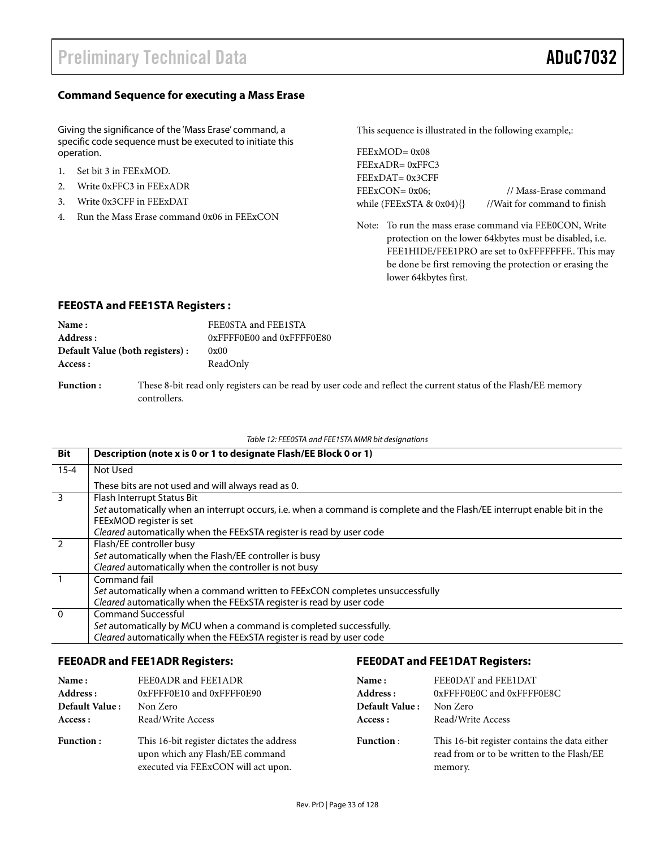### **Command Sequence for executing a Mass Erase**

Giving the significance of the 'Mass Erase' command, a specific code sequence must be executed to initiate this operation.

- 1. Set bit 3 in FEExMOD.
- 2. Write 0xFFC3 in FEExADR
- 3. Write 0x3CFF in FEExDAT
- 4. Run the Mass Erase command 0x06 in FEExCON

This sequence is illustrated in the following example,:

FEExMOD= 0x08 FEExADR= 0xFFC3 FEExDAT= 0x3CFF while (FEExSTA & 0x04){} //Wait for command to finish

FEExCON= 0x06; // Mass-Erase command

Note: To run the mass erase command via FEE0CON, Write protection on the lower 64kbytes must be disabled, i.e. FEE1HIDE/FEE1PRO are set to 0xFFFFFFFF. This may be done be first removing the protection or erasing the lower 64kbytes first.

### **FEE0STA and FEE1STA Registers :**

| Name:<br>Address :                          |              | FEE0STA and FEE1STA<br>0xFFFF0E00 and 0xFFFF0E80                                                               |
|---------------------------------------------|--------------|----------------------------------------------------------------------------------------------------------------|
| Default Value (both registers):<br>Access : |              | 0x00<br>ReadOnly                                                                                               |
| <b>Function:</b>                            | controllers. | These 8-bit read only registers can be read by user code and reflect the current status of the Flash/EE memory |

### Table 12: FEE0STA and FEE1STA MMR bit designations

| Bit                     | Description (note x is 0 or 1 to designate Flash/EE Block 0 or 1)                                                        |
|-------------------------|--------------------------------------------------------------------------------------------------------------------------|
| $15 - 4$                | Not Used                                                                                                                 |
|                         | These bits are not used and will always read as 0.                                                                       |
| $\overline{\mathbf{3}}$ | Flash Interrupt Status Bit                                                                                               |
|                         | Set automatically when an interrupt occurs, i.e. when a command is complete and the Flash/EE interrupt enable bit in the |
|                         | FEExMOD register is set                                                                                                  |
|                         | Cleared automatically when the FEExSTA register is read by user code                                                     |
| $\overline{2}$          | Flash/EE controller busy                                                                                                 |
|                         | Set automatically when the Flash/EE controller is busy                                                                   |
|                         | Cleared automatically when the controller is not busy                                                                    |
|                         | Command fail                                                                                                             |
|                         | Set automatically when a command written to FEExCON completes unsuccessfully                                             |
|                         | Cleared automatically when the FEExSTA register is read by user code                                                     |
| $\Omega$                | <b>Command Successful</b>                                                                                                |
|                         | Set automatically by MCU when a command is completed successfully.                                                       |
|                         | Cleared automatically when the FEExSTA register is read by user code                                                     |

### **FEE0ADR and FEE1ADR Registers:**

### **FEE0DAT and FEE1DAT Registers:**

| Name:            | FEE0ADR and FEE1ADR                                                                                                 | Name:            | FEE0DAT and FEE1DAT                                                                                    |
|------------------|---------------------------------------------------------------------------------------------------------------------|------------------|--------------------------------------------------------------------------------------------------------|
| Address :        | 0xFFFF0E10 and 0xFFFF0E90                                                                                           | Address :        | 0xFFFF0E0C and 0xFFFF0E8C                                                                              |
| Default Value:   | Non Zero                                                                                                            | Default Value:   | Non Zero                                                                                               |
| Access :         | Read/Write Access                                                                                                   | Access :         | Read/Write Access                                                                                      |
| <b>Function:</b> | This 16-bit register dictates the address<br>upon which any Flash/EE command<br>executed via FEExCON will act upon. | <b>Function:</b> | This 16-bit register contains the data either<br>read from or to be written to the Flash/EE<br>memory. |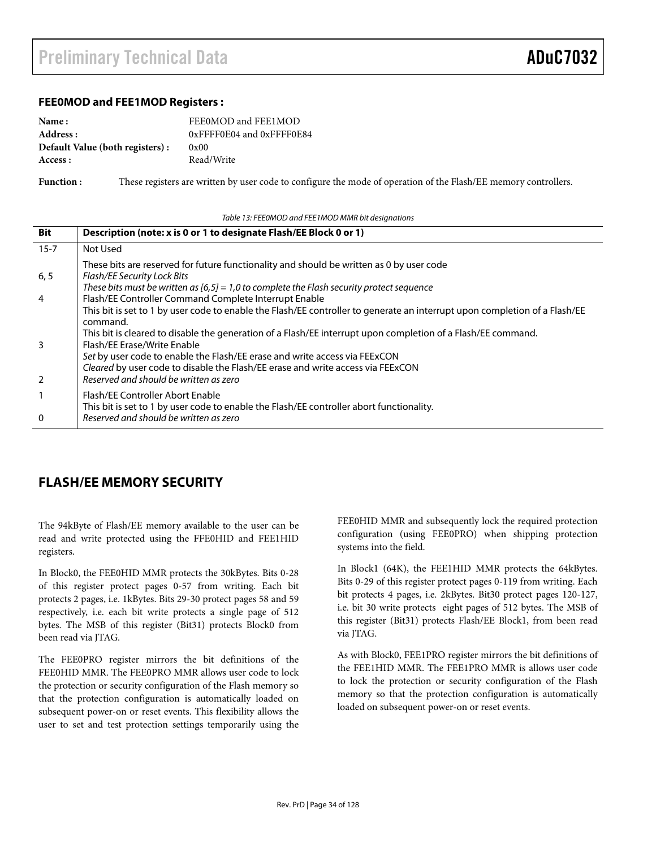### **FEE0MOD and FEE1MOD Registers :**

| Name:                            | FEE0MOD and FEE1MOD       |
|----------------------------------|---------------------------|
| Address :                        | 0xFFFF0E04 and 0xFFFF0E84 |
| Default Value (both registers) : | 0x00                      |
| Access :                         | Read/Write                |

**Function :** These registers are written by user code to configure the mode of operation of the Flash/EE memory controllers.

Table 13: FEE0MOD and FEE1MOD MMR bit designations

| <b>Bit</b>     | Description (note: x is 0 or 1 to designate Flash/EE Block 0 or 1)                                                                                                                                                     |
|----------------|------------------------------------------------------------------------------------------------------------------------------------------------------------------------------------------------------------------------|
| $15 - 7$       | Not Used                                                                                                                                                                                                               |
| 6, 5           | These bits are reserved for future functionality and should be written as 0 by user code<br>Flash/EE Security Lock Bits<br>These bits must be written as $[6,5] = 1,0$ to complete the Flash security protect sequence |
| $\overline{4}$ | Flash/EE Controller Command Complete Interrupt Enable                                                                                                                                                                  |
|                | This bit is set to 1 by user code to enable the Flash/EE controller to generate an interrupt upon completion of a Flash/EE<br>command.                                                                                 |
| 3              | This bit is cleared to disable the generation of a Flash/EE interrupt upon completion of a Flash/EE command.<br>Flash/EE Erase/Write Enable                                                                            |
|                | Set by user code to enable the Flash/EE erase and write access via FEExCON                                                                                                                                             |
|                | Cleared by user code to disable the Flash/EE erase and write access via FEExCON                                                                                                                                        |
| $\overline{2}$ | Reserved and should be written as zero                                                                                                                                                                                 |
| $\mathbf{1}$   | Flash/EE Controller Abort Enable<br>This bit is set to 1 by user code to enable the Flash/EE controller abort functionality.                                                                                           |
| $\mathbf{0}$   | Reserved and should be written as zero                                                                                                                                                                                 |

### **FLASH/EE MEMORY SECURITY**

The 94kByte of Flash/EE memory available to the user can be read and write protected using the FFE0HID and FEE1HID registers.

In Block0, the FEE0HID MMR protects the 30kBytes. Bits 0-28 of this register protect pages 0-57 from writing. Each bit protects 2 pages, i.e. 1kBytes. Bits 29-30 protect pages 58 and 59 respectively, i.e. each bit write protects a single page of 512 bytes. The MSB of this register (Bit31) protects Block0 from been read via JTAG.

The FEE0PRO register mirrors the bit definitions of the FEE0HID MMR. The FEE0PRO MMR allows user code to lock the protection or security configuration of the Flash memory so that the protection configuration is automatically loaded on subsequent power-on or reset events. This flexibility allows the user to set and test protection settings temporarily using the

FEE0HID MMR and subsequently lock the required protection configuration (using FEE0PRO) when shipping protection systems into the field.

In Block1 (64K), the FEE1HID MMR protects the 64kBytes. Bits 0-29 of this register protect pages 0-119 from writing. Each bit protects 4 pages, i.e. 2kBytes. Bit30 protect pages 120-127, i.e. bit 30 write protects eight pages of 512 bytes. The MSB of this register (Bit31) protects Flash/EE Block1, from been read via ITAG.

As with Block0, FEE1PRO register mirrors the bit definitions of the FEE1HID MMR. The FEE1PRO MMR is allows user code to lock the protection or security configuration of the Flash memory so that the protection configuration is automatically loaded on subsequent power-on or reset events.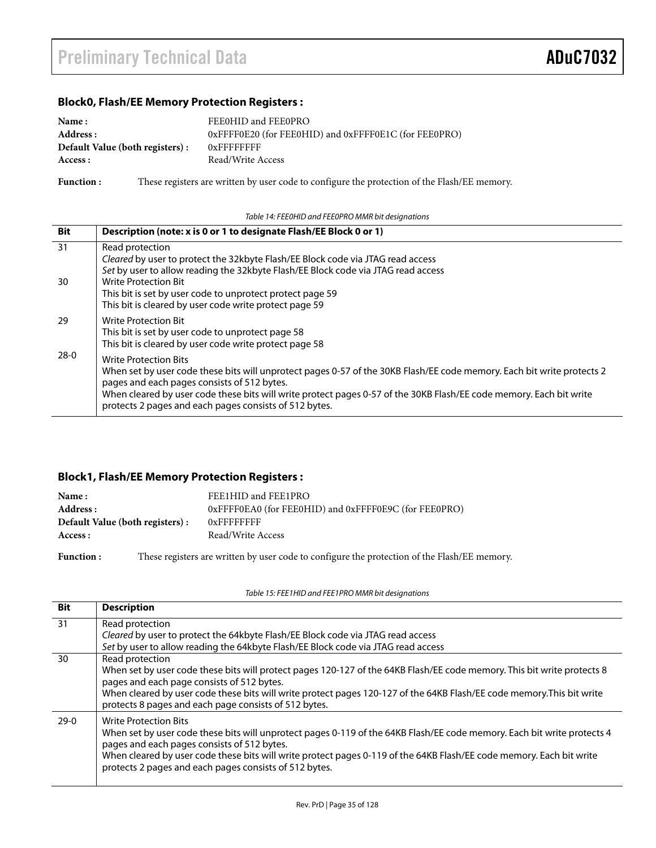### **Block0, Flash/EE Memory Protection Registers :**

| Name:                           | FEE0HID and FEE0PRO                                   |
|---------------------------------|-------------------------------------------------------|
| Address :                       | 0xFFFF0E20 (for FEE0HID) and 0xFFFF0E1C (for FEE0PRO) |
| Default Value (both registers): | $0x$ FFFFFFFFF                                        |
| Access :                        | Read/Write Access                                     |

Function : These registers are written by user code to configure the protection of the Flash/EE memory.

Table 14: FEE0HID and FEE0PRO MMR bit designations

| Bit    | Description (note: x is 0 or 1 to designate Flash/EE Block 0 or 1)                                                                                                                                                                                                                                                                                                                     |
|--------|----------------------------------------------------------------------------------------------------------------------------------------------------------------------------------------------------------------------------------------------------------------------------------------------------------------------------------------------------------------------------------------|
| 31     | Read protection<br>Cleared by user to protect the 32 kbyte Flash/EE Block code via JTAG read access<br>Set by user to allow reading the 32kbyte Flash/EE Block code via JTAG read access                                                                                                                                                                                               |
| 30     | Write Protection Bit<br>This bit is set by user code to unprotect protect page 59<br>This bit is cleared by user code write protect page 59                                                                                                                                                                                                                                            |
| 29     | Write Protection Bit<br>This bit is set by user code to unprotect page 58<br>This bit is cleared by user code write protect page 58                                                                                                                                                                                                                                                    |
| $28-0$ | <b>Write Protection Bits</b><br>When set by user code these bits will unprotect pages 0-57 of the 30KB Flash/EE code memory. Each bit write protects 2<br>pages and each pages consists of 512 bytes.<br>When cleared by user code these bits will write protect pages 0-57 of the 30KB Flash/EE code memory. Each bit write<br>protects 2 pages and each pages consists of 512 bytes. |

### **Block1, Flash/EE Memory Protection Registers :**

| Name:                           | FEE1HID and FEE1PRO                                   |
|---------------------------------|-------------------------------------------------------|
| Address :                       | 0xFFFF0EA0 (for FEE0HID) and 0xFFFF0E9C (for FEE0PRO) |
| Default Value (both registers): | $0x$ FFFFFFFFF                                        |
| Access :                        | Read/Write Access                                     |
|                                 |                                                       |

Function : These registers are written by user code to configure the protection of the Flash/EE memory.

Table 15: FEE1HID and FEE1PRO MMR bit designations

| <b>Bit</b>      | <b>Description</b>                                                                                                                                                                                                                                                                                                                                                                       |
|-----------------|------------------------------------------------------------------------------------------------------------------------------------------------------------------------------------------------------------------------------------------------------------------------------------------------------------------------------------------------------------------------------------------|
| $\overline{31}$ | Read protection<br>Cleared by user to protect the 64kbyte Flash/EE Block code via JTAG read access<br>Set by user to allow reading the 64kbyte Flash/EE Block code via JTAG read access                                                                                                                                                                                                  |
| 30              | Read protection<br>When set by user code these bits will protect pages 120-127 of the 64KB Flash/EE code memory. This bit write protects 8<br>pages and each page consists of 512 bytes.<br>When cleared by user code these bits will write protect pages 120-127 of the 64KB Flash/EE code memory. This bit write<br>protects 8 pages and each page consists of 512 bytes.              |
| 29-0            | <b>Write Protection Bits</b><br>When set by user code these bits will unprotect pages 0-119 of the 64KB Flash/EE code memory. Each bit write protects 4<br>pages and each pages consists of 512 bytes.<br>When cleared by user code these bits will write protect pages 0-119 of the 64KB Flash/EE code memory. Each bit write<br>protects 2 pages and each pages consists of 512 bytes. |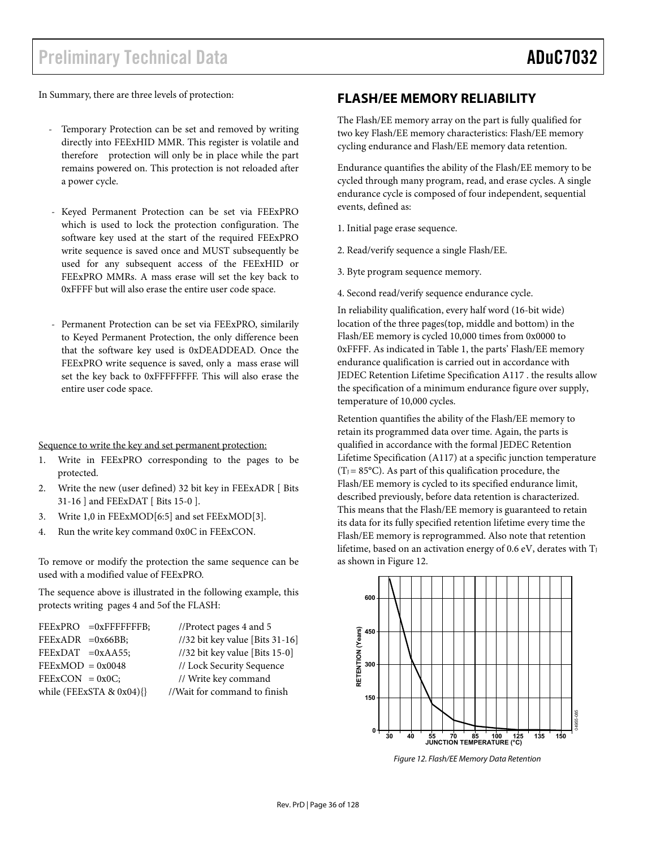In Summary, there are three levels of protection:

- Temporary Protection can be set and removed by writing directly into FEExHID MMR. This register is volatile and therefore protection will only be in place while the part remains powered on. This protection is not reloaded after a power cycle.
- Keyed Permanent Protection can be set via FEExPRO which is used to lock the protection configuration. The software key used at the start of the required FEExPRO write sequence is saved once and MUST subsequently be used for any subsequent access of the FEExHID or FEExPRO MMRs. A mass erase will set the key back to 0xFFFF but will also erase the entire user code space.
- Permanent Protection can be set via FEExPRO, similarily to Keyed Permanent Protection, the only difference been that the software key used is 0xDEADDEAD. Once the FEExPRO write sequence is saved, only a mass erase will set the key back to 0xFFFFFFFF. This will also erase the entire user code space.

Sequence to write the key and set permanent protection:

- 1. Write in FEExPRO corresponding to the pages to be protected.
- 2. Write the new (user defined) 32 bit key in FEExADR [ Bits 31-16 ] and FEExDAT [ Bits 15-0 ].
- 3. Write 1,0 in FEExMOD[6:5] and set FEExMOD[3].
- 4. Run the write key command 0x0C in FEExCON.

To remove or modify the protection the same sequence can be used with a modified value of FEExPRO.

The sequence above is illustrated in the following example, this protects writing pages 4 and 5of the FLASH:

| $FEEXPRO = 0xFFFFFFFB;$        | //Protect pages 4 and 5         |
|--------------------------------|---------------------------------|
| $FEExADR = 0x66BB;$            | //32 bit key value [Bits 31-16] |
| $FEExDAT = 0xAA55;$            | //32 bit key value [Bits 15-0]  |
| $FEExMOD = 0x0048$             | // Lock Security Sequence       |
| $FEExCON = 0x0C$               | // Write key command            |
| while (FEExSTA $& 0x04$ ) $\}$ | //Wait for command to finish    |

### **FLASH/EE MEMORY RELIABILITY**

The Flash/EE memory array on the part is fully qualified for two key Flash/EE memory characteristics: Flash/EE memory cycling endurance and Flash/EE memory data retention.

Endurance quantifies the ability of the Flash/EE memory to be cycled through many program, read, and erase cycles. A single endurance cycle is composed of four independent, sequential events, defined as:

- 1. Initial page erase sequence.
- 2. Read/verify sequence a single Flash/EE.
- 3. Byte program sequence memory.
- 4. Second read/verify sequence endurance cycle.

In reliability qualification, every half word (16-bit wide) location of the three pages(top, middle and bottom) in the Flash/EE memory is cycled 10,000 times from 0x0000 to 0xFFFF. As indicated in Table 1, the parts' Flash/EE memory endurance qualification is carried out in accordance with JEDEC Retention Lifetime Specification A117 . the results allow the specification of a minimum endurance figure over supply, temperature of 10,000 cycles.

Retention quantifies the ability of the Flash/EE memory to retain its programmed data over time. Again, the parts is qualified in accordance with the formal JEDEC Retention Lifetime Specification (A117) at a specific junction temperature  $(T) = 85^{\circ}$ C). As part of this qualification procedure, the Flash/EE memory is cycled to its specified endurance limit, described previously, before data retention is characterized. This means that the Flash/EE memory is guaranteed to retain its data for its fully specified retention lifetime every time the Flash/EE memory is reprogrammed. Also note that retention lifetime, based on an activation energy of 0.6 eV, derates with  $T_J$ as shown in Figure 12.



Figure 12. Flash/EE Memory Data Retention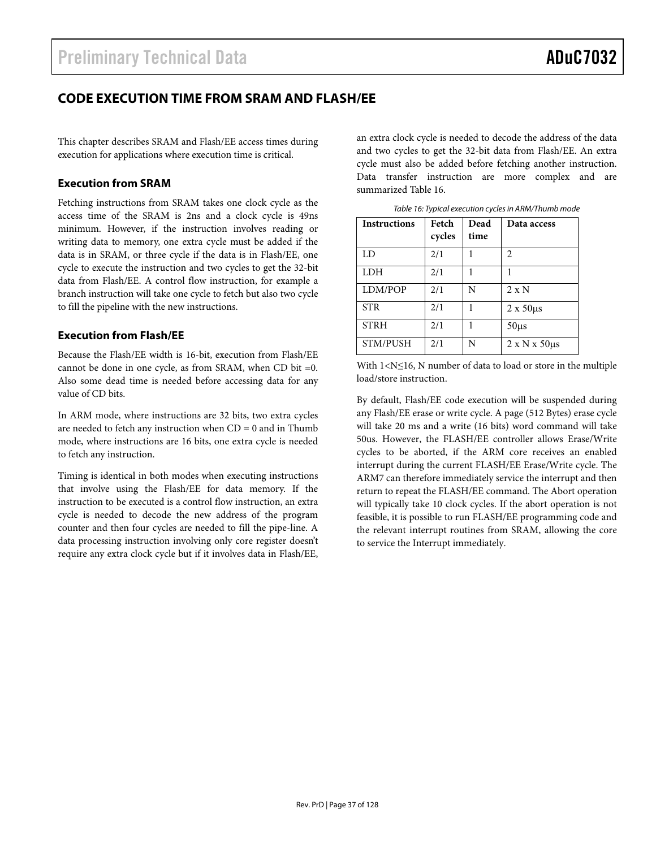## **CODE EXECUTION TIME FROM SRAM AND FLASH/EE**

This chapter describes SRAM and Flash/EE access times during execution for applications where execution time is critical.

#### **Execution from SRAM**

Fetching instructions from SRAM takes one clock cycle as the access time of the SRAM is 2ns and a clock cycle is 49ns minimum. However, if the instruction involves reading or writing data to memory, one extra cycle must be added if the data is in SRAM, or three cycle if the data is in Flash/EE, one cycle to execute the instruction and two cycles to get the 32-bit data from Flash/EE. A control flow instruction, for example a branch instruction will take one cycle to fetch but also two cycle to fill the pipeline with the new instructions.

#### **Execution from Flash/EE**

Because the Flash/EE width is 16-bit, execution from Flash/EE cannot be done in one cycle, as from SRAM, when CD bit =0. Also some dead time is needed before accessing data for any value of CD bits.

In ARM mode, where instructions are 32 bits, two extra cycles are needed to fetch any instruction when  $CD = 0$  and in Thumb mode, where instructions are 16 bits, one extra cycle is needed to fetch any instruction.

Timing is identical in both modes when executing instructions that involve using the Flash/EE for data memory. If the instruction to be executed is a control flow instruction, an extra cycle is needed to decode the new address of the program counter and then four cycles are needed to fill the pipe-line. A data processing instruction involving only core register doesn't require any extra clock cycle but if it involves data in Flash/EE,

an extra clock cycle is needed to decode the address of the data and two cycles to get the 32-bit data from Flash/EE. An extra cycle must also be added before fetching another instruction. Data transfer instruction are more complex and are summarized Table 16.

| <b>Instructions</b> | Fetch<br>cycles | Dead<br>time | Data access                  |  |  |
|---------------------|-----------------|--------------|------------------------------|--|--|
| LD                  | 2/1             |              | 2                            |  |  |
| LDH                 | 2/1             |              |                              |  |  |
| LDM/POP             | 2/1             | N            | $2 \times N$                 |  |  |
| <b>STR</b>          | 2/1             |              | $2 \times 50 \mu s$          |  |  |
| <b>STRH</b>         | 2/1             |              | $50\mu s$                    |  |  |
| STM/PUSH            | 2/1             | N            | $2 \times N \times 50 \mu s$ |  |  |

Table 16: Typical execution cycles in ARM/Thumb mode

By default, Flash/EE code execution will be suspended during any Flash/EE erase or write cycle. A page (512 Bytes) erase cycle will take 20 ms and a write (16 bits) word command will take 50us. However, the FLASH/EE controller allows Erase/Write cycles to be aborted, if the ARM core receives an enabled interrupt during the current FLASH/EE Erase/Write cycle. The ARM7 can therefore immediately service the interrupt and then return to repeat the FLASH/EE command. The Abort operation will typically take 10 clock cycles. If the abort operation is not feasible, it is possible to run FLASH/EE programming code and the relevant interrupt routines from SRAM, allowing the core to service the Interrupt immediately.

With 1<N≤16, N number of data to load or store in the multiple load/store instruction.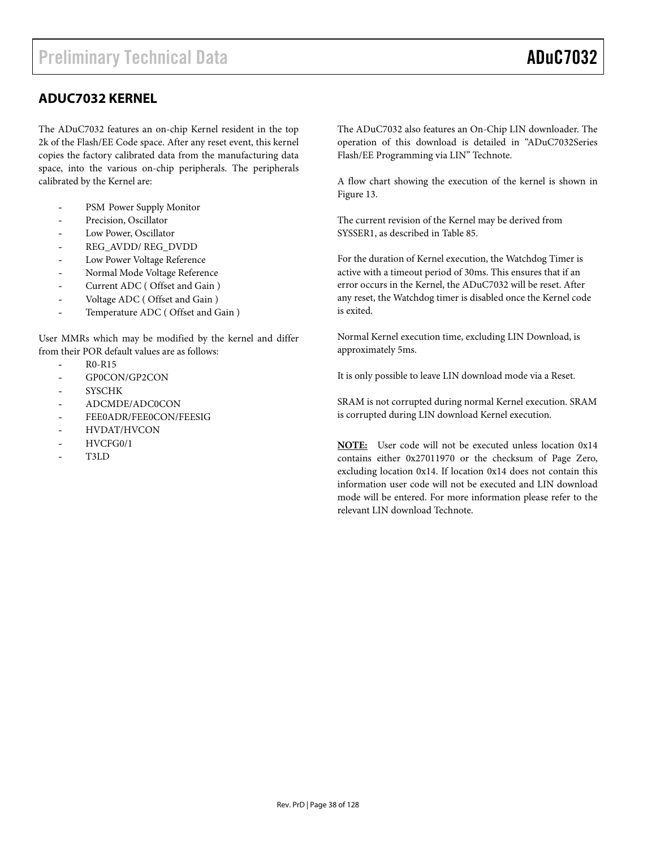## **ADUC7032 KERNEL**

The ADuC7032 features an on-chip Kernel resident in the top 2k of the Flash/EE Code space. After any reset event, this kernel copies the factory calibrated data from the manufacturing data space, into the various on-chip peripherals. The peripherals calibrated by the Kernel are:

- PSM Power Supply Monitor
- Precision, Oscillator
- Low Power, Oscillator
- REG\_AVDD/ REG\_DVDD
- Low Power Voltage Reference
- Normal Mode Voltage Reference
- Current ADC (Offset and Gain)
- Voltage ADC (Offset and Gain)
- Temperature ADC (Offset and Gain)

User MMRs which may be modified by the kernel and differ from their POR default values are as follows:

- R0-R15
- GP0CON/GP2CON
- **SYSCHK**
- ADCMDE/ADC0CON
- FEE0ADR/FEE0CON/FEESIG
- HVDAT/HVCON
- HVCFG0/1
- T3LD

The ADuC7032 also features an On-Chip LIN downloader. The operation of this download is detailed in "ADuC7032Series Flash/EE Programming via LIN" Technote.

A flow chart showing the execution of the kernel is shown in Figure 13.

The current revision of the Kernel may be derived from SYSSER1, as described in Table 85.

For the duration of Kernel execution, the Watchdog Timer is active with a timeout period of 30ms. This ensures that if an error occurs in the Kernel, the ADuC7032 will be reset. After any reset, the Watchdog timer is disabled once the Kernel code is exited.

Normal Kernel execution time, excluding LIN Download, is approximately 5ms.

It is only possible to leave LIN download mode via a Reset.

SRAM is not corrupted during normal Kernel execution. SRAM is corrupted during LIN download Kernel execution.

**NOTE:** User code will not be executed unless location 0x14 contains either 0x27011970 or the checksum of Page Zero, excluding location 0x14. If location 0x14 does not contain this information user code will not be executed and LIN download mode will be entered. For more information please refer to the relevant LIN download Technote.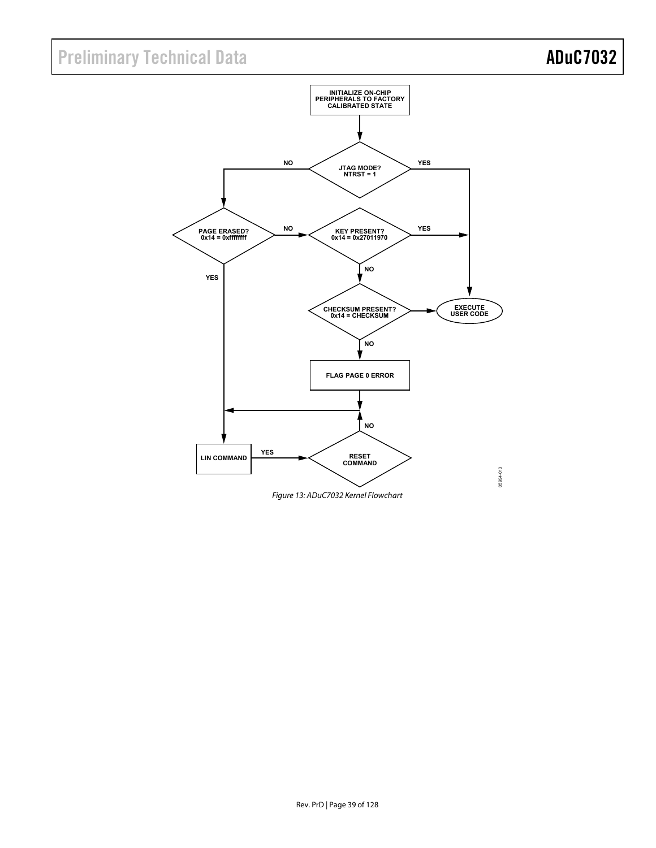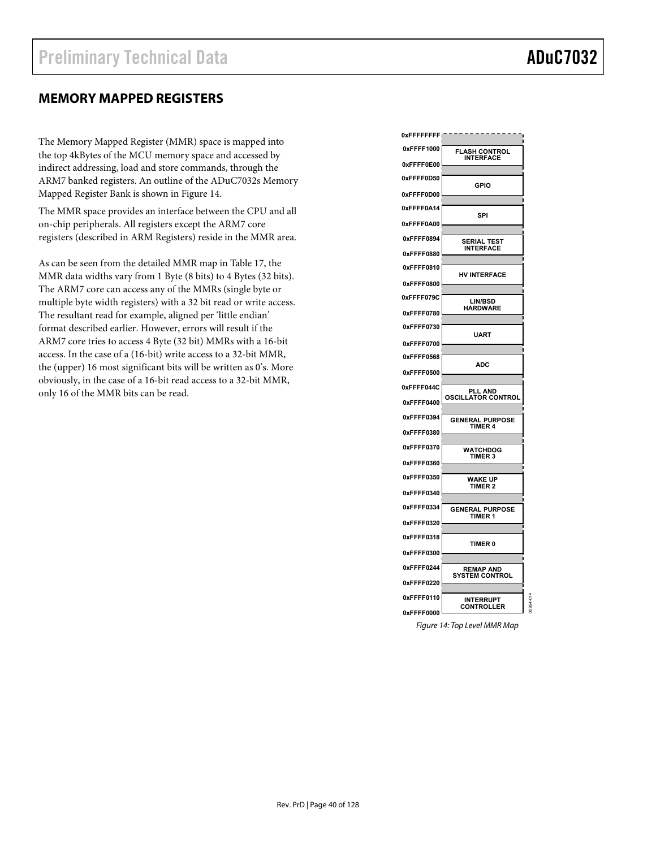## **MEMORY MAPPED REGISTERS**

The Memory Mapped Register (MMR) space is mapped into the top 4kBytes of the MCU memory space and accessed by indirect addressing, load and store commands, through the ARM7 banked registers. An outline of the ADuC7032s Memory Mapped Register Bank is shown in Figure 14.

The MMR space provides an interface between the CPU and all on-chip peripherals. All registers except the ARM7 core registers (described in ARM Registers) reside in the MMR area.

As can be seen from the detailed MMR map in Table 17, the MMR data widths vary from 1 Byte (8 bits) to 4 Bytes (32 bits). The ARM7 core can access any of the MMRs (single byte or multiple byte width registers) with a 32 bit read or write access. The resultant read for example, aligned per 'little endian' format described earlier. However, errors will result if the ARM7 core tries to access 4 Byte (32 bit) MMRs with a 16-bit access. In the case of a (16-bit) write access to a 32-bit MMR, the (upper) 16 most significant bits will be written as 0's. More obviously, in the case of a 16-bit read access to a 32-bit MMR, only 16 of the MMR bits can be read.

| 0xFFFFFFFF <sub>I</sub> |                                           |  |
|-------------------------|-------------------------------------------|--|
| 0xFFFF1000              | <b>FLASH CONTROL</b><br><b>INTERFACE</b>  |  |
| 0xFFFF0E00              |                                           |  |
| 0xFFFF0D50              | <b>GPIO</b>                               |  |
| 0xFFFF0D00              |                                           |  |
| 0xFFFF0A14              | SPI                                       |  |
| 0xFFFF0A00              |                                           |  |
| 0xFFFF0894              | <b>SERIAL TEST</b><br><b>INTERFACE</b>    |  |
| 0xFFFF0880              |                                           |  |
| 0xFFFF0810              | <b>HV INTERFACE</b>                       |  |
| 0xFFFF0800              |                                           |  |
| 0xFFFF079C              | <b>LIN/BSD</b><br><b>HARDWARE</b>         |  |
| 0xFFFF0780              |                                           |  |
| 0xFFFF0730              | <b>UART</b>                               |  |
| 0xFFFF0700              |                                           |  |
| 0xFFFF0568              | ADC                                       |  |
| 0xFFFF0500              |                                           |  |
| 0xFFFF044C              | PLL AND<br><b>OSCILLATOR CONTROL</b>      |  |
| 0xFFFF0400              |                                           |  |
| 0xFFFF0394              | <b>GENERAL PURPOSE</b><br><b>TIMER 4</b>  |  |
| 0xFFFF0380              |                                           |  |
| 0xFFFF0370              | <b>WATCHDOG</b><br><b>TIMER 3</b>         |  |
| 0xFFFF0360              |                                           |  |
| 0xFFFF0350              | <b>WAKE UP</b><br><b>TIMER 2</b>          |  |
| 0xFFFF0340              |                                           |  |
| 0xFFFF0334              | <b>GENERAL PURPOSE</b><br>TIMER 1         |  |
| 0xFFFF0320              |                                           |  |
| 0xFFFF0318              | <b>TIMER 0</b>                            |  |
| 0xFFFF0300              |                                           |  |
| 0xFFFF0244              | <b>REMAP AND</b><br><b>SYSTEM CONTROL</b> |  |
| 0xFFFF0220              |                                           |  |
| 0xFFFF0110              | <b>INTERRUPT</b><br><b>CONTROLLER</b>     |  |
| 0xFFFF0000              |                                           |  |

Figure 14: Top Level MMR Map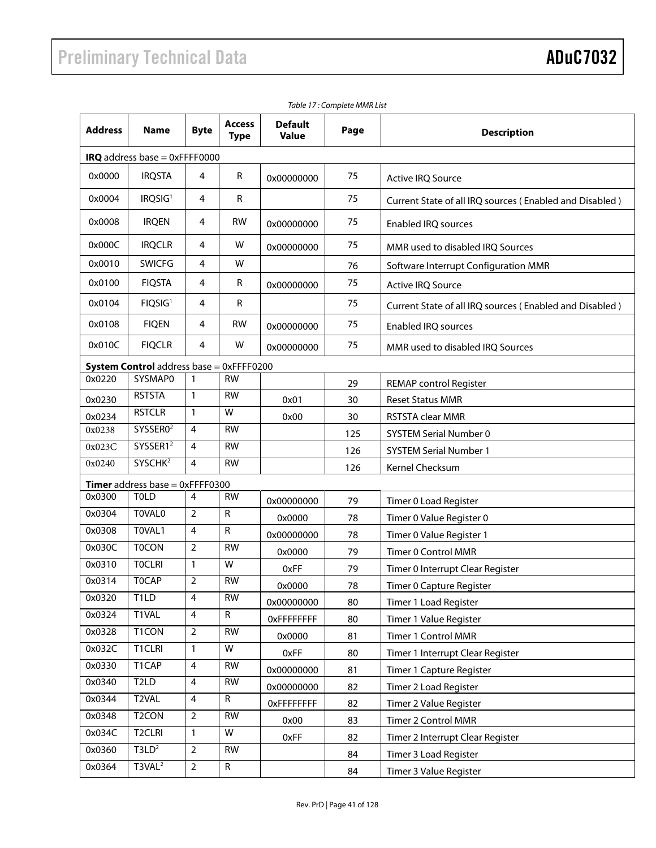| Address | Name                                               | <b>Byte</b>             | <b>Access</b><br><b>Type</b> | <b>Default</b><br><b>Value</b> | Page | <b>Description</b>                                      |
|---------|----------------------------------------------------|-------------------------|------------------------------|--------------------------------|------|---------------------------------------------------------|
|         | <b>IRQ</b> address base = $0x$ FFFF0000            |                         |                              |                                |      |                                                         |
| 0x0000  | <b>IRQSTA</b>                                      | 4                       | R                            | 0x00000000                     | 75   | Active IRQ Source                                       |
| 0x0004  | IRQSIG <sup>1</sup>                                | 4                       | R                            |                                | 75   | Current State of all IRQ sources (Enabled and Disabled) |
| 0x0008  | <b>IRQEN</b>                                       | 4                       | <b>RW</b>                    | 0x00000000                     | 75   | Enabled IRQ sources                                     |
| 0x000C  | <b>IRQCLR</b>                                      | 4                       | W                            | 0x00000000                     | 75   | MMR used to disabled IRQ Sources                        |
| 0x0010  | <b>SWICFG</b>                                      | $\overline{4}$          | W                            |                                | 76   | Software Interrupt Configuration MMR                    |
| 0x0100  | <b>FIQSTA</b>                                      | 4                       | $\mathsf R$                  | 0x00000000                     | 75   | Active IRQ Source                                       |
| 0x0104  | FIQSIG <sup>1</sup>                                | 4                       | R                            |                                | 75   | Current State of all IRQ sources (Enabled and Disabled) |
| 0x0108  | <b>FIQEN</b>                                       | 4                       | <b>RW</b>                    | 0x00000000                     | 75   | Enabled IRQ sources                                     |
| 0x010C  | <b>FIQCLR</b>                                      | 4                       | W                            | 0x00000000                     | 75   | MMR used to disabled IRQ Sources                        |
|         | <b>System Control</b> address base = $0x$ FFFF0200 |                         |                              |                                |      |                                                         |
| 0x0220  | <b>SYSMAP0</b>                                     | $\mathbf{1}$            | <b>RW</b>                    |                                | 29   | <b>REMAP control Register</b>                           |
| 0x0230  | <b>RSTSTA</b>                                      | $\mathbf{1}$            | <b>RW</b>                    | 0x01                           | 30   | <b>Reset Status MMR</b>                                 |
| 0x0234  | <b>RSTCLR</b>                                      | $\mathbf{1}$            | W                            | 0x00                           | 30   | RSTSTA clear MMR                                        |
| 0x0238  | SYSSER0 <sup>2</sup>                               | 4                       | <b>RW</b>                    |                                | 125  | <b>SYSTEM Serial Number 0</b>                           |
| 0x023C  | SYSSER1 <sup>2</sup>                               | 4                       | <b>RW</b>                    |                                | 126  | <b>SYSTEM Serial Number 1</b>                           |
| 0x0240  | SYSCHK <sup>2</sup>                                | $\overline{4}$          | <b>RW</b>                    |                                | 126  | Kernel Checksum                                         |
|         | <b>Timer</b> address base = $0x$ FFFF0300          |                         |                              |                                |      |                                                         |
| 0x0300  | <b>TOLD</b>                                        | 4                       | <b>RW</b>                    | 0x00000000                     | 79   | Timer 0 Load Register                                   |
| 0x0304  | <b>TOVALO</b>                                      | $\overline{2}$          | $\mathsf{R}$                 | 0x0000                         | 78   | Timer 0 Value Register 0                                |
| 0x0308  | T0VAL1                                             | $\overline{4}$          | $\mathsf{R}$                 | 0x00000000                     | 78   | Timer 0 Value Register 1                                |
| 0x030C  | <b>TOCON</b>                                       | $\overline{2}$          | <b>RW</b>                    | 0x0000                         | 79   | Timer 0 Control MMR                                     |
| 0x0310  | <b>TOCLRI</b>                                      | $\mathbf{1}$            | W                            | 0xFF                           | 79   | Timer 0 Interrupt Clear Register                        |
| 0x0314  | <b>TOCAP</b>                                       | 2                       | <b>RW</b>                    | 0x0000                         | 78   | Timer 0 Capture Register                                |
| 0x0320  | T1LD                                               | $\overline{4}$          | <b>RW</b>                    | 0x00000000                     | 80   | Timer 1 Load Register                                   |
| 0x0324  | T1VAL                                              | $\overline{4}$          | $\mathsf{R}$                 | <b>OxFFFFFFFF</b>              | 80   | Timer 1 Value Register                                  |
| 0x0328  | T1CON                                              | $\overline{2}$          | <b>RW</b>                    | 0x0000                         | 81   | Timer 1 Control MMR                                     |
| 0x032C  | T1CLRI                                             | $\mathbf{1}$            | W                            | 0xFF                           | 80   | Timer 1 Interrupt Clear Register                        |
| 0x0330  | T <sub>1</sub> CAP                                 | $\overline{\mathbf{4}}$ | <b>RW</b>                    | 0x00000000                     | 81   | Timer 1 Capture Register                                |
| 0x0340  | T <sub>2</sub> LD                                  | $\overline{4}$          | <b>RW</b>                    | 0x00000000                     | 82   | Timer 2 Load Register                                   |
| 0x0344  | T2VAL                                              | $\overline{4}$          | $\mathsf{R}$                 | <b>OxFFFFFFFF</b>              | 82   | Timer 2 Value Register                                  |
| 0x0348  | T <sub>2</sub> CON                                 | $\overline{2}$          | <b>RW</b>                    | 0x00                           | 83   | Timer 2 Control MMR                                     |
| 0x034C  | T <sub>2</sub> CLRI                                | $\mathbf{1}$            | W                            | 0xFF                           | 82   | Timer 2 Interrupt Clear Register                        |
| 0x0360  | T3LD <sup>2</sup>                                  | $\overline{2}$          | <b>RW</b>                    |                                | 84   | Timer 3 Load Register                                   |
| 0x0364  | T3VAL <sup>2</sup>                                 | $\mathbf 2$             | R                            |                                | 84   | Timer 3 Value Register                                  |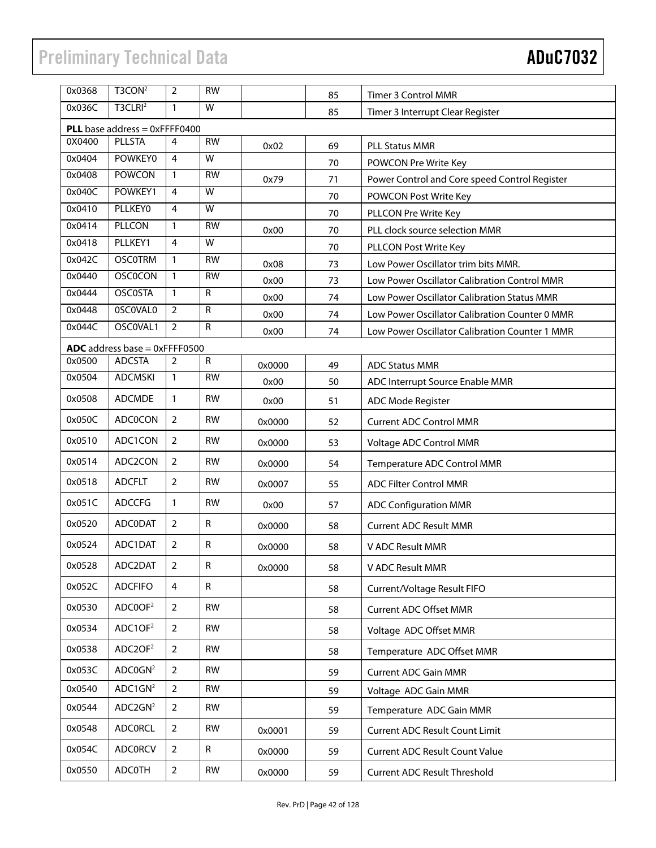| 0x0368 | T3CON <sup>2</sup>                      | $\overline{2}$ | <b>RW</b>    |        | 85 | Timer 3 Control MMR                            |
|--------|-----------------------------------------|----------------|--------------|--------|----|------------------------------------------------|
| 0x036C | T3CLRI <sup>2</sup>                     | $\mathbf{1}$   | W            |        | 85 | Timer 3 Interrupt Clear Register               |
|        | <b>PLL</b> base address = $0x$ FFFF0400 |                |              |        |    |                                                |
| 0X0400 | <b>PLLSTA</b>                           | 4              | <b>RW</b>    | 0x02   | 69 | <b>PLL Status MMR</b>                          |
| 0x0404 | POWKEY0                                 | $\overline{4}$ | W            |        | 70 | POWCON Pre Write Key                           |
| 0x0408 | <b>POWCON</b>                           | $\mathbf{1}$   | <b>RW</b>    | 0x79   | 71 | Power Control and Core speed Control Register  |
| 0x040C | POWKEY1                                 | 4              | W            |        | 70 | POWCON Post Write Key                          |
| 0x0410 | <b>PLLKEY0</b>                          | $\overline{4}$ | W            |        | 70 | PLLCON Pre Write Key                           |
| 0x0414 | PLLCON                                  | $\mathbf{1}$   | <b>RW</b>    | 0x00   | 70 | PLL clock source selection MMR                 |
| 0x0418 | PLLKEY1                                 | $\overline{4}$ | W            |        | 70 | PLLCON Post Write Key                          |
| 0x042C | <b>OSC0TRM</b>                          | $\mathbf{1}$   | <b>RW</b>    | 0x08   | 73 | Low Power Oscillator trim bits MMR.            |
| 0x0440 | <b>OSC0CON</b>                          | $\mathbf{1}$   | <b>RW</b>    | 0x00   | 73 | Low Power Oscillator Calibration Control MMR   |
| 0x0444 | <b>OSC0STA</b>                          | $\mathbf{1}$   | R            | 0x00   | 74 | Low Power Oscillator Calibration Status MMR    |
| 0x0448 | 0SC0VAL0                                | $\overline{2}$ | R            | 0x00   | 74 | Low Power Oscillator Calibration Counter 0 MMR |
| 0x044C | OSC0VAL1                                | 2              | R            | 0x00   | 74 | Low Power Oscillator Calibration Counter 1 MMR |
|        | ADC address base = $0x$ FFFF0500        |                |              |        |    |                                                |
| 0x0500 | <b>ADCSTA</b>                           | $\overline{2}$ | R            | 0x0000 | 49 | <b>ADC Status MMR</b>                          |
| 0x0504 | <b>ADCMSKI</b>                          | $\mathbf{1}$   | <b>RW</b>    | 0x00   | 50 | ADC Interrupt Source Enable MMR                |
| 0x0508 | <b>ADCMDE</b>                           | $\mathbf{1}$   | <b>RW</b>    | 0x00   | 51 | ADC Mode Register                              |
| 0x050C | <b>ADC0CON</b>                          | $\overline{2}$ | <b>RW</b>    | 0x0000 | 52 | <b>Current ADC Control MMR</b>                 |
| 0x0510 | ADC1CON                                 | $\overline{2}$ | <b>RW</b>    | 0x0000 | 53 | Voltage ADC Control MMR                        |
| 0x0514 | ADC2CON                                 | 2              | <b>RW</b>    | 0x0000 | 54 | Temperature ADC Control MMR                    |
| 0x0518 | <b>ADCFLT</b>                           | 2              | <b>RW</b>    | 0x0007 | 55 | <b>ADC Filter Control MMR</b>                  |
| 0x051C | <b>ADCCFG</b>                           | $\mathbf{1}$   | <b>RW</b>    | 0x00   | 57 | <b>ADC Configuration MMR</b>                   |
| 0x0520 | <b>ADCODAT</b>                          | $\overline{2}$ | R            | 0x0000 | 58 | <b>Current ADC Result MMR</b>                  |
| 0x0524 | ADC1DAT                                 | 2              | R            | 0x0000 | 58 | V ADC Result MMR                               |
| 0x0528 | ADC2DAT                                 | 2              | R            | 0x0000 | 58 | V ADC Result MMR                               |
| 0x052C | <b>ADCFIFO</b>                          | $\overline{4}$ | $\mathsf{R}$ |        | 58 | Current/Voltage Result FIFO                    |
| 0x0530 | ADC0OF <sup>2</sup>                     | $\overline{2}$ | <b>RW</b>    |        | 58 | <b>Current ADC Offset MMR</b>                  |
| 0x0534 | ADC1OF <sup>2</sup>                     | $\overline{2}$ | <b>RW</b>    |        | 58 | Voltage ADC Offset MMR                         |
| 0x0538 | ADC2OF <sup>2</sup>                     | 2              | <b>RW</b>    |        | 58 | Temperature ADC Offset MMR                     |
| 0x053C | ADC0GN <sup>2</sup>                     | $\overline{2}$ | <b>RW</b>    |        | 59 | <b>Current ADC Gain MMR</b>                    |
| 0x0540 | ADC1GN <sup>2</sup>                     | $\overline{2}$ | <b>RW</b>    |        | 59 | Voltage ADC Gain MMR                           |
| 0x0544 | ADC2GN <sup>2</sup>                     | 2              | <b>RW</b>    |        | 59 | Temperature ADC Gain MMR                       |
| 0x0548 | <b>ADCORCL</b>                          | $\overline{2}$ | <b>RW</b>    | 0x0001 | 59 | <b>Current ADC Result Count Limit</b>          |
| 0x054C | <b>ADCORCV</b>                          | $\overline{2}$ | R            | 0x0000 | 59 | <b>Current ADC Result Count Value</b>          |
| 0x0550 | <b>ADCOTH</b>                           | $\overline{2}$ | RW           | 0x0000 | 59 | Current ADC Result Threshold                   |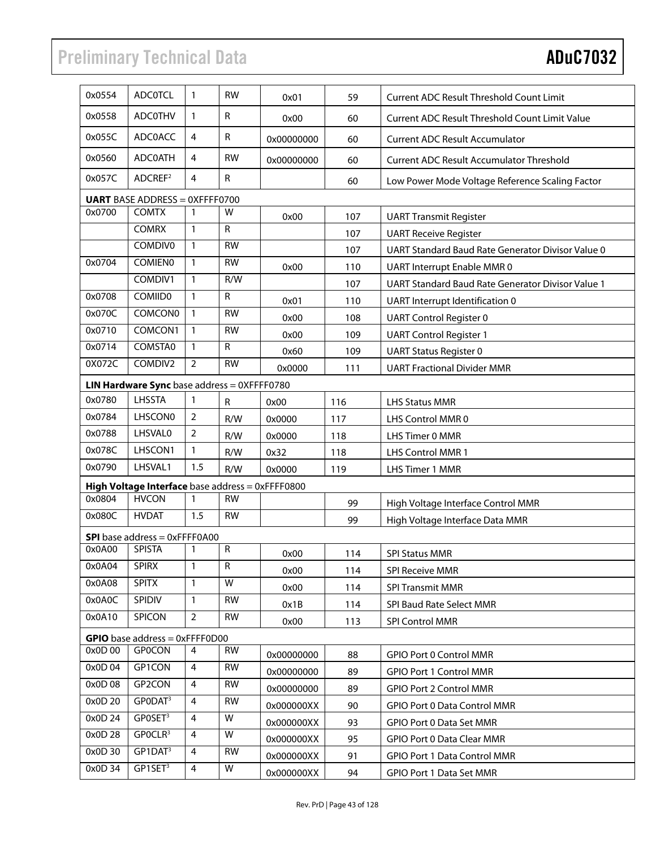| 0x0554  | <b>ADCOTCL</b>                                   | $\mathbf{1}$   | <b>RW</b>    | 0x01       | 59  | <b>Current ADC Result Threshold Count Limit</b>       |  |
|---------|--------------------------------------------------|----------------|--------------|------------|-----|-------------------------------------------------------|--|
| 0x0558  | <b>ADCOTHV</b>                                   | $\mathbf{1}$   | R            | 0x00       | 60  | <b>Current ADC Result Threshold Count Limit Value</b> |  |
| 0x055C  | <b>ADC0ACC</b>                                   | 4              | ${\sf R}$    | 0x00000000 | 60  | <b>Current ADC Result Accumulator</b>                 |  |
| 0x0560  | <b>ADCOATH</b>                                   | 4              | <b>RW</b>    | 0x00000000 | 60  | <b>Current ADC Result Accumulator Threshold</b>       |  |
| 0x057C  | ADCREF <sup>2</sup>                              | $\overline{4}$ | ${\sf R}$    |            | 60  | Low Power Mode Voltage Reference Scaling Factor       |  |
|         | <b>UART</b> BASE ADDRESS = 0XFFFF0700            |                |              |            |     |                                                       |  |
| 0x0700  | <b>COMTX</b>                                     | $\mathbf{1}$   | W            | 0x00       | 107 | <b>UART Transmit Register</b>                         |  |
|         | <b>COMRX</b>                                     | $\overline{1}$ | ${\sf R}$    |            | 107 | <b>UART Receive Register</b>                          |  |
|         | COMDIV0                                          | $\mathbf{1}$   | <b>RW</b>    |            | 107 | UART Standard Baud Rate Generator Divisor Value 0     |  |
| 0x0704  | <b>COMIEN0</b>                                   | $\mathbf{1}$   | <b>RW</b>    | 0x00       | 110 | <b>UART Interrupt Enable MMR 0</b>                    |  |
|         | COMDIV1                                          | $\mathbf{1}$   | R/W          |            | 107 | UART Standard Baud Rate Generator Divisor Value 1     |  |
| 0x0708  | <b>COMIID0</b>                                   | $\mathbf{1}$   | ${\sf R}$    | 0x01       | 110 | UART Interrupt Identification 0                       |  |
| 0x070C  | <b>COMCON0</b>                                   | $\mathbf{1}$   | <b>RW</b>    | 0x00       | 108 | <b>UART Control Register 0</b>                        |  |
| 0x0710  | COMCON1                                          | $\mathbf{1}$   | <b>RW</b>    | 0x00       | 109 | <b>UART Control Register 1</b>                        |  |
| 0x0714  | COMSTA0                                          | $\mathbf{1}$   | $\mathsf{R}$ | 0x60       | 109 | <b>UART Status Register 0</b>                         |  |
| 0X072C  | COMDIV2                                          | $\overline{2}$ | <b>RW</b>    | 0x0000     | 111 | <b>UART Fractional Divider MMR</b>                    |  |
|         | LIN Hardware Sync base address = 0XFFFF0780      |                |              |            |     |                                                       |  |
| 0x0780  | LHSSTA                                           | $\mathbf{1}$   | R            | 0x00       | 116 | <b>LHS Status MMR</b>                                 |  |
| 0x0784  | <b>LHSCON0</b>                                   | $\overline{2}$ | R/W          | 0x0000     | 117 | LHS Control MMR 0                                     |  |
| 0x0788  | LHSVAL0                                          | $\overline{2}$ | R/W          | 0x0000     | 118 | LHS Timer 0 MMR                                       |  |
| 0x078C  | LHSCON1                                          | $\mathbf{1}$   | R/W          | 0x32       | 118 | LHS Control MMR 1                                     |  |
| 0x0790  | LHSVAL1                                          | 1.5            | R/W          | 0x0000     | 119 | LHS Timer 1 MMR                                       |  |
|         | High Voltage Interface base address = 0xFFFF0800 |                |              |            |     |                                                       |  |
| 0x0804  | <b>HVCON</b>                                     | $\mathbf{1}$   | <b>RW</b>    |            | 99  | High Voltage Interface Control MMR                    |  |
| 0x080C  | <b>HVDAT</b>                                     | 1.5            | <b>RW</b>    |            | 99  | High Voltage Interface Data MMR                       |  |
|         | <b>SPI</b> base address $= 0 \times FFFF0A00$    |                |              |            |     |                                                       |  |
| 0x0A00  | <b>SPISTA</b>                                    | $\mathbf{1}$   | ${\sf R}$    | 0x00       | 114 | <b>SPI Status MMR</b>                                 |  |
| 0x0A04  | <b>SPIRX</b>                                     | 1              | $\mathsf R$  | 0x00       | 114 | <b>SPI Receive MMR</b>                                |  |
| 0x0A08  | <b>SPITX</b>                                     | $\mathbf{1}$   | W            | 0x00       | 114 | <b>SPI Transmit MMR</b>                               |  |
| 0x0A0C  | <b>SPIDIV</b>                                    | $\mathbf{1}$   | RW           | 0x1B       | 114 | SPI Baud Rate Select MMR                              |  |
| 0x0A10  | <b>SPICON</b>                                    | $\overline{2}$ | RW           | 0x00       | 113 | SPI Control MMR                                       |  |
|         | GPIO base address = $0x$ FFFF0D00                |                |              |            |     |                                                       |  |
| 0x0D 00 | <b>GPOCON</b>                                    | 4              | <b>RW</b>    | 0x00000000 | 88  | GPIO Port 0 Control MMR                               |  |
| 0x0D 04 | GP1CON                                           | 4              | <b>RW</b>    | 0x00000000 | 89  | <b>GPIO Port 1 Control MMR</b>                        |  |
| 0x0D08  | GP2CON                                           | 4              | <b>RW</b>    | 0x00000000 | 89  | <b>GPIO Port 2 Control MMR</b>                        |  |
| 0x0D 20 | GPODAT <sup>3</sup>                              | 4              | <b>RW</b>    | 0x000000XX | 90  | <b>GPIO Port 0 Data Control MMR</b>                   |  |
| 0x0D 24 | GP0SET <sup>3</sup>                              | 4              | W            | 0x000000XX | 93  | <b>GPIO Port 0 Data Set MMR</b>                       |  |
| 0x0D 28 | GPOCLR <sup>3</sup>                              | 4              | W            | 0x000000XX | 95  | <b>GPIO Port 0 Data Clear MMR</b>                     |  |
| 0x0D 30 | GP1DAT <sup>3</sup>                              | 4              | <b>RW</b>    | 0x000000XX | 91  | <b>GPIO Port 1 Data Control MMR</b>                   |  |
| 0x0D 34 | GP1SET <sup>3</sup>                              | $\overline{4}$ | W            | 0x000000XX | 94  | GPIO Port 1 Data Set MMR                              |  |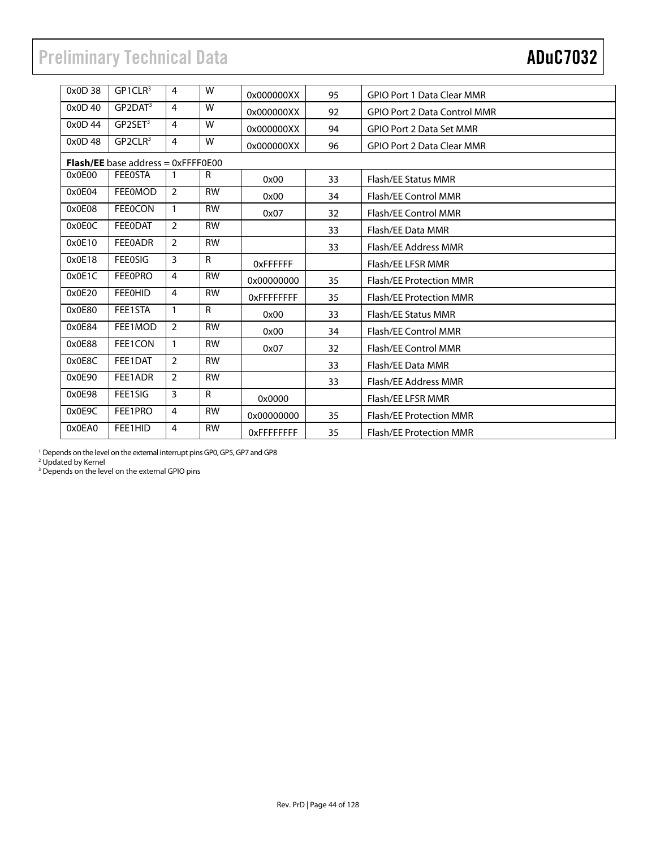| 0x0D 38 | GP1CLR <sup>3</sup>                          | 4              | W            | 0x000000XX       | 95 | <b>GPIO Port 1 Data Clear MMR</b>   |
|---------|----------------------------------------------|----------------|--------------|------------------|----|-------------------------------------|
| 0x0D 40 | GP2DAT <sup>3</sup>                          | 4              | W            | 0x000000XX       | 92 | <b>GPIO Port 2 Data Control MMR</b> |
| 0x0D 44 | GP2SET <sup>3</sup>                          | 4              | W            | 0x000000XX       | 94 | <b>GPIO Port 2 Data Set MMR</b>     |
| 0x0D48  | GP2CLR <sup>3</sup>                          | 4              | W            | 0x000000XX       | 96 | <b>GPIO Port 2 Data Clear MMR</b>   |
|         | <b>Flash/EE</b> base address = $0x$ FFFF0E00 |                |              |                  |    |                                     |
| 0x0E00  | <b>FEEOSTA</b>                               | 1              | R.           | 0x00             | 33 | <b>Flash/EE Status MMR</b>          |
| 0x0E04  | FEE0MOD                                      | $\overline{2}$ | <b>RW</b>    | 0x00             | 34 | Flash/EE Control MMR                |
| 0x0E08  | <b>FEEOCON</b>                               | $\mathbf{1}$   | <b>RW</b>    | 0x07             | 32 | Flash/EE Control MMR                |
| 0x0E0C  | FEEODAT                                      | $\overline{2}$ | <b>RW</b>    |                  | 33 | Flash/EE Data MMR                   |
| 0x0E10  | <b>FEE0ADR</b>                               | 2              | <b>RW</b>    |                  | 33 | Flash/EE Address MMR                |
| 0x0E18  | <b>FEEOSIG</b>                               | 3              | $\mathsf{R}$ | <b>OxFFFFFFF</b> |    | Flash/EE LFSR MMR                   |
| 0x0E1C  | <b>FEE0PRO</b>                               | 4              | <b>RW</b>    | 0x00000000       | 35 | <b>Flash/EE Protection MMR</b>      |
| 0x0E20  | <b>FEE0HID</b>                               | 4              | <b>RW</b>    | 0xFFFFFFFF       | 35 | <b>Flash/EE Protection MMR</b>      |
| 0x0E80  | FEE1STA                                      | $\mathbf{1}$   | $\mathsf{R}$ | 0x00             | 33 | Flash/EE Status MMR                 |
| 0x0E84  | FEE1MOD                                      | $\overline{2}$ | <b>RW</b>    | 0x00             | 34 | Flash/EE Control MMR                |
| 0x0E88  | FEE1CON                                      | $\mathbf{1}$   | <b>RW</b>    | 0x07             | 32 | Flash/EE Control MMR                |
| 0x0E8C  | FEE1DAT                                      | 2              | <b>RW</b>    |                  | 33 | Flash/EE Data MMR                   |
| 0x0E90  | FEE1ADR                                      | 2              | <b>RW</b>    |                  | 33 | Flash/EE Address MMR                |
| 0x0E98  | FEE1SIG                                      | 3              | $\mathsf{R}$ | 0x0000           |    | Flash/EE LFSR MMR                   |
| 0x0E9C  | FEE1PRO                                      | 4              | <b>RW</b>    | 0x00000000       | 35 | <b>Flash/EE Protection MMR</b>      |
| 0x0EA0  | FEE1HID                                      | 4              | <b>RW</b>    | 0xFFFFFFFF       | 35 | <b>Flash/EE Protection MMR</b>      |

<sup>1</sup> Depends on the level on the external interrupt pins GP0, GP5, GP7 and GP8<br><sup>2</sup> Updated by Kernel<br><sup>3</sup> Depends on the level on the external GPIO pins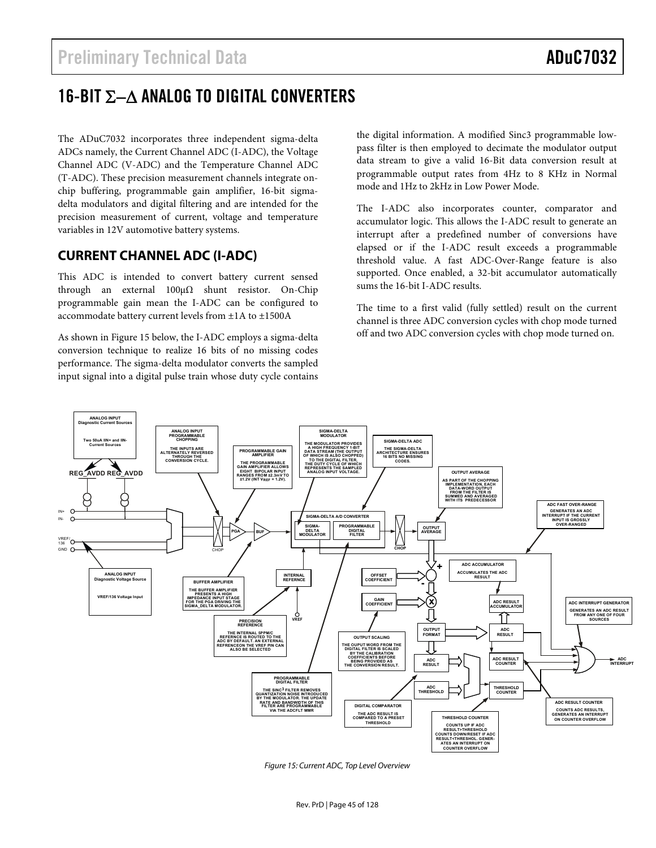## 16-BIT Σ−∆ ANALOG TO DIGITAL CONVERTERS

The ADuC7032 incorporates three independent sigma-delta ADCs namely, the Current Channel ADC (I-ADC), the Voltage Channel ADC (V-ADC) and the Temperature Channel ADC (T-ADC). These precision measurement channels integrate onchip buffering, programmable gain amplifier, 16-bit sigmadelta modulators and digital filtering and are intended for the precision measurement of current, voltage and temperature variables in 12V automotive battery systems.

## **CURRENT CHANNEL ADC (I-ADC)**

This ADC is intended to convert battery current sensed through an external 100μΩ shunt resistor. On-Chip programmable gain mean the I-ADC can be configured to accommodate battery current levels from ±1A to ±1500A

As shown in Figure 15 below, the I-ADC employs a sigma-delta conversion technique to realize 16 bits of no missing codes performance. The sigma-delta modulator converts the sampled input signal into a digital pulse train whose duty cycle contains

the digital information. A modified Sinc3 programmable lowpass filter is then employed to decimate the modulator output data stream to give a valid 16-Bit data conversion result at programmable output rates from 4Hz to 8 KHz in Normal mode and 1Hz to 2kHz in Low Power Mode.

The I-ADC also incorporates counter, comparator and accumulator logic. This allows the I-ADC result to generate an interrupt after a predefined number of conversions have elapsed or if the I-ADC result exceeds a programmable threshold value. A fast ADC-Over-Range feature is also supported. Once enabled, a 32-bit accumulator automatically sums the 16-bit I-ADC results.

The time to a first valid (fully settled) result on the current channel is three ADC conversion cycles with chop mode turned off and two ADC conversion cycles with chop mode turned on.



Figure 15: Current ADC, Top Level Overview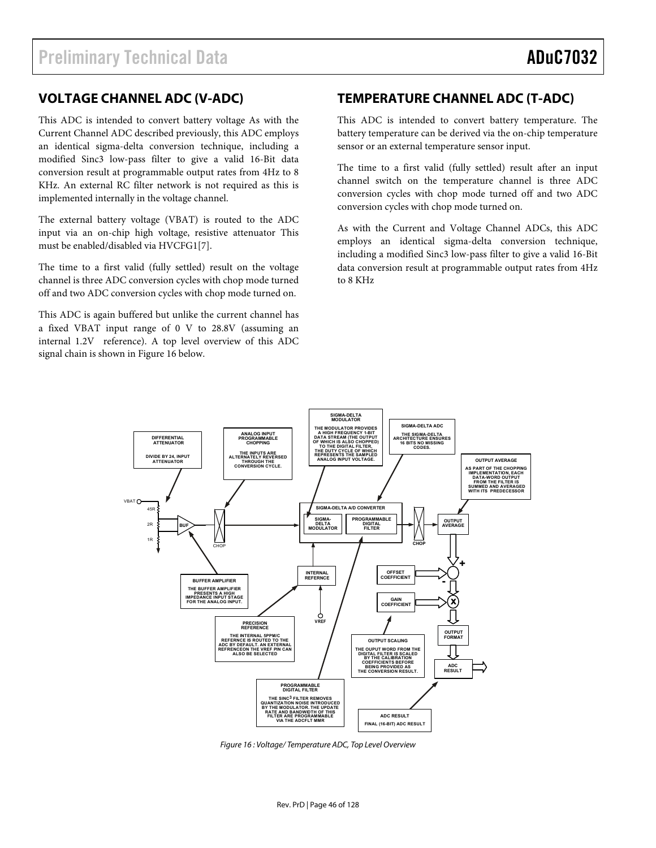## **VOLTAGE CHANNEL ADC (V-ADC)**

This ADC is intended to convert battery voltage As with the Current Channel ADC described previously, this ADC employs an identical sigma-delta conversion technique, including a modified Sinc3 low-pass filter to give a valid 16-Bit data conversion result at programmable output rates from 4Hz to 8 KHz. An external RC filter network is not required as this is implemented internally in the voltage channel.

The external battery voltage (VBAT) is routed to the ADC input via an on-chip high voltage, resistive attenuator This must be enabled/disabled via HVCFG1[7].

The time to a first valid (fully settled) result on the voltage channel is three ADC conversion cycles with chop mode turned off and two ADC conversion cycles with chop mode turned on.

This ADC is again buffered but unlike the current channel has a fixed VBAT input range of 0 V to 28.8V (assuming an internal 1.2V reference). A top level overview of this ADC signal chain is shown in Figure 16 below.

## **TEMPERATURE CHANNEL ADC (T-ADC)**

This ADC is intended to convert battery temperature. The battery temperature can be derived via the on-chip temperature sensor or an external temperature sensor input.

The time to a first valid (fully settled) result after an input channel switch on the temperature channel is three ADC conversion cycles with chop mode turned off and two ADC conversion cycles with chop mode turned on.

As with the Current and Voltage Channel ADCs, this ADC employs an identical sigma-delta conversion technique, including a modified Sinc3 low-pass filter to give a valid 16-Bit data conversion result at programmable output rates from 4Hz to 8 KHz



Figure 16 : Voltage/ Temperature ADC, Top Level Overview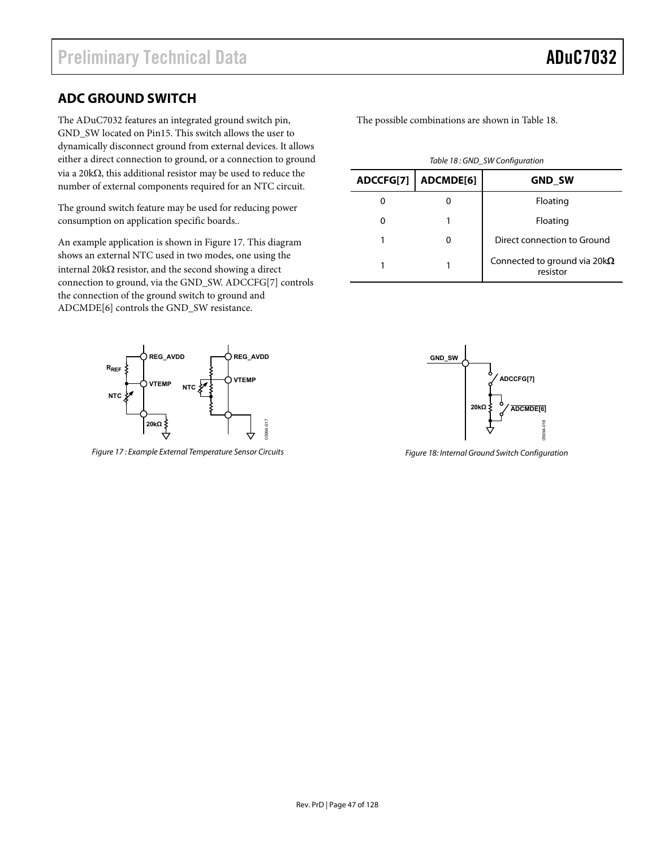## **ADC GROUND SWITCH**

The ADuC7032 features an integrated ground switch pin, GND\_SW located on Pin15. This switch allows the user to dynamically disconnect ground from external devices. It allows either a direct connection to ground, or a connection to ground via a 20kΩ, this additional resistor may be used to reduce the number of external components required for an NTC circuit.

The ground switch feature may be used for reducing power consumption on application specific boards..

An example application is shown in Figure 17. This diagram shows an external NTC used in two modes, one using the internal 20kΩ resistor, and the second showing a direct connection to ground, via the GND\_SW. ADCCFG[7] controls the connection of the ground switch to ground and ADCMDE[6] controls the GND\_SW resistance.



Figure 17 : Example External Temperature Sensor Circuits

The possible combinations are shown in Table 18.

| Table 18: GND_SW Configuration |  |                                                  |  |  |  |
|--------------------------------|--|--------------------------------------------------|--|--|--|
| ADCMDE[6]<br>ADCCFG[7]         |  | <b>GND SW</b>                                    |  |  |  |
|                                |  | Floating                                         |  |  |  |
| O                              |  | Floating                                         |  |  |  |
|                                |  | Direct connection to Ground                      |  |  |  |
|                                |  | Connected to ground via 20 $k\Omega$<br>resistor |  |  |  |



Figure 18: Internal Ground Switch Configuration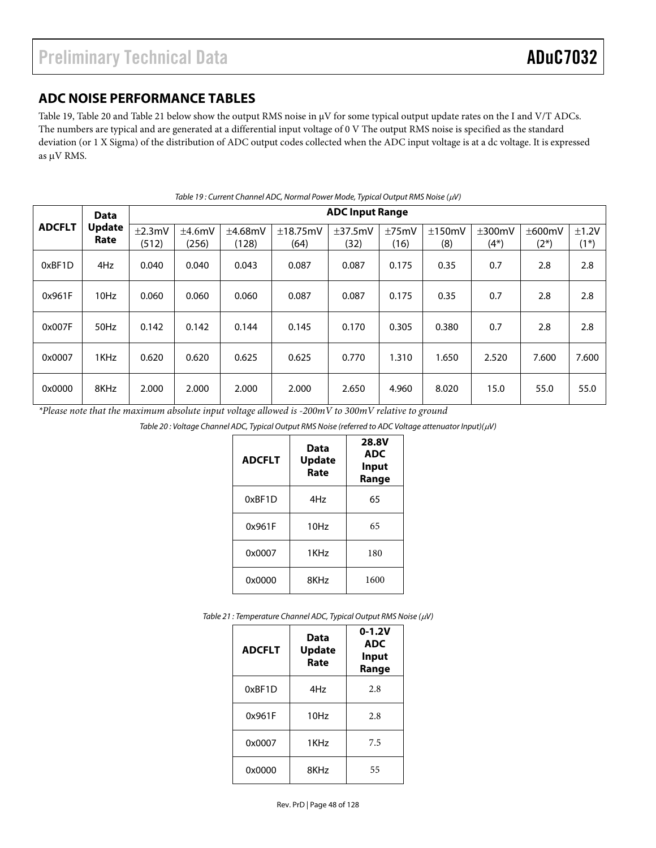## **ADC NOISE PERFORMANCE TABLES**

Table 19, Table 20 and Table 21 below show the output RMS noise in μV for some typical output update rates on the I and V/T ADCs. The numbers are typical and are generated at a differential input voltage of 0 V The output RMS noise is specified as the standard deviation (or 1 X Sigma) of the distribution of ADC output codes collected when the ADC input voltage is at a dc voltage. It is expressed as µV RMS.

|               | <b>Data</b>           | <b>ADC Input Range</b> |                 |                  |                  |                      |               |               |                           |                   |                  |
|---------------|-----------------------|------------------------|-----------------|------------------|------------------|----------------------|---------------|---------------|---------------------------|-------------------|------------------|
| <b>ADCFLT</b> | <b>Update</b><br>Rate | ±2.3mV<br>(512)        | ±4.6mV<br>(256) | ±4.68mV<br>(128) | ±18.75mV<br>(64) | $\pm$ 37.5mV<br>(32) | ±75mV<br>(16) | ±150mV<br>(8) | $\pm 300$ mV<br>$(4^{*})$ | ±600mV<br>$(2^*)$ | ±1.2V<br>$(1^*)$ |
| 0xBF1D        | 4Hz                   | 0.040                  | 0.040           | 0.043            | 0.087            | 0.087                | 0.175         | 0.35          | 0.7                       | 2.8               | 2.8              |
| 0x961F        | 10Hz                  | 0.060                  | 0.060           | 0.060            | 0.087            | 0.087                | 0.175         | 0.35          | 0.7                       | 2.8               | 2.8              |
| 0x007F        | 50Hz                  | 0.142                  | 0.142           | 0.144            | 0.145            | 0.170                | 0.305         | 0.380         | 0.7                       | 2.8               | 2.8              |
| 0x0007        | 1KHz                  | 0.620                  | 0.620           | 0.625            | 0.625            | 0.770                | 1.310         | 1.650         | 2.520                     | 7.600             | 7.600            |
| 0x0000        | 8KHz                  | 2.000                  | 2.000           | 2.000            | 2.000            | 2.650                | 4.960         | 8.020         | 15.0                      | 55.0              | 55.0             |

Table 19 : Current Channel ADC, Normal Power Mode, Typical Output RMS Noise (µV)

*\*Please note that the maximum absolute input voltage allowed is -200mV to 300mV relative to ground* 

Table 20 : Voltage Channel ADC, Typical Output RMS Noise (referred to ADC Voltage attenuator Input)(µV)

| <b>ADCFLT</b> | Data<br><b>Update</b><br>Rate | <b>28.8V</b><br><b>ADC</b><br>Input<br>Range |
|---------------|-------------------------------|----------------------------------------------|
| 0xBF1D        | 4Hz                           | 65                                           |
| 0x961F        | 10Hz                          | 65                                           |
| 0x0007        | 1KH <sub>z</sub>              | 180                                          |
| 0x0000        | 8KHz                          | 1600                                         |

| Table 21 : Temperature Channel ADC, Typical Output RMS Noise ( $\mu$ V) |  |  |
|-------------------------------------------------------------------------|--|--|
|                                                                         |  |  |

| <b>ADCFLT</b> | Data<br>Update<br>Rate | $0 - 1.2V$<br><b>ADC</b><br>Input<br>Range |
|---------------|------------------------|--------------------------------------------|
| 0xBF1D        | 4Hz                    | 2.8                                        |
| 0x961F        | 10Hz                   | 2.8                                        |
| 0x0007        | 1KH <sub>z</sub>       | 7.5                                        |
| 0x0000        | 8KHz                   | 55                                         |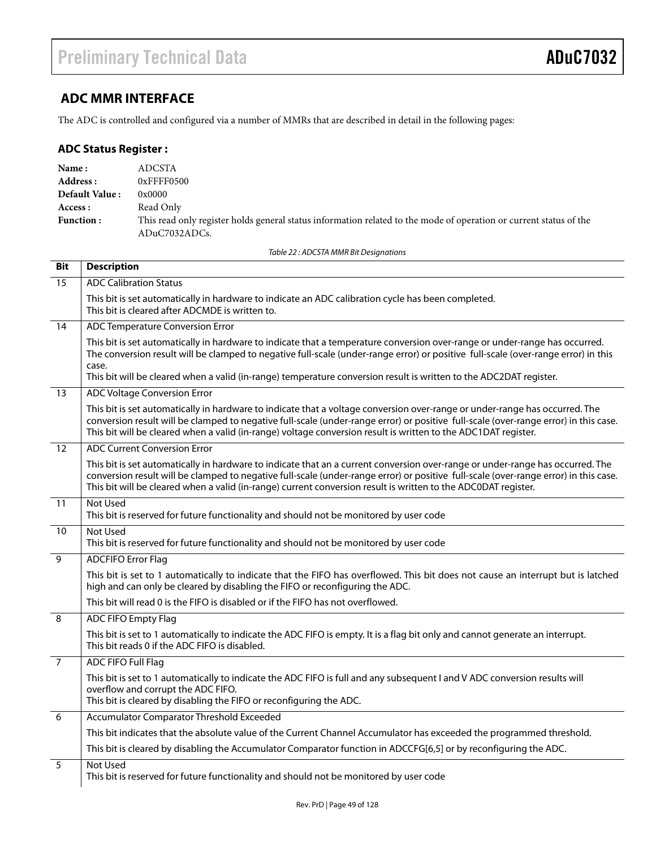## **ADC MMR INTERFACE**

The ADC is controlled and configured via a number of MMRs that are described in detail in the following pages:

### **ADC Status Register :**

| Name:                 | ADCSTA                                                                                                             |
|-----------------------|--------------------------------------------------------------------------------------------------------------------|
| Address :             | $0x$ FFFF $0500$                                                                                                   |
| <b>Default Value:</b> | 0x0000                                                                                                             |
| Access :              | Read Only                                                                                                          |
| <b>Function:</b>      | This read only register holds general status information related to the mode of operation or current status of the |
|                       | ADuC7032ADCs.                                                                                                      |

Table 22 : ADCSTA MMR Bit Designations

| <b>Bit</b>     | <b>Description</b>                                                                                                                                                                                                                                                                                                                                                                               |
|----------------|--------------------------------------------------------------------------------------------------------------------------------------------------------------------------------------------------------------------------------------------------------------------------------------------------------------------------------------------------------------------------------------------------|
| 15             | <b>ADC Calibration Status</b>                                                                                                                                                                                                                                                                                                                                                                    |
|                | This bit is set automatically in hardware to indicate an ADC calibration cycle has been completed.<br>This bit is cleared after ADCMDE is written to.                                                                                                                                                                                                                                            |
| 14             | <b>ADC Temperature Conversion Error</b>                                                                                                                                                                                                                                                                                                                                                          |
|                | This bit is set automatically in hardware to indicate that a temperature conversion over-range or under-range has occurred.<br>The conversion result will be clamped to negative full-scale (under-range error) or positive full-scale (over-range error) in this<br>case.<br>This bit will be cleared when a valid (in-range) temperature conversion result is written to the ADC2DAT register. |
| 13             | ADC Voltage Conversion Error                                                                                                                                                                                                                                                                                                                                                                     |
|                | This bit is set automatically in hardware to indicate that a voltage conversion over-range or under-range has occurred. The<br>conversion result will be clamped to negative full-scale (under-range error) or positive full-scale (over-range error) in this case.<br>This bit will be cleared when a valid (in-range) voltage conversion result is written to the ADC1DAT register.            |
| 12             | <b>ADC Current Conversion Error</b>                                                                                                                                                                                                                                                                                                                                                              |
|                | This bit is set automatically in hardware to indicate that an a current conversion over-range or under-range has occurred. The<br>conversion result will be clamped to negative full-scale (under-range error) or positive full-scale (over-range error) in this case.<br>This bit will be cleared when a valid (in-range) current conversion result is written to the ADC0DAT register.         |
| 11             | Not Used<br>This bit is reserved for future functionality and should not be monitored by user code                                                                                                                                                                                                                                                                                               |
| 10             | Not Used<br>This bit is reserved for future functionality and should not be monitored by user code                                                                                                                                                                                                                                                                                               |
| $\overline{9}$ | <b>ADCFIFO Error Flag</b>                                                                                                                                                                                                                                                                                                                                                                        |
|                | This bit is set to 1 automatically to indicate that the FIFO has overflowed. This bit does not cause an interrupt but is latched<br>high and can only be cleared by disabling the FIFO or reconfiguring the ADC.                                                                                                                                                                                 |
|                | This bit will read 0 is the FIFO is disabled or if the FIFO has not overflowed.                                                                                                                                                                                                                                                                                                                  |
| 8              | <b>ADC FIFO Empty Flag</b>                                                                                                                                                                                                                                                                                                                                                                       |
|                | This bit is set to 1 automatically to indicate the ADC FIFO is empty. It is a flag bit only and cannot generate an interrupt.<br>This bit reads 0 if the ADC FIFO is disabled.                                                                                                                                                                                                                   |
| $\overline{7}$ | <b>ADC FIFO Full Flag</b>                                                                                                                                                                                                                                                                                                                                                                        |
|                | This bit is set to 1 automatically to indicate the ADC FIFO is full and any subsequent I and V ADC conversion results will<br>overflow and corrupt the ADC FIFO.<br>This bit is cleared by disabling the FIFO or reconfiguring the ADC.                                                                                                                                                          |
| $\overline{6}$ | <b>Accumulator Comparator Threshold Exceeded</b>                                                                                                                                                                                                                                                                                                                                                 |
|                | This bit indicates that the absolute value of the Current Channel Accumulator has exceeded the programmed threshold.                                                                                                                                                                                                                                                                             |
|                | This bit is cleared by disabling the Accumulator Comparator function in ADCCFG[6,5] or by reconfiguring the ADC.                                                                                                                                                                                                                                                                                 |
| $\overline{5}$ | <b>Not Used</b><br>This bit is reserved for future functionality and should not be monitored by user code                                                                                                                                                                                                                                                                                        |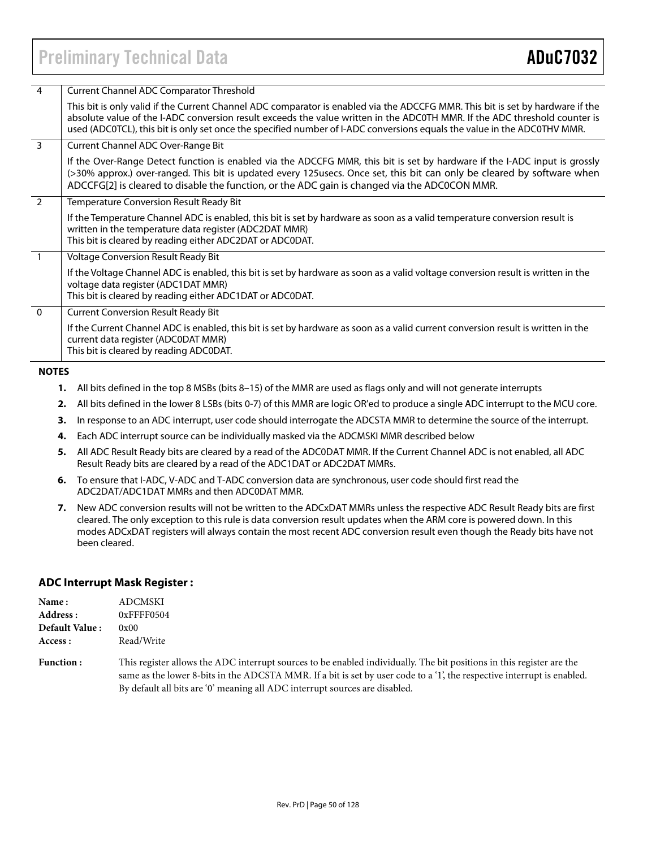| $\overline{4}$ | Current Channel ADC Comparator Threshold                                                                                                                                                                                                                                                                                                                                                 |
|----------------|------------------------------------------------------------------------------------------------------------------------------------------------------------------------------------------------------------------------------------------------------------------------------------------------------------------------------------------------------------------------------------------|
|                | This bit is only valid if the Current Channel ADC comparator is enabled via the ADCCFG MMR. This bit is set by hardware if the<br>absolute value of the I-ADC conversion result exceeds the value written in the ADC0TH MMR. If the ADC threshold counter is<br>used (ADC0TCL), this bit is only set once the specified number of I-ADC conversions equals the value in the ADC0THV MMR. |
|                | Current Channel ADC Over-Range Bit                                                                                                                                                                                                                                                                                                                                                       |
|                | If the Over-Range Detect function is enabled via the ADCCFG MMR, this bit is set by hardware if the I-ADC input is grossly<br>(>30% approx.) over-ranged. This bit is updated every 125usecs. Once set, this bit can only be cleared by software when<br>ADCCFG[2] is cleared to disable the function, or the ADC gain is changed via the ADC0CON MMR.                                   |
| $\overline{2}$ | Temperature Conversion Result Ready Bit                                                                                                                                                                                                                                                                                                                                                  |
|                | If the Temperature Channel ADC is enabled, this bit is set by hardware as soon as a valid temperature conversion result is<br>written in the temperature data register (ADC2DAT MMR)<br>This bit is cleared by reading either ADC2DAT or ADC0DAT.                                                                                                                                        |
|                | Voltage Conversion Result Ready Bit                                                                                                                                                                                                                                                                                                                                                      |
|                | If the Voltage Channel ADC is enabled, this bit is set by hardware as soon as a valid voltage conversion result is written in the<br>voltage data register (ADC1DAT MMR)<br>This bit is cleared by reading either ADC1DAT or ADC0DAT.                                                                                                                                                    |
| $\overline{0}$ | <b>Current Conversion Result Ready Bit</b>                                                                                                                                                                                                                                                                                                                                               |
|                | If the Current Channel ADC is enabled, this bit is set by hardware as soon as a valid current conversion result is written in the<br>current data register (ADC0DAT MMR)<br>This bit is cleared by reading ADC0DAT.                                                                                                                                                                      |

**NOTES** 

- **1.** All bits defined in the top 8 MSBs (bits 8–15) of the MMR are used as flags only and will not generate interrupts
- **2.** All bits defined in the lower 8 LSBs (bits 0-7) of this MMR are logic OR'ed to produce a single ADC interrupt to the MCU core.
- **3.** In response to an ADC interrupt, user code should interrogate the ADCSTA MMR to determine the source of the interrupt.
- **4.** Each ADC interrupt source can be individually masked via the ADCMSKI MMR described below
- **5.** All ADC Result Ready bits are cleared by a read of the ADC0DAT MMR. If the Current Channel ADC is not enabled, all ADC Result Ready bits are cleared by a read of the ADC1DAT or ADC2DAT MMRs.
- **6.** To ensure that I-ADC, V-ADC and T-ADC conversion data are synchronous, user code should first read the ADC2DAT/ADC1DAT MMRs and then ADC0DAT MMR.
- **7.** New ADC conversion results will not be written to the ADCxDAT MMRs unless the respective ADC Result Ready bits are first cleared. The only exception to this rule is data conversion result updates when the ARM core is powered down. In this modes ADCxDAT registers will always contain the most recent ADC conversion result even though the Ready bits have not been cleared.

#### **ADC Interrupt Mask Register :**

| <b>Name :</b>         | ADCMSKI                                                                                                                                                                                                                                                                                                                         |
|-----------------------|---------------------------------------------------------------------------------------------------------------------------------------------------------------------------------------------------------------------------------------------------------------------------------------------------------------------------------|
| <b>Address :</b>      | 0xFFFF0504                                                                                                                                                                                                                                                                                                                      |
| <b>Default Value:</b> | 0x00                                                                                                                                                                                                                                                                                                                            |
| Access :              | Read/Write                                                                                                                                                                                                                                                                                                                      |
| <b>Function:</b>      | This register allows the ADC interrupt sources to be enabled individually. The bit positions in this register are the<br>same as the lower 8-bits in the ADCSTA MMR. If a bit is set by user code to a '1', the respective interrupt is enabled.<br>By default all bits are '0' meaning all ADC interrupt sources are disabled. |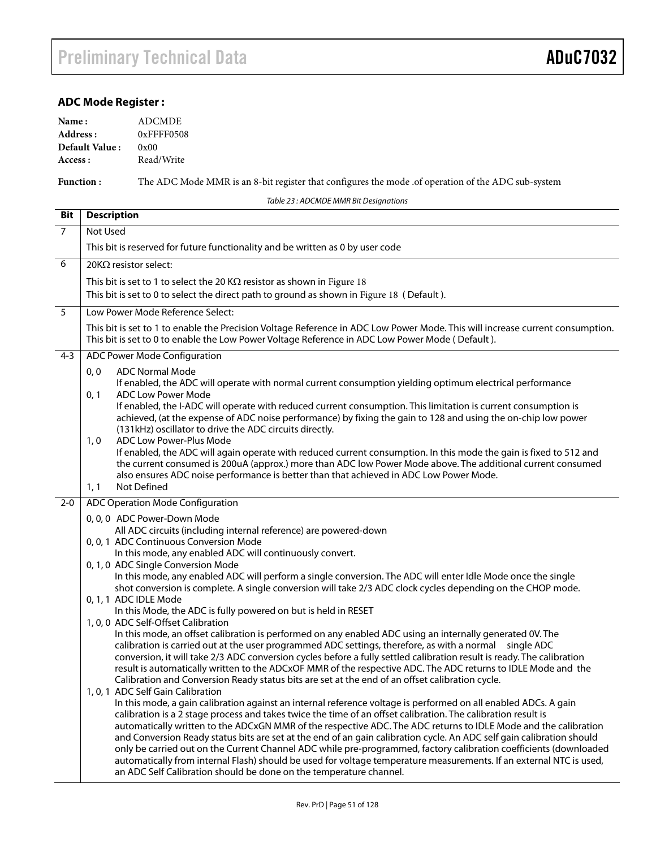### **ADC Mode Register :**

| Name:          | ADCMDE     |
|----------------|------------|
| Address :      | 0xFFFF0508 |
| Default Value: | 0x00       |
| Access :       | Read/Write |

**Function :** The ADC Mode MMR is an 8-bit register that configures the mode .of operation of the ADC sub-system

Table 23 : ADCMDE MMR Bit Designations

| <b>Bit</b>     | <b>Description</b>                                                                                                                                                                                                                         |
|----------------|--------------------------------------------------------------------------------------------------------------------------------------------------------------------------------------------------------------------------------------------|
| $\overline{7}$ | Not Used                                                                                                                                                                                                                                   |
|                | This bit is reserved for future functionality and be written as 0 by user code                                                                                                                                                             |
| 6              | 20ΚΩ resistor select:                                                                                                                                                                                                                      |
|                | This bit is set to 1 to select the 20 K $\Omega$ resistor as shown in Figure 18                                                                                                                                                            |
|                | This bit is set to 0 to select the direct path to ground as shown in Figure 18 (Default).                                                                                                                                                  |
| $\overline{5}$ | Low Power Mode Reference Select:                                                                                                                                                                                                           |
|                | This bit is set to 1 to enable the Precision Voltage Reference in ADC Low Power Mode. This will increase current consumption.<br>This bit is set to 0 to enable the Low Power Voltage Reference in ADC Low Power Mode (Default).           |
| $4 - 3$        | ADC Power Mode Configuration                                                                                                                                                                                                               |
|                | <b>ADC Normal Mode</b><br>0, 0                                                                                                                                                                                                             |
|                | If enabled, the ADC will operate with normal current consumption yielding optimum electrical performance                                                                                                                                   |
|                | 0, 1<br><b>ADC Low Power Mode</b><br>If enabled, the I-ADC will operate with reduced current consumption. This limitation is current consumption is                                                                                        |
|                | achieved, (at the expense of ADC noise performance) by fixing the gain to 128 and using the on-chip low power<br>(131kHz) oscillator to drive the ADC circuits directly.                                                                   |
|                | ADC Low Power-Plus Mode<br>1, 0                                                                                                                                                                                                            |
|                | If enabled, the ADC will again operate with reduced current consumption. In this mode the gain is fixed to 512 and                                                                                                                         |
|                | the current consumed is 200uA (approx.) more than ADC low Power Mode above. The additional current consumed                                                                                                                                |
|                | also ensures ADC noise performance is better than that achieved in ADC Low Power Mode.<br><b>Not Defined</b><br>1, 1                                                                                                                       |
| $2 - 0$        | ADC Operation Mode Configuration                                                                                                                                                                                                           |
|                | 0, 0, 0 ADC Power-Down Mode                                                                                                                                                                                                                |
|                | All ADC circuits (including internal reference) are powered-down                                                                                                                                                                           |
|                | 0, 0, 1 ADC Continuous Conversion Mode                                                                                                                                                                                                     |
|                | In this mode, any enabled ADC will continuously convert.<br>0, 1, 0 ADC Single Conversion Mode                                                                                                                                             |
|                | In this mode, any enabled ADC will perform a single conversion. The ADC will enter Idle Mode once the single                                                                                                                               |
|                | shot conversion is complete. A single conversion will take 2/3 ADC clock cycles depending on the CHOP mode.                                                                                                                                |
|                | 0, 1, 1 ADC IDLE Mode                                                                                                                                                                                                                      |
|                | In this Mode, the ADC is fully powered on but is held in RESET<br>1, 0, 0 ADC Self-Offset Calibration                                                                                                                                      |
|                | In this mode, an offset calibration is performed on any enabled ADC using an internally generated 0V. The                                                                                                                                  |
|                | calibration is carried out at the user programmed ADC settings, therefore, as with a normal single ADC                                                                                                                                     |
|                | conversion, it will take 2/3 ADC conversion cycles before a fully settled calibration result is ready. The calibration                                                                                                                     |
|                | result is automatically written to the ADCxOF MMR of the respective ADC. The ADC returns to IDLE Mode and the<br>Calibration and Conversion Ready status bits are set at the end of an offset calibration cycle.                           |
|                | 1, 0, 1 ADC Self Gain Calibration                                                                                                                                                                                                          |
|                | In this mode, a gain calibration against an internal reference voltage is performed on all enabled ADCs. A gain                                                                                                                            |
|                | calibration is a 2 stage process and takes twice the time of an offset calibration. The calibration result is                                                                                                                              |
|                | automatically written to the ADCxGN MMR of the respective ADC. The ADC returns to IDLE Mode and the calibration                                                                                                                            |
|                | and Conversion Ready status bits are set at the end of an gain calibration cycle. An ADC self gain calibration should<br>only be carried out on the Current Channel ADC while pre-programmed, factory calibration coefficients (downloaded |
|                | automatically from internal Flash) should be used for voltage temperature measurements. If an external NTC is used,                                                                                                                        |
|                | an ADC Self Calibration should be done on the temperature channel.                                                                                                                                                                         |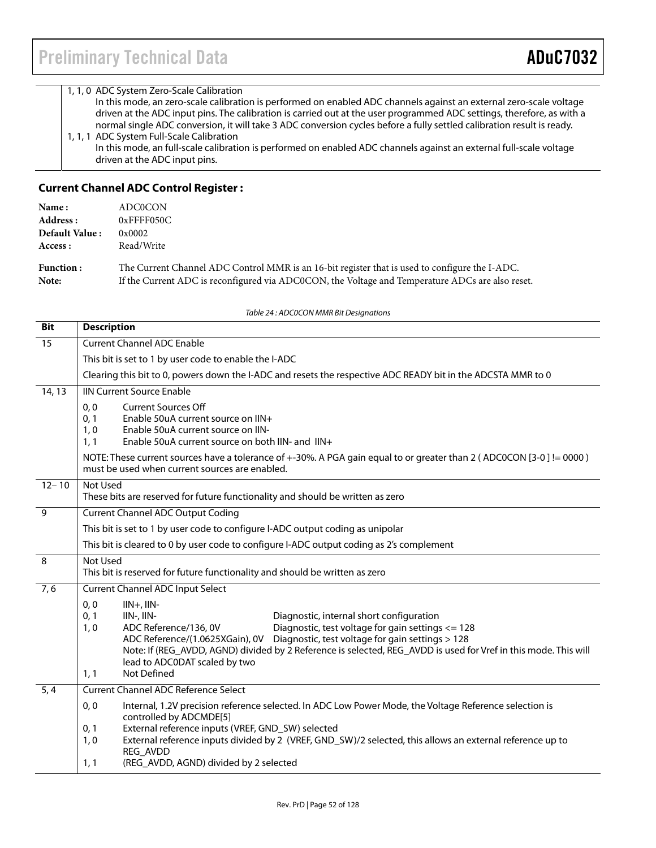#### 1, 1, 0 ADC System Zero-Scale Calibration

 In this mode, an zero-scale calibration is performed on enabled ADC channels against an external zero-scale voltage driven at the ADC input pins. The calibration is carried out at the user programmed ADC settings, therefore, as with a normal single ADC conversion, it will take 3 ADC conversion cycles before a fully settled calibration result is ready.

1, 1, 1 ADC System Full-Scale Calibration In this mode, an full-scale calibration is performed on enabled ADC channels against an external full-scale voltage driven at the ADC input pins.

#### **Current Channel ADC Control Register :**

| Name:            | <b>ADC0CON</b>                                                                                   |
|------------------|--------------------------------------------------------------------------------------------------|
| Address :        | $0x$ FFFF050 $C$                                                                                 |
| Default Value:   | 0x0002                                                                                           |
| Access :         | Read/Write                                                                                       |
| <b>Function:</b> | The Current Channel ADC Control MMR is an 16-bit register that is used to configure the I-ADC.   |
| Note:            | If the Current ADC is reconfigured via ADC0CON, the Voltage and Temperature ADCs are also reset. |

Table 24 : ADC0CON MMR Bit Designations

| <b>Bit</b>       | <b>Description</b>                                                                                                                                                                                                                                                                                                                                                                                                                                  |  |
|------------------|-----------------------------------------------------------------------------------------------------------------------------------------------------------------------------------------------------------------------------------------------------------------------------------------------------------------------------------------------------------------------------------------------------------------------------------------------------|--|
| $\overline{15}$  | <b>Current Channel ADC Enable</b>                                                                                                                                                                                                                                                                                                                                                                                                                   |  |
|                  | This bit is set to 1 by user code to enable the I-ADC                                                                                                                                                                                                                                                                                                                                                                                               |  |
|                  | Clearing this bit to 0, powers down the I-ADC and resets the respective ADC READY bit in the ADCSTA MMR to 0                                                                                                                                                                                                                                                                                                                                        |  |
| 14, 13           | <b>IIN Current Source Enable</b>                                                                                                                                                                                                                                                                                                                                                                                                                    |  |
|                  | <b>Current Sources Off</b><br>0, 0<br>0, 1<br>Enable 50uA current source on IIN+<br>1, 0<br>Enable 50uA current source on IIN-<br>Enable 50uA current source on both IIN- and IIN+<br>1, 1                                                                                                                                                                                                                                                          |  |
|                  | NOTE: These current sources have a tolerance of $+30%$ . A PGA gain equal to or greater than 2 (ADCOCON [3-0] != 0000)<br>must be used when current sources are enabled.                                                                                                                                                                                                                                                                            |  |
| $12 - 10$        | Not Used<br>These bits are reserved for future functionality and should be written as zero                                                                                                                                                                                                                                                                                                                                                          |  |
| $\overline{9}$   | <b>Current Channel ADC Output Coding</b>                                                                                                                                                                                                                                                                                                                                                                                                            |  |
|                  | This bit is set to 1 by user code to configure I-ADC output coding as unipolar                                                                                                                                                                                                                                                                                                                                                                      |  |
|                  | This bit is cleared to 0 by user code to configure I-ADC output coding as 2's complement                                                                                                                                                                                                                                                                                                                                                            |  |
| $\overline{8}$   | Not Used<br>This bit is reserved for future functionality and should be written as zero                                                                                                                                                                                                                                                                                                                                                             |  |
| 7,6              | <b>Current Channel ADC Input Select</b>                                                                                                                                                                                                                                                                                                                                                                                                             |  |
|                  | 0, 0<br>$III +$ , $III -$<br>0, 1<br>IIN-, IIN-<br>Diagnostic, internal short configuration<br>ADC Reference/136, 0V<br>Diagnostic, test voltage for gain settings <= 128<br>1, 0<br>ADC Reference/(1.0625XGain), 0V<br>Diagnostic, test voltage for gain settings > 128<br>Note: If (REG_AVDD, AGND) divided by 2 Reference is selected, REG_AVDD is used for Vref in this mode. This will<br>lead to ADC0DAT scaled by two<br>Not Defined<br>1, 1 |  |
| $\overline{5,4}$ | <b>Current Channel ADC Reference Select</b>                                                                                                                                                                                                                                                                                                                                                                                                         |  |
|                  | 0, 0<br>Internal, 1.2V precision reference selected. In ADC Low Power Mode, the Voltage Reference selection is<br>controlled by ADCMDE[5]<br>External reference inputs (VREF, GND_SW) selected<br>0, 1<br>External reference inputs divided by 2 (VREF, GND_SW)/2 selected, this allows an external reference up to<br>1, 0<br>REG_AVDD<br>(REG_AVDD, AGND) divided by 2 selected<br>1, 1                                                           |  |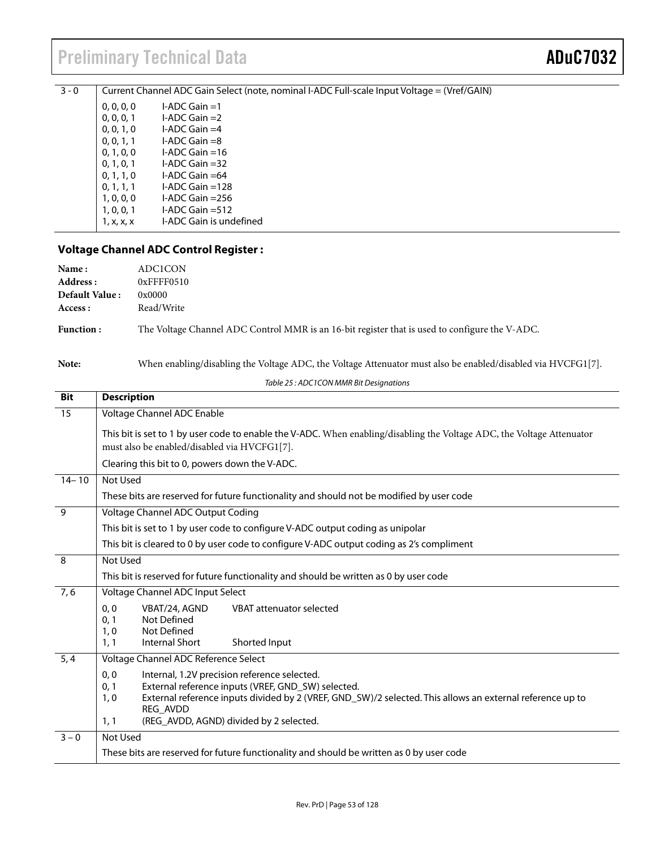| $3 - 0$ |            | Current Channel ADC Gain Select (note, nominal I-ADC Full-scale Input Voltage = (Vref/GAIN) |
|---------|------------|---------------------------------------------------------------------------------------------|
|         | 0, 0, 0, 0 | $I-ADC$ Gain $=1$                                                                           |
|         | 0, 0, 0, 1 | I-ADC Gain $=2$                                                                             |
|         | 0, 0, 1, 0 | I-ADC Gain $=4$                                                                             |
|         | 0, 0, 1, 1 | $I-ADC$ Gain $=8$                                                                           |
|         | 0, 1, 0, 0 | $I-ADC$ Gain = 16                                                                           |
|         | 0, 1, 0, 1 | I-ADC Gain $=32$                                                                            |
|         | 0, 1, 1, 0 | $I-ADC$ Gain $=64$                                                                          |
|         | 0, 1, 1, 1 | $I-ADC$ Gain $=128$                                                                         |
|         | 1, 0, 0, 0 | I-ADC Gain $=256$                                                                           |
|         | 1, 0, 0, 1 | $I-ADC$ Gain $=512$                                                                         |
|         | 1, x, x, x | I-ADC Gain is undefined                                                                     |
|         |            |                                                                                             |

### **Voltage Channel ADC Control Register :**

| ADC1CON          |
|------------------|
| $0x$ FFFF $0510$ |
| 0x0000           |
| Read/Write       |
|                  |

**Function :** The Voltage Channel ADC Control MMR is an 16-bit register that is used to configure the V-ADC.

**Note:** When enabling/disabling the Voltage ADC, the Voltage Attenuator must also be enabled/disabled via HVCFG1[7].

Table 25 : ADC1CON MMR Bit Designations

| <b>Bit</b>     | <b>Description</b>                                                                                                                                                                                                                                                                                    |  |
|----------------|-------------------------------------------------------------------------------------------------------------------------------------------------------------------------------------------------------------------------------------------------------------------------------------------------------|--|
| 15             | Voltage Channel ADC Enable                                                                                                                                                                                                                                                                            |  |
|                | This bit is set to 1 by user code to enable the V-ADC. When enabling/disabling the Voltage ADC, the Voltage Attenuator<br>must also be enabled/disabled via HVCFG1[7].                                                                                                                                |  |
|                | Clearing this bit to 0, powers down the V-ADC.                                                                                                                                                                                                                                                        |  |
| $14 - 10$      | Not Used                                                                                                                                                                                                                                                                                              |  |
|                | These bits are reserved for future functionality and should not be modified by user code                                                                                                                                                                                                              |  |
| $\overline{9}$ | Voltage Channel ADC Output Coding                                                                                                                                                                                                                                                                     |  |
|                | This bit is set to 1 by user code to configure V-ADC output coding as unipolar                                                                                                                                                                                                                        |  |
|                | This bit is cleared to 0 by user code to configure V-ADC output coding as 2's compliment                                                                                                                                                                                                              |  |
| 8              | Not Used                                                                                                                                                                                                                                                                                              |  |
|                | This bit is reserved for future functionality and should be written as 0 by user code                                                                                                                                                                                                                 |  |
| 7,6            | Voltage Channel ADC Input Select                                                                                                                                                                                                                                                                      |  |
|                | VBAT attenuator selected<br>0, 0<br>VBAT/24, AGND                                                                                                                                                                                                                                                     |  |
|                | <b>Not Defined</b><br>0, 1<br>Not Defined<br>1, 0                                                                                                                                                                                                                                                     |  |
|                | <b>Internal Short</b><br>1, 1<br>Shorted Input                                                                                                                                                                                                                                                        |  |
| 5, 4           | Voltage Channel ADC Reference Select                                                                                                                                                                                                                                                                  |  |
|                | 0, 0<br>Internal, 1.2V precision reference selected.<br>0, 1<br>External reference inputs (VREF, GND_SW) selected.<br>External reference inputs divided by 2 (VREF, GND_SW)/2 selected. This allows an external reference up to<br>1,0<br>REG_AVDD<br>(REG_AVDD, AGND) divided by 2 selected.<br>1, 1 |  |
| $3 - 0$        | Not Used                                                                                                                                                                                                                                                                                              |  |
|                |                                                                                                                                                                                                                                                                                                       |  |
|                | These bits are reserved for future functionality and should be written as 0 by user code                                                                                                                                                                                                              |  |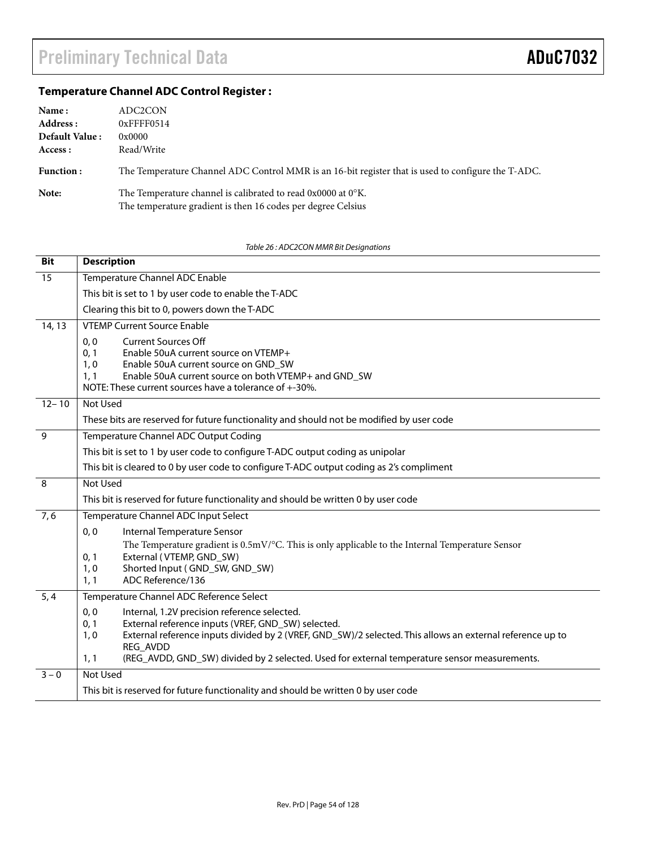## **Temperature Channel ADC Control Register :**

| Name:            | ADC2CON                                                                                            |
|------------------|----------------------------------------------------------------------------------------------------|
| Address:         | $0x$ FFFF $0514$                                                                                   |
| Default Value:   | 0x0000                                                                                             |
| Access :         | Read/Write                                                                                         |
| <b>Function:</b> | The Temperature Channel ADC Control MMR is an 16-bit register that is used to configure the T-ADC. |
| Note:            | The Temperature channel is calibrated to read 0x0000 at 0°K.                                       |
|                  | The temperature gradient is then 16 codes per degree Celsius                                       |

Table 26 : ADC2CON MMR Bit Designations

| <b>Bit</b> | <b>Description</b>                                                                                                                                                                                                                                                                                                                                          |  |  |  |
|------------|-------------------------------------------------------------------------------------------------------------------------------------------------------------------------------------------------------------------------------------------------------------------------------------------------------------------------------------------------------------|--|--|--|
| 15         | Temperature Channel ADC Enable                                                                                                                                                                                                                                                                                                                              |  |  |  |
|            | This bit is set to 1 by user code to enable the T-ADC                                                                                                                                                                                                                                                                                                       |  |  |  |
|            | Clearing this bit to 0, powers down the T-ADC                                                                                                                                                                                                                                                                                                               |  |  |  |
| 14, 13     | <b>VTEMP Current Source Enable</b>                                                                                                                                                                                                                                                                                                                          |  |  |  |
|            | 0, 0<br><b>Current Sources Off</b><br>0, 1<br>Enable 50uA current source on VTEMP+<br>Enable 50uA current source on GND_SW<br>1, 0<br>1, 1<br>Enable 50uA current source on both VTEMP+ and GND_SW<br>NOTE: These current sources have a tolerance of +-30%.                                                                                                |  |  |  |
| $12 - 10$  | Not Used                                                                                                                                                                                                                                                                                                                                                    |  |  |  |
|            | These bits are reserved for future functionality and should not be modified by user code                                                                                                                                                                                                                                                                    |  |  |  |
| 9          | Temperature Channel ADC Output Coding                                                                                                                                                                                                                                                                                                                       |  |  |  |
|            | This bit is set to 1 by user code to configure T-ADC output coding as unipolar                                                                                                                                                                                                                                                                              |  |  |  |
|            | This bit is cleared to 0 by user code to configure T-ADC output coding as 2's compliment                                                                                                                                                                                                                                                                    |  |  |  |
| 8          | Not Used                                                                                                                                                                                                                                                                                                                                                    |  |  |  |
|            | This bit is reserved for future functionality and should be written 0 by user code                                                                                                                                                                                                                                                                          |  |  |  |
| 7,6        | Temperature Channel ADC Input Select                                                                                                                                                                                                                                                                                                                        |  |  |  |
|            | Internal Temperature Sensor<br>0, 0<br>The Temperature gradient is $0.5 \text{mV}$ /°C. This is only applicable to the Internal Temperature Sensor<br>External (VTEMP, GND_SW)<br>0, 1<br>Shorted Input (GND_SW, GND_SW)<br>1, 0<br>ADC Reference/136<br>1, 1                                                                                               |  |  |  |
| 5, 4       | Temperature Channel ADC Reference Select                                                                                                                                                                                                                                                                                                                    |  |  |  |
|            | 0, 0<br>Internal, 1.2V precision reference selected.<br>0, 1<br>External reference inputs (VREF, GND_SW) selected.<br>External reference inputs divided by 2 (VREF, GND_SW)/2 selected. This allows an external reference up to<br>1, 0<br>REG_AVDD<br>(REG_AVDD, GND_SW) divided by 2 selected. Used for external temperature sensor measurements.<br>1, 1 |  |  |  |
| $3 - 0$    | Not Used                                                                                                                                                                                                                                                                                                                                                    |  |  |  |
|            | This bit is reserved for future functionality and should be written 0 by user code                                                                                                                                                                                                                                                                          |  |  |  |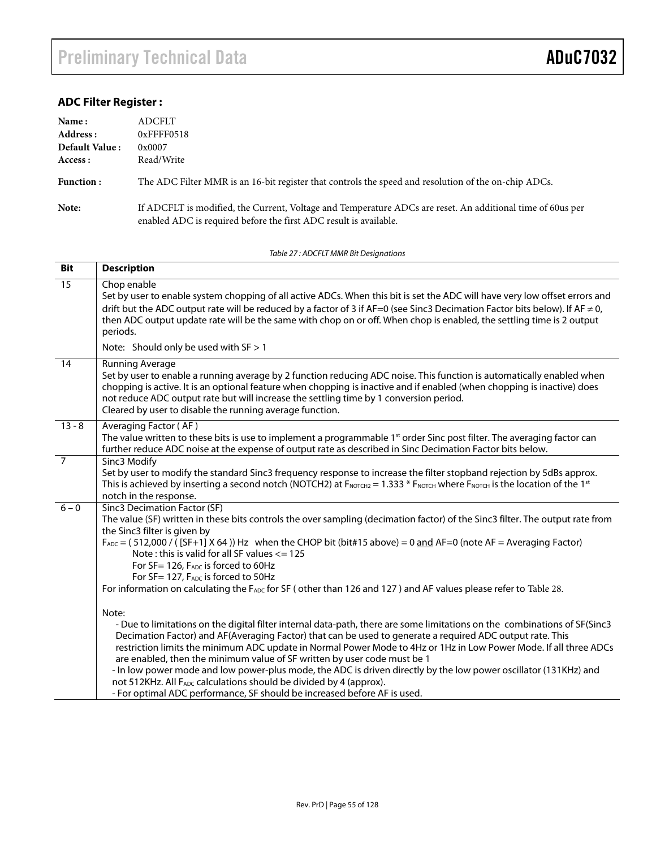## **ADC Filter Register :**

| Name:<br>Address :<br>Default Value:<br>Access : | <b>ADCFLT</b><br>$0x$ FFFF $0518$<br>0x0007<br>Read/Write                                                                                                                       |
|--------------------------------------------------|---------------------------------------------------------------------------------------------------------------------------------------------------------------------------------|
| <b>Function:</b>                                 | The ADC Filter MMR is an 16-bit register that controls the speed and resolution of the on-chip ADCs.                                                                            |
| Note:                                            | If ADCFLT is modified, the Current, Voltage and Temperature ADCs are reset. An additional time of 60us per<br>enabled ADC is required before the first ADC result is available. |

Table 27 : ADCFLT MMR Bit Designations

| <b>Bit</b>     | <b>Description</b>                                                                                                                                                                                                                                                                                                                                                                                                                                                                                                                                                                                                                                                                                                     |
|----------------|------------------------------------------------------------------------------------------------------------------------------------------------------------------------------------------------------------------------------------------------------------------------------------------------------------------------------------------------------------------------------------------------------------------------------------------------------------------------------------------------------------------------------------------------------------------------------------------------------------------------------------------------------------------------------------------------------------------------|
| 15             | Chop enable<br>Set by user to enable system chopping of all active ADCs. When this bit is set the ADC will have very low offset errors and<br>drift but the ADC output rate will be reduced by a factor of 3 if AF=0 (see Sinc3 Decimation Factor bits below). If AF $\neq$ 0,<br>then ADC output update rate will be the same with chop on or off. When chop is enabled, the settling time is 2 output<br>periods.                                                                                                                                                                                                                                                                                                    |
|                | Note: Should only be used with $SF > 1$                                                                                                                                                                                                                                                                                                                                                                                                                                                                                                                                                                                                                                                                                |
| 14             | <b>Running Average</b><br>Set by user to enable a running average by 2 function reducing ADC noise. This function is automatically enabled when<br>chopping is active. It is an optional feature when chopping is inactive and if enabled (when chopping is inactive) does<br>not reduce ADC output rate but will increase the settling time by 1 conversion period.<br>Cleared by user to disable the running average function.                                                                                                                                                                                                                                                                                       |
| $13 - 8$       | Averaging Factor (AF)<br>The value written to these bits is use to implement a programmable 1st order Sinc post filter. The averaging factor can<br>further reduce ADC noise at the expense of output rate as described in Sinc Decimation Factor bits below.                                                                                                                                                                                                                                                                                                                                                                                                                                                          |
| $\overline{7}$ | Sinc3 Modify<br>Set by user to modify the standard Sinc3 frequency response to increase the filter stopband rejection by 5dBs approx.<br>This is achieved by inserting a second notch (NOTCH2) at $F_{NOTCH2} = 1.333 * F_{NOTH}$ where $F_{NOTCH}$ is the location of the 1 <sup>st</sup><br>notch in the response.                                                                                                                                                                                                                                                                                                                                                                                                   |
| $6 - 0$        | Sinc3 Decimation Factor (SF)<br>The value (SF) written in these bits controls the over sampling (decimation factor) of the Sinc3 filter. The output rate from<br>the Sinc3 filter is given by<br>$F_{ADC} = (512,000 / (5F+1) X 64)$ Hz when the CHOP bit (bit#15 above) = 0 and AF=0 (note AF = Averaging Factor)<br>Note: this is valid for all SF values $\le$ = 125<br>For SF= 126, FADC is forced to 60Hz<br>For SF= 127, FADC is forced to 50Hz<br>For information on calculating the FADC for SF (other than 126 and 127) and AF values please refer to Table 28.                                                                                                                                               |
|                | Note:<br>- Due to limitations on the digital filter internal data-path, there are some limitations on the combinations of SF(Sinc3<br>Decimation Factor) and AF(Averaging Factor) that can be used to generate a required ADC output rate. This<br>restriction limits the minimum ADC update in Normal Power Mode to 4Hz or 1Hz in Low Power Mode. If all three ADCs<br>are enabled, then the minimum value of SF written by user code must be 1<br>- In low power mode and low power-plus mode, the ADC is driven directly by the low power oscillator (131KHz) and<br>not 512KHz. All FADC calculations should be divided by 4 (approx).<br>- For optimal ADC performance, SF should be increased before AF is used. |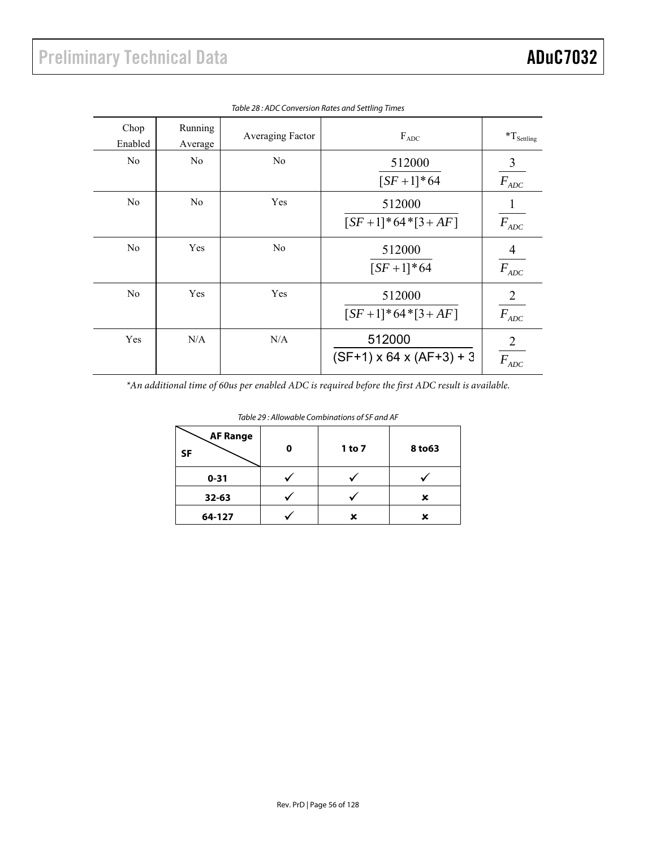| Chop<br>Enabled | <b>Running</b><br>Average | Averaging Factor | $F_{ADC}$                            | $T_{\text{Setting}}$        |
|-----------------|---------------------------|------------------|--------------------------------------|-----------------------------|
| N <sub>0</sub>  | N <sub>0</sub>            | N <sub>0</sub>   | 512000<br>$[SF+1]*64$                | 3<br>$F_{ADC}$              |
| N <sub>0</sub>  | N <sub>0</sub>            | Yes              | 512000<br>$[SF+1]*64*[3+AF]$         | $\bf{l}$<br>$F_{ADC}$       |
| N <sub>0</sub>  | Yes                       | N <sub>0</sub>   | 512000<br>$[SF+1]*64$                | 4<br>$F_{ADC}$              |
| N <sub>0</sub>  | Yes                       | Yes              | 512000<br>$[SF+1]*64*[3+AF]$         | $\overline{2}$<br>$F_{ADC}$ |
| Yes             | N/A                       | N/A              | 512000<br>$(SF+1)$ x 64 x (AF+3) + 3 | 2<br>$F_{ADC}$              |

Table 28 : ADC Conversion Rates and Settling Times

*\*An additional time of 60us per enabled ADC is required before the first ADC result is available.* 

| Table 29: Allowable Combinations of SF and AF |
|-----------------------------------------------|
|-----------------------------------------------|

| <b>AF Range</b><br><b>SF</b> | 1 to 7 | 8 to 63 |
|------------------------------|--------|---------|
| $0 - 31$                     |        |         |
| $32 - 63$                    |        | x       |
| 64-127                       |        |         |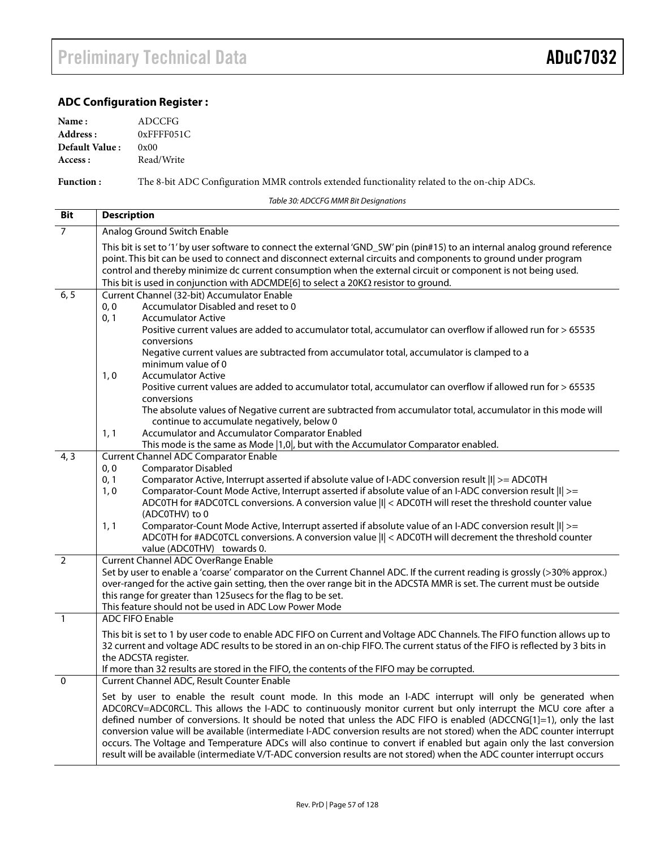### **ADC Configuration Register :**

| Name:          | ADCCFG           |
|----------------|------------------|
| Address :      | $0x$ FFFF051 $C$ |
| Default Value: | 0x00             |
| Access :       | Read/Write       |

**Function :** The 8-bit ADC Configuration MMR controls extended functionality related to the on-chip ADCs.

Table 30: ADCCFG MMR Bit Designations

| Bit            | <b>Description</b>                                                                                                                                                                                                                                                                                                                                                                                                                                                                                                                                                                                                                                                                                                                                                            |  |  |
|----------------|-------------------------------------------------------------------------------------------------------------------------------------------------------------------------------------------------------------------------------------------------------------------------------------------------------------------------------------------------------------------------------------------------------------------------------------------------------------------------------------------------------------------------------------------------------------------------------------------------------------------------------------------------------------------------------------------------------------------------------------------------------------------------------|--|--|
| $\overline{7}$ | Analog Ground Switch Enable                                                                                                                                                                                                                                                                                                                                                                                                                                                                                                                                                                                                                                                                                                                                                   |  |  |
|                | This bit is set to '1' by user software to connect the external 'GND_SW' pin (pin#15) to an internal analog ground reference<br>point. This bit can be used to connect and disconnect external circuits and components to ground under program<br>control and thereby minimize dc current consumption when the external circuit or component is not being used.<br>This bit is used in conjunction with ADCMDE[6] to select a 20K $\Omega$ resistor to ground.                                                                                                                                                                                                                                                                                                                |  |  |
| 6, 5           | Current Channel (32-bit) Accumulator Enable<br>Accumulator Disabled and reset to 0<br>0, 0<br>0, 1<br><b>Accumulator Active</b><br>Positive current values are added to accumulator total, accumulator can overflow if allowed run for > 65535<br>conversions<br>Negative current values are subtracted from accumulator total, accumulator is clamped to a<br>minimum value of 0<br>1, 0<br><b>Accumulator Active</b><br>Positive current values are added to accumulator total, accumulator can overflow if allowed run for > 65535<br>conversions<br>The absolute values of Negative current are subtracted from accumulator total, accumulator in this mode will                                                                                                          |  |  |
|                | continue to accumulate negatively, below 0<br>Accumulator and Accumulator Comparator Enabled<br>1, 1<br>This mode is the same as Mode   1,0 , but with the Accumulator Comparator enabled.                                                                                                                                                                                                                                                                                                                                                                                                                                                                                                                                                                                    |  |  |
| 4, 3           | <b>Current Channel ADC Comparator Enable</b><br>0, 0<br><b>Comparator Disabled</b><br>0, 1<br>Comparator Active, Interrupt asserted if absolute value of I-ADC conversion result  I  >= ADC0TH<br>1, 0<br>Comparator-Count Mode Active, Interrupt asserted if absolute value of an I-ADC conversion result    >=<br>ADC0TH for #ADC0TCL conversions. A conversion value  I  < ADC0TH will reset the threshold counter value<br>(ADC0THV) to 0                                                                                                                                                                                                                                                                                                                                 |  |  |
|                | 1, 1<br>Comparator-Count Mode Active, Interrupt asserted if absolute value of an I-ADC conversion result    >=<br>ADC0TH for #ADC0TCL conversions. A conversion value  I  < ADC0TH will decrement the threshold counter<br>value (ADCOTHV) towards 0.                                                                                                                                                                                                                                                                                                                                                                                                                                                                                                                         |  |  |
| $\overline{2}$ | Current Channel ADC OverRange Enable<br>Set by user to enable a 'coarse' comparator on the Current Channel ADC. If the current reading is grossly (>30% approx.)<br>over-ranged for the active gain setting, then the over range bit in the ADCSTA MMR is set. The current must be outside<br>this range for greater than 125 usecs for the flag to be set.<br>This feature should not be used in ADC Low Power Mode                                                                                                                                                                                                                                                                                                                                                          |  |  |
| $\overline{1}$ | <b>ADC FIFO Enable</b><br>This bit is set to 1 by user code to enable ADC FIFO on Current and Voltage ADC Channels. The FIFO function allows up to<br>32 current and voltage ADC results to be stored in an on-chip FIFO. The current status of the FIFO is reflected by 3 bits in<br>the ADCSTA register.<br>If more than 32 results are stored in the FIFO, the contents of the FIFO may be corrupted.                                                                                                                                                                                                                                                                                                                                                                      |  |  |
| $\overline{0}$ | Current Channel ADC, Result Counter Enable<br>Set by user to enable the result count mode. In this mode an I-ADC interrupt will only be generated when<br>ADCORCV=ADCORCL. This allows the I-ADC to continuously monitor current but only interrupt the MCU core after a<br>defined number of conversions. It should be noted that unless the ADC FIFO is enabled (ADCCNG[1]=1), only the last<br>conversion value will be available (intermediate I-ADC conversion results are not stored) when the ADC counter interrupt<br>occurs. The Voltage and Temperature ADCs will also continue to convert if enabled but again only the last conversion<br>result will be available (intermediate V/T-ADC conversion results are not stored) when the ADC counter interrupt occurs |  |  |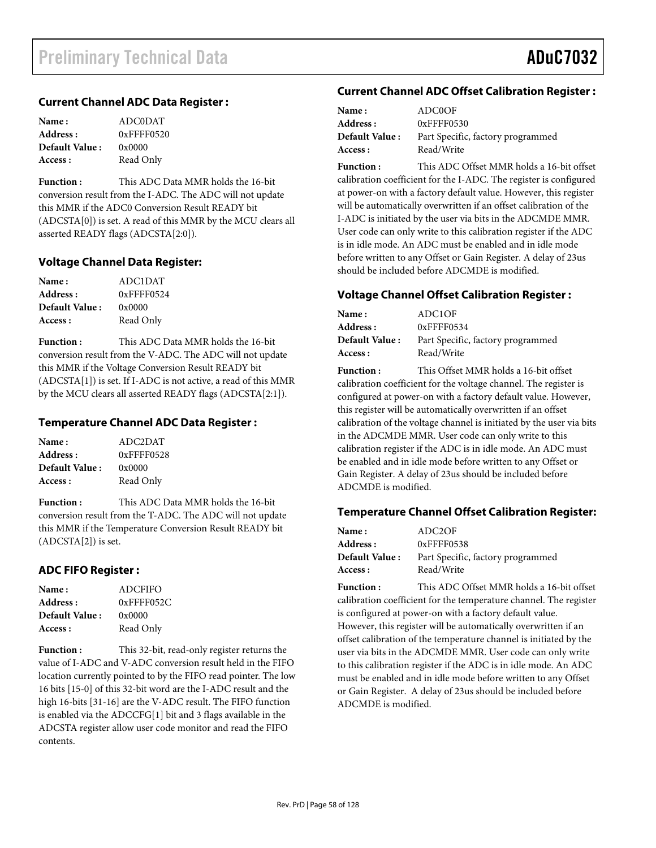#### **Current Channel ADC Data Register :**

| Name:          | ADCODAT          |
|----------------|------------------|
| Address:       | $0x$ FFFF $0520$ |
| Default Value: | 0x0000           |
| Access :       | Read Only        |

**Function :** This ADC Data MMR holds the 16-bit conversion result from the I-ADC. The ADC will not update this MMR if the ADC0 Conversion Result READY bit (ADCSTA[0]) is set. A read of this MMR by the MCU clears all asserted READY flags (ADCSTA[2:0]).

#### **Voltage Channel Data Register:**

| Name:          | ADC1DAT          |
|----------------|------------------|
| Address:       | $0x$ FFFF $0524$ |
| Default Value: | 0x0000           |
| Access :       | Read Only        |

**Function :** This ADC Data MMR holds the 16-bit conversion result from the V-ADC. The ADC will not update this MMR if the Voltage Conversion Result READY bit (ADCSTA[1]) is set. If I-ADC is not active, a read of this MMR by the MCU clears all asserted READY flags (ADCSTA[2:1]).

#### **Temperature Channel ADC Data Register :**

| Name:          | ADC2DAT          |
|----------------|------------------|
| Address:       | $0x$ FFFF $0528$ |
| Default Value: | 0x0000           |
| Access :       | Read Only        |

**Function :** This ADC Data MMR holds the 16-bit conversion result from the T-ADC. The ADC will not update this MMR if the Temperature Conversion Result READY bit (ADCSTA[2]) is set.

#### **ADC FIFO Register :**

| Name:          | <b>ADCFIFO</b>   |
|----------------|------------------|
| Address:       | $0x$ FFFF $052C$ |
| Default Value: | 0x0000           |
| Access :       | Read Only        |

**Function :** This 32-bit, read-only register returns the value of I-ADC and V-ADC conversion result held in the FIFO location currently pointed to by the FIFO read pointer. The low 16 bits [15-0] of this 32-bit word are the I-ADC result and the high 16-bits [31-16] are the V-ADC result. The FIFO function is enabled via the ADCCFG[1] bit and 3 flags available in the ADCSTA register allow user code monitor and read the FIFO contents.

#### **Current Channel ADC Offset Calibration Register :**

| Name:                 | ADC0OF                            |
|-----------------------|-----------------------------------|
| Address :             | $0x$ FFFF $0530$                  |
| <b>Default Value:</b> | Part Specific, factory programmed |
| Access :              | Read/Write                        |

**Function :** This ADC Offset MMR holds a 16-bit offset calibration coefficient for the I-ADC. The register is configured at power-on with a factory default value. However, this register will be automatically overwritten if an offset calibration of the I-ADC is initiated by the user via bits in the ADCMDE MMR. User code can only write to this calibration register if the ADC is in idle mode. An ADC must be enabled and in idle mode before written to any Offset or Gain Register. A delay of 23us should be included before ADCMDE is modified.

#### **Voltage Channel Offset Calibration Register :**

| <b>Name :</b>          | ADC1OF                            |
|------------------------|-----------------------------------|
| <b>Address :</b>       | $0x$ FFFF $0534$                  |
| <b>Default Value :</b> | Part Specific, factory programmed |
| Access :               | Read/Write                        |

**Function :** This Offset MMR holds a 16-bit offset calibration coefficient for the voltage channel. The register is configured at power-on with a factory default value. However, this register will be automatically overwritten if an offset calibration of the voltage channel is initiated by the user via bits in the ADCMDE MMR. User code can only write to this calibration register if the ADC is in idle mode. An ADC must be enabled and in idle mode before written to any Offset or Gain Register. A delay of 23us should be included before ADCMDE is modified.

#### **Temperature Channel Offset Calibration Register:**

| Name:                 | ADC <sub>2</sub> OF               |
|-----------------------|-----------------------------------|
| Address:              | $0x$ FFFF $0538$                  |
| <b>Default Value:</b> | Part Specific, factory programmed |
| Access :              | Read/Write                        |

**Function :** This ADC Offset MMR holds a 16-bit offset calibration coefficient for the temperature channel. The register is configured at power-on with a factory default value. However, this register will be automatically overwritten if an offset calibration of the temperature channel is initiated by the user via bits in the ADCMDE MMR. User code can only write to this calibration register if the ADC is in idle mode. An ADC must be enabled and in idle mode before written to any Offset or Gain Register. A delay of 23us should be included before ADCMDE is modified.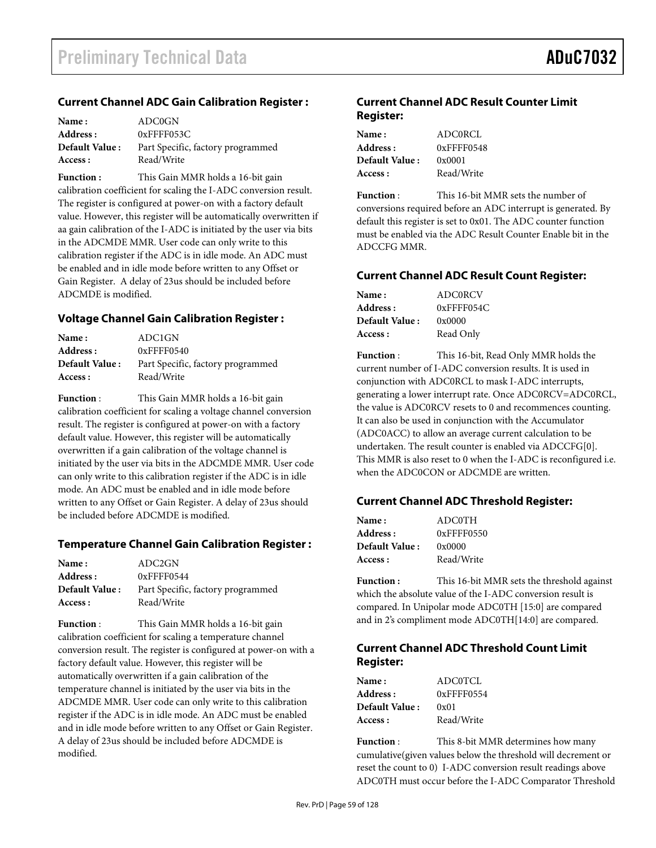#### **Current Channel ADC Gain Calibration Register :**

| Name:                 | <b>ADC0GN</b>                     |
|-----------------------|-----------------------------------|
| Address:              | $0x$ FFFF053C                     |
| <b>Default Value:</b> | Part Specific, factory programmed |
| Access :              | Read/Write                        |
|                       |                                   |

**Function :** This Gain MMR holds a 16-bit gain calibration coefficient for scaling the I-ADC conversion result. The register is configured at power-on with a factory default value. However, this register will be automatically overwritten if aa gain calibration of the I-ADC is initiated by the user via bits in the ADCMDE MMR. User code can only write to this calibration register if the ADC is in idle mode. An ADC must be enabled and in idle mode before written to any Offset or Gain Register. A delay of 23us should be included before ADCMDE is modified.

#### **Voltage Channel Gain Calibration Register :**

| Name:                 | ADC1GN                            |
|-----------------------|-----------------------------------|
| Address :             | $0x$ FFFF $0540$                  |
| <b>Default Value:</b> | Part Specific, factory programmed |
| Access :              | Read/Write                        |

**Function** : This Gain MMR holds a 16-bit gain calibration coefficient for scaling a voltage channel conversion result. The register is configured at power-on with a factory default value. However, this register will be automatically overwritten if a gain calibration of the voltage channel is initiated by the user via bits in the ADCMDE MMR. User code can only write to this calibration register if the ADC is in idle mode. An ADC must be enabled and in idle mode before written to any Offset or Gain Register. A delay of 23us should be included before ADCMDE is modified.

#### **Temperature Channel Gain Calibration Register :**

| Name:                 | ADC2GN                            |
|-----------------------|-----------------------------------|
| Address :             | 0xFFFF0544                        |
| <b>Default Value:</b> | Part Specific, factory programmed |
| Access :              | Read/Write                        |

**Function** : This Gain MMR holds a 16-bit gain calibration coefficient for scaling a temperature channel conversion result. The register is configured at power-on with a factory default value. However, this register will be automatically overwritten if a gain calibration of the temperature channel is initiated by the user via bits in the ADCMDE MMR. User code can only write to this calibration register if the ADC is in idle mode. An ADC must be enabled and in idle mode before written to any Offset or Gain Register. A delay of 23us should be included before ADCMDE is modified.

#### **Current Channel ADC Result Counter Limit Register:**

| <b>Name :</b>          | ADC0RCL          |
|------------------------|------------------|
| <b>Address :</b>       | $0x$ FFFF $0548$ |
| <b>Default Value :</b> | 0x0001           |
| Access :               | Read/Write       |

**Function** : This 16-bit MMR sets the number of conversions required before an ADC interrupt is generated. By default this register is set to 0x01. The ADC counter function must be enabled via the ADC Result Counter Enable bit in the ADCCFG MMR.

#### **Current Channel ADC Result Count Register:**

| Name:          | <b>ADCORCV</b>   |
|----------------|------------------|
| Address:       | $0x$ FFFF $054C$ |
| Default Value: | 0x0000           |
| Access :       | Read Only        |

**Function** : This 16-bit, Read Only MMR holds the current number of I-ADC conversion results. It is used in conjunction with ADC0RCL to mask I-ADC interrupts, generating a lower interrupt rate. Once ADC0RCV=ADC0RCL, the value is ADC0RCV resets to 0 and recommences counting. It can also be used in conjunction with the Accumulator (ADC0ACC) to allow an average current calculation to be undertaken. The result counter is enabled via ADCCFG[0]. This MMR is also reset to 0 when the I-ADC is reconfigured i.e. when the ADC0CON or ADCMDE are written.

#### **Current Channel ADC Threshold Register:**

| Name:          | <b>ADC0TH</b>    |
|----------------|------------------|
| Address :      | $0x$ FFFF $0550$ |
| Default Value: | 0x0000           |
| Access :       | Read/Write       |

**Function :** This 16-bit MMR sets the threshold against which the absolute value of the I-ADC conversion result is compared. In Unipolar mode ADC0TH [15:0] are compared and in 2's compliment mode ADC0TH[14:0] are compared.

#### **Current Channel ADC Threshold Count Limit Register:**

| <b>Name :</b>         | ADC0TCL       |
|-----------------------|---------------|
| <b>Address :</b>      | $0x$ FFFF0554 |
| <b>Default Value:</b> | 0x01          |
| <b>Access :</b>       | Read/Write    |

**Function** : This 8-bit MMR determines how many cumulative(given values below the threshold will decrement or reset the count to 0) I-ADC conversion result readings above ADC0TH must occur before the I-ADC Comparator Threshold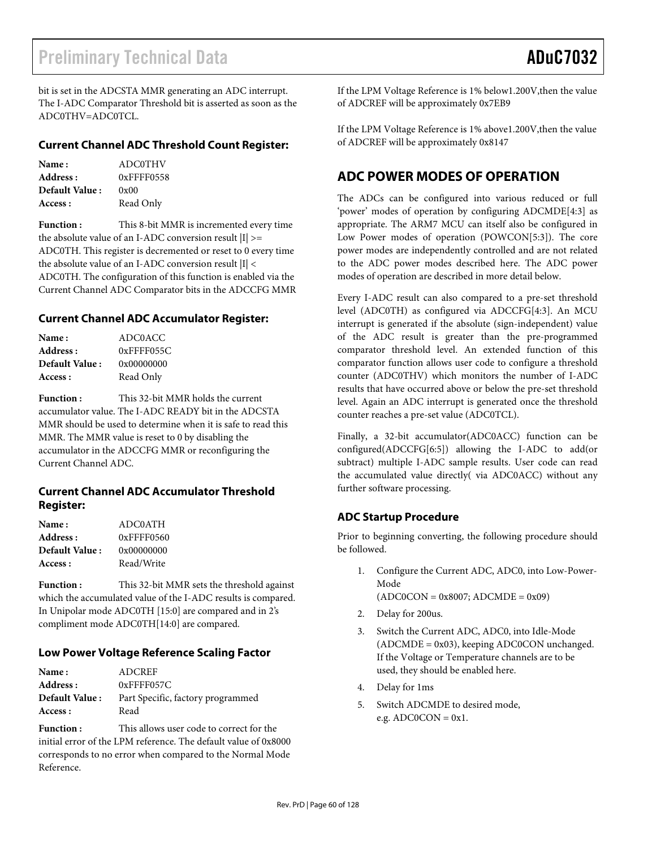bit is set in the ADCSTA MMR generating an ADC interrupt. The I-ADC Comparator Threshold bit is asserted as soon as the ADC0THV=ADC0TCL.

#### **Current Channel ADC Threshold Count Register:**

| <b>Name:</b>          | <b>ADC0THV</b>   |
|-----------------------|------------------|
| Address :             | $0x$ FFFF $0558$ |
| <b>Default Value:</b> | 0x00             |
| Access :              | Read Only        |

**Function :** This 8-bit MMR is incremented every time the absolute value of an I-ADC conversion result  $|I|$  >= ADC0TH. This register is decremented or reset to 0 every time the absolute value of an I-ADC conversion result |I| < ADC0TH. The configuration of this function is enabled via the Current Channel ADC Comparator bits in the ADCCFG MMR

#### **Current Channel ADC Accumulator Register:**

| <b>Name:</b>   | ADC0ACC          |
|----------------|------------------|
| Address :      | $0x$ FFFF $055C$ |
| Default Value: | 0x00000000       |
| Access :       | Read Only        |

**Function :** This 32-bit MMR holds the current accumulator value. The I-ADC READY bit in the ADCSTA MMR should be used to determine when it is safe to read this MMR. The MMR value is reset to 0 by disabling the accumulator in the ADCCFG MMR or reconfiguring the Current Channel ADC.

### **Current Channel ADC Accumulator Threshold Register:**

| <b>Name:</b>   | ADC0ATH       |
|----------------|---------------|
| Address :      | $0x$ FFFF0560 |
| Default Value: | 0x00000000    |
| Access :       | Read/Write    |

**Function :** This 32-bit MMR sets the threshold against which the accumulated value of the I-ADC results is compared. In Unipolar mode ADC0TH [15:0] are compared and in 2's compliment mode ADC0TH[14:0] are compared.

#### **Low Power Voltage Reference Scaling Factor**

| Name:                 | ADCREF                            |
|-----------------------|-----------------------------------|
| Address:              | $0x$ FFFF $057C$                  |
| <b>Default Value:</b> | Part Specific, factory programmed |
| Access :              | Read                              |

**Function :** This allows user code to correct for the initial error of the LPM reference. The default value of 0x8000 corresponds to no error when compared to the Normal Mode Reference.

If the LPM Voltage Reference is 1% below1.200V,then the value of ADCREF will be approximately 0x7EB9

If the LPM Voltage Reference is 1% above1.200V,then the value of ADCREF will be approximately 0x8147

### **ADC POWER MODES OF OPERATION**

The ADCs can be configured into various reduced or full 'power' modes of operation by configuring ADCMDE[4:3] as appropriate. The ARM7 MCU can itself also be configured in Low Power modes of operation (POWCON[5:3]). The core power modes are independently controlled and are not related to the ADC power modes described here. The ADC power modes of operation are described in more detail below.

Every I-ADC result can also compared to a pre-set threshold level (ADC0TH) as configured via ADCCFG[4:3]. An MCU interrupt is generated if the absolute (sign-independent) value of the ADC result is greater than the pre-programmed comparator threshold level. An extended function of this comparator function allows user code to configure a threshold counter (ADC0THV) which monitors the number of I-ADC results that have occurred above or below the pre-set threshold level. Again an ADC interrupt is generated once the threshold counter reaches a pre-set value (ADC0TCL).

Finally, a 32-bit accumulator(ADC0ACC) function can be configured(ADCCFG[6:5]) allowing the I-ADC to add(or subtract) multiple I-ADC sample results. User code can read the accumulated value directly( via ADC0ACC) without any further software processing.

#### **ADC Startup Procedure**

Prior to beginning converting, the following procedure should be followed.

- 1. Configure the Current ADC, ADC0, into Low-Power-Mode  $(ADCOCON = 0x8007; ADCMDE = 0x09)$ 
	-
- 2. Delay for 200us.
- 3. Switch the Current ADC, ADC0, into Idle-Mode  $(ADCMDE = 0x03)$ , keeping ADC0CON unchanged. If the Voltage or Temperature channels are to be used, they should be enabled here.
- 4. Delay for 1ms
- 5. Switch ADCMDE to desired mode, e.g.  $ADCOCON = 0x1$ .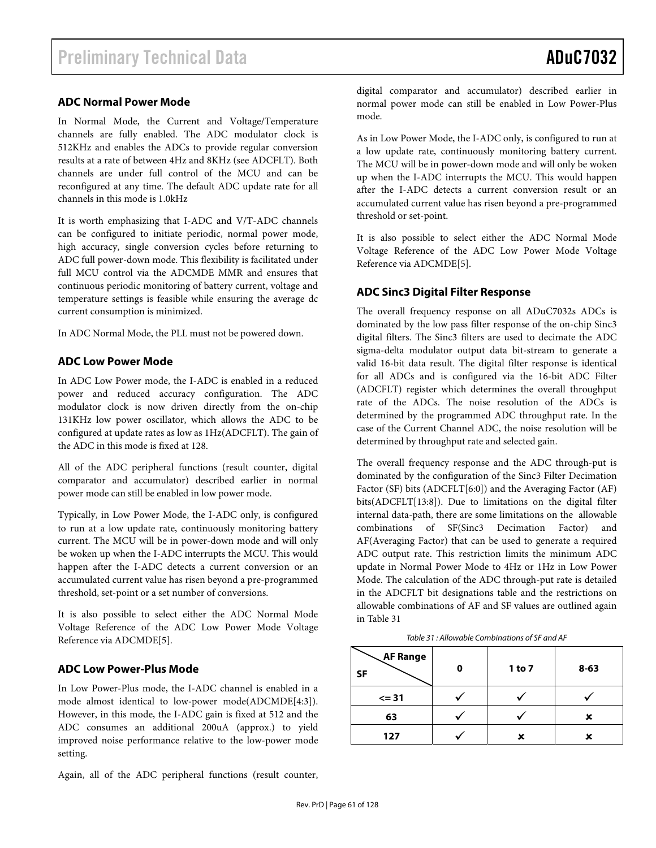#### **ADC Normal Power Mode**

In Normal Mode, the Current and Voltage/Temperature channels are fully enabled. The ADC modulator clock is 512KHz and enables the ADCs to provide regular conversion results at a rate of between 4Hz and 8KHz (see ADCFLT). Both channels are under full control of the MCU and can be reconfigured at any time. The default ADC update rate for all channels in this mode is 1.0kHz

It is worth emphasizing that I-ADC and V/T-ADC channels can be configured to initiate periodic, normal power mode, high accuracy, single conversion cycles before returning to ADC full power-down mode. This flexibility is facilitated under full MCU control via the ADCMDE MMR and ensures that continuous periodic monitoring of battery current, voltage and temperature settings is feasible while ensuring the average dc current consumption is minimized.

In ADC Normal Mode, the PLL must not be powered down.

#### **ADC Low Power Mode**

In ADC Low Power mode, the I-ADC is enabled in a reduced power and reduced accuracy configuration. The ADC modulator clock is now driven directly from the on-chip 131KHz low power oscillator, which allows the ADC to be configured at update rates as low as 1Hz(ADCFLT). The gain of the ADC in this mode is fixed at 128.

All of the ADC peripheral functions (result counter, digital comparator and accumulator) described earlier in normal power mode can still be enabled in low power mode.

Typically, in Low Power Mode, the I-ADC only, is configured to run at a low update rate, continuously monitoring battery current. The MCU will be in power-down mode and will only be woken up when the I-ADC interrupts the MCU. This would happen after the I-ADC detects a current conversion or an accumulated current value has risen beyond a pre-programmed threshold, set-point or a set number of conversions.

It is also possible to select either the ADC Normal Mode Voltage Reference of the ADC Low Power Mode Voltage Reference via ADCMDE[5].

#### **ADC Low Power-Plus Mode**

In Low Power-Plus mode, the I-ADC channel is enabled in a mode almost identical to low-power mode(ADCMDE[4:3]). However, in this mode, the I-ADC gain is fixed at 512 and the ADC consumes an additional 200uA (approx.) to yield improved noise performance relative to the low-power mode setting.

Again, all of the ADC peripheral functions (result counter,

digital comparator and accumulator) described earlier in normal power mode can still be enabled in Low Power-Plus mode.

As in Low Power Mode, the I-ADC only, is configured to run at a low update rate, continuously monitoring battery current. The MCU will be in power-down mode and will only be woken up when the I-ADC interrupts the MCU. This would happen after the I-ADC detects a current conversion result or an accumulated current value has risen beyond a pre-programmed threshold or set-point.

It is also possible to select either the ADC Normal Mode Voltage Reference of the ADC Low Power Mode Voltage Reference via ADCMDE[5].

#### **ADC Sinc3 Digital Filter Response**

The overall frequency response on all ADuC7032s ADCs is dominated by the low pass filter response of the on-chip Sinc3 digital filters. The Sinc3 filters are used to decimate the ADC sigma-delta modulator output data bit-stream to generate a valid 16-bit data result. The digital filter response is identical for all ADCs and is configured via the 16-bit ADC Filter (ADCFLT) register which determines the overall throughput rate of the ADCs. The noise resolution of the ADCs is determined by the programmed ADC throughput rate. In the case of the Current Channel ADC, the noise resolution will be determined by throughput rate and selected gain.

The overall frequency response and the ADC through-put is dominated by the configuration of the Sinc3 Filter Decimation Factor (SF) bits (ADCFLT[6:0]) and the Averaging Factor (AF) bits(ADCFLT[13:8]). Due to limitations on the digital filter internal data-path, there are some limitations on the allowable combinations of SF(Sinc3 Decimation Factor) and AF(Averaging Factor) that can be used to generate a required ADC output rate. This restriction limits the minimum ADC update in Normal Power Mode to 4Hz or 1Hz in Low Power Mode. The calculation of the ADC through-put rate is detailed in the ADCFLT bit designations table and the restrictions on allowable combinations of AF and SF values are outlined again in Table 31

| <b>AF Range</b><br><b>SF</b> | 0 | 1 to 7 | $8 - 63$ |
|------------------------------|---|--------|----------|
| $= 31$                       |   |        |          |
| 63                           |   |        |          |
| 127                          |   |        |          |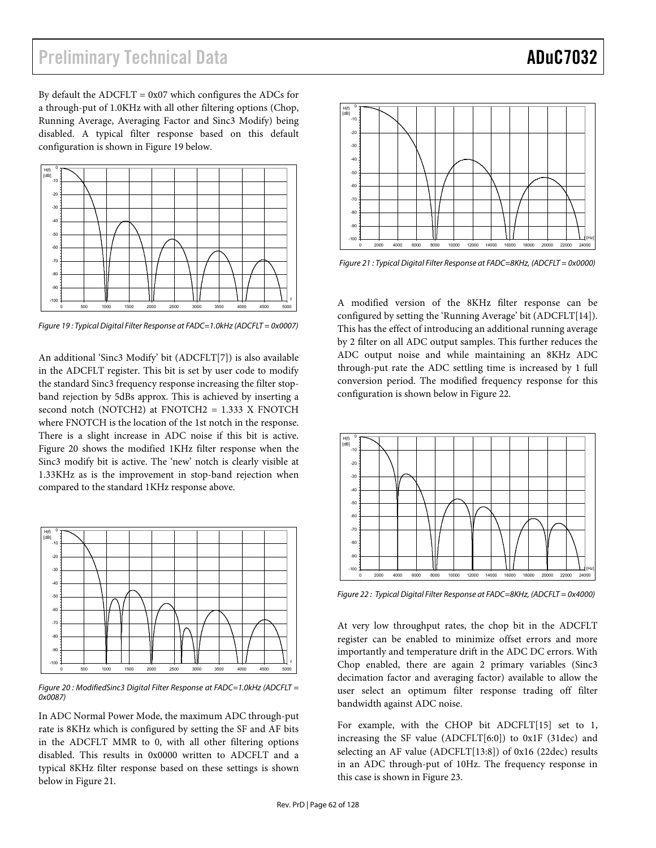By default the ADCFLT =  $0x07$  which configures the ADCs for a through-put of 1.0KHz with all other filtering options (Chop, Running Average, Averaging Factor and Sinc3 Modify) being disabled. A typical filter response based on this default configuration is shown in Figure 19 below.



Figure 19 : Typical Digital Filter Response at FADC=1.0kHz (ADCFLT = 0x0007)

An additional 'Sinc3 Modify' bit (ADCFLT[7]) is also available in the ADCFLT register. This bit is set by user code to modify the standard Sinc3 frequency response increasing the filter stopband rejection by 5dBs approx. This is achieved by inserting a second notch (NOTCH2) at FNOTCH2 = 1.333 X FNOTCH where FNOTCH is the location of the 1st notch in the response. There is a slight increase in ADC noise if this bit is active. Figure 20 shows the modified 1KHz filter response when the Sinc3 modify bit is active. The 'new' notch is clearly visible at 1.33KHz as is the improvement in stop-band rejection when compared to the standard 1KHz response above.



Figure 20 : ModifiedSinc3 Digital Filter Response at FADC=1.0kHz (ADCFLT = 0x0087)

In ADC Normal Power Mode, the maximum ADC through-put rate is 8KHz which is configured by setting the SF and AF bits in the ADCFLT MMR to 0, with all other filtering options disabled. This results in 0x0000 written to ADCFLT and a typical 8KHz filter response based on these settings is shown below in Figure 21.



Figure 21 : Typical Digital Filter Response at FADC=8KHz, (ADCFLT = 0x0000)

A modified version of the 8KHz filter response can be configured by setting the 'Running Average' bit (ADCFLT[14]). This has the effect of introducing an additional running average by 2 filter on all ADC output samples. This further reduces the ADC output noise and while maintaining an 8KHz ADC through-put rate the ADC settling time is increased by 1 full conversion period. The modified frequency response for this configuration is shown below in Figure 22.



Figure 22 : Typical Digital Filter Response at FADC=8KHz, (ADCFLT = 0x4000)

At very low throughput rates, the chop bit in the ADCFLT register can be enabled to minimize offset errors and more importantly and temperature drift in the ADC DC errors. With Chop enabled, there are again 2 primary variables (Sinc3 decimation factor and averaging factor) available to allow the user select an optimum filter response trading off filter bandwidth against ADC noise.

For example, with the CHOP bit ADCFLT[15] set to 1, increasing the SF value (ADCFLT[6:0]) to 0x1F (31dec) and selecting an AF value (ADCFLT[13:8]) of 0x16 (22dec) results in an ADC through-put of 10Hz. The frequency response in this case is shown in Figure 23.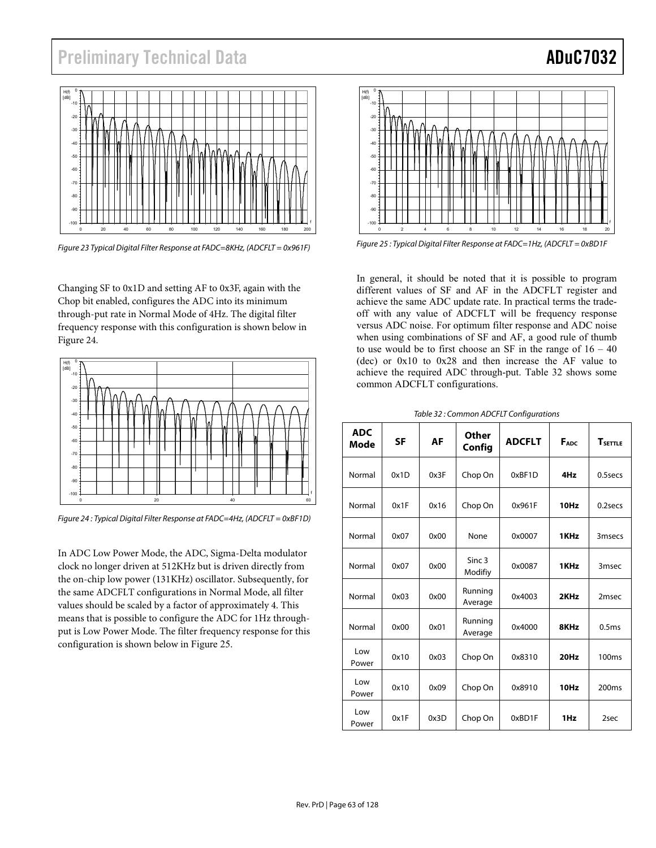

Figure 23 Typical Digital Filter Response at FADC=8KHz, (ADCFLT = 0x961F)

Changing SF to 0x1D and setting AF to 0x3F, again with the Chop bit enabled, configures the ADC into its minimum through-put rate in Normal Mode of 4Hz. The digital filter frequency response with this configuration is shown below in Figure 24.



Figure 24 : Typical Digital Filter Response at FADC=4Hz, (ADCFLT = 0xBF1D)

In ADC Low Power Mode, the ADC, Sigma-Delta modulator clock no longer driven at 512KHz but is driven directly from the on-chip low power (131KHz) oscillator. Subsequently, for the same ADCFLT configurations in Normal Mode, all filter values should be scaled by a factor of approximately 4. This means that is possible to configure the ADC for 1Hz throughput is Low Power Mode. The filter frequency response for this configuration is shown below in Figure 25.



Figure 25 : Typical Digital Filter Response at FADC=1Hz, (ADCFLT = 0xBD1F

In general, it should be noted that it is possible to program different values of SF and AF in the ADCFLT register and achieve the same ADC update rate. In practical terms the tradeoff with any value of ADCFLT will be frequency response versus ADC noise. For optimum filter response and ADC noise when using combinations of SF and AF, a good rule of thumb to use would be to first choose an SF in the range of  $16 - 40$ (dec) or 0x10 to 0x28 and then increase the AF value to achieve the required ADC through-put. Table 32 shows some common ADCFLT configurations.

| <b>ADC</b><br>Mode | <b>SF</b> | AF   | Other<br>Config              | <b>ADCFLT</b> | FADC | TSETTLE            |
|--------------------|-----------|------|------------------------------|---------------|------|--------------------|
| Normal             | 0x1D      | 0x3F | Chop On                      | 0xBF1D        | 4Hz  | $0.5$ secs         |
| Normal             | 0x1F      | 0x16 | Chop On                      | 0x961F        | 10Hz | 0.2secs            |
| Normal             | 0x07      | 0x00 | None                         | 0x0007        | 1KHz | 3 <sub>msecs</sub> |
| Normal             | 0x07      | 0x00 | Sinc <sub>3</sub><br>Modifiy | 0x0087        | 1KHz | 3 <sub>msec</sub>  |
| Normal             | 0x03      | 0x00 | Running<br>Average           | 0x4003        | 2KHz | 2 <sub>msec</sub>  |
| Normal             | 0x00      | 0x01 | Running<br>Average           | 0x4000        | 8KHz | 0.5ms              |
| l ow<br>Power      | 0x10      | 0x03 | Chop On                      | 0x8310        | 20Hz | 100 <sub>ms</sub>  |
| Low<br>Power       | 0x10      | 0x09 | Chop On                      | 0x8910        | 10Hz | 200 <sub>ms</sub>  |
| Low<br>Power       | 0x1F      | 0x3D | Chop On                      | 0xBD1F        | 1Hz  | 2sec               |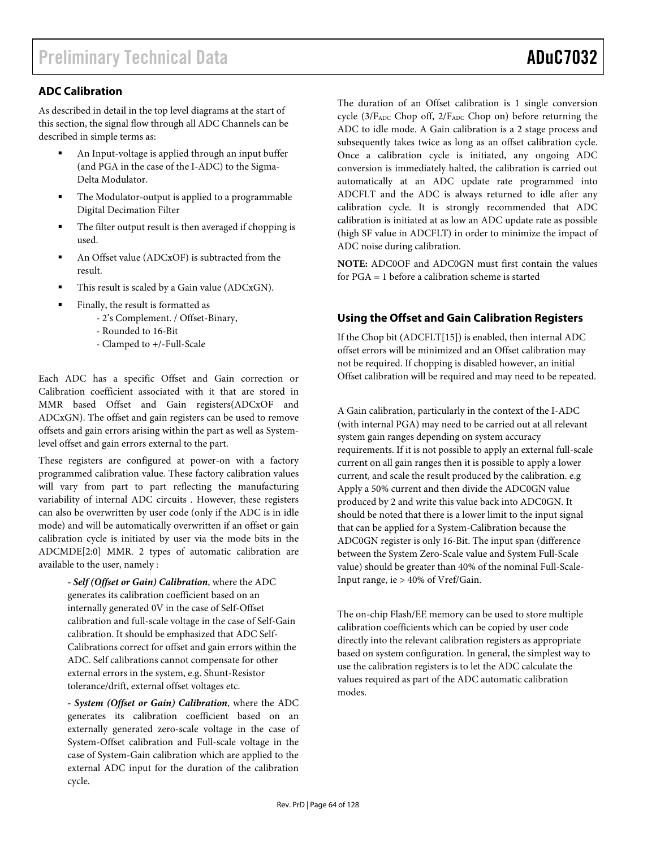### **ADC Calibration**

As described in detail in the top level diagrams at the start of this section, the signal flow through all ADC Channels can be described in simple terms as:

- An Input-voltage is applied through an input buffer (and PGA in the case of the I-ADC) to the Sigma-Delta Modulator.
- The Modulator-output is applied to a programmable Digital Decimation Filter
- The filter output result is then averaged if chopping is used.
- An Offset value (ADCxOF) is subtracted from the result.
- This result is scaled by a Gain value (ADCxGN).
- Finally, the result is formatted as
	- 2's Complement. / Offset-Binary,
	- Rounded to 16-Bit
	- Clamped to +/-Full-Scale

Each ADC has a specific Offset and Gain correction or Calibration coefficient associated with it that are stored in MMR based Offset and Gain registers(ADCxOF and ADCxGN). The offset and gain registers can be used to remove offsets and gain errors arising within the part as well as Systemlevel offset and gain errors external to the part.

These registers are configured at power-on with a factory programmed calibration value. These factory calibration values will vary from part to part reflecting the manufacturing variability of internal ADC circuits . However, these registers can also be overwritten by user code (only if the ADC is in idle mode) and will be automatically overwritten if an offset or gain calibration cycle is initiated by user via the mode bits in the ADCMDE[2:0] MMR. 2 types of automatic calibration are available to the user, namely :

> *- Self (Offset or Gain) Calibration*, where the ADC generates its calibration coefficient based on an internally generated 0V in the case of Self-Offset calibration and full-scale voltage in the case of Self-Gain calibration. It should be emphasized that ADC Self-Calibrations correct for offset and gain errors within the ADC. Self calibrations cannot compensate for other external errors in the system, e.g. Shunt-Resistor tolerance/drift, external offset voltages etc.

*- System (Offset or Gain) Calibration*, where the ADC generates its calibration coefficient based on an externally generated zero-scale voltage in the case of System-Offset calibration and Full-scale voltage in the case of System-Gain calibration which are applied to the external ADC input for the duration of the calibration cycle.

The duration of an Offset calibration is 1 single conversion cycle ( $3/F<sub>ADC</sub>$  Chop off,  $2/F<sub>ADC</sub>$  Chop on) before returning the ADC to idle mode. A Gain calibration is a 2 stage process and subsequently takes twice as long as an offset calibration cycle. Once a calibration cycle is initiated, any ongoing ADC conversion is immediately halted, the calibration is carried out automatically at an ADC update rate programmed into ADCFLT and the ADC is always returned to idle after any calibration cycle. It is strongly recommended that ADC calibration is initiated at as low an ADC update rate as possible (high SF value in ADCFLT) in order to minimize the impact of ADC noise during calibration.

**NOTE:** ADC0OF and ADC0GN must first contain the values for PGA = 1 before a calibration scheme is started

### **Using the Offset and Gain Calibration Registers**

If the Chop bit (ADCFLT[15]) is enabled, then internal ADC offset errors will be minimized and an Offset calibration may not be required. If chopping is disabled however, an initial Offset calibration will be required and may need to be repeated.

A Gain calibration, particularly in the context of the I-ADC (with internal PGA) may need to be carried out at all relevant system gain ranges depending on system accuracy requirements. If it is not possible to apply an external full-scale current on all gain ranges then it is possible to apply a lower current, and scale the result produced by the calibration. e.g Apply a 50% current and then divide the ADC0GN value produced by 2 and write this value back into ADC0GN. It should be noted that there is a lower limit to the input signal that can be applied for a System-Calibration because the ADC0GN register is only 16-Bit. The input span (difference between the System Zero-Scale value and System Full-Scale value) should be greater than 40% of the nominal Full-Scale-Input range, ie > 40% of Vref/Gain.

The on-chip Flash/EE memory can be used to store multiple calibration coefficients which can be copied by user code directly into the relevant calibration registers as appropriate based on system configuration. In general, the simplest way to use the calibration registers is to let the ADC calculate the values required as part of the ADC automatic calibration modes.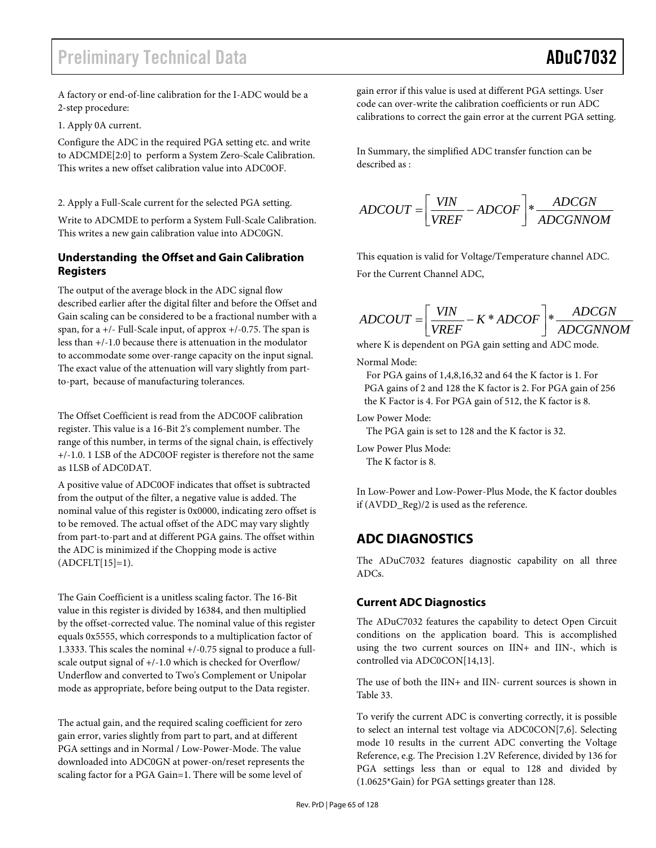A factory or end-of-line calibration for the I-ADC would be a 2-step procedure:

1. Apply 0A current.

Configure the ADC in the required PGA setting etc. and write to ADCMDE[2:0] to perform a System Zero-Scale Calibration. This writes a new offset calibration value into ADC0OF.

2. Apply a Full-Scale current for the selected PGA setting.

Write to ADCMDE to perform a System Full-Scale Calibration. This writes a new gain calibration value into ADC0GN.

### **Understanding the Offset and Gain Calibration Registers**

The output of the average block in the ADC signal flow described earlier after the digital filter and before the Offset and Gain scaling can be considered to be a fractional number with a span, for a +/- Full-Scale input, of approx +/-0.75. The span is less than +/-1.0 because there is attenuation in the modulator to accommodate some over-range capacity on the input signal. The exact value of the attenuation will vary slightly from partto-part, because of manufacturing tolerances.

The Offset Coefficient is read from the ADC0OF calibration register. This value is a 16-Bit 2's complement number. The range of this number, in terms of the signal chain, is effectively +/-1.0. 1 LSB of the ADC0OF register is therefore not the same as 1LSB of ADC0DAT.

A positive value of ADC0OF indicates that offset is subtracted from the output of the filter, a negative value is added. The nominal value of this register is 0x0000, indicating zero offset is to be removed. The actual offset of the ADC may vary slightly from part-to-part and at different PGA gains. The offset within the ADC is minimized if the Chopping mode is active  $(ADCFLT[15]=1).$ 

The Gain Coefficient is a unitless scaling factor. The 16-Bit value in this register is divided by 16384, and then multiplied by the offset-corrected value. The nominal value of this register equals 0x5555, which corresponds to a multiplication factor of 1.3333. This scales the nominal +/-0.75 signal to produce a fullscale output signal of +/-1.0 which is checked for Overflow/ Underflow and converted to Two's Complement or Unipolar mode as appropriate, before being output to the Data register.

The actual gain, and the required scaling coefficient for zero gain error, varies slightly from part to part, and at different PGA settings and in Normal / Low-Power-Mode. The value downloaded into ADC0GN at power-on/reset represents the scaling factor for a PGA Gain=1. There will be some level of

gain error if this value is used at different PGA settings. User code can over-write the calibration coefficients or run ADC calibrations to correct the gain error at the current PGA setting.

In Summary, the simplified ADC transfer function can be described as :

$$
ADCOUT = \left[\frac{VIN}{VREF} - ADCOF\right] * \frac{ADCGN}{ADCGNNOM}
$$

This equation is valid for Voltage/Temperature channel ADC. For the Current Channel ADC,

$$
ADCOUT = \left[\frac{VIN}{VREF} - K * ADCOF\right] * \frac{ADCGN}{ADCGNNOM}
$$

where K is dependent on PGA gain setting and ADC mode.

Normal Mode:

 For PGA gains of 1,4,8,16,32 and 64 the K factor is 1. For PGA gains of 2 and 128 the K factor is 2. For PGA gain of 256 the K Factor is 4. For PGA gain of 512, the K factor is 8.

Low Power Mode:

The PGA gain is set to 128 and the K factor is 32.

Low Power Plus Mode:

The K factor is 8.

In Low-Power and Low-Power-Plus Mode, the K factor doubles if (AVDD\_Reg)/2 is used as the reference.

## **ADC DIAGNOSTICS**

The ADuC7032 features diagnostic capability on all three ADCs.

### **Current ADC Diagnostics**

The ADuC7032 features the capability to detect Open Circuit conditions on the application board. This is accomplished using the two current sources on IIN+ and IIN-, which is controlled via ADC0CON[14,13].

The use of both the IIN+ and IIN- current sources is shown in Table 33.

To verify the current ADC is converting correctly, it is possible to select an internal test voltage via ADC0CON[7,6]. Selecting mode 10 results in the current ADC converting the Voltage Reference, e.g. The Precision 1.2V Reference, divided by 136 for PGA settings less than or equal to 128 and divided by (1.0625\*Gain) for PGA settings greater than 128.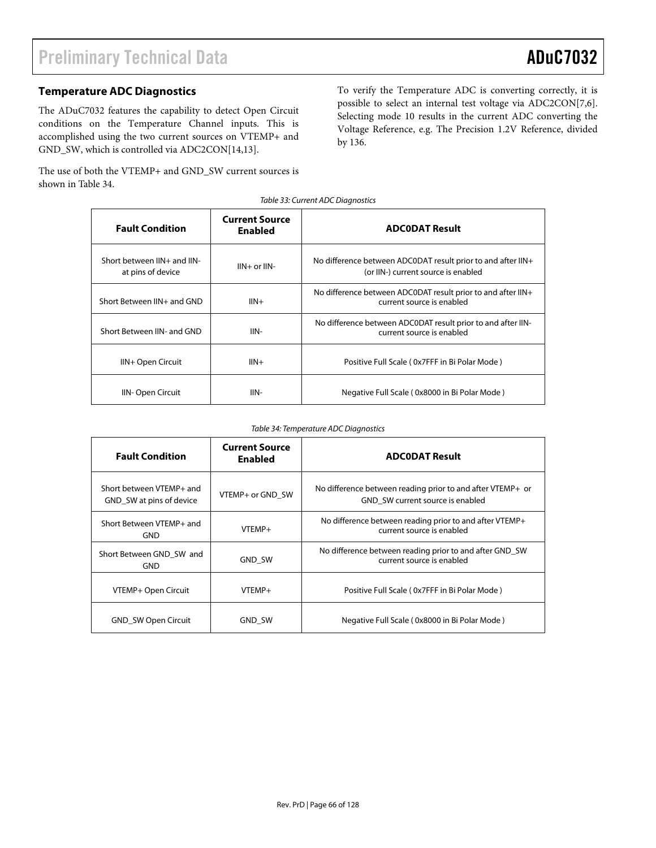#### **Temperature ADC Diagnostics**

The ADuC7032 features the capability to detect Open Circuit conditions on the Temperature Channel inputs. This is accomplished using the two current sources on VTEMP+ and GND\_SW, which is controlled via ADC2CON[14,13].

The use of both the VTEMP+ and GND\_SW current sources is shown in Table 34.

To verify the Temperature ADC is converting correctly, it is possible to select an internal test voltage via ADC2CON[7,6]. Selecting mode 10 results in the current ADC converting the Voltage Reference, e.g. The Precision 1.2V Reference, divided by 136.

| <b>Fault Condition</b>                           | <b>Current Source</b><br><b>Enabled</b> | <b>ADCODAT Result</b>                                                                               |  |
|--------------------------------------------------|-----------------------------------------|-----------------------------------------------------------------------------------------------------|--|
| Short between IIN+ and IIN-<br>at pins of device | $III + or III -$                        | No difference between ADC0DAT result prior to and after IIN+<br>(or IIN-) current source is enabled |  |
| Short Between IIN+ and GND                       | $IIIN+$                                 | No difference between ADCODAT result prior to and after IIN+<br>current source is enabled           |  |
| Short Between IIN- and GND                       | $III$ -                                 | No difference between ADCODAT result prior to and after IIN-<br>current source is enabled           |  |
| IIN+ Open Circuit                                | $IIIN+$                                 | Positive Full Scale (0x7FFF in Bi Polar Mode)                                                       |  |
| IIN-Open Circuit                                 | IIN-                                    | Negative Full Scale (0x8000 in Bi Polar Mode)                                                       |  |

Table 33: Current ADC Diagnostics

#### Table 34: Temperature ADC Diagnostics

| <b>Fault Condition</b>                               | <b>Current Source</b><br>Enabled | <b>ADCODAT Result</b>                                                                          |
|------------------------------------------------------|----------------------------------|------------------------------------------------------------------------------------------------|
| Short between VTFMP+ and<br>GND_SW at pins of device | VTEMP+ or GND SW                 | No difference between reading prior to and after VTEMP+ or<br>GND SW current source is enabled |
| Short Between VTEMP+ and<br><b>GND</b>               | VTEMP+                           | No difference between reading prior to and after VTEMP+<br>current source is enabled           |
| Short Between GND SW and<br><b>GND</b>               | <b>GND SW</b>                    | No difference between reading prior to and after GND_SW<br>current source is enabled           |
| VTEMP+ Open Circuit                                  | VTEMP+                           | Positive Full Scale (Ox7FFF in Bi Polar Mode)                                                  |
| <b>GND_SW Open Circuit</b>                           | <b>GND SW</b>                    | Negative Full Scale (0x8000 in Bi Polar Mode)                                                  |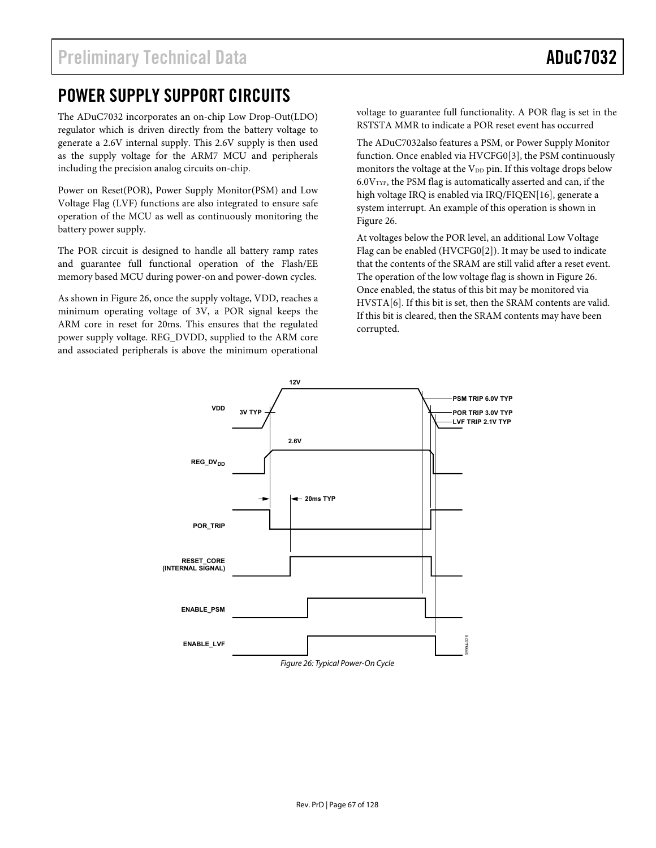## POWER SUPPLY SUPPORT CIRCUITS

The ADuC7032 incorporates an on-chip Low Drop-Out(LDO) regulator which is driven directly from the battery voltage to generate a 2.6V internal supply. This 2.6V supply is then used as the supply voltage for the ARM7 MCU and peripherals including the precision analog circuits on-chip.

Power on Reset(POR), Power Supply Monitor(PSM) and Low Voltage Flag (LVF) functions are also integrated to ensure safe operation of the MCU as well as continuously monitoring the battery power supply.

The POR circuit is designed to handle all battery ramp rates and guarantee full functional operation of the Flash/EE memory based MCU during power-on and power-down cycles.

As shown in Figure 26, once the supply voltage, VDD, reaches a minimum operating voltage of 3V, a POR signal keeps the ARM core in reset for 20ms. This ensures that the regulated power supply voltage. REG\_DVDD, supplied to the ARM core and associated peripherals is above the minimum operational voltage to guarantee full functionality. A POR flag is set in the RSTSTA MMR to indicate a POR reset event has occurred

The ADuC7032also features a PSM, or Power Supply Monitor function. Once enabled via HVCFG0[3], the PSM continuously monitors the voltage at the  $V_{DD}$  pin. If this voltage drops below  $6.0V<sub>TP</sub>$ , the PSM flag is automatically asserted and can, if the high voltage IRQ is enabled via IRQ/FIQEN[16], generate a system interrupt. An example of this operation is shown in Figure 26.

At voltages below the POR level, an additional Low Voltage Flag can be enabled (HVCFG0[2]). It may be used to indicate that the contents of the SRAM are still valid after a reset event. The operation of the low voltage flag is shown in Figure 26. Once enabled, the status of this bit may be monitored via HVSTA[6]. If this bit is set, then the SRAM contents are valid. If this bit is cleared, then the SRAM contents may have been corrupted.

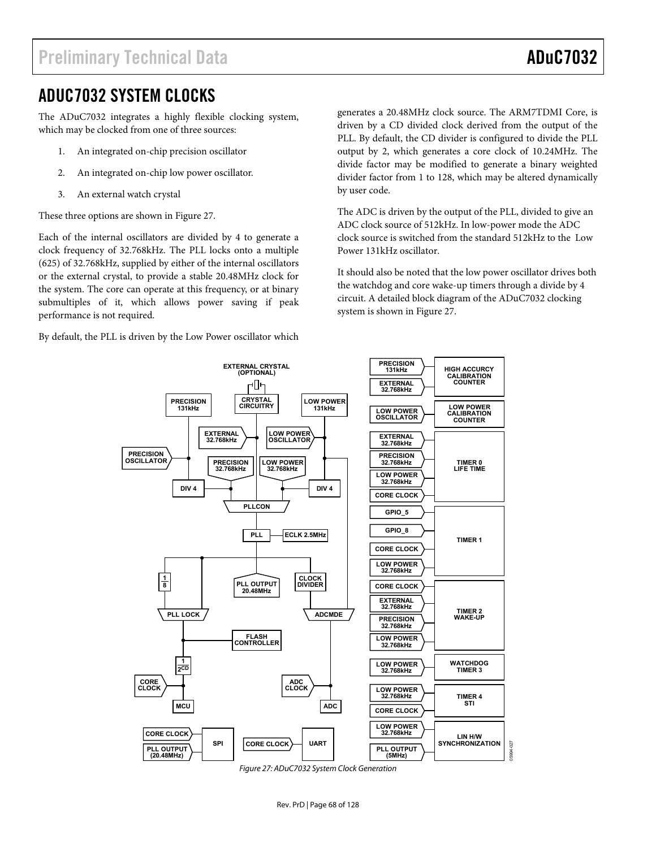## ADUC7032 SYSTEM CLOCKS

The ADuC7032 integrates a highly flexible clocking system, which may be clocked from one of three sources:

- 1. An integrated on-chip precision oscillator
- 2. An integrated on-chip low power oscillator.
- 3. An external watch crystal

These three options are shown in Figure 27.

Each of the internal oscillators are divided by 4 to generate a clock frequency of 32.768kHz. The PLL locks onto a multiple (625) of 32.768kHz, supplied by either of the internal oscillators or the external crystal, to provide a stable 20.48MHz clock for the system. The core can operate at this frequency, or at binary submultiples of it, which allows power saving if peak performance is not required.

By default, the PLL is driven by the Low Power oscillator which

generates a 20.48MHz clock source. The ARM7TDMI Core, is driven by a CD divided clock derived from the output of the PLL. By default, the CD divider is configured to divide the PLL output by 2, which generates a core clock of 10.24MHz. The divide factor may be modified to generate a binary weighted divider factor from 1 to 128, which may be altered dynamically by user code.

The ADC is driven by the output of the PLL, divided to give an ADC clock source of 512kHz. In low-power mode the ADC clock source is switched from the standard 512kHz to the Low Power 131kHz oscillator.

It should also be noted that the low power oscillator drives both the watchdog and core wake-up timers through a divide by 4 circuit. A detailed block diagram of the ADuC7032 clocking system is shown in Figure 27.



Figure 27: ADuC7032 System Clock Generation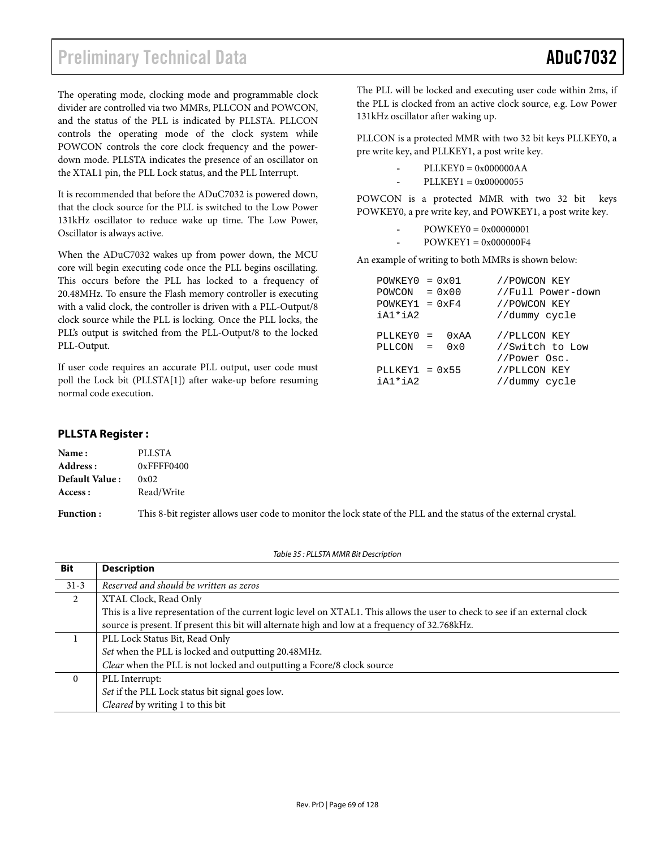The operating mode, clocking mode and programmable clock divider are controlled via two MMRs, PLLCON and POWCON, and the status of the PLL is indicated by PLLSTA. PLLCON controls the operating mode of the clock system while POWCON controls the core clock frequency and the powerdown mode. PLLSTA indicates the presence of an oscillator on the XTAL1 pin, the PLL Lock status, and the PLL Interrupt.

It is recommended that before the ADuC7032 is powered down, that the clock source for the PLL is switched to the Low Power 131kHz oscillator to reduce wake up time. The Low Power, Oscillator is always active.

When the ADuC7032 wakes up from power down, the MCU core will begin executing code once the PLL begins oscillating. This occurs before the PLL has locked to a frequency of 20.48MHz. To ensure the Flash memory controller is executing with a valid clock, the controller is driven with a PLL-Output/8 clock source while the PLL is locking. Once the PLL locks, the PLL's output is switched from the PLL-Output/8 to the locked PLL-Output.

If user code requires an accurate PLL output, user code must poll the Lock bit (PLLSTA[1]) after wake-up before resuming normal code execution.

The PLL will be locked and executing user code within 2ms, if the PLL is clocked from an active clock source, e.g. Low Power 131kHz oscillator after waking up.

PLLCON is a protected MMR with two 32 bit keys PLLKEY0, a pre write key, and PLLKEY1, a post write key.

- $\n PLLKEY0 = 0x000000AA$
- $PLLKEY1 = 0x00000055$

POWCON is a protected MMR with two 32 bit keys POWKEY0, a pre write key, and POWKEY1, a post write key.

- $POWKEY0 = 0x00000001$
- $POWKEY1 = 0x000000F4$

An example of writing to both MMRs is shown below:

| $POWKEY0 = 0x01$<br>$POWCON = 0x00$<br>$POWKEY1 = 0xF4$<br>$i$ A $1$ * $i$ A $2$ |                      | //POWCON KEY<br>//Full Power-down<br>//POWCON KEY<br>//dummy cycle               |
|----------------------------------------------------------------------------------|----------------------|----------------------------------------------------------------------------------|
| $PLLKEYO =$<br>PLLCON =<br>$PLLKEY1 = 0x55$<br>$i$ $A1$ * $i$ $A2$               | 0xAA<br>$0 \times 0$ | //PLLCON KEY<br>//Switch to Low<br>//Power Osc.<br>//PLLCON KEY<br>//dummy cycle |

#### **PLLSTA Register :**

| Name:            | <b>PLLSTA</b>                                                                                                     |
|------------------|-------------------------------------------------------------------------------------------------------------------|
| Address :        | $0x$ FFFF0400                                                                                                     |
| Default Value:   | 0x02                                                                                                              |
| Access :         | Read/Write                                                                                                        |
| <b>Function:</b> | This 8-bit register allows user code to monitor the lock state of the PLL and the status of the external crystal. |

Table 35 : PLLSTA MMR Bit Description

| Bit      | <b>Description</b>                                                                                                           |
|----------|------------------------------------------------------------------------------------------------------------------------------|
| $31 - 3$ | Reserved and should be written as zeros                                                                                      |
| 2        | XTAL Clock, Read Only                                                                                                        |
|          | This is a live representation of the current logic level on XTAL1. This allows the user to check to see if an external clock |
|          | source is present. If present this bit will alternate high and low at a frequency of 32.768kHz.                              |
|          | PLL Lock Status Bit, Read Only                                                                                               |
|          | Set when the PLL is locked and outputting 20.48MHz.                                                                          |
|          | Clear when the PLL is not locked and outputting a Fcore/8 clock source                                                       |
| $\Omega$ | PLL Interrupt:                                                                                                               |
|          | Set if the PLL Lock status bit signal goes low.                                                                              |
|          | Cleared by writing 1 to this bit                                                                                             |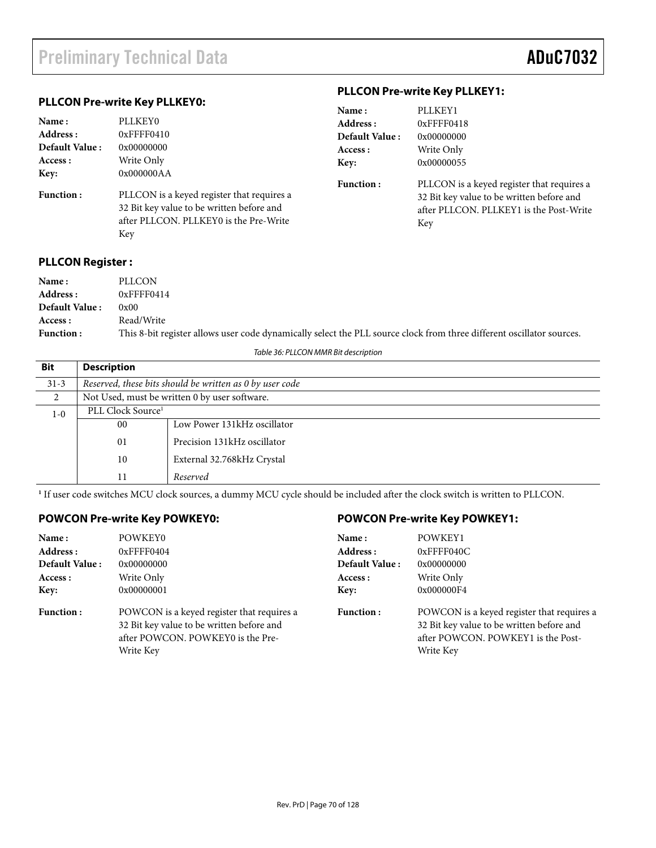#### **PLLCON Pre-write Key PLLKEY0:**

| <b>Name :</b>          | <b>PLLKEY0</b>                                                                                                                           |
|------------------------|------------------------------------------------------------------------------------------------------------------------------------------|
| <b>Address :</b>       | $0x$ FFFF0410                                                                                                                            |
| <b>Default Value :</b> | 0x00000000                                                                                                                               |
| <b>Access :</b>        | Write Only                                                                                                                               |
| Key:                   | 0x000000AA                                                                                                                               |
| <b>Function :</b>      | PLLCON is a keyed register that requires a<br>32 Bit key value to be written before and<br>after PLLCON. PLLKEY0 is the Pre-Write<br>Key |

#### **PLLCON Pre-write Key PLLKEY1:**

**POWCON Pre-write Key POWKEY1:** 

| Name:            | PLLKEY1                                                                                                                                   |
|------------------|-------------------------------------------------------------------------------------------------------------------------------------------|
| Address:         | $0x$ FFFF0418                                                                                                                             |
| Default Value:   | 0x00000000                                                                                                                                |
| Access:          | Write Only                                                                                                                                |
| Key:             | 0x00000055                                                                                                                                |
| <b>Function:</b> | PLLCON is a keyed register that requires a<br>32 Bit key value to be written before and<br>after PLLCON. PLLKEY1 is the Post-Write<br>Key |

### **PLLCON Register :**

| Name:                 | PLLCON                                                                                                                |
|-----------------------|-----------------------------------------------------------------------------------------------------------------------|
| Address :             | $0x$ FFFF $0414$                                                                                                      |
| <b>Default Value:</b> | 0x00                                                                                                                  |
| Access :              | Read/Write                                                                                                            |
| <b>Function:</b>      | This 8-bit register allows user code dynamically select the PLL source clock from three different oscillator sources. |

Table 36: PLLCON MMR Bit description

| <b>Bit</b> | <b>Description</b>                                       |                              |
|------------|----------------------------------------------------------|------------------------------|
| $31 - 3$   | Reserved, these bits should be written as 0 by user code |                              |
| 2          | Not Used, must be written 0 by user software.            |                              |
| $1-0$      | PLL Clock Source <sup>1</sup>                            |                              |
|            | 00                                                       | Low Power 131kHz oscillator  |
|            | 01                                                       | Precision 131 kHz oscillator |
|            | 10                                                       | External 32.768kHz Crystal   |
|            | 11                                                       | Reserved                     |

**1** If user code switches MCU clock sources, a dummy MCU cycle should be included after the clock switch is written to PLLCON.

### **POWCON Pre-write Key POWKEY0:**

| Name:            | POWKEY0                                                                                                                                   | Name:            | POWKEY1                                                                                                                                    |
|------------------|-------------------------------------------------------------------------------------------------------------------------------------------|------------------|--------------------------------------------------------------------------------------------------------------------------------------------|
|                  |                                                                                                                                           |                  |                                                                                                                                            |
| Address:         | $0x$ FFFF $0404$                                                                                                                          | Address :        | $0x$ FFFF040C                                                                                                                              |
| Default Value:   | 0x00000000                                                                                                                                | Default Value:   | 0x00000000                                                                                                                                 |
| Access :         | Write Only                                                                                                                                | Access :         | Write Only                                                                                                                                 |
| Key:             | 0x00000001                                                                                                                                | Key:             | 0x000000F4                                                                                                                                 |
| <b>Function:</b> | POWCON is a keyed register that requires a<br>32 Bit key value to be written before and<br>after POWCON. POWKEY0 is the Pre-<br>Write Key | <b>Function:</b> | POWCON is a keyed register that requires a<br>32 Bit key value to be written before and<br>after POWCON. POWKEY1 is the Post-<br>Write Key |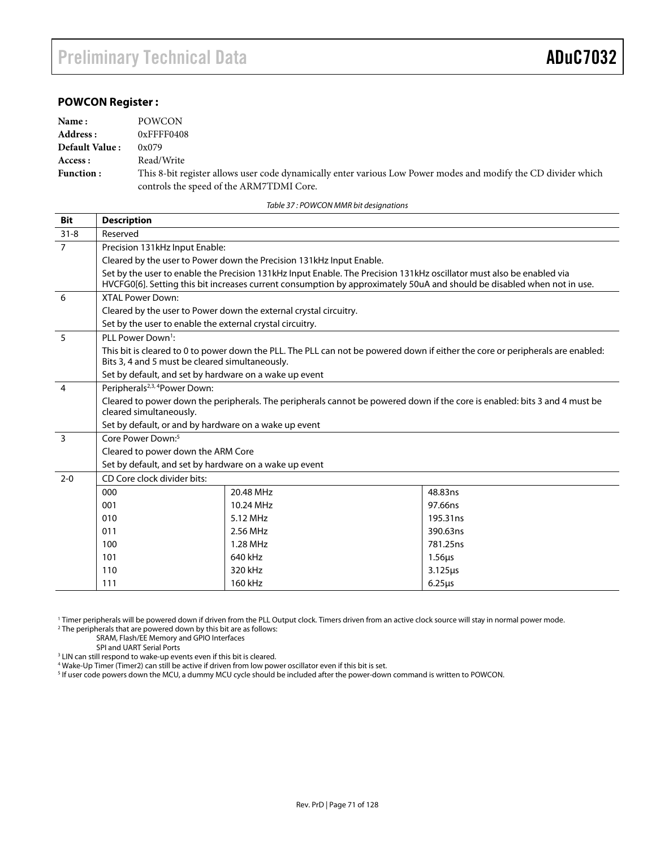#### **POWCON Register :**

| Name:                 | <b>POWCON</b>                                                                                                  |
|-----------------------|----------------------------------------------------------------------------------------------------------------|
| Address :             | $0x$ FFFF0408                                                                                                  |
| <b>Default Value:</b> | 0x079                                                                                                          |
| Access :              | Read/Write                                                                                                     |
| <b>Function:</b>      | This 8-bit register allows user code dynamically enter various Low Power modes and modify the CD divider which |
|                       | controls the speed of the ARM7TDMI Core.                                                                       |

Table 37 : POWCON MMR bit designations

| <b>Bit</b>     | <b>Description</b>                                                                                                                                                                                                                               |                                                                                                                            |              |  |
|----------------|--------------------------------------------------------------------------------------------------------------------------------------------------------------------------------------------------------------------------------------------------|----------------------------------------------------------------------------------------------------------------------------|--------------|--|
| $31 - 8$       | Reserved                                                                                                                                                                                                                                         |                                                                                                                            |              |  |
| $\overline{7}$ | Precision 131kHz Input Enable:                                                                                                                                                                                                                   |                                                                                                                            |              |  |
|                |                                                                                                                                                                                                                                                  | Cleared by the user to Power down the Precision 131kHz Input Enable.                                                       |              |  |
|                | Set by the user to enable the Precision 131kHz Input Enable. The Precision 131kHz oscillator must also be enabled via<br>HVCFG0[6]. Setting this bit increases current consumption by approximately 50uA and should be disabled when not in use. |                                                                                                                            |              |  |
| 6              | <b>XTAI Power Down:</b>                                                                                                                                                                                                                          |                                                                                                                            |              |  |
|                |                                                                                                                                                                                                                                                  | Cleared by the user to Power down the external crystal circuitry.                                                          |              |  |
|                | Set by the user to enable the external crystal circuitry.                                                                                                                                                                                        |                                                                                                                            |              |  |
| 5              | PH Power Down <sup>1</sup> :                                                                                                                                                                                                                     |                                                                                                                            |              |  |
|                | This bit is cleared to 0 to power down the PLL. The PLL can not be powered down if either the core or peripherals are enabled:<br>Bits 3, 4 and 5 must be cleared simultaneously.                                                                |                                                                                                                            |              |  |
|                | Set by default, and set by hardware on a wake up event                                                                                                                                                                                           |                                                                                                                            |              |  |
| $\overline{4}$ | Peripherals <sup>2,3, 4</sup> Power Down:                                                                                                                                                                                                        |                                                                                                                            |              |  |
|                | cleared simultaneously.                                                                                                                                                                                                                          | Cleared to power down the peripherals. The peripherals cannot be powered down if the core is enabled: bits 3 and 4 must be |              |  |
|                | Set by default, or and by hardware on a wake up event                                                                                                                                                                                            |                                                                                                                            |              |  |
| $\overline{3}$ | Core Power Down: <sup>5</sup>                                                                                                                                                                                                                    |                                                                                                                            |              |  |
|                | Cleared to power down the ARM Core                                                                                                                                                                                                               |                                                                                                                            |              |  |
|                | Set by default, and set by hardware on a wake up event                                                                                                                                                                                           |                                                                                                                            |              |  |
| $2 - 0$        | CD Core clock divider bits:                                                                                                                                                                                                                      |                                                                                                                            |              |  |
|                | 000                                                                                                                                                                                                                                              | 20.48 MHz                                                                                                                  | 48.83ns      |  |
|                | 001                                                                                                                                                                                                                                              | 10.24 MHz                                                                                                                  | 97.66ns      |  |
|                | 010                                                                                                                                                                                                                                              | 5.12 MHz                                                                                                                   | 195.31ns     |  |
|                | 011                                                                                                                                                                                                                                              | 2.56 MHz                                                                                                                   | 390.63ns     |  |
|                | 100                                                                                                                                                                                                                                              | 1.28 MHz                                                                                                                   | 781.25ns     |  |
|                | 101                                                                                                                                                                                                                                              | 640 kHz                                                                                                                    | $1.56\mu s$  |  |
|                | 110                                                                                                                                                                                                                                              | 320 kHz                                                                                                                    | $3.125\mu s$ |  |
|                | 111                                                                                                                                                                                                                                              | 160 kHz                                                                                                                    | $6.25\mu s$  |  |

<sup>1</sup> Timer peripherals will be powered down if driven from the PLL Output clock. Timers driven from an active clock source will stay in normal power mode.<br><sup>2</sup> The peripherals that are powered down by this bit are as follows

 $2$  The peripherals that are powered down by this bit are as follows:

SRAM, Flash/EE Memory and GPIO Interfaces<br>SPI and UART Serial Ports

SPI and UART Serial Ports 3 LIN can still respond to wake-up events even if this bit is cleared. 4 Wake-Up Timer (Timer2) can still be active if driven from low power oscillator even if this bit is set.

5 If user code powers down the MCU, a dummy MCU cycle should be included after the power-down command is written to POWCON.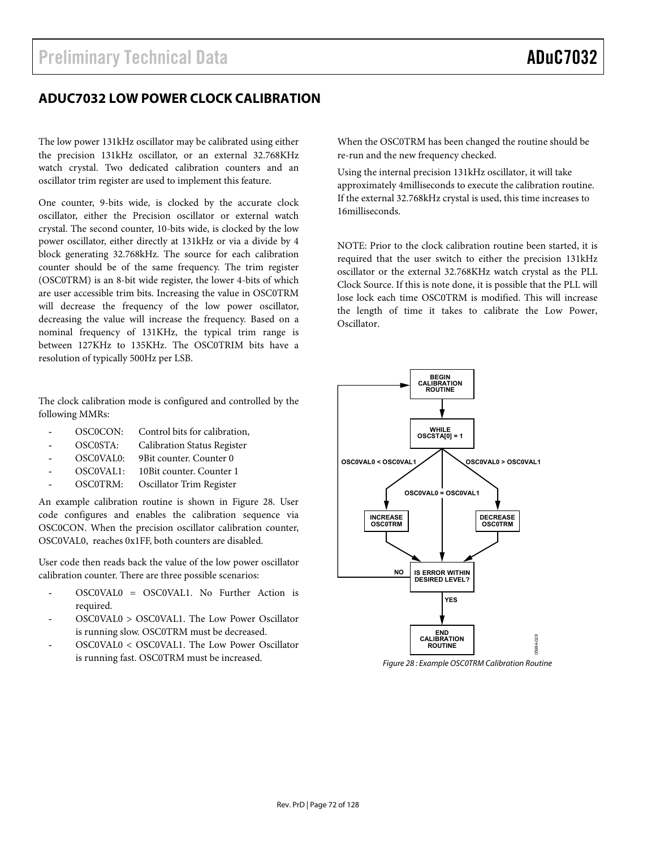## **ADUC7032 LOW POWER CLOCK CALIBRATION**

The low power 131kHz oscillator may be calibrated using either the precision 131kHz oscillator, or an external 32.768KHz watch crystal. Two dedicated calibration counters and an oscillator trim register are used to implement this feature.

One counter, 9-bits wide, is clocked by the accurate clock oscillator, either the Precision oscillator or external watch crystal. The second counter, 10-bits wide, is clocked by the low power oscillator, either directly at 131kHz or via a divide by 4 block generating 32.768kHz. The source for each calibration counter should be of the same frequency. The trim register (OSC0TRM) is an 8-bit wide register, the lower 4-bits of which are user accessible trim bits. Increasing the value in OSC0TRM will decrease the frequency of the low power oscillator, decreasing the value will increase the frequency. Based on a nominal frequency of 131KHz, the typical trim range is between 127KHz to 135KHz. The OSC0TRIM bits have a resolution of typically 500Hz per LSB.

The clock calibration mode is configured and controlled by the following MMRs:

- OSC0CON: Control bits for calibration,
- OSC0STA: Calibration Status Register
- OSC0VAL0: 9Bit counter. Counter 0
- OSC0VAL1: 10Bit counter. Counter 1
- OSC0TRM: Oscillator Trim Register

An example calibration routine is shown in Figure 28. User code configures and enables the calibration sequence via OSC0CON. When the precision oscillator calibration counter, OSC0VAL0, reaches 0x1FF, both counters are disabled.

User code then reads back the value of the low power oscillator calibration counter. There are three possible scenarios:

- OSC0VAL0 = OSC0VAL1. No Further Action is required.
- OSC0VAL0 > OSC0VAL1. The Low Power Oscillator is running slow. OSC0TRM must be decreased.
- OSC0VAL0 < OSC0VAL1. The Low Power Oscillator is running fast. OSC0TRM must be increased.

When the OSC0TRM has been changed the routine should be re-run and the new frequency checked.

Using the internal precision 131kHz oscillator, it will take approximately 4milliseconds to execute the calibration routine. If the external 32.768kHz crystal is used, this time increases to 16milliseconds.

NOTE: Prior to the clock calibration routine been started, it is required that the user switch to either the precision 131kHz oscillator or the external 32.768KHz watch crystal as the PLL Clock Source. If this is note done, it is possible that the PLL will lose lock each time OSC0TRM is modified. This will increase the length of time it takes to calibrate the Low Power, Oscillator.



Figure 28 : Example OSC0TRM Calibration Routine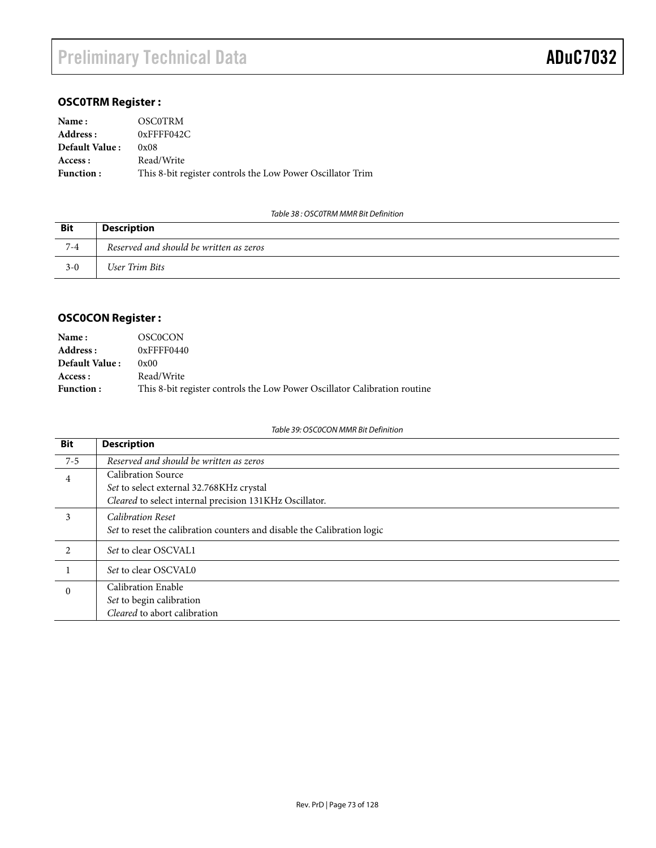## **OSC0TRM Register :**

| Name:                 | <b>OSCOTRM</b>                                             |
|-----------------------|------------------------------------------------------------|
| Address:              | $0x$ FFFF042 $C$                                           |
| <b>Default Value:</b> | 0x08                                                       |
| Access :              | Read/Write                                                 |
| <b>Function:</b>      | This 8-bit register controls the Low Power Oscillator Trim |

Table 38 : OSC0TRM MMR Bit Definition

| Bit     | <b>Description</b>                      |
|---------|-----------------------------------------|
| $7 - 4$ | Reserved and should be written as zeros |
| $3-0$   | User Trim Bits                          |

#### **OSC0CON Register :**

| Name:                 | <b>OSC0CON</b>                                                            |
|-----------------------|---------------------------------------------------------------------------|
| Address:              | $0x$ FFFF0440                                                             |
| <b>Default Value:</b> | 0x00                                                                      |
| Access :              | Read/Write                                                                |
| Function:             | This 8-bit register controls the Low Power Oscillator Calibration routine |

Table 39: OSC0CON MMR Bit Definition

| Reserved and should be written as zeros<br>$7 - 5$                                                                                    |  |
|---------------------------------------------------------------------------------------------------------------------------------------|--|
| <b>Calibration Source</b><br>4<br>Set to select external 32.768KHz crystal<br>Cleared to select internal precision 131KHz Oscillator. |  |
| <b>Calibration Reset</b><br>3<br>Set to reset the calibration counters and disable the Calibration logic                              |  |
| Set to clear OSCVAL1<br>2                                                                                                             |  |
| Set to clear OSCVAL0                                                                                                                  |  |
| Calibration Enable<br>$\theta$<br>Set to begin calibration<br>Cleared to abort calibration                                            |  |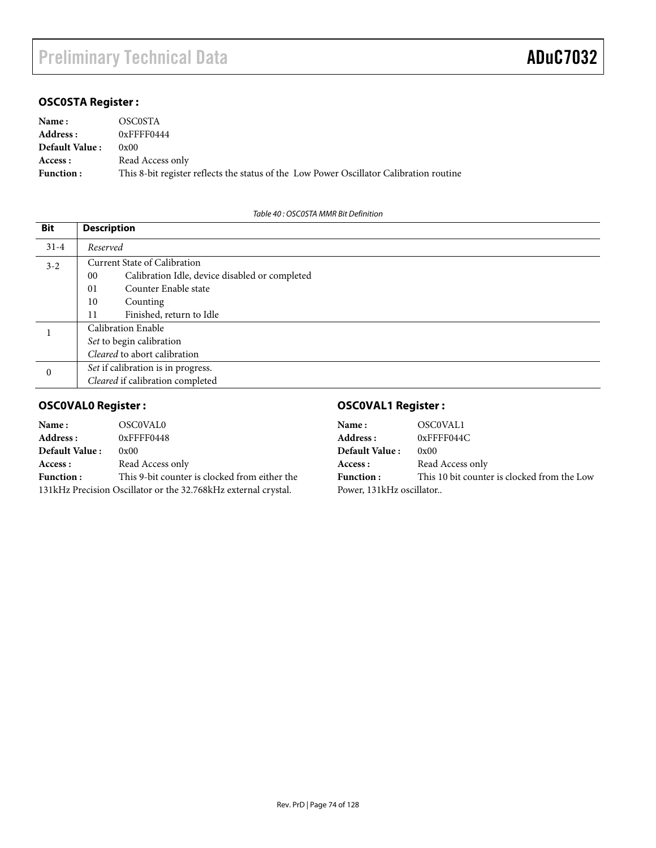# Preliminary Technical Data **ADuC7032**

## **OSC0STA Register :**

| Name:            | <b>OSCOSTA</b>                                                                          |
|------------------|-----------------------------------------------------------------------------------------|
| Address :        | $0x$ FFFF $0444$                                                                        |
| Default Value:   | 0x00                                                                                    |
| Access :         | Read Access only                                                                        |
| <b>Function:</b> | This 8-bit register reflects the status of the Low Power Oscillator Calibration routine |

Table 40 : OSC0STA MMR Bit Definition

| Bit                      | <b>Description</b>                                   |  |
|--------------------------|------------------------------------------------------|--|
| $31-4$                   | Reserved                                             |  |
| $3 - 2$                  | Current State of Calibration                         |  |
|                          | Calibration Idle, device disabled or completed<br>00 |  |
|                          | Counter Enable state<br>01                           |  |
|                          | 10<br>Counting                                       |  |
|                          | Finished, return to Idle<br>11                       |  |
|                          | Calibration Enable                                   |  |
| Set to begin calibration |                                                      |  |
|                          | Cleared to abort calibration                         |  |
|                          | Set if calibration is in progress.                   |  |
|                          | Cleared if calibration completed                     |  |

#### **OSC0VAL0 Register :**

| OSC0VAL0<br>Name:                                                 |               |  |
|-------------------------------------------------------------------|---------------|--|
| Address:                                                          | $0x$ FFFF0448 |  |
| Default Value:<br>0x00                                            |               |  |
| Read Access only<br>Access :                                      |               |  |
| This 9-bit counter is clocked from either the<br><b>Function:</b> |               |  |
| 131kHz Precision Oscillator or the 32.768kHz external crystal.    |               |  |

## **OSC0VAL1 Register :**

| <b>Name :</b>                                                    | OSC0VAL1         |  |
|------------------------------------------------------------------|------------------|--|
| <b>Address :</b>                                                 | 0xFFFF044C       |  |
| <b>Default Value :</b><br>0x00                                   |                  |  |
| <b>Access :</b>                                                  | Read Access only |  |
| This 10 bit counter is clocked from the Low<br><b>Function :</b> |                  |  |
| Power, 131kHz oscillator                                         |                  |  |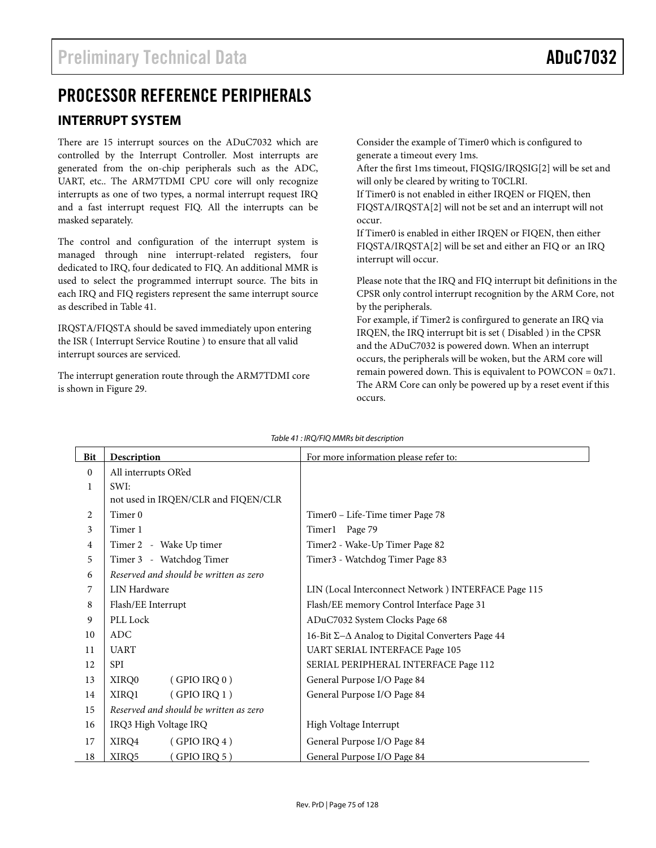# PROCESSOR REFERENCE PERIPHERALS

# **INTERRUPT SYSTEM**

There are 15 interrupt sources on the ADuC7032 which are controlled by the Interrupt Controller. Most interrupts are generated from the on-chip peripherals such as the ADC, UART, etc.. The ARM7TDMI CPU core will only recognize interrupts as one of two types, a normal interrupt request IRQ and a fast interrupt request FIQ. All the interrupts can be masked separately.

The control and configuration of the interrupt system is managed through nine interrupt-related registers, four dedicated to IRQ, four dedicated to FIQ. An additional MMR is used to select the programmed interrupt source. The bits in each IRQ and FIQ registers represent the same interrupt source as described in Table 41.

IRQSTA/FIQSTA should be saved immediately upon entering the ISR ( Interrupt Service Routine ) to ensure that all valid interrupt sources are serviced.

The interrupt generation route through the ARM7TDMI core is shown in Figure 29.

Consider the example of Timer0 which is configured to generate a timeout every 1ms.

After the first 1ms timeout, FIQSIG/IRQSIG[2] will be set and will only be cleared by writing to T0CLRI.

If Timer0 is not enabled in either IRQEN or FIQEN, then FIQSTA/IRQSTA[2] will not be set and an interrupt will not occur.

If Timer0 is enabled in either IRQEN or FIQEN, then either FIQSTA/IRQSTA[2] will be set and either an FIQ or an IRQ interrupt will occur.

Please note that the IRQ and FIQ interrupt bit definitions in the CPSR only control interrupt recognition by the ARM Core, not by the peripherals.

For example, if Timer2 is confirgured to generate an IRQ via IRQEN, the IRQ interrupt bit is set ( Disabled ) in the CPSR and the ADuC7032 is powered down. When an interrupt occurs, the peripherals will be woken, but the ARM core will remain powered down. This is equivalent to POWCON = 0x71. The ARM Core can only be powered up by a reset event if this occurs.

| <b>Bit</b>   | Description                            | For more information please refer to:                           |
|--------------|----------------------------------------|-----------------------------------------------------------------|
| $\mathbf{0}$ | All interrupts OR'ed                   |                                                                 |
| 1            | SWI:                                   |                                                                 |
|              | not used in IRQEN/CLR and FIQEN/CLR    |                                                                 |
| 2            | Timer <sub>0</sub>                     | Timer0 - Life-Time timer Page 78                                |
| 3            | Timer 1                                | Timer1 Page 79                                                  |
| 4            | Timer 2 - Wake Up timer                | Timer2 - Wake-Up Timer Page 82                                  |
| 5            | Timer 3 - Watchdog Timer               | Timer3 - Watchdog Timer Page 83                                 |
| 6            | Reserved and should be written as zero |                                                                 |
| 7            | LIN Hardware                           | LIN (Local Interconnect Network) INTERFACE Page 115             |
| 8            | Flash/EE Interrupt                     | Flash/EE memory Control Interface Page 31                       |
| 9            | PLL Lock                               | ADuC7032 System Clocks Page 68                                  |
| 10           | <b>ADC</b>                             | 16-Bit $\Sigma$ – $\Delta$ Analog to Digital Converters Page 44 |
| 11           | <b>UART</b>                            | <b>UART SERIAL INTERFACE Page 105</b>                           |
| 12           | <b>SPI</b>                             | SERIAL PERIPHERAL INTERFACE Page 112                            |
| 13           | (GPIO IRQ 0)<br>XIRQ0                  | General Purpose I/O Page 84                                     |
| 14           | (GPIO IRQ 1)<br>XIRQ1                  | General Purpose I/O Page 84                                     |
| 15           | Reserved and should be written as zero |                                                                 |
| 16           | IRQ3 High Voltage IRQ                  | High Voltage Interrupt                                          |
| 17           | (GPIO IRQ 4)<br>XIRQ4                  | General Purpose I/O Page 84                                     |
| 18           | XIRQ5<br>GPIO IRQ 5)                   | General Purpose I/O Page 84                                     |

Table 41 : IRQ/FIQ MMRs bit description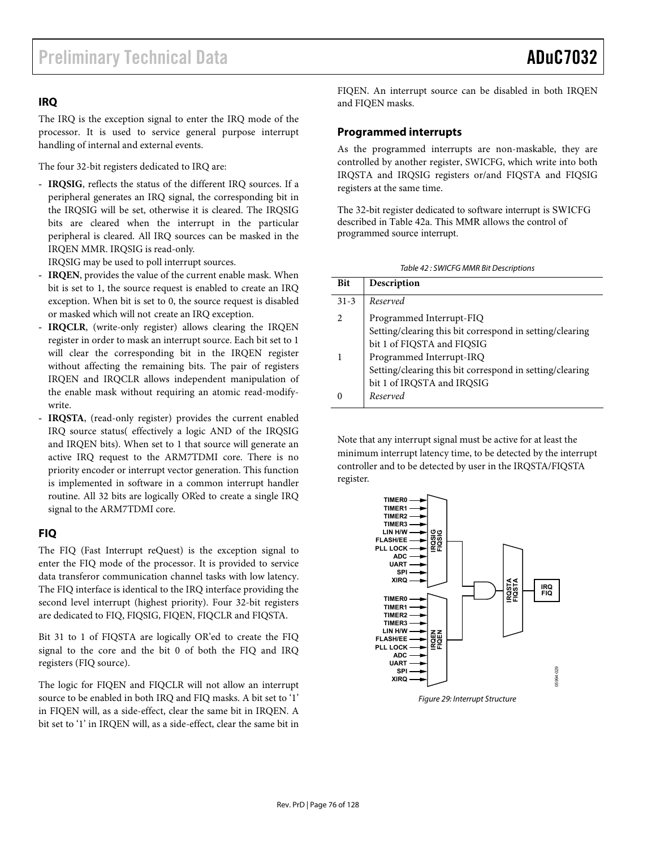#### **IRQ**

The IRQ is the exception signal to enter the IRQ mode of the processor. It is used to service general purpose interrupt handling of internal and external events.

The four 32-bit registers dedicated to IRQ are:

- **IRQSIG**, reflects the status of the different IRQ sources. If a peripheral generates an IRQ signal, the corresponding bit in the IRQSIG will be set, otherwise it is cleared. The IRQSIG bits are cleared when the interrupt in the particular peripheral is cleared. All IRQ sources can be masked in the IRQEN MMR. IRQSIG is read-only.

IRQSIG may be used to poll interrupt sources.

- **IRQEN**, provides the value of the current enable mask. When bit is set to 1, the source request is enabled to create an IRQ exception. When bit is set to 0, the source request is disabled or masked which will not create an IRQ exception.
- **IRQCLR**, (write-only register) allows clearing the IRQEN register in order to mask an interrupt source. Each bit set to 1 will clear the corresponding bit in the IRQEN register without affecting the remaining bits. The pair of registers IRQEN and IRQCLR allows independent manipulation of the enable mask without requiring an atomic read-modifywrite.
- **IRQSTA**, (read-only register) provides the current enabled IRQ source status( effectively a logic AND of the IRQSIG and IRQEN bits). When set to 1 that source will generate an active IRQ request to the ARM7TDMI core. There is no priority encoder or interrupt vector generation. This function is implemented in software in a common interrupt handler routine. All 32 bits are logically OR'ed to create a single IRQ signal to the ARM7TDMI core.

#### **FIQ**

The FIQ (Fast Interrupt reQuest) is the exception signal to enter the FIQ mode of the processor. It is provided to service data transferor communication channel tasks with low latency. The FIQ interface is identical to the IRQ interface providing the second level interrupt (highest priority). Four 32-bit registers are dedicated to FIQ, FIQSIG, FIQEN, FIQCLR and FIQSTA.

Bit 31 to 1 of FIQSTA are logically OR'ed to create the FIQ signal to the core and the bit 0 of both the FIQ and IRQ registers (FIQ source).

The logic for FIQEN and FIQCLR will not allow an interrupt source to be enabled in both IRQ and FIQ masks. A bit set to '1' in FIQEN will, as a side-effect, clear the same bit in IRQEN. A bit set to '1' in IRQEN will, as a side-effect, clear the same bit in FIQEN. An interrupt source can be disabled in both IRQEN and FIQEN masks.

#### **Programmed interrupts**

As the programmed interrupts are non-maskable, they are controlled by another register, SWICFG, which write into both IRQSTA and IRQSIG registers or/and FIQSTA and FIQSIG registers at the same time.

The 32-bit register dedicated to software interrupt is SWICFG described in Table 42a. This MMR allows the control of programmed source interrupt.

| <b>Bit</b>     | Description                                              |
|----------------|----------------------------------------------------------|
| $31 - 3$       | Reserved                                                 |
| $\mathfrak{D}$ | Programmed Interrupt-FIQ                                 |
|                | Setting/clearing this bit correspond in setting/clearing |
|                | bit 1 of FIQSTA and FIQSIG                               |
|                | Programmed Interrupt-IRQ                                 |
|                | Setting/clearing this bit correspond in setting/clearing |
|                | bit 1 of IRQSTA and IRQSIG                               |
| $\mathbf{0}$   | Reserved                                                 |

Note that any interrupt signal must be active for at least the minimum interrupt latency time, to be detected by the interrupt controller and to be detected by user in the IRQSTA/FIQSTA register.



Figure 29: Interrupt Structure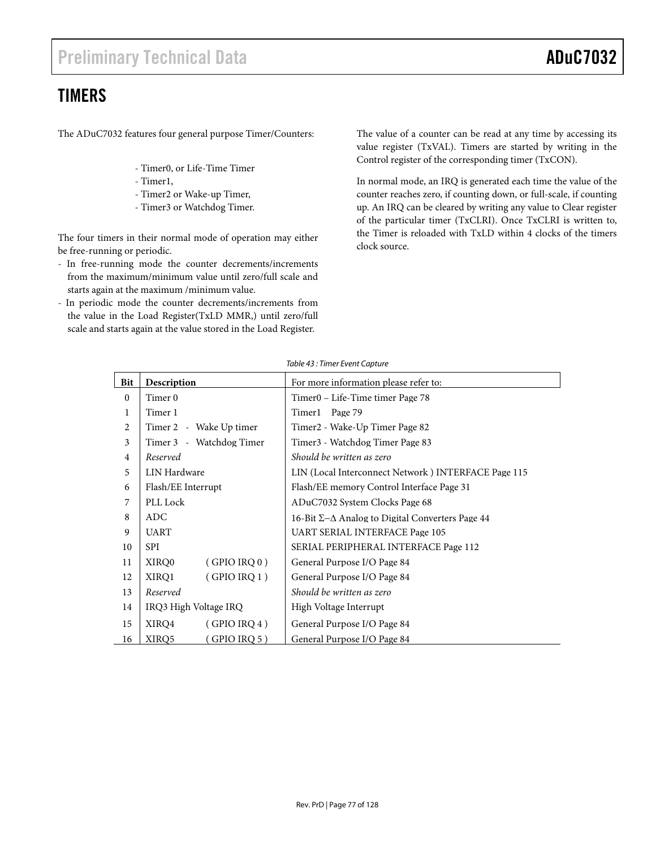# **TIMERS**

The ADuC7032 features four general purpose Timer/Counters:

- Timer0, or Life-Time Timer
- Timer1,
- Timer2 or Wake-up Timer,
- Timer3 or Watchdog Timer.

The four timers in their normal mode of operation may either be free-running or periodic.

- In free-running mode the counter decrements/increments from the maximum/minimum value until zero/full scale and starts again at the maximum /minimum value.
- In periodic mode the counter decrements/increments from the value in the Load Register(TxLD MMR,) until zero/full scale and starts again at the value stored in the Load Register.

The value of a counter can be read at any time by accessing its value register (TxVAL). Timers are started by writing in the Control register of the corresponding timer (TxCON).

In normal mode, an IRQ is generated each time the value of the counter reaches zero, if counting down, or full-scale, if counting up. An IRQ can be cleared by writing any value to Clear register of the particular timer (TxCLRI). Once TxCLRI is written to, the Timer is reloaded with TxLD within 4 clocks of the timers clock source.

| Bit          | <b>Description</b>        | For more information please refer to:                           |
|--------------|---------------------------|-----------------------------------------------------------------|
| $\mathbf{0}$ | Timer 0                   | Timer0 - Life-Time timer Page 78                                |
| 1            | Timer 1                   | Timer1 Page 79                                                  |
| 2            | Timer 2 - Wake Up timer   | Timer2 - Wake-Up Timer Page 82                                  |
| 3            | Timer 3 - Watchdog Timer  | Timer3 - Watchdog Timer Page 83                                 |
| 4            | Reserved                  | Should be written as zero                                       |
| 5            | LIN Hardware              | LIN (Local Interconnect Network) INTERFACE Page 115             |
| 6            | Flash/EE Interrupt        | Flash/EE memory Control Interface Page 31                       |
| 7            | PLL Lock                  | ADuC7032 System Clocks Page 68                                  |
| 8            | <b>ADC</b>                | 16-Bit $\Sigma$ – $\Delta$ Analog to Digital Converters Page 44 |
| 9            | <b>UART</b>               | <b>UART SERIAL INTERFACE Page 105</b>                           |
| 10           | <b>SPI</b>                | SERIAL PERIPHERAL INTERFACE Page 112                            |
| 11           | $(GPIO$ IRQ $0)$<br>XIRQ0 | General Purpose I/O Page 84                                     |
| 12           | $(GPIO$ IRQ 1)<br>XIRQ1   | General Purpose I/O Page 84                                     |
| 13           | Reserved                  | Should be written as zero                                       |
| 14           | IRQ3 High Voltage IRQ     | High Voltage Interrupt                                          |
| 15           | XIRQ4<br>$(GPIO$ IRQ 4)   | General Purpose I/O Page 84                                     |
| 16           | XIRQ5<br>$(GPIO$ IRQ 5)   | General Purpose I/O Page 84                                     |

#### Table 43 : Timer Event Capture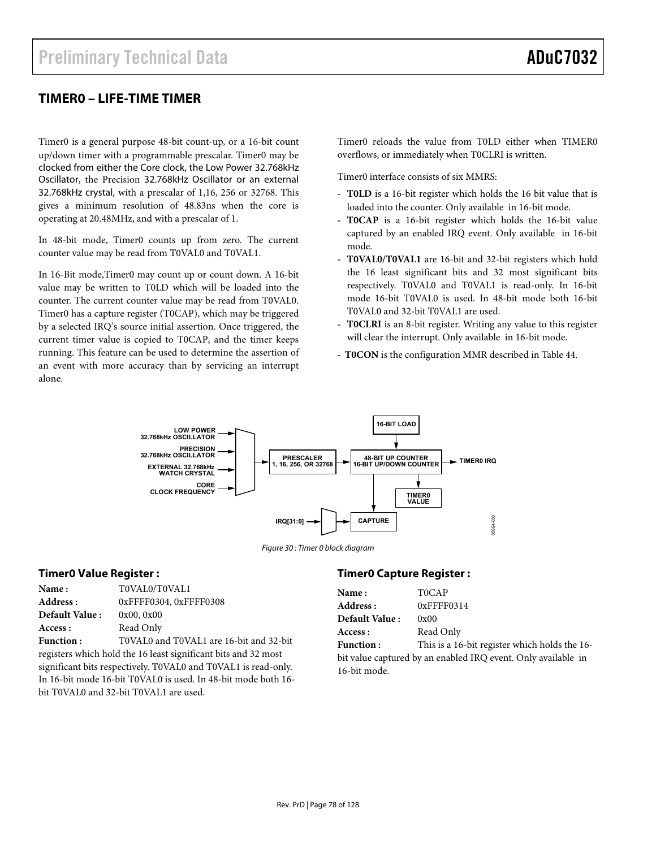# **TIMER0 – LIFE-TIME TIMER**

Timer0 is a general purpose 48-bit count-up, or a 16-bit count up/down timer with a programmable prescalar. Timer0 may be clocked from either the Core clock, the Low Power 32.768kHz Oscillator, the Precision 32.768kHz Oscillator or an external 32.768kHz crystal, with a prescalar of 1,16, 256 or 32768. This gives a minimum resolution of 48.83ns when the core is operating at 20.48MHz, and with a prescalar of 1.

In 48-bit mode, Timer0 counts up from zero. The current counter value may be read from T0VAL0 and T0VAL1.

In 16-Bit mode,Timer0 may count up or count down. A 16-bit value may be written to T0LD which will be loaded into the counter. The current counter value may be read from T0VAL0. Timer0 has a capture register (T0CAP), which may be triggered by a selected IRQ's source initial assertion. Once triggered, the current timer value is copied to T0CAP, and the timer keeps running. This feature can be used to determine the assertion of an event with more accuracy than by servicing an interrupt alone.

Timer0 reloads the value from T0LD either when TIMER0 overflows, or immediately when T0CLRI is written.

Timer0 interface consists of six MMRS:

- **T0LD** is a 16-bit register which holds the 16 bit value that is loaded into the counter. Only available in 16-bit mode.
- **T0CAP** is a 16-bit register which holds the 16-bit value captured by an enabled IRQ event. Only available in 16-bit mode.
- T0VAL0/T0VAL1 are 16-bit and 32-bit registers which hold the 16 least significant bits and 32 most significant bits respectively. T0VAL0 and T0VAL1 is read-only. In 16-bit mode 16-bit T0VAL0 is used. In 48-bit mode both 16-bit T0VAL0 and 32-bit T0VAL1 are used.
- **T0CLRI** is an 8-bit register. Writing any value to this register will clear the interrupt. Only available in 16-bit mode.
- **T0CON** is the configuration MMR described in Table 44.



Figure 30 : Timer 0 block diagram

#### **Timer0 Value Register :**

| Name:            | T0VAL0/T0VAL1                                                  |
|------------------|----------------------------------------------------------------|
| Address:         | 0xFFFF0304, 0xFFFF0308                                         |
| Default Value:   | 0x00, 0x00                                                     |
| Access:          | Read Only                                                      |
| <b>Function:</b> | T0VAL0 and T0VAL1 are 16-bit and 32-bit                        |
|                  | registers which hold the 16 least significant bits and 32 most |
|                  | significant bits respectively. T0VAL0 and T0VAL1 is read-only. |
|                  | In 16-bit mode 16-bit T0VAL0 is used. In 48-bit mode both 16-  |
|                  | bit T0VAL0 and 32-bit T0VAL1 are used.                         |

#### **Timer0 Capture Register :**

| Name:            | <b>TOCAP</b>                                                  |
|------------------|---------------------------------------------------------------|
| Address:         | $0x$ FFFF $0314$                                              |
| Default Value:   | 0x00                                                          |
| Access :         | Read Only                                                     |
| <b>Function:</b> | This is a 16-bit register which holds the 16-                 |
|                  | bit value captured by an enabled IRQ event. Only available in |
| 16-bit mode.     |                                                               |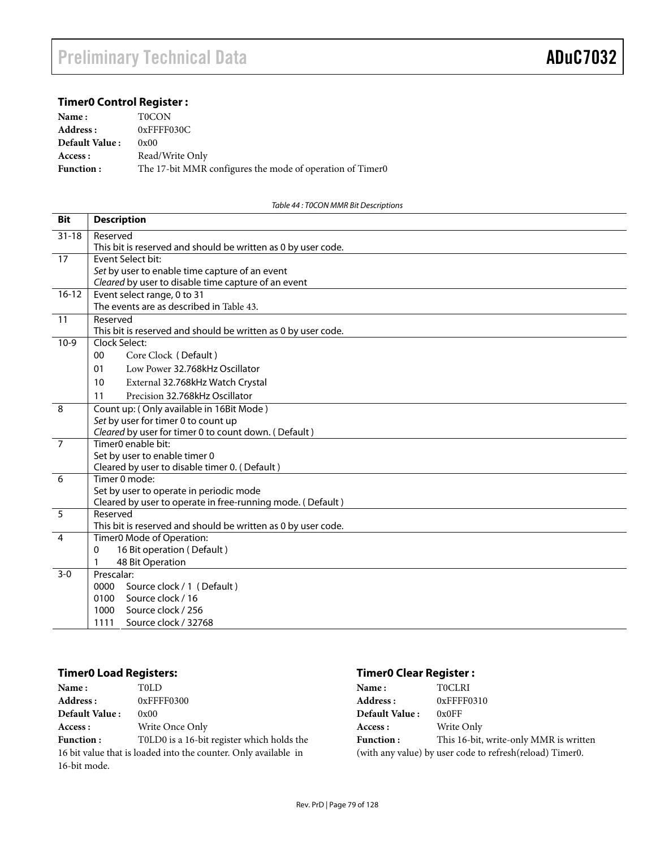## **Timer0 Control Register :**

| Name:                 | <b>T0CON</b>                                                          |
|-----------------------|-----------------------------------------------------------------------|
| Address :             | $0x$ FFFF030C                                                         |
| <b>Default Value:</b> | 0x00                                                                  |
| Access :              | Read/Write Only                                                       |
| <b>Function:</b>      | The 17-bit MMR configures the mode of operation of Timer <sub>0</sub> |

Table 44 : T0CON MMR Bit Descriptions

| <b>Bit</b>     | <b>Description</b>                                                     |
|----------------|------------------------------------------------------------------------|
| $31 - 18$      | Reserved                                                               |
|                | This bit is reserved and should be written as 0 by user code.          |
| 17             | Event Select bit:                                                      |
|                | Set by user to enable time capture of an event                         |
|                | Cleared by user to disable time capture of an event                    |
| $16 - 12$      | Event select range, 0 to 31                                            |
|                | The events are as described in Table 43.                               |
| 11             | Reserved                                                               |
|                | This bit is reserved and should be written as 0 by user code.          |
| $10-9$         | Clock Select:                                                          |
|                | 00<br>Core Clock (Default)                                             |
|                | Low Power 32.768kHz Oscillator<br>01                                   |
|                | 10<br>External 32.768kHz Watch Crystal                                 |
|                | 11<br>Precision 32.768kHz Oscillator                                   |
| 8              | Count up: (Only available in 16Bit Mode)                               |
|                | Set by user for timer 0 to count up                                    |
|                | Cleared by user for timer 0 to count down. (Default)                   |
| $\overline{7}$ | Timer <sub>0</sub> enable bit:                                         |
|                | Set by user to enable timer 0                                          |
|                | Cleared by user to disable timer 0. (Default)                          |
| 6              | Timer 0 mode:                                                          |
|                | Set by user to operate in periodic mode                                |
| $\overline{5}$ | Cleared by user to operate in free-running mode. (Default)<br>Reserved |
|                | This bit is reserved and should be written as 0 by user code.          |
| $\overline{4}$ | Timer0 Mode of Operation:                                              |
|                | 16 Bit operation (Default)<br>0                                        |
|                | 48 Bit Operation                                                       |
| $3 - 0$        | Prescalar:                                                             |
|                | Source clock / 1 (Default)<br>0000                                     |
|                | Source clock / 16<br>0100                                              |
|                | Source clock / 256<br>1000                                             |
|                | 1111<br>Source clock / 32768                                           |

# **Timer0 Load Registers:**

| Name:                                                           | <b>TOLD</b>                                |
|-----------------------------------------------------------------|--------------------------------------------|
| Address:                                                        | $0x$ FFFF $0300$                           |
| Default Value:                                                  | 0x00                                       |
| Access :                                                        | Write Once Only                            |
| <b>Function:</b>                                                | T0LD0 is a 16-bit register which holds the |
| 16 bit value that is loaded into the counter. Only available in |                                            |
| 16-bit mode.                                                    |                                            |

# **Timer0 Clear Register :**

| Name:            | <b>TOCLRI</b>                                            |
|------------------|----------------------------------------------------------|
| Address :        | $0x$ FFFF $0310$                                         |
| Default Value:   | 0x0FF                                                    |
| Access :         | Write Only                                               |
| <b>Function:</b> | This 16-bit, write-only MMR is written                   |
|                  | (with any value) by user code to refresh(reload) Timer0. |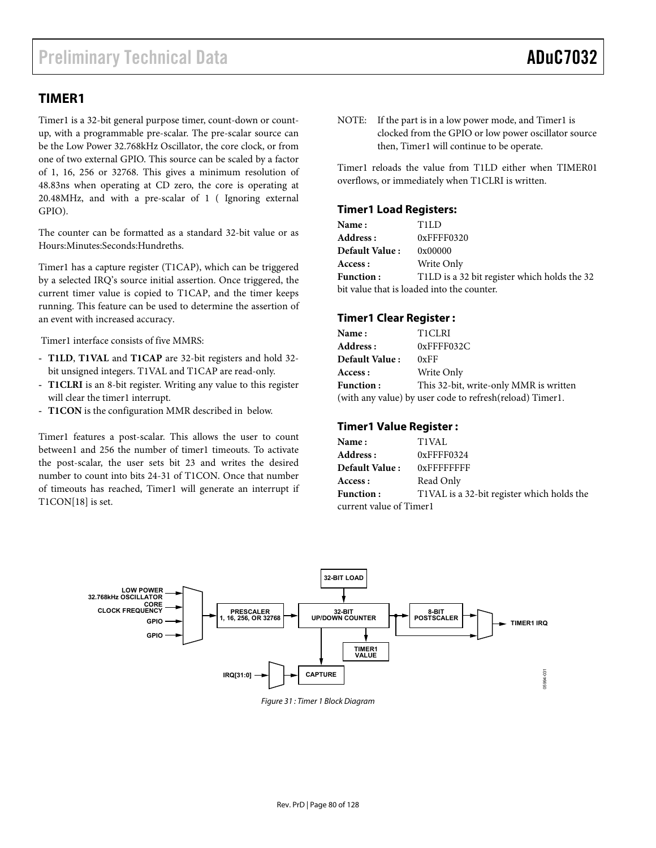# **TIMER1**

Timer1 is a 32-bit general purpose timer, count-down or countup, with a programmable pre-scalar. The pre-scalar source can be the Low Power 32.768kHz Oscillator, the core clock, or from one of two external GPIO. This source can be scaled by a factor of 1, 16, 256 or 32768. This gives a minimum resolution of 48.83ns when operating at CD zero, the core is operating at 20.48MHz, and with a pre-scalar of 1 ( Ignoring external GPIO).

The counter can be formatted as a standard 32-bit value or as Hours:Minutes:Seconds:Hundreths.

Timer1 has a capture register (T1CAP), which can be triggered by a selected IRQ's source initial assertion. Once triggered, the current timer value is copied to T1CAP, and the timer keeps running. This feature can be used to determine the assertion of an event with increased accuracy.

Timer1 interface consists of five MMRS:

- **T1LD**, **T1VAL** and **T1CAP** are 32-bit registers and hold 32 bit unsigned integers. T1VAL and T1CAP are read-only.
- **T1CLRI** is an 8-bit register. Writing any value to this register will clear the timer1 interrupt.
- **T1CON** is the configuration MMR described in below.

Timer1 features a post-scalar. This allows the user to count between1 and 256 the number of timer1 timeouts. To activate the post-scalar, the user sets bit 23 and writes the desired number to count into bits 24-31 of T1CON. Once that number of timeouts has reached, Timer1 will generate an interrupt if T1CON[18] is set.

NOTE: If the part is in a low power mode, and Timer1 is clocked from the GPIO or low power oscillator source then, Timer1 will continue to be operate.

Timer1 reloads the value from T1LD either when TIMER01 overflows, or immediately when T1CLRI is written.

#### **Timer1 Load Registers:**

| Name:            | T1LD                                         |
|------------------|----------------------------------------------|
| Address:         | $0x$ FFFF $0320$                             |
| Default Value:   | 0x00000                                      |
| Access :         | Write Only                                   |
| <b>Function:</b> | T1LD is a 32 bit register which holds the 32 |
|                  | bit value that is loaded into the counter.   |

#### **Timer1 Clear Register :**

| Name:            | <b>T1CLRI</b>                                            |
|------------------|----------------------------------------------------------|
| Address:         | 0xFFFF032C                                               |
| Default Value:   | 0xFF                                                     |
| Access :         | Write Only                                               |
| <b>Function:</b> | This 32-bit, write-only MMR is written                   |
|                  | (with any value) by user code to refresh(reload) Timer1. |

#### **Timer1 Value Register :**

| <b>Name :</b>           | <b>T1VAL</b>                               |
|-------------------------|--------------------------------------------|
| <b>Address :</b>        | $0x$ FFFF $0324$                           |
| <b>Default Value :</b>  | $0x$ FFFFFFFFF                             |
| <b>Access :</b>         | Read Only                                  |
| <b>Function :</b>       | T1VAL is a 32-bit register which holds the |
| current value of Timer1 |                                            |



Figure 31 : Timer 1 Block Diagram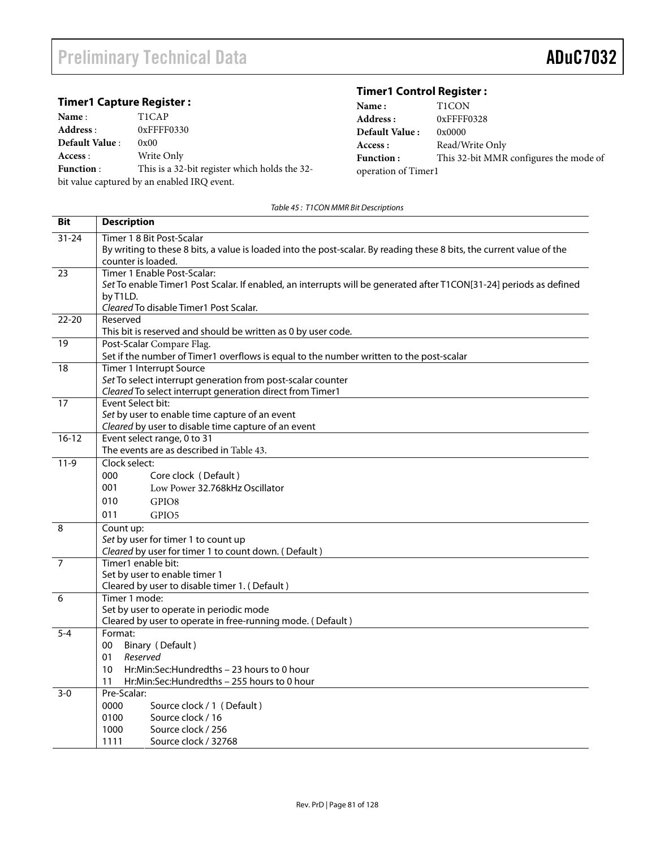# Preliminary Technical Data **ADuC7032**

## **Timer1 Capture Register :**

| Name:            | T <sub>1</sub> CAP                            |
|------------------|-----------------------------------------------|
| Address :        | $0x$ FFFF $0330$                              |
| Default Value:   | 0x00                                          |
| Access :         | Write Only                                    |
| <b>Function:</b> | This is a 32-bit register which holds the 32- |
|                  | bit value captured by an enabled IRQ event.   |

# **Timer1 Control Register :**

| Name:               | T <sub>1</sub> CON                     |
|---------------------|----------------------------------------|
| Address :           | $0x$ FFFF $0328$                       |
| Default Value:      | 0x0000                                 |
| Access :            | Read/Write Only                        |
| <b>Function:</b>    | This 32-bit MMR configures the mode of |
| operation of Timer1 |                                        |

Table 45 : T1CON MMR Bit Descriptions

| <b>Bit</b>     | <b>Description</b>                                                                                                                                 |
|----------------|----------------------------------------------------------------------------------------------------------------------------------------------------|
| $31 - 24$      | Timer 1 8 Bit Post-Scalar<br>By writing to these 8 bits, a value is loaded into the post-scalar. By reading these 8 bits, the current value of the |
|                | counter is loaded.                                                                                                                                 |
| 23             | Timer 1 Enable Post-Scalar:                                                                                                                        |
|                | Set To enable Timer1 Post Scalar. If enabled, an interrupts will be generated after T1CON[31-24] periods as defined                                |
|                | by T1LD.<br>Cleared To disable Timer1 Post Scalar.                                                                                                 |
| $22 - 20$      | Reserved                                                                                                                                           |
|                | This bit is reserved and should be written as 0 by user code.                                                                                      |
| 19             | Post-Scalar Compare Flag.                                                                                                                          |
|                | Set if the number of Timer1 overflows is equal to the number written to the post-scalar                                                            |
| 18             | <b>Timer 1 Interrupt Source</b>                                                                                                                    |
|                | Set To select interrupt generation from post-scalar counter<br>Cleared To select interrupt generation direct from Timer1                           |
| 17             | Event Select bit:                                                                                                                                  |
|                | Set by user to enable time capture of an event                                                                                                     |
|                | Cleared by user to disable time capture of an event                                                                                                |
| $16 - 12$      | Event select range, 0 to 31                                                                                                                        |
|                | The events are as described in Table 43.                                                                                                           |
| $11-9$         | Clock select:                                                                                                                                      |
|                | 000<br>Core clock (Default)                                                                                                                        |
|                | 001<br>Low Power 32.768kHz Oscillator                                                                                                              |
|                | 010<br>GPIO8                                                                                                                                       |
|                | 011<br>GPIO <sub>5</sub>                                                                                                                           |
| 8              | Count up:                                                                                                                                          |
|                | Set by user for timer 1 to count up<br>Cleared by user for timer 1 to count down. (Default)                                                        |
| $\overline{7}$ | Timer1 enable bit:                                                                                                                                 |
|                | Set by user to enable timer 1                                                                                                                      |
|                | Cleared by user to disable timer 1. (Default)                                                                                                      |
| 6              | Timer 1 mode:                                                                                                                                      |
|                | Set by user to operate in periodic mode                                                                                                            |
| $5 - 4$        | Cleared by user to operate in free-running mode. (Default)<br>Format:                                                                              |
|                | 00<br>Binary (Default)                                                                                                                             |
|                | Reserved<br>01                                                                                                                                     |
|                | 10<br>Hr:Min:Sec:Hundredths - 23 hours to 0 hour                                                                                                   |
|                | Hr:Min:Sec:Hundredths - 255 hours to 0 hour<br>11                                                                                                  |
| $3-0$          | Pre-Scalar:                                                                                                                                        |
|                | 0000<br>Source clock / 1 (Default)                                                                                                                 |
|                | 0100<br>Source clock / 16                                                                                                                          |
|                | 1000<br>Source clock / 256                                                                                                                         |
|                | 1111<br>Source clock / 32768                                                                                                                       |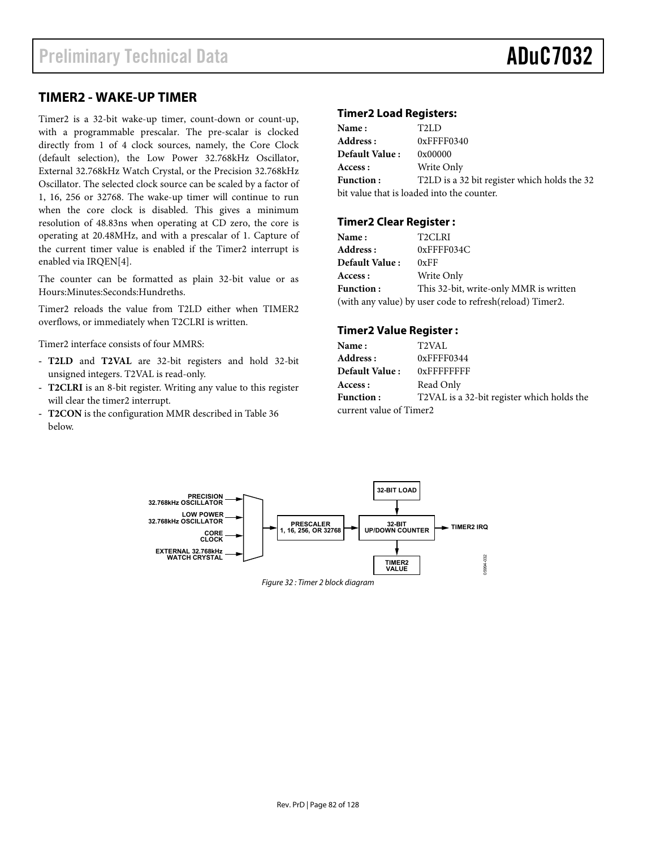## **TIMER2 - WAKE-UP TIMER**

Timer2 is a 32-bit wake-up timer, count-down or count-up, with a programmable prescalar. The pre-scalar is clocked directly from 1 of 4 clock sources, namely, the Core Clock (default selection), the Low Power 32.768kHz Oscillator, External 32.768kHz Watch Crystal, or the Precision 32.768kHz Oscillator. The selected clock source can be scaled by a factor of 1, 16, 256 or 32768. The wake-up timer will continue to run when the core clock is disabled. This gives a minimum resolution of 48.83ns when operating at CD zero, the core is operating at 20.48MHz, and with a prescalar of 1. Capture of the current timer value is enabled if the Timer2 interrupt is enabled via IRQEN[4].

The counter can be formatted as plain 32-bit value or as Hours:Minutes:Seconds:Hundreths.

Timer2 reloads the value from T2LD either when TIMER2 overflows, or immediately when T2CLRI is written.

Timer2 interface consists of four MMRS:

- **T2LD** and **T2VAL** are 32-bit registers and hold 32-bit unsigned integers. T2VAL is read-only.
- **T2CLRI** is an 8-bit register. Writing any value to this register will clear the timer2 interrupt.
- **T2CON** is the configuration MMR described in Table 36 below.

#### **Timer2 Load Registers:**

| Name:                                                            | T <sub>2LD</sub> |  |
|------------------------------------------------------------------|------------------|--|
| Address:                                                         | $0x$ FFFF $0340$ |  |
| <b>Default Value:</b>                                            | 0x00000          |  |
| Access :                                                         | Write Only       |  |
| T2LD is a 32 bit register which holds the 32<br><b>Function:</b> |                  |  |
| bit value that is loaded into the counter.                       |                  |  |

#### **Timer2 Clear Register :**

| Name:            | T2CLRI                                                   |
|------------------|----------------------------------------------------------|
| Address:         | 0xFFFF034C                                               |
| Default Value:   | 0xFF                                                     |
| Access :         | Write Only                                               |
| <b>Function:</b> | This 32-bit, write-only MMR is written                   |
|                  | (with any value) by user code to refresh(reload) Timer2. |

#### **Timer2 Value Register :**

| Name:                   | T <sub>2</sub> VAL                         |  |
|-------------------------|--------------------------------------------|--|
| Address:                | $0x$ FFFF $0344$                           |  |
| Default Value:          | $0x$ FFFFFFFFF                             |  |
| Access :                | Read Only                                  |  |
| <b>Function:</b>        | T2VAL is a 32-bit register which holds the |  |
| current value of Timer2 |                                            |  |



Figure 32 : Timer 2 block diagram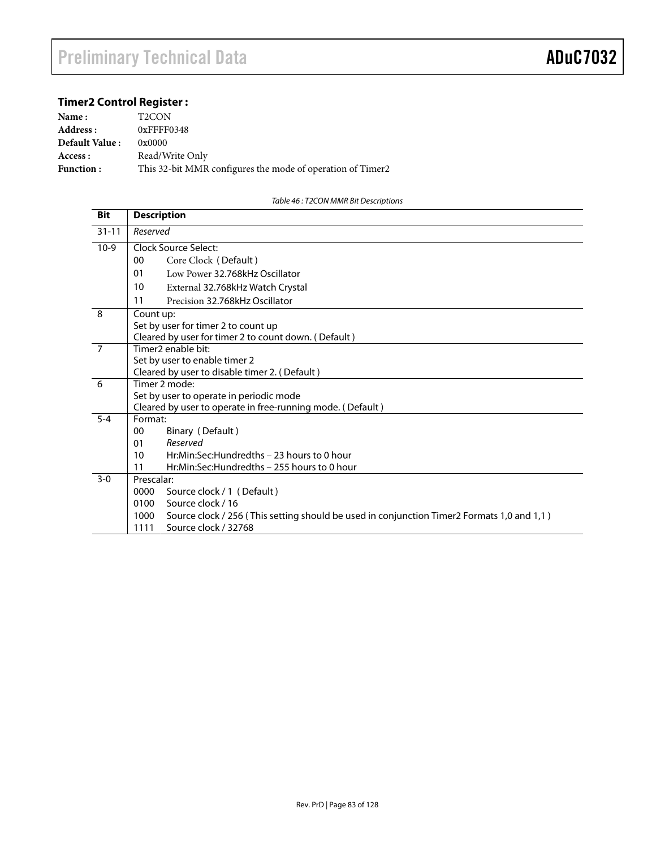# **Timer2 Control Register :**

| Name:                 | T <sub>2</sub> CON                                         |
|-----------------------|------------------------------------------------------------|
| Address :             | $0x$ FFFF $0348$                                           |
| <b>Default Value:</b> | 0x0000                                                     |
| Access :              | Read/Write Only                                            |
| <b>Function:</b>      | This 32-bit MMR configures the mode of operation of Timer2 |

Table 46 : T2CON MMR Bit Descriptions

| Bit            | <b>Description</b>                                                                                 |  |  |
|----------------|----------------------------------------------------------------------------------------------------|--|--|
| $31 - 11$      | Reserved                                                                                           |  |  |
| $10-9$         | Clock Source Select:                                                                               |  |  |
|                | 00<br>Core Clock (Default)                                                                         |  |  |
|                | 01<br>Low Power 32.768kHz Oscillator                                                               |  |  |
|                | External 32.768kHz Watch Crystal<br>10                                                             |  |  |
|                | 11<br>Precision 32.768kHz Oscillator                                                               |  |  |
| 8              | Count up:                                                                                          |  |  |
|                | Set by user for timer 2 to count up                                                                |  |  |
|                | Cleared by user for timer 2 to count down. (Default)                                               |  |  |
| $\overline{7}$ | Timer <sub>2</sub> enable bit:                                                                     |  |  |
|                | Set by user to enable timer 2                                                                      |  |  |
|                | Cleared by user to disable timer 2. (Default)                                                      |  |  |
| 6              | Timer 2 mode:                                                                                      |  |  |
|                | Set by user to operate in periodic mode                                                            |  |  |
|                | Cleared by user to operate in free-running mode. (Default)                                         |  |  |
| $5 - 4$        | Format:                                                                                            |  |  |
|                | 00<br>Binary (Default)                                                                             |  |  |
|                | Reserved<br>01                                                                                     |  |  |
|                | Hr:Min:Sec:Hundredths - 23 hours to 0 hour<br>10                                                   |  |  |
|                | Hr:Min:Sec:Hundredths - 255 hours to 0 hour<br>11                                                  |  |  |
| $3-0$          | Prescalar:                                                                                         |  |  |
|                | 0000<br>Source clock / 1 (Default)                                                                 |  |  |
|                | 0100<br>Source clock / 16                                                                          |  |  |
|                | 1000<br>Source clock / 256 (This setting should be used in conjunction Timer2 Formats 1,0 and 1,1) |  |  |
|                | Source clock / 32768<br>1111                                                                       |  |  |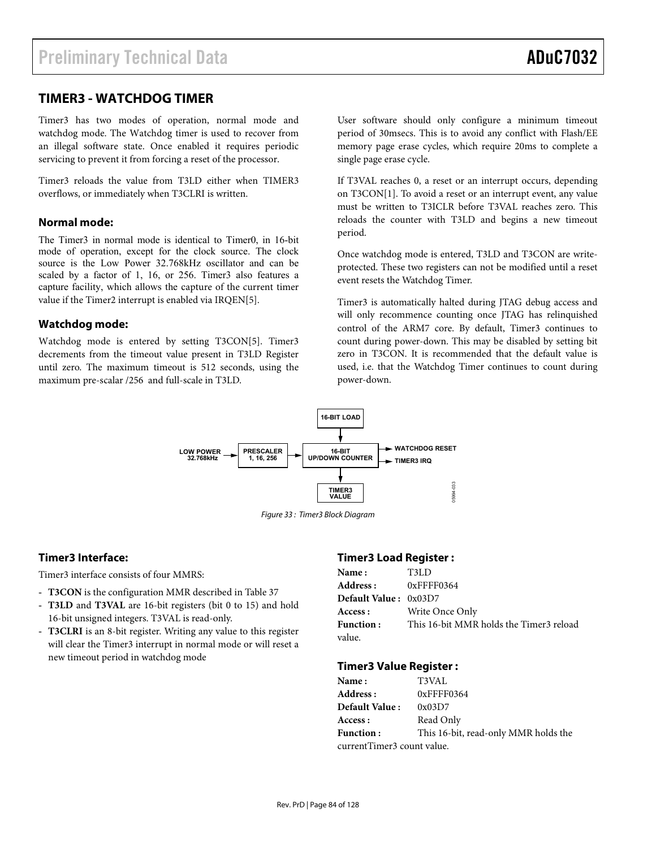# **TIMER3 - WATCHDOG TIMER**

Timer3 has two modes of operation, normal mode and watchdog mode. The Watchdog timer is used to recover from an illegal software state. Once enabled it requires periodic servicing to prevent it from forcing a reset of the processor.

Timer3 reloads the value from T3LD either when TIMER3 overflows, or immediately when T3CLRI is written.

#### **Normal mode:**

The Timer3 in normal mode is identical to Timer0, in 16-bit mode of operation, except for the clock source. The clock source is the Low Power 32.768kHz oscillator and can be scaled by a factor of 1, 16, or 256. Timer3 also features a capture facility, which allows the capture of the current timer value if the Timer2 interrupt is enabled via IRQEN[5].

#### **Watchdog mode:**

Watchdog mode is entered by setting T3CON[5]. Timer3 decrements from the timeout value present in T3LD Register until zero. The maximum timeout is 512 seconds, using the maximum pre-scalar /256 and full-scale in T3LD.

User software should only configure a minimum timeout period of 30msecs. This is to avoid any conflict with Flash/EE memory page erase cycles, which require 20ms to complete a single page erase cycle.

If T3VAL reaches 0, a reset or an interrupt occurs, depending on T3CON[1]. To avoid a reset or an interrupt event, any value must be written to T3ICLR before T3VAL reaches zero. This reloads the counter with T3LD and begins a new timeout period.

Once watchdog mode is entered, T3LD and T3CON are writeprotected. These two registers can not be modified until a reset event resets the Watchdog Timer.

Timer3 is automatically halted during JTAG debug access and will only recommence counting once JTAG has relinquished control of the ARM7 core. By default, Timer3 continues to count during power-down. This may be disabled by setting bit zero in T3CON. It is recommended that the default value is used, i.e. that the Watchdog Timer continues to count during power-down.



Figure 33 : Timer3 Block Diagram

#### **Timer3 Interface:**

Timer3 interface consists of four MMRS:

- **T3CON** is the configuration MMR described in Table 37
- **T3LD** and **T3VAL** are 16-bit registers (bit 0 to 15) and hold 16-bit unsigned integers. T3VAL is read-only.
- **T3CLRI** is an 8-bit register. Writing any value to this register will clear the Timer3 interrupt in normal mode or will reset a new timeout period in watchdog mode

#### **Timer3 Load Register :**

| Name:                 | T3LD                                    |
|-----------------------|-----------------------------------------|
| Address :             | $0x$ FFFF $0364$                        |
| Default Value: 0x03D7 |                                         |
| Access :              | Write Once Only                         |
| <b>Function:</b>      | This 16-bit MMR holds the Timer3 reload |
| value.                |                                         |

#### **Timer3 Value Register :**

| Name:                      | T3VAL                                |  |
|----------------------------|--------------------------------------|--|
| Address:                   | $0x$ FFFF $0364$                     |  |
| Default Value:             | 0x03D7                               |  |
| Access :                   | Read Only                            |  |
| <b>Function:</b>           | This 16-bit, read-only MMR holds the |  |
| currentTimer3 count value. |                                      |  |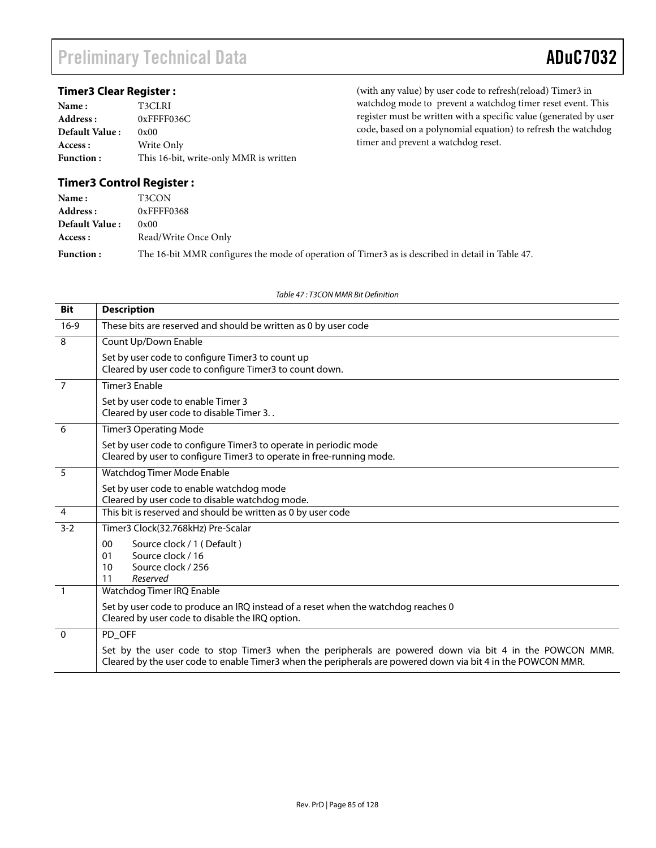# Preliminary Technical Data **ADuC7032**

## **Timer3 Clear Register :**

| Name:            | T3CLRI                                 |
|------------------|----------------------------------------|
| Address :        | $0x$ FFFF036C                          |
| Default Value:   | 0x00                                   |
| Access :         | Write Only                             |
| <b>Function:</b> | This 16-bit, write-only MMR is written |
|                  |                                        |

(with any value) by user code to refresh(reload) Timer3 in watchdog mode to prevent a watchdog timer reset event. This register must be written with a specific value (generated by user code, based on a polynomial equation) to refresh the watchdog timer and prevent a watchdog reset.

### **Timer3 Control Register :**

| Name:                 | T3CON                                                                                            |
|-----------------------|--------------------------------------------------------------------------------------------------|
| Address:              | $0x$ FFFF $0368$                                                                                 |
| <b>Default Value:</b> | 0x00                                                                                             |
| Access :              | Read/Write Once Only                                                                             |
| <b>Function:</b>      | The 16-bit MMR configures the mode of operation of Timer3 as is described in detail in Table 47. |

#### Table 47 : T3CON MMR Bit Definition

| <b>Bit</b>     | <b>Description</b>                                                                                                                                                                                                     |  |  |
|----------------|------------------------------------------------------------------------------------------------------------------------------------------------------------------------------------------------------------------------|--|--|
| $16-9$         | These bits are reserved and should be written as 0 by user code                                                                                                                                                        |  |  |
| 8              | Count Up/Down Enable                                                                                                                                                                                                   |  |  |
|                | Set by user code to configure Timer3 to count up<br>Cleared by user code to configure Timer3 to count down.                                                                                                            |  |  |
| $\overline{7}$ | Timer3 Enable                                                                                                                                                                                                          |  |  |
|                | Set by user code to enable Timer 3<br>Cleared by user code to disable Timer 3                                                                                                                                          |  |  |
| - 6            | <b>Timer3 Operating Mode</b>                                                                                                                                                                                           |  |  |
|                | Set by user code to configure Timer3 to operate in periodic mode<br>Cleared by user to configure Timer3 to operate in free-running mode.                                                                               |  |  |
| 5              | Watchdog Timer Mode Enable                                                                                                                                                                                             |  |  |
|                | Set by user code to enable watchdog mode<br>Cleared by user code to disable watchdog mode.                                                                                                                             |  |  |
| $\overline{4}$ | This bit is reserved and should be written as 0 by user code                                                                                                                                                           |  |  |
| $3 - 2$        | Timer3 Clock(32.768kHz) Pre-Scalar                                                                                                                                                                                     |  |  |
|                | Source clock / 1 (Default)<br>00                                                                                                                                                                                       |  |  |
|                | Source clock / 16<br>01<br>Source clock / 256<br>10                                                                                                                                                                    |  |  |
|                | Reserved<br>11                                                                                                                                                                                                         |  |  |
| $\overline{1}$ | Watchdog Timer IRQ Enable                                                                                                                                                                                              |  |  |
|                | Set by user code to produce an IRQ instead of a reset when the watchdog reaches 0<br>Cleared by user code to disable the IRQ option.                                                                                   |  |  |
| $\Omega$       | PD OFF                                                                                                                                                                                                                 |  |  |
|                | Set by the user code to stop Timer3 when the peripherals are powered down via bit 4 in the POWCON MMR.<br>Cleared by the user code to enable Timer3 when the peripherals are powered down via bit 4 in the POWCON MMR. |  |  |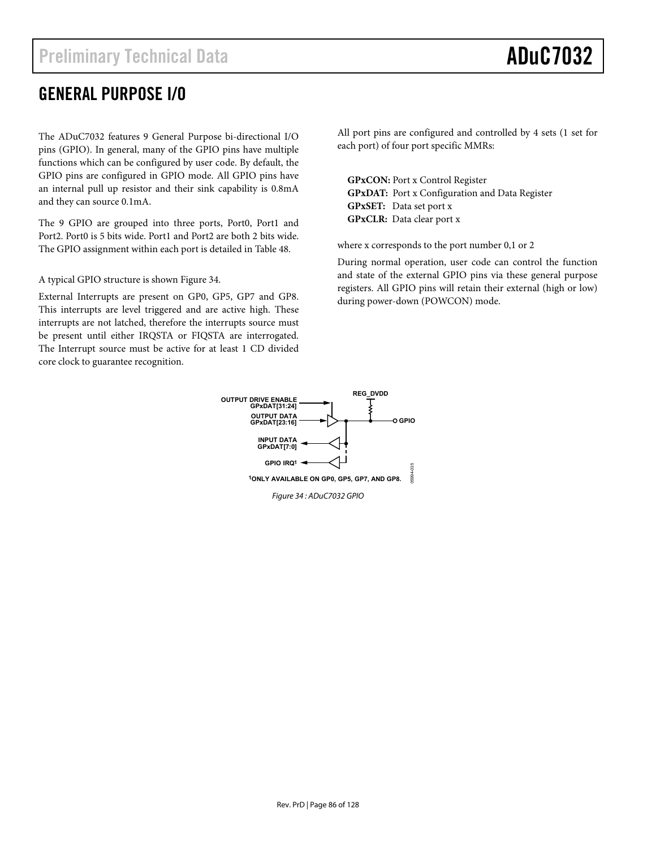# GENERAL PURPOSE I/O

The ADuC7032 features 9 General Purpose bi-directional I/O pins (GPIO). In general, many of the GPIO pins have multiple functions which can be configured by user code. By default, the GPIO pins are configured in GPIO mode. All GPIO pins have an internal pull up resistor and their sink capability is 0.8mA and they can source 0.1mA.

The 9 GPIO are grouped into three ports, Port0, Port1 and Port2. Port0 is 5 bits wide. Port1 and Port2 are both 2 bits wide. The GPIO assignment within each port is detailed in Table 48.

A typical GPIO structure is shown Figure 34.

External Interrupts are present on GP0, GP5, GP7 and GP8. This interrupts are level triggered and are active high. These interrupts are not latched, therefore the interrupts source must be present until either IRQSTA or FIQSTA are interrogated. The Interrupt source must be active for at least 1 CD divided core clock to guarantee recognition.

All port pins are configured and controlled by 4 sets (1 set for each port) of four port specific MMRs:

**GPxCON:** Port x Control Register **GPxDAT:** Port x Configuration and Data Register **GPxSET:** Data set port x **GPxCLR:** Data clear port x

where x corresponds to the port number 0,1 or 2

During normal operation, user code can control the function and state of the external GPIO pins via these general purpose registers. All GPIO pins will retain their external (high or low) during power-down (POWCON) mode.



Figure 34 : ADuC7032 GPIO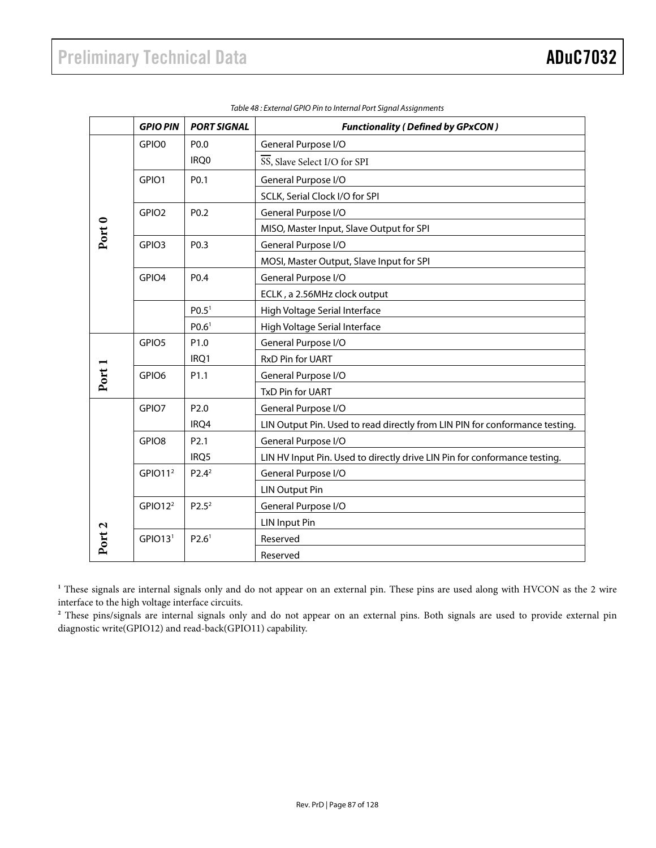|                   | <b>GPIO PIN</b>     | <b>PORT SIGNAL</b> | <b>Functionality (Defined by GPxCON)</b>                                    |
|-------------------|---------------------|--------------------|-----------------------------------------------------------------------------|
|                   | GPIO0               | P0.0               | General Purpose I/O                                                         |
|                   |                     | IRQ0               | SS, Slave Select I/O for SPI                                                |
|                   | GPIO1               | P0.1               | General Purpose I/O                                                         |
|                   |                     |                    | SCLK, Serial Clock I/O for SPI                                              |
|                   | GPIO <sub>2</sub>   | P0.2               | General Purpose I/O                                                         |
| Port 0            |                     |                    | MISO, Master Input, Slave Output for SPI                                    |
|                   | GPIO3               | P0.3               | General Purpose I/O                                                         |
|                   |                     |                    | MOSI, Master Output, Slave Input for SPI                                    |
|                   | GPIO4               | P0.4               | General Purpose I/O                                                         |
|                   |                     |                    | ECLK, a 2.56MHz clock output                                                |
|                   |                     | PO.5 <sup>1</sup>  | High Voltage Serial Interface                                               |
|                   |                     | PO.6 <sup>1</sup>  | High Voltage Serial Interface                                               |
|                   | GPIO5               | P <sub>1.0</sub>   | General Purpose I/O                                                         |
|                   |                     | IRQ1               | RxD Pin for UART                                                            |
| Port 1            | GPIO6               | P1.1               | General Purpose I/O                                                         |
|                   |                     |                    | TxD Pin for UART                                                            |
|                   | GPIO7               | P2.0               | General Purpose I/O                                                         |
|                   |                     | IRQ4               | LIN Output Pin. Used to read directly from LIN PIN for conformance testing. |
|                   | GPIO8               | P <sub>2.1</sub>   | General Purpose I/O                                                         |
|                   |                     | IRQ5               | LIN HV Input Pin. Used to directly drive LIN Pin for conformance testing.   |
|                   | GPIO11 <sup>2</sup> | $P2.4^2$           | General Purpose I/O                                                         |
|                   |                     |                    | <b>LIN Output Pin</b>                                                       |
|                   | GPIO12 <sup>2</sup> | $P2.5^2$           | General Purpose I/O                                                         |
|                   |                     |                    | <b>LIN Input Pin</b>                                                        |
| Port <sub>2</sub> | GPIO13 <sup>1</sup> | P2.6 <sup>1</sup>  | Reserved                                                                    |
|                   |                     |                    | Reserved                                                                    |

Table 48 : External GPIO Pin to Internal Port Signal Assignments

<sup>1</sup> These signals are internal signals only and do not appear on an external pin. These pins are used along with HVCON as the 2 wire interface to the high voltage interface circuits.

<sup>2</sup> These pins/signals are internal signals only and do not appear on an external pins. Both signals are used to provide external pin diagnostic write(GPIO12) and read-back(GPIO11) capability.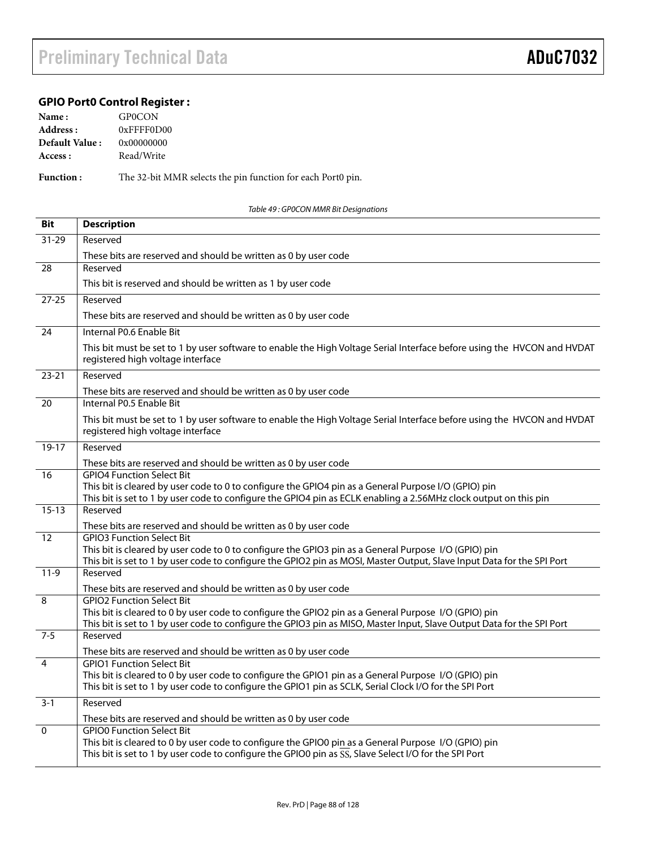# Preliminary Technical Data ADuC7032

## **GPIO Port0 Control Register :**

| Name:          | GP0CON        |
|----------------|---------------|
| Address:       | $0x$ FFFF0D00 |
| Default Value: | 0x00000000    |
| Access :       | Read/Write    |
|                |               |

**Function :** The 32-bit MMR selects the pin function for each Port0 pin.

Table 49 : GP0CON MMR Bit Designations

| <b>Bit</b>        | <b>Description</b>                                                                                                                                                                                              |
|-------------------|-----------------------------------------------------------------------------------------------------------------------------------------------------------------------------------------------------------------|
| $31 - 29$         | Reserved                                                                                                                                                                                                        |
|                   | These bits are reserved and should be written as 0 by user code                                                                                                                                                 |
| 28                | Reserved                                                                                                                                                                                                        |
|                   | This bit is reserved and should be written as 1 by user code                                                                                                                                                    |
| $27 - 25$         | Reserved                                                                                                                                                                                                        |
|                   | These bits are reserved and should be written as 0 by user code                                                                                                                                                 |
| 24                | Internal P0.6 Enable Bit                                                                                                                                                                                        |
|                   | This bit must be set to 1 by user software to enable the High Voltage Serial Interface before using the HVCON and HVDAT<br>registered high voltage interface                                                    |
| $23 - 21$         | Reserved                                                                                                                                                                                                        |
|                   | These bits are reserved and should be written as 0 by user code                                                                                                                                                 |
| 20                | Internal P0.5 Enable Bit                                                                                                                                                                                        |
|                   | This bit must be set to 1 by user software to enable the High Voltage Serial Interface before using the HVCON and HVDAT<br>registered high voltage interface                                                    |
| 19-17             | Reserved                                                                                                                                                                                                        |
|                   | These bits are reserved and should be written as 0 by user code                                                                                                                                                 |
| 16                | <b>GPIO4 Function Select Bit</b><br>This bit is cleared by user code to 0 to configure the GPIO4 pin as a General Purpose I/O (GPIO) pin                                                                        |
|                   | This bit is set to 1 by user code to configure the GPIO4 pin as ECLK enabling a 2.56MHz clock output on this pin                                                                                                |
| $15 - 13$         | Reserved                                                                                                                                                                                                        |
|                   | These bits are reserved and should be written as 0 by user code                                                                                                                                                 |
| $12 \overline{ }$ | <b>GPIO3 Function Select Bit</b><br>This bit is cleared by user code to 0 to configure the GPIO3 pin as a General Purpose I/O (GPIO) pin                                                                        |
|                   | This bit is set to 1 by user code to configure the GPIO2 pin as MOSI, Master Output, Slave Input Data for the SPI Port                                                                                          |
| $11-9$            | Reserved                                                                                                                                                                                                        |
|                   | These bits are reserved and should be written as 0 by user code                                                                                                                                                 |
| 8                 | <b>GPIO2 Function Select Bit</b><br>This bit is cleared to 0 by user code to configure the GPIO2 pin as a General Purpose I/O (GPIO) pin                                                                        |
|                   | This bit is set to 1 by user code to configure the GPIO3 pin as MISO, Master Input, Slave Output Data for the SPI Port                                                                                          |
| $7 - 5$           | Reserved                                                                                                                                                                                                        |
|                   | These bits are reserved and should be written as 0 by user code                                                                                                                                                 |
| 4                 | <b>GPIO1 Function Select Bit</b>                                                                                                                                                                                |
|                   | This bit is cleared to 0 by user code to configure the GPIO1 pin as a General Purpose I/O (GPIO) pin<br>This bit is set to 1 by user code to configure the GPIO1 pin as SCLK, Serial Clock I/O for the SPI Port |
| $3 - 1$           | Reserved                                                                                                                                                                                                        |
|                   | These bits are reserved and should be written as 0 by user code                                                                                                                                                 |
| $\mathbf 0$       | <b>GPIO0 Function Select Bit</b>                                                                                                                                                                                |
|                   | This bit is cleared to 0 by user code to configure the GPIO0 pin as a General Purpose I/O (GPIO) pin                                                                                                            |
|                   | This bit is set to 1 by user code to configure the GPIO0 pin as SS, Slave Select I/O for the SPI Port                                                                                                           |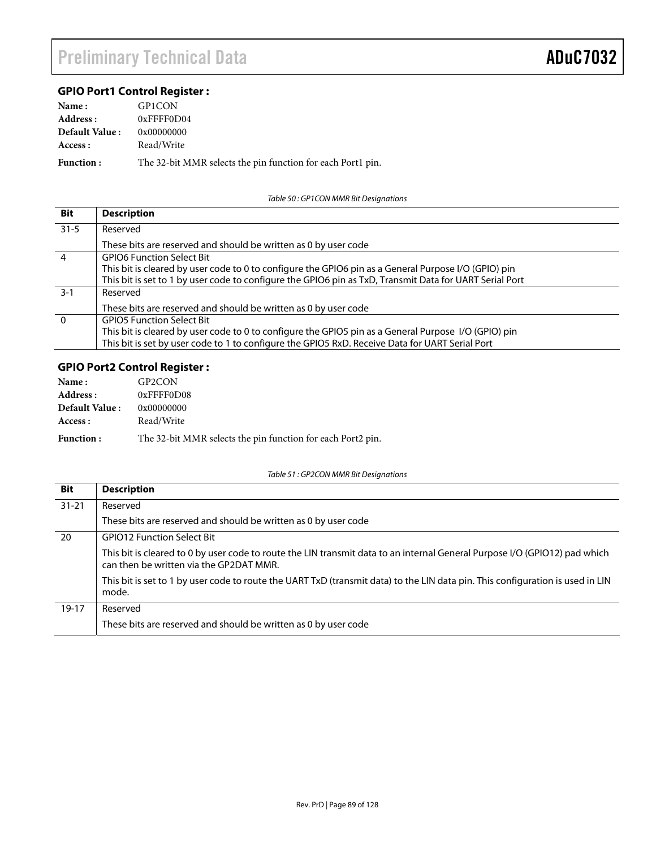# Preliminary Technical Data **ADuC7032**

# **GPIO Port1 Control Register :**

| Name:                 | GP <sub>1</sub> CON                                         |
|-----------------------|-------------------------------------------------------------|
| Address :             | $0x$ FFFF0D04                                               |
| <b>Default Value:</b> | 0x00000000                                                  |
| Access :              | Read/Write                                                  |
| <b>Function:</b>      | The 32-bit MMR selects the pin function for each Port1 pin. |

Table 50 : GP1CON MMR Bit Designations

| <b>Bit</b> | <b>Description</b>                                                                                      |
|------------|---------------------------------------------------------------------------------------------------------|
| $31 - 5$   | Reserved                                                                                                |
|            | These bits are reserved and should be written as 0 by user code                                         |
|            | <b>GPIO6 Function Select Bit</b>                                                                        |
|            | This bit is cleared by user code to 0 to configure the GPIO6 pin as a General Purpose I/O (GPIO) pin    |
|            | This bit is set to 1 by user code to configure the GPIO6 pin as TxD, Transmit Data for UART Serial Port |
| $3 - 1$    | Reserved                                                                                                |
|            | These bits are reserved and should be written as 0 by user code                                         |
| $\Omega$   | <b>GPIO5 Function Select Bit</b>                                                                        |
|            | This bit is cleared by user code to 0 to configure the GPIO5 pin as a General Purpose I/O (GPIO) pin    |
|            | This bit is set by user code to 1 to configure the GPIO5 RxD. Receive Data for UART Serial Port         |

# **GPIO Port2 Control Register :**

 $\overline{a}$ 

| Name:                 | GP <sub>2</sub> CON                                         |
|-----------------------|-------------------------------------------------------------|
| Address :             | $0x$ FFFF0D08                                               |
| <b>Default Value:</b> | 0x00000000                                                  |
| Access :              | Read/Write                                                  |
| <b>Function:</b>      | The 32-bit MMR selects the pin function for each Port2 pin. |

Table 51 : GP2CON MMR Bit Designations

| Bit       | <b>Description</b>                                                                                                                                                    |
|-----------|-----------------------------------------------------------------------------------------------------------------------------------------------------------------------|
| $31 - 21$ | Reserved                                                                                                                                                              |
|           | These bits are reserved and should be written as 0 by user code                                                                                                       |
| 20        | <b>GPIO12 Function Select Bit</b>                                                                                                                                     |
|           | This bit is cleared to 0 by user code to route the LIN transmit data to an internal General Purpose I/O (GPIO12) pad which<br>can then be written via the GP2DAT MMR. |
|           | This bit is set to 1 by user code to route the UART TxD (transmit data) to the LIN data pin. This configuration is used in LIN<br>mode.                               |
| $19 - 17$ | Reserved                                                                                                                                                              |
|           | These bits are reserved and should be written as 0 by user code                                                                                                       |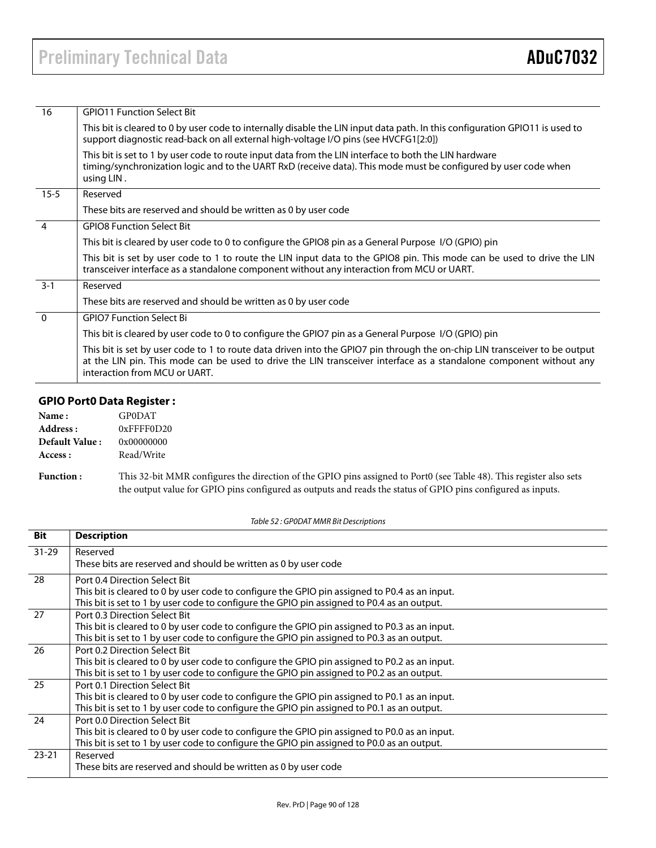| 16             | <b>GPIO11 Function Select Bit</b>                                                                                                                                                                                                                                                 |
|----------------|-----------------------------------------------------------------------------------------------------------------------------------------------------------------------------------------------------------------------------------------------------------------------------------|
|                | This bit is cleared to 0 by user code to internally disable the LIN input data path. In this configuration GPIO11 is used to<br>support diagnostic read-back on all external high-voltage I/O pins (see HVCFG1[2:0])                                                              |
|                | This bit is set to 1 by user code to route input data from the LIN interface to both the LIN hardware<br>timing/synchronization logic and to the UART RxD (receive data). This mode must be configured by user code when<br>using LIN.                                            |
| $15 - 5$       | Reserved                                                                                                                                                                                                                                                                          |
|                | These bits are reserved and should be written as 0 by user code                                                                                                                                                                                                                   |
| $\overline{4}$ | <b>GPIO8 Function Select Bit</b>                                                                                                                                                                                                                                                  |
|                | This bit is cleared by user code to 0 to configure the GPIO8 pin as a General Purpose I/O (GPIO) pin                                                                                                                                                                              |
|                | This bit is set by user code to 1 to route the LIN input data to the GPIO8 pin. This mode can be used to drive the LIN<br>transceiver interface as a standalone component without any interaction from MCU or UART.                                                               |
| $3 - 1$        | Reserved                                                                                                                                                                                                                                                                          |
|                | These bits are reserved and should be written as 0 by user code                                                                                                                                                                                                                   |
| $\Omega$       | <b>GPIO7 Function Select Bi</b>                                                                                                                                                                                                                                                   |
|                | This bit is cleared by user code to 0 to configure the GPIO7 pin as a General Purpose I/O (GPIO) pin                                                                                                                                                                              |
|                | This bit is set by user code to 1 to route data driven into the GPIO7 pin through the on-chip LIN transceiver to be output<br>at the LIN pin. This mode can be used to drive the LIN transceiver interface as a standalone component without any<br>interaction from MCU or UART. |

# **GPIO Port0 Data Register :**

**Name :** GP0DAT **Address :** 0xFFFF0D20 **Default Value :** 0x00000000 **Access :** Read/Write

**Function :** This 32-bit MMR configures the direction of the GPIO pins assigned to Port0 (see Table 48). This register also sets the output value for GPIO pins configured as outputs and reads the status of GPIO pins configured as inputs.

| <b>Bit</b> | <b>Description</b>                                                                            |
|------------|-----------------------------------------------------------------------------------------------|
| $31 - 29$  | Reserved                                                                                      |
|            | These bits are reserved and should be written as 0 by user code                               |
| 28         | Port 0.4 Direction Select Bit                                                                 |
|            | This bit is cleared to 0 by user code to configure the GPIO pin assigned to P0.4 as an input. |
|            | This bit is set to 1 by user code to configure the GPIO pin assigned to P0.4 as an output.    |
| 27         | Port 0.3 Direction Select Bit                                                                 |
|            | This bit is cleared to 0 by user code to configure the GPIO pin assigned to P0.3 as an input. |
|            | This bit is set to 1 by user code to configure the GPIO pin assigned to P0.3 as an output.    |
| 26         | Port 0.2 Direction Select Bit                                                                 |
|            | This bit is cleared to 0 by user code to configure the GPIO pin assigned to P0.2 as an input. |
|            | This bit is set to 1 by user code to configure the GPIO pin assigned to P0.2 as an output.    |
| 25         | Port 0.1 Direction Select Bit                                                                 |
|            | This bit is cleared to 0 by user code to configure the GPIO pin assigned to P0.1 as an input. |
|            | This bit is set to 1 by user code to configure the GPIO pin assigned to P0.1 as an output.    |
| 24         | Port 0.0 Direction Select Bit                                                                 |
|            | This bit is cleared to 0 by user code to configure the GPIO pin assigned to P0.0 as an input. |
|            | This bit is set to 1 by user code to configure the GPIO pin assigned to P0.0 as an output.    |
| $23 - 21$  | Reserved                                                                                      |
|            | These bits are reserved and should be written as 0 by user code                               |

Table 52 : GP0DAT MMR Bit Descriptions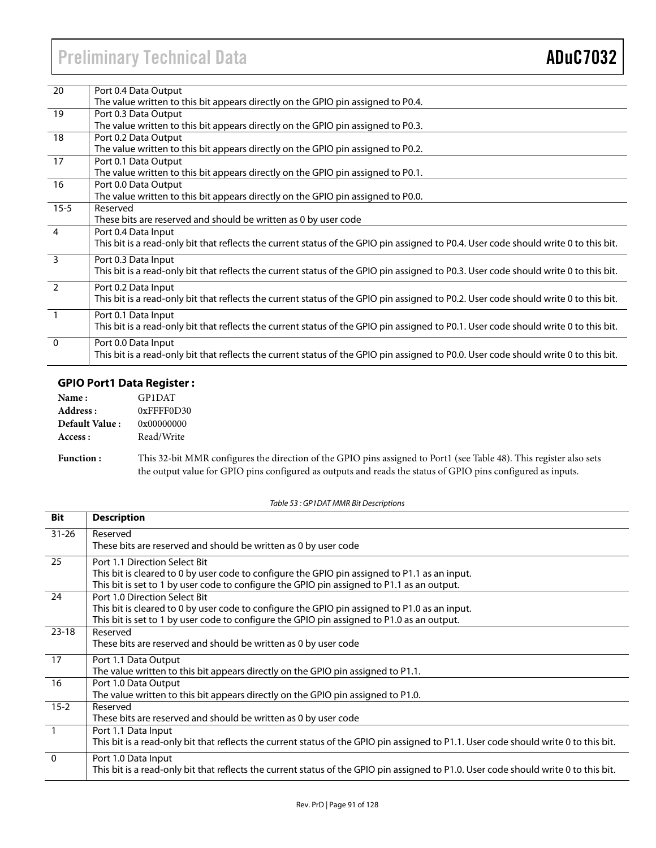# Preliminary Technical Data ADuC7032

| $\overline{20}$           | Port 0.4 Data Output                                                                                                                 |
|---------------------------|--------------------------------------------------------------------------------------------------------------------------------------|
|                           | The value written to this bit appears directly on the GPIO pin assigned to P0.4.                                                     |
| $\overline{19}$           | Port 0.3 Data Output                                                                                                                 |
|                           | The value written to this bit appears directly on the GPIO pin assigned to P0.3.                                                     |
| 18                        | Port 0.2 Data Output                                                                                                                 |
|                           | The value written to this bit appears directly on the GPIO pin assigned to P0.2.                                                     |
| 17                        | Port 0.1 Data Output                                                                                                                 |
|                           | The value written to this bit appears directly on the GPIO pin assigned to P0.1.                                                     |
| 16                        | Port 0.0 Data Output                                                                                                                 |
|                           | The value written to this bit appears directly on the GPIO pin assigned to P0.0.                                                     |
| $15 - 5$                  | Reserved                                                                                                                             |
|                           | These bits are reserved and should be written as 0 by user code                                                                      |
| $\overline{4}$            | Port 0.4 Data Input                                                                                                                  |
|                           | This bit is a read-only bit that reflects the current status of the GPIO pin assigned to P0.4. User code should write 0 to this bit. |
| $\overline{\phantom{a}3}$ | Port 0.3 Data Input                                                                                                                  |
|                           | This bit is a read-only bit that reflects the current status of the GPIO pin assigned to P0.3. User code should write 0 to this bit. |
| $\overline{2}$            | Port 0.2 Data Input                                                                                                                  |
|                           | This bit is a read-only bit that reflects the current status of the GPIO pin assigned to P0.2. User code should write 0 to this bit. |
| $\overline{1}$            | Port 0.1 Data Input                                                                                                                  |
|                           | This bit is a read-only bit that reflects the current status of the GPIO pin assigned to P0.1. User code should write 0 to this bit. |
| $\overline{0}$            | Port 0.0 Data Input                                                                                                                  |
|                           | This bit is a read-only bit that reflects the current status of the GPIO pin assigned to P0.0. User code should write 0 to this bit. |
|                           |                                                                                                                                      |

#### **GPIO Port1 Data Register :**

| Name:               | GP1DAT            |
|---------------------|-------------------|
| Address:            | $0x$ FFFF0D30     |
| Default Value:      | 0x00000000        |
| Access :            | Read/Write        |
| $E$ unction $\cdot$ | $This 22$ $hi 11$ |

Function : This 32-bit MMR configures the direction of the GPIO pins assigned to Port1 (see Table 48). This register also sets the output value for GPIO pins configured as outputs and reads the status of GPIO pins configured as inputs.

**Bit Description**  31-26 Reserved These bits are reserved and should be written as 0 by user code 25 Port 1.1 Direction Select Bit This bit is cleared to 0 by user code to configure the GPIO pin assigned to P1.1 as an input. This bit is set to 1 by user code to configure the GPIO pin assigned to P1.1 as an output. 24 Port 1.0 Direction Select Bit This bit is cleared to 0 by user code to configure the GPIO pin assigned to P1.0 as an input. This bit is set to 1 by user code to configure the GPIO pin assigned to P1.0 as an output. 23-18 Reserved These bits are reserved and should be written as 0 by user code 17 Port 1.1 Data Output The value written to this bit appears directly on the GPIO pin assigned to P1.1. 16 Port 1.0 Data Output The value written to this bit appears directly on the GPIO pin assigned to P1.0. 15-2 Reserved These bits are reserved and should be written as 0 by user code 1 Port 1.1 Data Input This bit is a read-only bit that reflects the current status of the GPIO pin assigned to P1.1. User code should write 0 to this bit. 0 Port 1.0 Data Input This bit is a read-only bit that reflects the current status of the GPIO pin assigned to P1.0. User code should write 0 to this bit.

Table 53 : GP1DAT MMR Bit Descriptions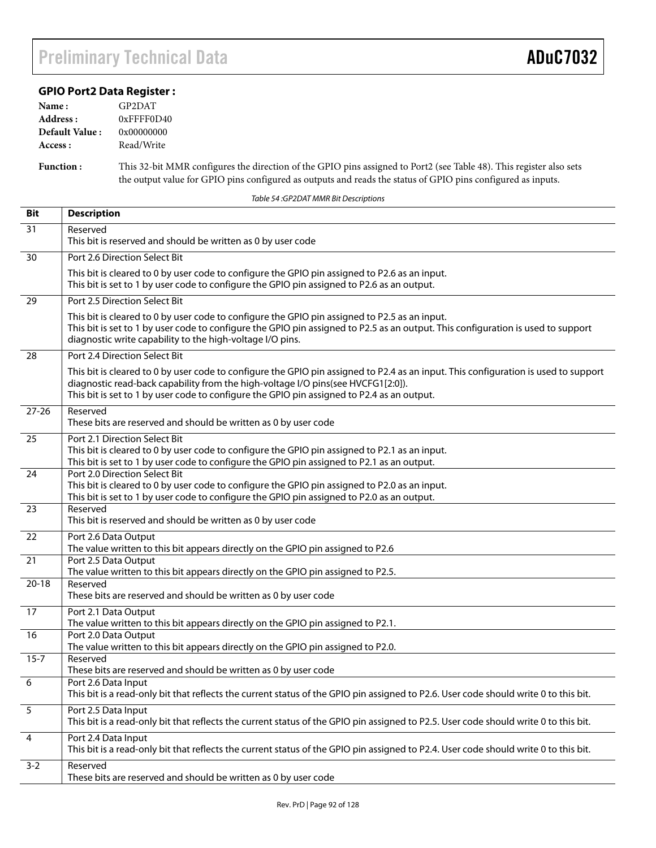# Preliminary Technical Data ADuC7032

# **GPIO Port2 Data Register :**

| Name:          | GP2DAT        |
|----------------|---------------|
| Address :      | $0x$ FFFF0D40 |
| Default Value: | 0x00000000    |
| Access :       | Read/Write    |

**Function :** This 32-bit MMR configures the direction of the GPIO pins assigned to Port2 (see Table 48). This register also sets the output value for GPIO pins configured as outputs and reads the status of GPIO pins configured as inputs.

Table 54 :GP2DAT MMR Bit Descriptions

| <b>Bit</b>      | <b>Description</b>                                                                                                                                                                                                                                                                                                    |
|-----------------|-----------------------------------------------------------------------------------------------------------------------------------------------------------------------------------------------------------------------------------------------------------------------------------------------------------------------|
| 31              | Reserved<br>This bit is reserved and should be written as 0 by user code                                                                                                                                                                                                                                              |
| 30              | Port 2.6 Direction Select Bit                                                                                                                                                                                                                                                                                         |
|                 | This bit is cleared to 0 by user code to configure the GPIO pin assigned to P2.6 as an input.<br>This bit is set to 1 by user code to configure the GPIO pin assigned to P2.6 as an output.                                                                                                                           |
| 29              | Port 2.5 Direction Select Bit                                                                                                                                                                                                                                                                                         |
|                 | This bit is cleared to 0 by user code to configure the GPIO pin assigned to P2.5 as an input.<br>This bit is set to 1 by user code to configure the GPIO pin assigned to P2.5 as an output. This configuration is used to support<br>diagnostic write capability to the high-voltage I/O pins.                        |
| 28              | Port 2.4 Direction Select Bit                                                                                                                                                                                                                                                                                         |
|                 | This bit is cleared to 0 by user code to configure the GPIO pin assigned to P2.4 as an input. This configuration is used to support<br>diagnostic read-back capability from the high-voltage I/O pins(see HVCFG1[2:0]).<br>This bit is set to 1 by user code to configure the GPIO pin assigned to P2.4 as an output. |
| $27 - 26$       | Reserved<br>These bits are reserved and should be written as 0 by user code                                                                                                                                                                                                                                           |
| 25              | Port 2.1 Direction Select Bit<br>This bit is cleared to 0 by user code to configure the GPIO pin assigned to P2.1 as an input.<br>This bit is set to 1 by user code to configure the GPIO pin assigned to P2.1 as an output.                                                                                          |
| 24              | Port 2.0 Direction Select Bit<br>This bit is cleared to 0 by user code to configure the GPIO pin assigned to P2.0 as an input.<br>This bit is set to 1 by user code to configure the GPIO pin assigned to P2.0 as an output.                                                                                          |
| $\overline{23}$ | Reserved<br>This bit is reserved and should be written as 0 by user code                                                                                                                                                                                                                                              |
| 22              | Port 2.6 Data Output<br>The value written to this bit appears directly on the GPIO pin assigned to P2.6                                                                                                                                                                                                               |
| 21              | Port 2.5 Data Output<br>The value written to this bit appears directly on the GPIO pin assigned to P2.5.                                                                                                                                                                                                              |
| $20 - 18$       | Reserved<br>These bits are reserved and should be written as 0 by user code                                                                                                                                                                                                                                           |
| 17              | Port 2.1 Data Output<br>The value written to this bit appears directly on the GPIO pin assigned to P2.1.                                                                                                                                                                                                              |
| 16              | Port 2.0 Data Output<br>The value written to this bit appears directly on the GPIO pin assigned to P2.0.                                                                                                                                                                                                              |
| $15 - 7$        | Reserved<br>These bits are reserved and should be written as 0 by user code                                                                                                                                                                                                                                           |
| 6               | Port 2.6 Data Input<br>This bit is a read-only bit that reflects the current status of the GPIO pin assigned to P2.6. User code should write 0 to this bit.                                                                                                                                                           |
| $\overline{5}$  | Port 2.5 Data Input<br>This bit is a read-only bit that reflects the current status of the GPIO pin assigned to P2.5. User code should write 0 to this bit.                                                                                                                                                           |
| $\overline{4}$  | Port 2.4 Data Input<br>This bit is a read-only bit that reflects the current status of the GPIO pin assigned to P2.4. User code should write 0 to this bit.                                                                                                                                                           |
| $3 - 2$         | Reserved<br>These bits are reserved and should be written as 0 by user code                                                                                                                                                                                                                                           |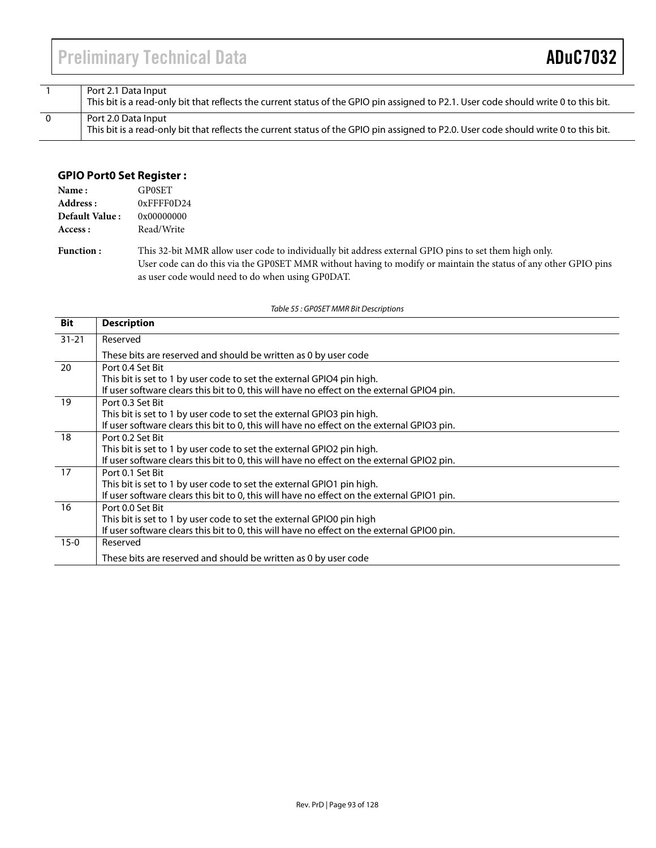|          | Port 2.1 Data Input<br>This bit is a read-only bit that reflects the current status of the GPIO pin assigned to P2.1. User code should write 0 to this bit. |
|----------|-------------------------------------------------------------------------------------------------------------------------------------------------------------|
| $\Omega$ | Port 2.0 Data Input<br>This bit is a read-only bit that reflects the current status of the GPIO pin assigned to P2.0. User code should write 0 to this bit. |

#### **GPIO Port0 Set Register :**

| Name:            | <b>GPOSET</b>                                                                                                   |  |
|------------------|-----------------------------------------------------------------------------------------------------------------|--|
| Address :        | $0x$ FFFF0D24                                                                                                   |  |
| Default Value:   | 0x00000000                                                                                                      |  |
| Access :         | Read/Write                                                                                                      |  |
| <b>Function:</b> | This 32-bit MMR allow user code to individually bit address external GPIO pins to set them high only.           |  |
|                  | User code can do this via the GP0SET MMR without having to modify or maintain the status of any other GPIO pins |  |

Table 55 : GP0SET MMR Bit Descriptions

as user code would need to do when using GP0DAT.

| <b>Bit</b> | <b>Description</b>                                                                         |
|------------|--------------------------------------------------------------------------------------------|
| $31 - 21$  | Reserved                                                                                   |
|            | These bits are reserved and should be written as 0 by user code                            |
| 20         | Port 0.4 Set Bit                                                                           |
|            | This bit is set to 1 by user code to set the external GPIO4 pin high.                      |
|            | If user software clears this bit to 0, this will have no effect on the external GPIO4 pin. |
| 19         | Port 0.3 Set Bit                                                                           |
|            | This bit is set to 1 by user code to set the external GPIO3 pin high.                      |
|            | If user software clears this bit to 0, this will have no effect on the external GPIO3 pin. |
| 18         | Port 0.2 Set Bit                                                                           |
|            | This bit is set to 1 by user code to set the external GPIO2 pin high.                      |
|            | If user software clears this bit to 0, this will have no effect on the external GPIO2 pin. |
| 17         | Port 0.1 Set Bit                                                                           |
|            | This bit is set to 1 by user code to set the external GPIO1 pin high.                      |
|            | If user software clears this bit to 0, this will have no effect on the external GPIO1 pin. |
| 16         | Port 0.0 Set Bit                                                                           |
|            | This bit is set to 1 by user code to set the external GPIO0 pin high                       |
|            | If user software clears this bit to 0, this will have no effect on the external GPIO0 pin. |
| $15-0$     | Reserved                                                                                   |
|            | These bits are reserved and should be written as 0 by user code                            |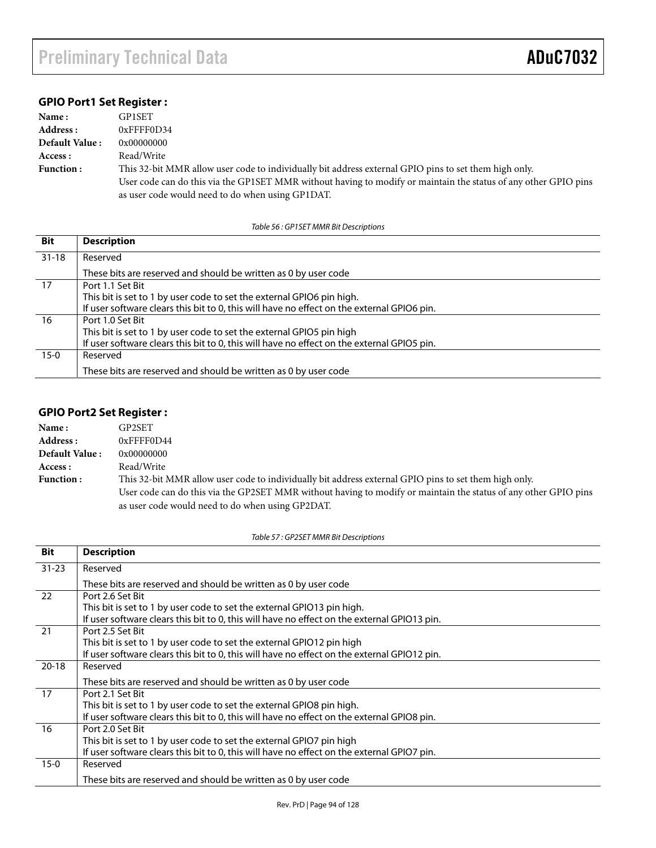## **GPIO Port1 Set Register :**

| Name:                                                                                                                     | GP1SET                                                                                                          |
|---------------------------------------------------------------------------------------------------------------------------|-----------------------------------------------------------------------------------------------------------------|
| Address :                                                                                                                 | 0xFFFF0D34                                                                                                      |
| Default Value:                                                                                                            | 0x00000000                                                                                                      |
| Access :                                                                                                                  | Read/Write                                                                                                      |
| This 32-bit MMR allow user code to individually bit address external GPIO pins to set them high only.<br><b>Function:</b> |                                                                                                                 |
|                                                                                                                           | User code can do this via the GP1SET MMR without having to modify or maintain the status of any other GPIO pins |
|                                                                                                                           | as user code would need to do when using GP1DAT.                                                                |

Table 56 : GP1SET MMR Bit Descriptions

| <b>Bit</b> | <b>Description</b>                                                                         |
|------------|--------------------------------------------------------------------------------------------|
| $31 - 18$  | Reserved                                                                                   |
|            | These bits are reserved and should be written as 0 by user code                            |
| 17         | Port 1.1 Set Bit                                                                           |
|            | This bit is set to 1 by user code to set the external GPIO6 pin high.                      |
|            | If user software clears this bit to 0, this will have no effect on the external GPIO6 pin. |
| 16         | Port 1.0 Set Bit                                                                           |
|            | This bit is set to 1 by user code to set the external GPIO5 pin high                       |
|            | If user software clears this bit to 0, this will have no effect on the external GPIO5 pin. |
| $15-0$     | Reserved                                                                                   |
|            | These bits are reserved and should be written as 0 by user code                            |

#### **GPIO Port2 Set Register :**

| Name:            | GP2SET                                                                                                          |
|------------------|-----------------------------------------------------------------------------------------------------------------|
| Address :        | $0x$ FFFF0D44                                                                                                   |
| Default Value:   | 0x00000000                                                                                                      |
| Access :         | Read/Write                                                                                                      |
| <b>Function:</b> | This 32-bit MMR allow user code to individually bit address external GPIO pins to set them high only.           |
|                  | User code can do this via the GP2SET MMR without having to modify or maintain the status of any other GPIO pins |
|                  | as user code would need to do when using GP2DAT.                                                                |

Table 57 : GP2SET MMR Bit Descriptions

| <b>Bit</b> | <b>Description</b>                                                                          |
|------------|---------------------------------------------------------------------------------------------|
| $31 - 23$  | Reserved                                                                                    |
|            | These bits are reserved and should be written as 0 by user code                             |
| 22         | Port 2.6 Set Bit                                                                            |
|            | This bit is set to 1 by user code to set the external GPIO13 pin high.                      |
|            | If user software clears this bit to 0, this will have no effect on the external GPIO13 pin. |
| 21         | Port 2.5 Set Bit                                                                            |
|            | This bit is set to 1 by user code to set the external GPIO12 pin high                       |
|            | If user software clears this bit to 0, this will have no effect on the external GPIO12 pin. |
| $20 - 18$  | Reserved                                                                                    |
|            | These bits are reserved and should be written as 0 by user code                             |
| 17         | Port 2.1 Set Bit                                                                            |
|            | This bit is set to 1 by user code to set the external GPIO8 pin high.                       |
|            | If user software clears this bit to 0, this will have no effect on the external GPIO8 pin.  |
| 16         | Port 2.0 Set Bit                                                                            |
|            | This bit is set to 1 by user code to set the external GPIO7 pin high                        |
|            | If user software clears this bit to 0, this will have no effect on the external GPIO7 pin.  |
| $15-0$     | Reserved                                                                                    |
|            | These bits are reserved and should be written as 0 by user code                             |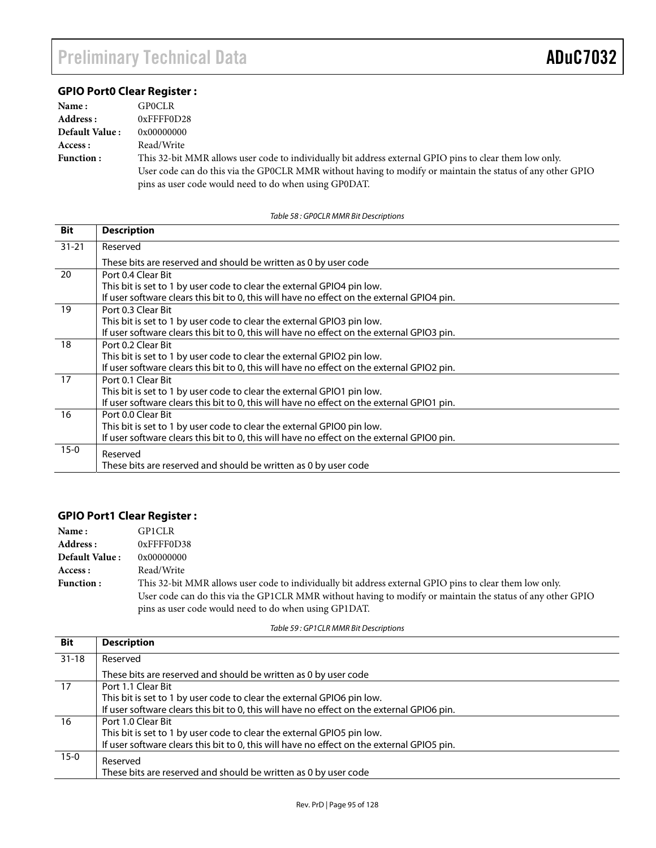# **GPIO Port0 Clear Register :**

| Name:            | <b>GPOCLR</b>                                                                                              |
|------------------|------------------------------------------------------------------------------------------------------------|
| Address:         | $0x$ FFFF0D28                                                                                              |
| Default Value:   | 0x00000000                                                                                                 |
| Access :         | Read/Write                                                                                                 |
| <b>Function:</b> | This 32-bit MMR allows user code to individually bit address external GPIO pins to clear them low only.    |
|                  | User code can do this via the GP0CLR MMR without having to modify or maintain the status of any other GPIO |
|                  | pins as user code would need to do when using GP0DAT.                                                      |

Table 58 : GP0CLR MMR Bit Descriptions

| <b>Bit</b> | <b>Description</b>                                                                         |
|------------|--------------------------------------------------------------------------------------------|
| $31 - 21$  | Reserved                                                                                   |
|            | These bits are reserved and should be written as 0 by user code                            |
| 20         | Port 0.4 Clear Bit                                                                         |
|            | This bit is set to 1 by user code to clear the external GPIO4 pin low.                     |
|            | If user software clears this bit to 0, this will have no effect on the external GPIO4 pin. |
| 19         | Port 0.3 Clear Bit                                                                         |
|            | This bit is set to 1 by user code to clear the external GPIO3 pin low.                     |
|            | If user software clears this bit to 0, this will have no effect on the external GPIO3 pin. |
| 18         | Port 0.2 Clear Bit                                                                         |
|            | This bit is set to 1 by user code to clear the external GPIO2 pin low.                     |
|            | If user software clears this bit to 0, this will have no effect on the external GPIO2 pin. |
| 17         | Port 0.1 Clear Bit                                                                         |
|            | This bit is set to 1 by user code to clear the external GPIO1 pin low.                     |
|            | If user software clears this bit to 0, this will have no effect on the external GPIO1 pin. |
| 16         | Port 0.0 Clear Bit                                                                         |
|            | This bit is set to 1 by user code to clear the external GPIO0 pin low.                     |
|            | If user software clears this bit to 0, this will have no effect on the external GPIO0 pin. |
| $15-0$     | Reserved                                                                                   |
|            | These bits are reserved and should be written as 0 by user code                            |

# **GPIO Port1 Clear Register :**

| Name:            | GP1CLR                                                                                                     |
|------------------|------------------------------------------------------------------------------------------------------------|
| Address:         | 0xFFFF0D38                                                                                                 |
| Default Value:   | 0x00000000                                                                                                 |
| Access :         | Read/Write                                                                                                 |
| <b>Function:</b> | This 32-bit MMR allows user code to individually bit address external GPIO pins to clear them low only.    |
|                  | User code can do this via the GP1CLR MMR without having to modify or maintain the status of any other GPIO |
|                  | pins as user code would need to do when using GP1DAT.                                                      |

Table 59 : GP1CLR MMR Bit Descriptions

| <b>Bit</b> | <b>Description</b>                                                                         |
|------------|--------------------------------------------------------------------------------------------|
| $31 - 18$  | Reserved                                                                                   |
|            | These bits are reserved and should be written as 0 by user code                            |
| 17         | Port 1.1 Clear Bit                                                                         |
|            | This bit is set to 1 by user code to clear the external GPIO6 pin low.                     |
|            | If user software clears this bit to 0, this will have no effect on the external GPIO6 pin. |
| 16         | Port 1.0 Clear Bit                                                                         |
|            | This bit is set to 1 by user code to clear the external GPIO5 pin low.                     |
|            | If user software clears this bit to 0, this will have no effect on the external GPIO5 pin. |
| $15-0$     | Reserved                                                                                   |
|            | These bits are reserved and should be written as 0 by user code                            |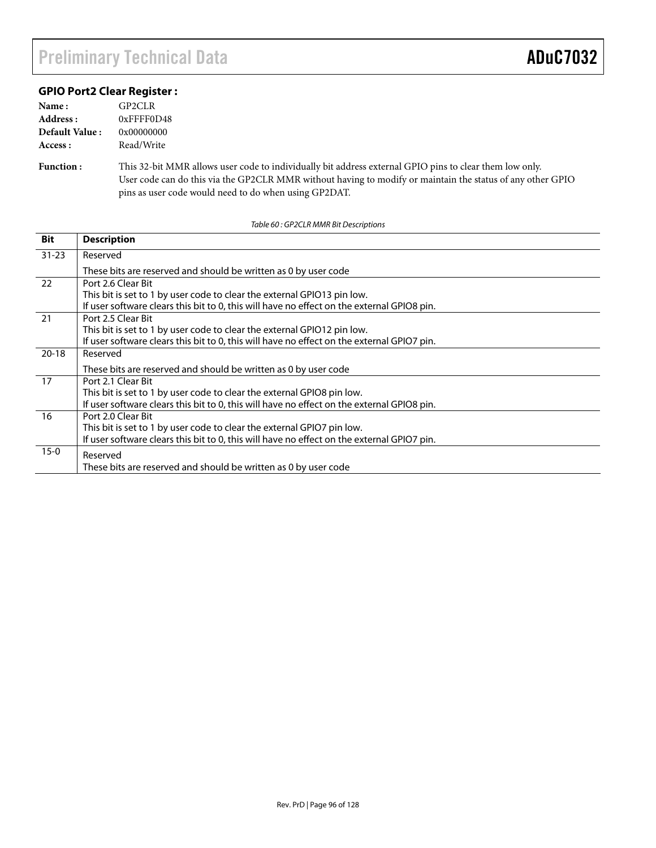#### **GPIO Port2 Clear Register :**

| Name:          | GP2CLR        |
|----------------|---------------|
| Address:       | $0x$ FFFF0D48 |
| Default Value: | 0x00000000    |
| Access :       | Read/Write    |

**Function :** This 32-bit MMR allows user code to individually bit address external GPIO pins to clear them low only. User code can do this via the GP2CLR MMR without having to modify or maintain the status of any other GPIO pins as user code would need to do when using GP2DAT.

|            | Table ou . Or ZCLN Minim bit Descriptions                                                  |  |
|------------|--------------------------------------------------------------------------------------------|--|
| <b>Bit</b> | <b>Description</b>                                                                         |  |
| $31 - 23$  | Reserved                                                                                   |  |
|            | These bits are reserved and should be written as 0 by user code                            |  |
| 22         | Port 2.6 Clear Bit                                                                         |  |
|            | This bit is set to 1 by user code to clear the external GPIO13 pin low.                    |  |
|            | If user software clears this bit to 0, this will have no effect on the external GPIO8 pin. |  |
| 21         | Port 2.5 Clear Bit                                                                         |  |
|            | This bit is set to 1 by user code to clear the external GPIO12 pin low.                    |  |
|            | If user software clears this bit to 0, this will have no effect on the external GPIO7 pin. |  |
| $20 - 18$  | Reserved                                                                                   |  |
|            | These bits are reserved and should be written as 0 by user code                            |  |
| 17         | Port 2.1 Clear Bit                                                                         |  |
|            | This bit is set to 1 by user code to clear the external GPIO8 pin low.                     |  |
|            | If user software clears this bit to 0, this will have no effect on the external GPIO8 pin. |  |
| 16         | Port 2.0 Clear Bit                                                                         |  |
|            | This bit is set to 1 by user code to clear the external GPIO7 pin low.                     |  |
|            | If user software clears this bit to 0, this will have no effect on the external GPIO7 pin. |  |
| $15-0$     | Reserved                                                                                   |  |
|            | These bits are reserved and should be written as 0 by user code                            |  |

#### Table 60 : GP2CLR MMR Bit Descriptions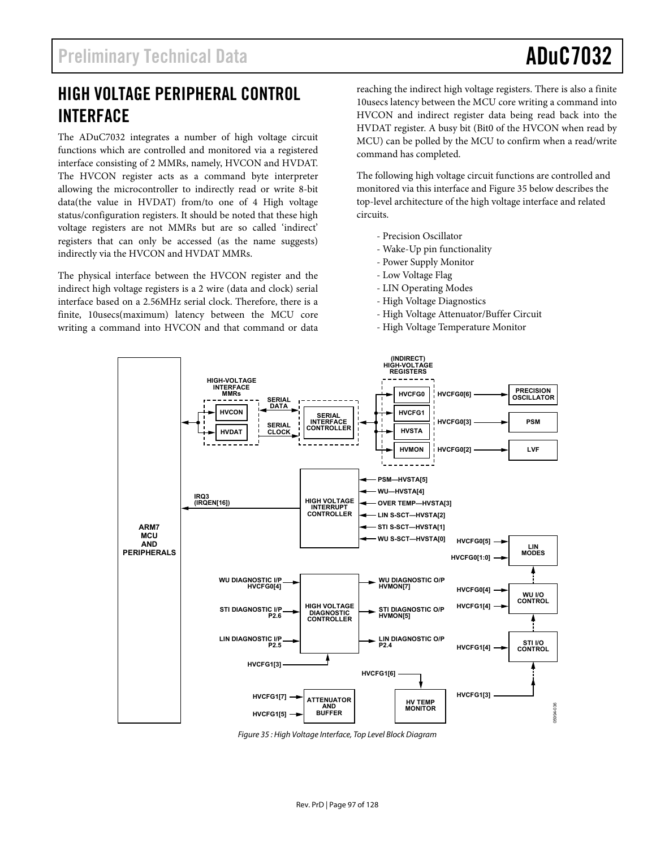# HIGH VOLTAGE PERIPHERAL CONTROL INTERFACE

The ADuC7032 integrates a number of high voltage circuit functions which are controlled and monitored via a registered interface consisting of 2 MMRs, namely, HVCON and HVDAT. The HVCON register acts as a command byte interpreter allowing the microcontroller to indirectly read or write 8-bit data(the value in HVDAT) from/to one of 4 High voltage status/configuration registers. It should be noted that these high voltage registers are not MMRs but are so called 'indirect' registers that can only be accessed (as the name suggests) indirectly via the HVCON and HVDAT MMRs.

The physical interface between the HVCON register and the indirect high voltage registers is a 2 wire (data and clock) serial interface based on a 2.56MHz serial clock. Therefore, there is a finite, 10usecs(maximum) latency between the MCU core writing a command into HVCON and that command or data reaching the indirect high voltage registers. There is also a finite 10usecs latency between the MCU core writing a command into HVCON and indirect register data being read back into the HVDAT register. A busy bit (Bit0 of the HVCON when read by MCU) can be polled by the MCU to confirm when a read/write command has completed.

The following high voltage circuit functions are controlled and monitored via this interface and Figure 35 below describes the top-level architecture of the high voltage interface and related circuits.

- Precision Oscillator
- Wake-Up pin functionality
- Power Supply Monitor
- Low Voltage Flag
- LIN Operating Modes
- High Voltage Diagnostics
- High Voltage Attenuator/Buffer Circuit
- High Voltage Temperature Monitor



Figure 35 : High Voltage Interface, Top Level Block Diagram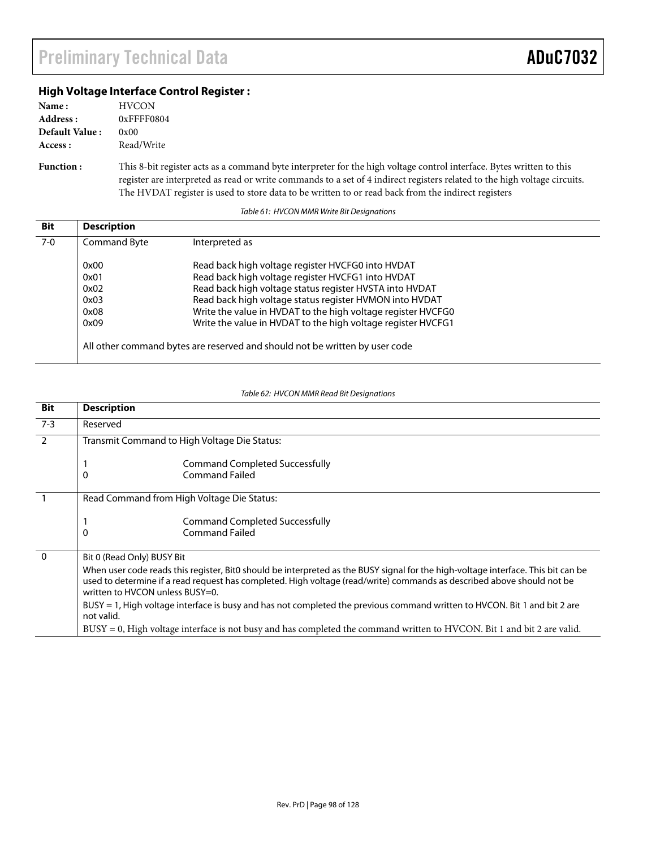## **High Voltage Interface Control Register :**

| Name:          | <b>HVCON</b>  |
|----------------|---------------|
| Address :      | $0x$ FFFF0804 |
| Default Value: | 0x00          |
| Access :       | Read/Write    |

**Function :** This 8-bit register acts as a command byte interpreter for the high voltage control interface. Bytes written to this register are interpreted as read or write commands to a set of 4 indirect registers related to the high voltage circuits. The HVDAT register is used to store data to be written to or read back from the indirect registers

Table 61: HVCON MMR Write Bit Designations

| <b>Bit</b> | <b>Description</b> |                                                                             |
|------------|--------------------|-----------------------------------------------------------------------------|
| 7-0        | Command Byte       | Interpreted as                                                              |
|            | 0x00               | Read back high voltage register HVCFG0 into HVDAT                           |
|            | 0x01               | Read back high voltage register HVCFG1 into HVDAT                           |
|            | 0x02               | Read back high voltage status register HVSTA into HVDAT                     |
|            | 0x03               | Read back high voltage status register HVMON into HVDAT                     |
|            | 0x08               | Write the value in HVDAT to the high voltage register HVCFG0                |
|            | 0x09               | Write the value in HVDAT to the high voltage register HVCFG1                |
|            |                    |                                                                             |
|            |                    | All other command bytes are reserved and should not be written by user code |
|            |                    |                                                                             |

#### Table 62: HVCON MMR Read Bit Designations

| <b>Bit</b>     | <b>Description</b>                                                                                                                                                                                                                                                                             |
|----------------|------------------------------------------------------------------------------------------------------------------------------------------------------------------------------------------------------------------------------------------------------------------------------------------------|
| $7 - 3$        | Reserved                                                                                                                                                                                                                                                                                       |
| $\overline{2}$ | Transmit Command to High Voltage Die Status:                                                                                                                                                                                                                                                   |
|                | <b>Command Completed Successfully</b><br>1                                                                                                                                                                                                                                                     |
|                | <b>Command Failed</b><br>$\Omega$                                                                                                                                                                                                                                                              |
|                | Read Command from High Voltage Die Status:                                                                                                                                                                                                                                                     |
|                | Command Completed Successfully<br>1                                                                                                                                                                                                                                                            |
|                | <b>Command Failed</b><br>$\Omega$                                                                                                                                                                                                                                                              |
| $\overline{0}$ | Bit 0 (Read Only) BUSY Bit                                                                                                                                                                                                                                                                     |
|                | When user code reads this register, Bit0 should be interpreted as the BUSY signal for the high-voltage interface. This bit can be<br>used to determine if a read request has completed. High voltage (read/write) commands as described above should not be<br>written to HVCON unless BUSY=0. |
|                | BUSY = 1, High voltage interface is busy and has not completed the previous command written to HVCON. Bit 1 and bit 2 are<br>not valid.                                                                                                                                                        |
|                | BUSY = 0, High voltage interface is not busy and has completed the command written to HVCON. Bit 1 and bit 2 are valid.                                                                                                                                                                        |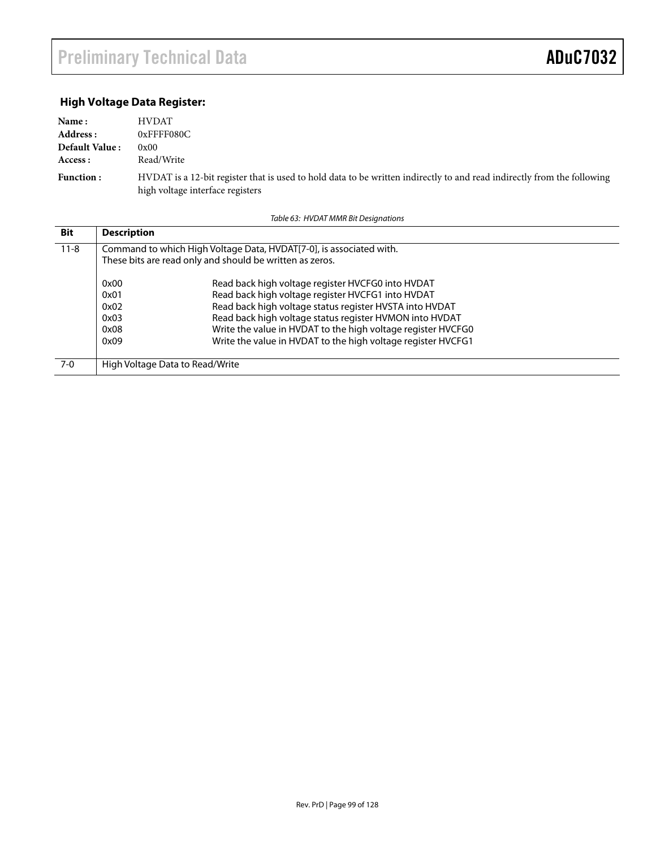# **High Voltage Data Register:**

| Name:            | <b>HVDAT</b>                                                                                                                                                |
|------------------|-------------------------------------------------------------------------------------------------------------------------------------------------------------|
| Address :        | $0x$ FFFF080C                                                                                                                                               |
| Default Value:   | 0x00                                                                                                                                                        |
| Access :         | Read/Write                                                                                                                                                  |
| <b>Function:</b> | HVDAT is a 12-bit register that is used to hold data to be written indirectly to and read indirectly from the following<br>high voltage interface registers |

Table 63: HVDAT MMR Bit Designations

| <b>Bit</b> | <b>Description</b>                                       |                                                                     |
|------------|----------------------------------------------------------|---------------------------------------------------------------------|
| $11 - 8$   |                                                          | Command to which High Voltage Data, HVDAT[7-0], is associated with. |
|            | These bits are read only and should be written as zeros. |                                                                     |
|            | 0x00                                                     | Read back high voltage register HVCFG0 into HVDAT                   |
|            | 0x01                                                     | Read back high voltage register HVCFG1 into HVDAT                   |
|            | 0x02                                                     | Read back high voltage status register HVSTA into HVDAT             |
|            | 0x03                                                     | Read back high voltage status register HVMON into HVDAT             |
|            | 0x08                                                     | Write the value in HVDAT to the high voltage register HVCFG0        |
|            | 0x09                                                     | Write the value in HVDAT to the high voltage register HVCFG1        |
| 7-0        |                                                          | High Voltage Data to Read/Write                                     |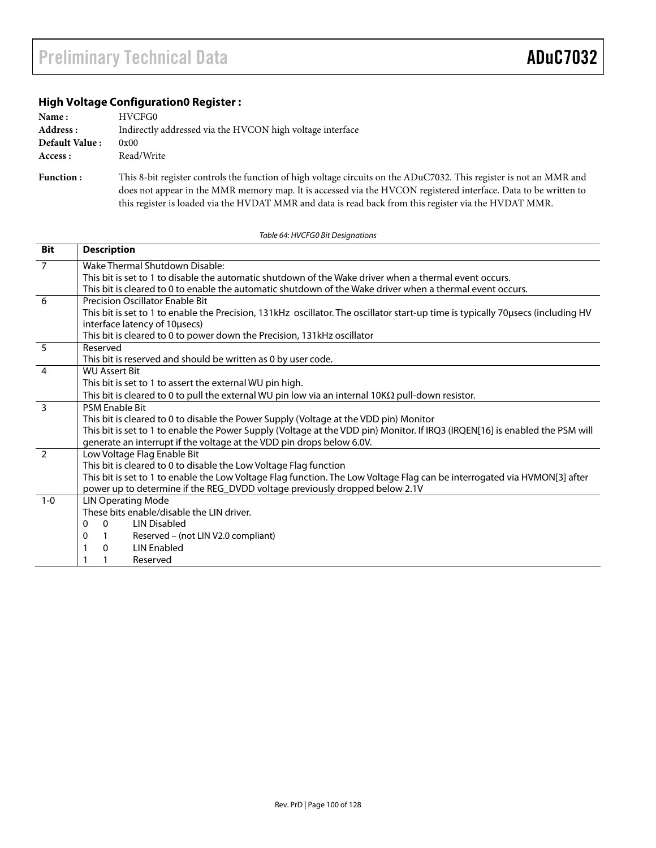#### **High Voltage Configuration0 Register :**

| Name:                                  | HVCFG0                                                           |
|----------------------------------------|------------------------------------------------------------------|
| Address :                              | Indirectly addressed via the HVCON high voltage interface        |
| <b>Default Value:</b>                  | 0x00                                                             |
| Access :                               | Read/Write                                                       |
| $\Gamma_{\rm{max}}$ and a set $\Gamma$ | This O his accident controls the formation of high college since |

**Function :** This 8-bit register controls the function of high voltage circuits on the ADuC7032. This register is not an MMR and does not appear in the MMR memory map. It is accessed via the HVCON registered interface. Data to be written to this register is loaded via the HVDAT MMR and data is read back from this register via the HVDAT MMR.

| <b>Bit</b>     | <b>Description</b>                                                                                                                                                 |
|----------------|--------------------------------------------------------------------------------------------------------------------------------------------------------------------|
| $\overline{7}$ | Wake Thermal Shutdown Disable:                                                                                                                                     |
|                | This bit is set to 1 to disable the automatic shutdown of the Wake driver when a thermal event occurs.                                                             |
|                | This bit is cleared to 0 to enable the automatic shutdown of the Wake driver when a thermal event occurs.                                                          |
| 6              | Precision Oscillator Enable Bit                                                                                                                                    |
|                | This bit is set to 1 to enable the Precision, 131kHz oscillator. The oscillator start-up time is typically 70 usecs (including HV<br>interface latency of 10usecs) |
|                | This bit is cleared to 0 to power down the Precision, 131kHz oscillator                                                                                            |
| 5              | Reserved                                                                                                                                                           |
|                | This bit is reserved and should be written as 0 by user code.                                                                                                      |
| $\overline{4}$ | <b>WU Assert Bit</b>                                                                                                                                               |
|                | This bit is set to 1 to assert the external WU pin high.                                                                                                           |
|                | This bit is cleared to 0 to pull the external WU pin low via an internal $10K\Omega$ pull-down resistor.                                                           |
| $\overline{3}$ | <b>PSM Enable Bit</b>                                                                                                                                              |
|                | This bit is cleared to 0 to disable the Power Supply (Voltage at the VDD pin) Monitor                                                                              |
|                | This bit is set to 1 to enable the Power Supply (Voltage at the VDD pin) Monitor. If IRQ3 (IRQEN[16] is enabled the PSM will                                       |
|                | generate an interrupt if the voltage at the VDD pin drops below 6.0V.                                                                                              |
| $\overline{z}$ | Low Voltage Flag Enable Bit                                                                                                                                        |
|                | This bit is cleared to 0 to disable the Low Voltage Flag function                                                                                                  |
|                | This bit is set to 1 to enable the Low Voltage Flag function. The Low Voltage Flag can be interrogated via HVMON[3] after                                          |
|                | power up to determine if the REG_DVDD voltage previously dropped below 2.1V                                                                                        |
| $1 - 0$        | <b>LIN Operating Mode</b>                                                                                                                                          |
|                | These bits enable/disable the LIN driver.                                                                                                                          |
|                | $\mathbf{0}$<br><b>LIN Disabled</b><br>0                                                                                                                           |
|                | Reserved - (not LIN V2.0 compliant)<br>0<br>$\mathbf{1}$                                                                                                           |
|                | <b>LIN Enabled</b><br>$\Omega$                                                                                                                                     |
|                | Reserved                                                                                                                                                           |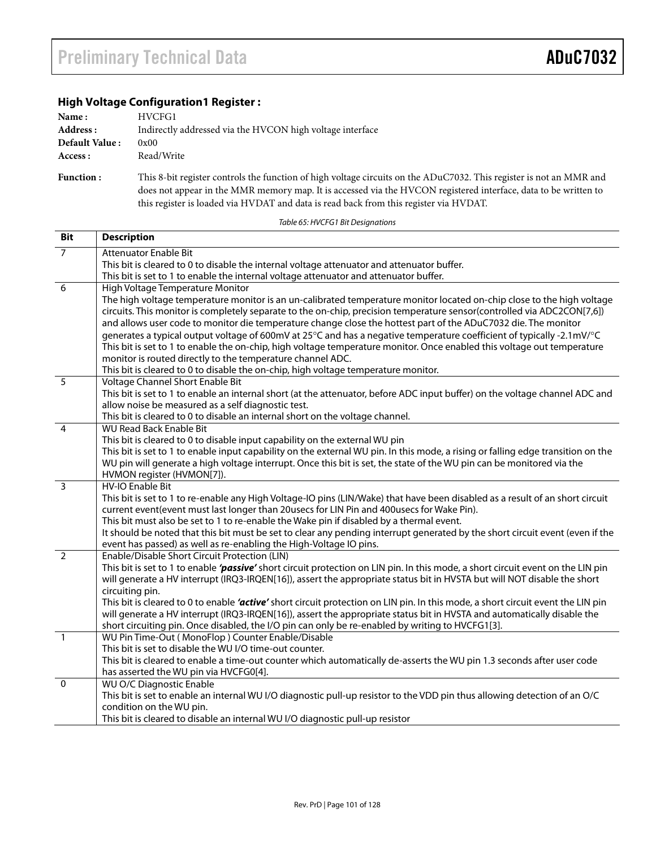## **High Voltage Configuration1 Register :**

| Name:            | HVCFG1                                                                                                              |
|------------------|---------------------------------------------------------------------------------------------------------------------|
| Address :        | Indirectly addressed via the HVCON high voltage interface                                                           |
| Default Value:   | 0x00                                                                                                                |
| Access :         | Read/Write                                                                                                          |
| <b>Function:</b> | This 8-bit register controls the function of high voltage circuits on the ADuC7032. This register is not an MMR and |

 does not appear in the MMR memory map. It is accessed via the HVCON registered interface, data to be written to this register is loaded via HVDAT and data is read back from this register via HVDAT.

| <b>Bit</b>     | <b>Description</b>                                                                                                                                                                                                                               |
|----------------|--------------------------------------------------------------------------------------------------------------------------------------------------------------------------------------------------------------------------------------------------|
| $\overline{7}$ | <b>Attenuator Enable Bit</b>                                                                                                                                                                                                                     |
|                | This bit is cleared to 0 to disable the internal voltage attenuator and attenuator buffer.                                                                                                                                                       |
|                | This bit is set to 1 to enable the internal voltage attenuator and attenuator buffer.                                                                                                                                                            |
| $\overline{6}$ | High Voltage Temperature Monitor                                                                                                                                                                                                                 |
|                | The high voltage temperature monitor is an un-calibrated temperature monitor located on-chip close to the high voltage                                                                                                                           |
|                | circuits. This monitor is completely separate to the on-chip, precision temperature sensor(controlled via ADC2CON[7,6])                                                                                                                          |
|                | and allows user code to monitor die temperature change close the hottest part of the ADuC7032 die. The monitor                                                                                                                                   |
|                | generates a typical output voltage of 600mV at 25°C and has a negative temperature coefficient of typically -2.1mV/°C<br>This bit is set to 1 to enable the on-chip, high voltage temperature monitor. Once enabled this voltage out temperature |
|                | monitor is routed directly to the temperature channel ADC.                                                                                                                                                                                       |
|                | This bit is cleared to 0 to disable the on-chip, high voltage temperature monitor.                                                                                                                                                               |
| 5              | Voltage Channel Short Enable Bit                                                                                                                                                                                                                 |
|                | This bit is set to 1 to enable an internal short (at the attenuator, before ADC input buffer) on the voltage channel ADC and                                                                                                                     |
|                | allow noise be measured as a self diagnostic test.                                                                                                                                                                                               |
|                | This bit is cleared to 0 to disable an internal short on the voltage channel.                                                                                                                                                                    |
| $\overline{4}$ | <b>WU Read Back Enable Bit</b>                                                                                                                                                                                                                   |
|                | This bit is cleared to 0 to disable input capability on the external WU pin                                                                                                                                                                      |
|                | This bit is set to 1 to enable input capability on the external WU pin. In this mode, a rising or falling edge transition on the                                                                                                                 |
|                | WU pin will generate a high voltage interrupt. Once this bit is set, the state of the WU pin can be monitored via the                                                                                                                            |
|                | HVMON register (HVMON[7]).                                                                                                                                                                                                                       |
| 3              | HV-IO Enable Bit<br>This bit is set to 1 to re-enable any High Voltage-IO pins (LIN/Wake) that have been disabled as a result of an short circuit                                                                                                |
|                | current event(event must last longer than 20usecs for LIN Pin and 400usecs for Wake Pin).                                                                                                                                                        |
|                | This bit must also be set to 1 to re-enable the Wake pin if disabled by a thermal event.                                                                                                                                                         |
|                | It should be noted that this bit must be set to clear any pending interrupt generated by the short circuit event (even if the                                                                                                                    |
|                | event has passed) as well as re-enabling the High-Voltage IO pins.                                                                                                                                                                               |
| $\overline{2}$ | Enable/Disable Short Circuit Protection (LIN)                                                                                                                                                                                                    |
|                | This bit is set to 1 to enable 'passive' short circuit protection on LIN pin. In this mode, a short circuit event on the LIN pin                                                                                                                 |
|                | will generate a HV interrupt (IRQ3-IRQEN[16]), assert the appropriate status bit in HVSTA but will NOT disable the short                                                                                                                         |
|                | circuiting pin.                                                                                                                                                                                                                                  |
|                | This bit is cleared to 0 to enable 'active' short circuit protection on LIN pin. In this mode, a short circuit event the LIN pin                                                                                                                 |
|                | will generate a HV interrupt (IRQ3-IRQEN[16]), assert the appropriate status bit in HVSTA and automatically disable the<br>short circuiting pin. Once disabled, the I/O pin can only be re-enabled by writing to HVCFG1[3].                      |
| $\overline{1}$ | WU Pin Time-Out (MonoFlop) Counter Enable/Disable                                                                                                                                                                                                |
|                | This bit is set to disable the WU I/O time-out counter.                                                                                                                                                                                          |
|                | This bit is cleared to enable a time-out counter which automatically de-asserts the WU pin 1.3 seconds after user code                                                                                                                           |
|                | has asserted the WU pin via HVCFG0[4].                                                                                                                                                                                                           |
| $\overline{0}$ | <b>WU O/C Diagnostic Enable</b>                                                                                                                                                                                                                  |
|                | This bit is set to enable an internal WU I/O diagnostic pull-up resistor to the VDD pin thus allowing detection of an O/C                                                                                                                        |
|                | condition on the WU pin.                                                                                                                                                                                                                         |
|                | This bit is cleared to disable an internal WU I/O diagnostic pull-up resistor                                                                                                                                                                    |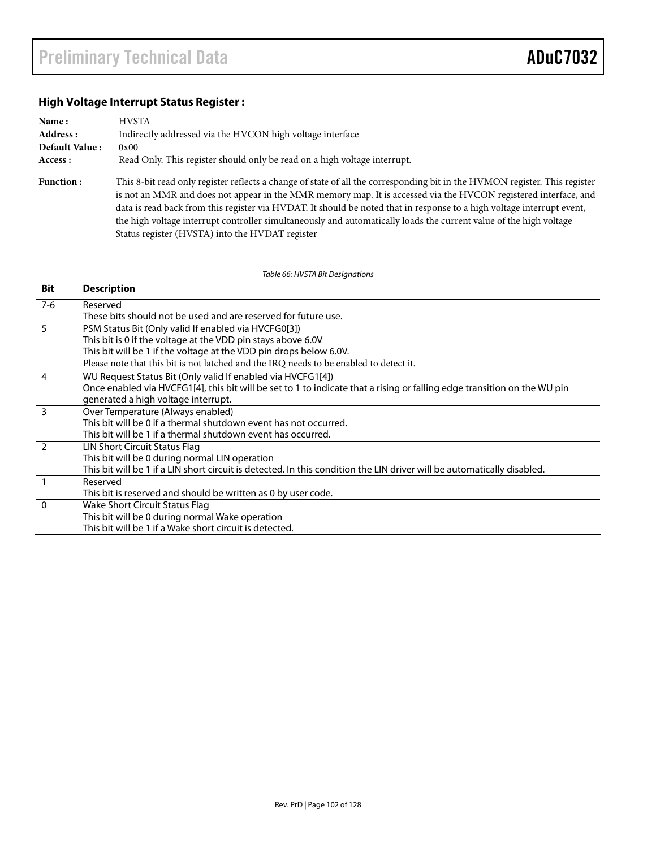# **High Voltage Interrupt Status Register :**

| Name:            | <b>HVSTA</b>                                                                                                                                                                                                                                                                                                                                                                                                                                                                                                                                     |
|------------------|--------------------------------------------------------------------------------------------------------------------------------------------------------------------------------------------------------------------------------------------------------------------------------------------------------------------------------------------------------------------------------------------------------------------------------------------------------------------------------------------------------------------------------------------------|
| Address:         | Indirectly addressed via the HVCON high voltage interface                                                                                                                                                                                                                                                                                                                                                                                                                                                                                        |
| Default Value:   | 0x00                                                                                                                                                                                                                                                                                                                                                                                                                                                                                                                                             |
| Access :         | Read Only. This register should only be read on a high voltage interrupt.                                                                                                                                                                                                                                                                                                                                                                                                                                                                        |
| <b>Function:</b> | This 8-bit read only register reflects a change of state of all the corresponding bit in the HVMON register. This register<br>is not an MMR and does not appear in the MMR memory map. It is accessed via the HVCON registered interface, and<br>data is read back from this register via HVDAT. It should be noted that in response to a high voltage interrupt event,<br>the high voltage interrupt controller simultaneously and automatically loads the current value of the high voltage<br>Status register (HVSTA) into the HVDAT register |

Table 66: HVSTA Bit Designations

| <b>Bit</b>     | <b>Description</b>                                                                                                       |
|----------------|--------------------------------------------------------------------------------------------------------------------------|
| $7-6$          | Reserved                                                                                                                 |
|                | These bits should not be used and are reserved for future use.                                                           |
| $\overline{5}$ | PSM Status Bit (Only valid If enabled via HVCFG0[3])                                                                     |
|                | This bit is 0 if the voltage at the VDD pin stays above 6.0V                                                             |
|                | This bit will be 1 if the voltage at the VDD pin drops below 6.0V.                                                       |
|                | Please note that this bit is not latched and the IRQ needs to be enabled to detect it.                                   |
| $\overline{4}$ | WU Request Status Bit (Only valid If enabled via HVCFG1[4])                                                              |
|                | Once enabled via HVCFG1[4], this bit will be set to 1 to indicate that a rising or falling edge transition on the WU pin |
|                | generated a high voltage interrupt.                                                                                      |
| $\overline{3}$ | Over Temperature (Always enabled)                                                                                        |
|                | This bit will be 0 if a thermal shutdown event has not occurred.                                                         |
|                | This bit will be 1 if a thermal shutdown event has occurred.                                                             |
| $\overline{2}$ | LIN Short Circuit Status Flag                                                                                            |
|                | This bit will be 0 during normal LIN operation                                                                           |
|                | This bit will be 1 if a LIN short circuit is detected. In this condition the LIN driver will be automatically disabled.  |
|                | Reserved                                                                                                                 |
|                | This bit is reserved and should be written as 0 by user code.                                                            |
| $\overline{0}$ | Wake Short Circuit Status Flag                                                                                           |
|                | This bit will be 0 during normal Wake operation                                                                          |
|                | This bit will be 1 if a Wake short circuit is detected.                                                                  |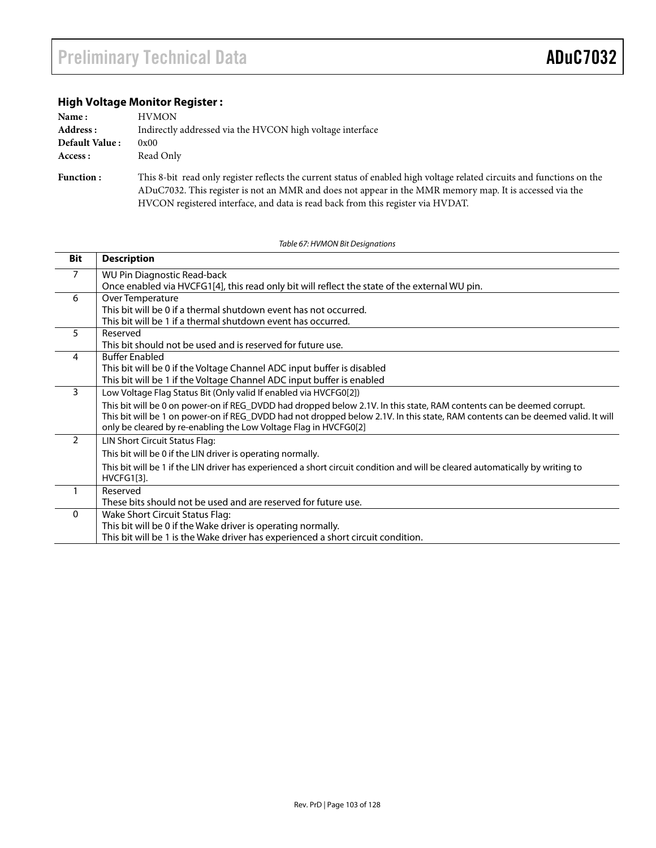## **High Voltage Monitor Register :**

| Name:            | <b>HVMON</b>                                                                                                                                                                                                                       |
|------------------|------------------------------------------------------------------------------------------------------------------------------------------------------------------------------------------------------------------------------------|
| Address:         | Indirectly addressed via the HVCON high voltage interface                                                                                                                                                                          |
| Default Value:   | 0x00                                                                                                                                                                                                                               |
| Access :         | Read Only                                                                                                                                                                                                                          |
| <b>Function:</b> | This 8-bit read only register reflects the current status of enabled high voltage related circuits and functions on the<br>ADuC7032. This register is not an MMR and does not appear in the MMR memory map. It is accessed via the |

HVCON registered interface, and data is read back from this register via HVDAT.

Table 67: HVMON Bit Designations

| Bit            | <b>Description</b>                                                                                                                                                                                                                                                                                                           |
|----------------|------------------------------------------------------------------------------------------------------------------------------------------------------------------------------------------------------------------------------------------------------------------------------------------------------------------------------|
| $\overline{7}$ | <b>WU Pin Diagnostic Read-back</b>                                                                                                                                                                                                                                                                                           |
|                | Once enabled via HVCFG1[4], this read only bit will reflect the state of the external WU pin.                                                                                                                                                                                                                                |
| 6              | Over Temperature                                                                                                                                                                                                                                                                                                             |
|                | This bit will be 0 if a thermal shutdown event has not occurred.                                                                                                                                                                                                                                                             |
|                | This bit will be 1 if a thermal shutdown event has occurred.                                                                                                                                                                                                                                                                 |
| 5              | Reserved                                                                                                                                                                                                                                                                                                                     |
|                | This bit should not be used and is reserved for future use.                                                                                                                                                                                                                                                                  |
| 4              | <b>Buffer Enabled</b>                                                                                                                                                                                                                                                                                                        |
|                | This bit will be 0 if the Voltage Channel ADC input buffer is disabled                                                                                                                                                                                                                                                       |
|                | This bit will be 1 if the Voltage Channel ADC input buffer is enabled                                                                                                                                                                                                                                                        |
| 3              | Low Voltage Flag Status Bit (Only valid If enabled via HVCFG0[2])                                                                                                                                                                                                                                                            |
|                | This bit will be 0 on power-on if REG_DVDD had dropped below 2.1V. In this state, RAM contents can be deemed corrupt.<br>This bit will be 1 on power-on if REG_DVDD had not dropped below 2.1V. In this state, RAM contents can be deemed valid. It will<br>only be cleared by re-enabling the Low Voltage Flag in HVCFG0[2] |
| 2              | LIN Short Circuit Status Flag:                                                                                                                                                                                                                                                                                               |
|                | This bit will be 0 if the LIN driver is operating normally.                                                                                                                                                                                                                                                                  |
|                | This bit will be 1 if the LIN driver has experienced a short circuit condition and will be cleared automatically by writing to                                                                                                                                                                                               |
|                | <b>HVCFG1[3].</b>                                                                                                                                                                                                                                                                                                            |
|                | Reserved                                                                                                                                                                                                                                                                                                                     |
|                | These bits should not be used and are reserved for future use.                                                                                                                                                                                                                                                               |
| $\mathbf{0}$   | Wake Short Circuit Status Flag:                                                                                                                                                                                                                                                                                              |
|                | This bit will be 0 if the Wake driver is operating normally.                                                                                                                                                                                                                                                                 |
|                | This bit will be 1 is the Wake driver has experienced a short circuit condition.                                                                                                                                                                                                                                             |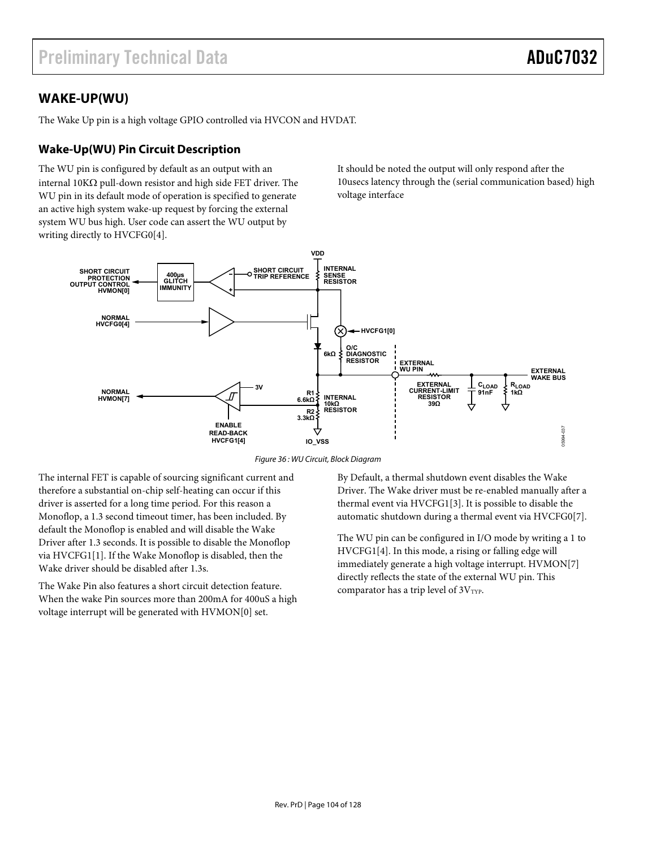# **WAKE-UP(WU)**

The Wake Up pin is a high voltage GPIO controlled via HVCON and HVDAT.

### **Wake-Up(WU) Pin Circuit Description**

The WU pin is configured by default as an output with an internal 10KΩ pull-down resistor and high side FET driver. The WU pin in its default mode of operation is specified to generate an active high system wake-up request by forcing the external system WU bus high. User code can assert the WU output by writing directly to HVCFG0[4].

It should be noted the output will only respond after the 10usecs latency through the (serial communication based) high voltage interface



Figure 36 : WU Circuit, Block Diagram

The internal FET is capable of sourcing significant current and therefore a substantial on-chip self-heating can occur if this driver is asserted for a long time period. For this reason a Monoflop, a 1.3 second timeout timer, has been included. By default the Monoflop is enabled and will disable the Wake Driver after 1.3 seconds. It is possible to disable the Monoflop via HVCFG1[1]. If the Wake Monoflop is disabled, then the Wake driver should be disabled after 1.3s.

The Wake Pin also features a short circuit detection feature. When the wake Pin sources more than 200mA for 400uS a high voltage interrupt will be generated with HVMON[0] set.

By Default, a thermal shutdown event disables the Wake Driver. The Wake driver must be re-enabled manually after a thermal event via HVCFG1[3]. It is possible to disable the automatic shutdown during a thermal event via HVCFG0[7].

The WU pin can be configured in I/O mode by writing a 1 to HVCFG1[4]. In this mode, a rising or falling edge will immediately generate a high voltage interrupt. HVMON[7] directly reflects the state of the external WU pin. This comparator has a trip level of  $3V$ <sub>TYP</sub>.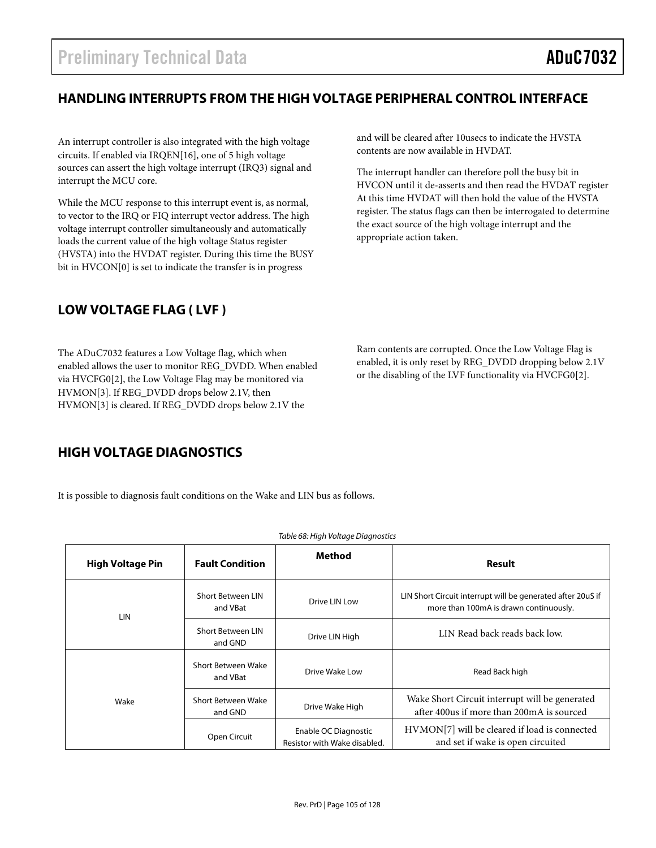# **HANDLING INTERRUPTS FROM THE HIGH VOLTAGE PERIPHERAL CONTROL INTERFACE**

An interrupt controller is also integrated with the high voltage circuits. If enabled via IRQEN[16], one of 5 high voltage sources can assert the high voltage interrupt (IRQ3) signal and interrupt the MCU core.

While the MCU response to this interrupt event is, as normal, to vector to the IRQ or FIQ interrupt vector address. The high voltage interrupt controller simultaneously and automatically loads the current value of the high voltage Status register (HVSTA) into the HVDAT register. During this time the BUSY bit in HVCON[0] is set to indicate the transfer is in progress

# **LOW VOLTAGE FLAG ( LVF )**

The ADuC7032 features a Low Voltage flag, which when enabled allows the user to monitor REG\_DVDD. When enabled via HVCFG0[2], the Low Voltage Flag may be monitored via HVMON[3]. If REG\_DVDD drops below 2.1V, then HVMON[3] is cleared. If REG\_DVDD drops below 2.1V the

and will be cleared after 10usecs to indicate the HVSTA contents are now available in HVDAT.

The interrupt handler can therefore poll the busy bit in HVCON until it de-asserts and then read the HVDAT register At this time HVDAT will then hold the value of the HVSTA register. The status flags can then be interrogated to determine the exact source of the high voltage interrupt and the appropriate action taken.

Ram contents are corrupted. Once the Low Voltage Flag is enabled, it is only reset by REG\_DVDD dropping below 2.1V or the disabling of the LVF functionality via HVCFG0[2].

# **HIGH VOLTAGE DIAGNOSTICS**

It is possible to diagnosis fault conditions on the Wake and LIN bus as follows.

| <b>High Voltage Pin</b> | <b>Fault Condition</b>               | Method                                               | Result                                                                                                |  |
|-------------------------|--------------------------------------|------------------------------------------------------|-------------------------------------------------------------------------------------------------------|--|
| LIN.                    | <b>Short Between LIN</b><br>and VBat | Drive LIN Low                                        | LIN Short Circuit interrupt will be generated after 20uS if<br>more than 100mA is drawn continuously. |  |
|                         | <b>Short Between LIN</b><br>and GND  | Drive LIN High                                       | LIN Read back reads back low.                                                                         |  |
|                         | Short Between Wake<br>and VBat       | Drive Wake Low                                       | Read Back high                                                                                        |  |
| Wake                    | <b>Short Between Wake</b><br>and GND | Drive Wake High                                      | Wake Short Circuit interrupt will be generated<br>after 400 us if more than 200 mA is sourced         |  |
|                         | Open Circuit                         | Enable OC Diagnostic<br>Resistor with Wake disabled. | HVMON[7] will be cleared if load is connected<br>and set if wake is open circuited                    |  |

Table 68: Hiah Voltage Diagnostics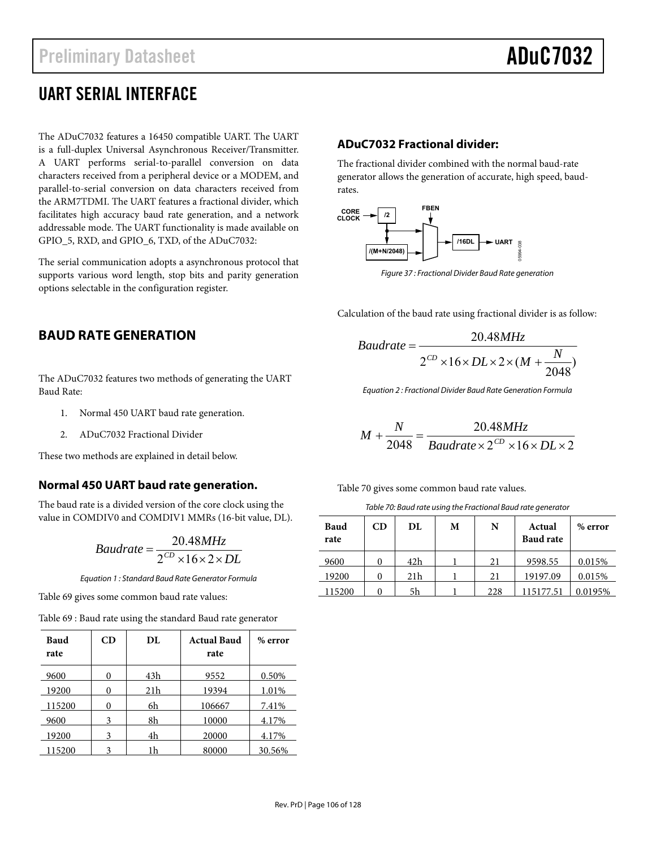# Preliminary Datasheet **ADuC7032**

# UART SERIAL INTERFACE

The ADuC7032 features a 16450 compatible UART. The UART is a full-duplex Universal Asynchronous Receiver/Transmitter. A UART performs serial-to-parallel conversion on data characters received from a peripheral device or a MODEM, and parallel-to-serial conversion on data characters received from the ARM7TDMI. The UART features a fractional divider, which facilitates high accuracy baud rate generation, and a network addressable mode. The UART functionality is made available on GPIO\_5, RXD, and GPIO\_6, TXD, of the ADuC7032:

The serial communication adopts a asynchronous protocol that supports various word length, stop bits and parity generation options selectable in the configuration register.

### **ADuC7032 Fractional divider:**

The fractional divider combined with the normal baud-rate generator allows the generation of accurate, high speed, baudrates.



Figure 37 : Fractional Divider Baud Rate generation

Calculation of the baud rate using fractional divider is as follow:

$$
Baudrate = \frac{20.48MHz}{2^{CD} \times 16 \times DL \times 2 \times (M + \frac{N}{2048})}
$$

Equation 2 : Fractional Divider Baud Rate Generation Formula

$$
M + \frac{N}{2048} = \frac{20.48MHz}{Baudrate \times 2^{CD} \times 16 \times DL \times 2}
$$

Table 70 gives some common baud rate values.

Table 70: Baud rate using the Fractional Baud rate generator

| Baud<br>rate | CD | DL  | М | N   | Actual<br><b>Baud</b> rate | % error |
|--------------|----|-----|---|-----|----------------------------|---------|
| 9600         |    | 42h |   | 21  | 9598.55                    | 0.015%  |
| 19200        |    | 21h |   | 21  | 19197.09                   | 0.015%  |
| 115200       |    | 5h  |   | 228 | 115177.51                  | 0.0195% |

# **BAUD RATE GENERATION**

The ADuC7032 features two methods of generating the UART Baud Rate:

- 1. Normal 450 UART baud rate generation.
- 2. ADuC7032 Fractional Divider

These two methods are explained in detail below.

#### **Normal 450 UART baud rate generation.**

The baud rate is a divided version of the core clock using the value in COMDIV0 and COMDIV1 MMRs (16-bit value, DL).

$$
Baudrate = \frac{20.48MHz}{2^{CD} \times 16 \times 2 \times DL}
$$

Equation 1 : Standard Baud Rate Generator Formula

Table 69 gives some common baud rate values:

Table 69 : Baud rate using the standard Baud rate generator

| Baud<br>rate | CD | DL  | <b>Actual Baud</b><br>rate | % error |
|--------------|----|-----|----------------------------|---------|
| 9600         |    | 43h | 9552                       | 0.50%   |
| 19200        |    | 21h | 19394                      | 1.01%   |
| 115200       |    | 6h  | 106667                     | 7.41%   |
| 9600         | 3  | 8h  | 10000                      | 4.17%   |
| 19200        | 3  | 4h  | 20000                      | 4.17%   |
| 115200       |    | 1h  | 80000                      | 30.56%  |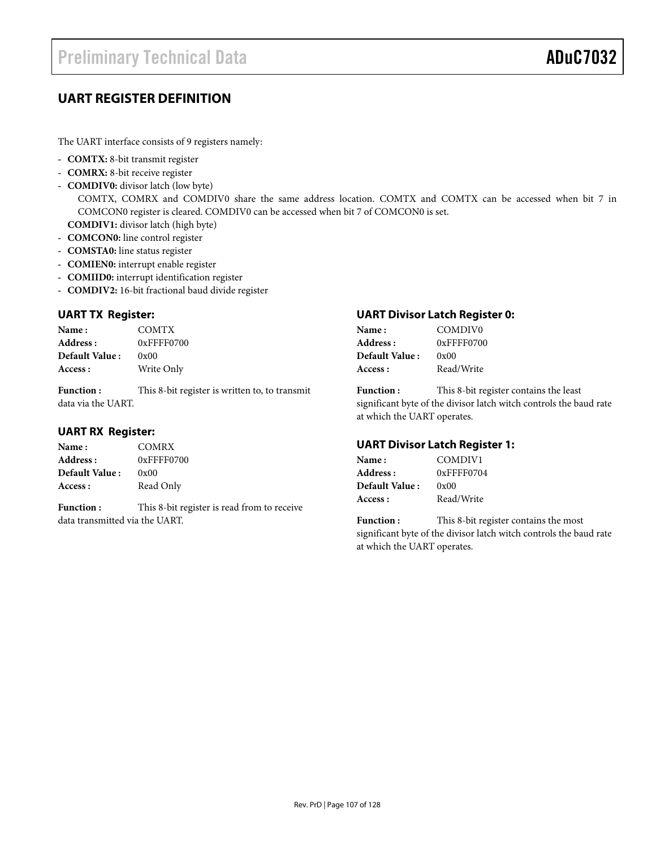# **UART REGISTER DEFINITION**

The UART interface consists of 9 registers namely:

- **COMTX:** 8-bit transmit register
- **COMRX:** 8-bit receive register
- **COMDIV0:** divisor latch (low byte)

COMTX, COMRX and COMDIV0 share the same address location. COMTX and COMTX can be accessed when bit 7 in COMCON0 register is cleared. COMDIV0 can be accessed when bit 7 of COMCON0 is set.

- **COMDIV1:** divisor latch (high byte)
- **COMCON0:** line control register
- **COMSTA0:** line status register
- **COMIEN0:** interrupt enable register
- **COMIID0:** interrupt identification register
- **COMDIV2:** 16-bit fractional baud divide register

#### **UART TX Register:**

| Name:          | <b>COMTX</b>  |
|----------------|---------------|
| Address:       | $0x$ FFFF0700 |
| Default Value: | 0x00          |
| Access :       | Write Only    |

**Function :** This 8-bit register is written to, to transmit data via the UART.

#### **UART RX Register:**

| Name:          | <b>COMRX</b>     |
|----------------|------------------|
| Address :      | $0x$ FFFF $0700$ |
| Default Value: | 0x00             |
| Access :       | Read Only        |

Function : This 8-bit register is read from to receive data transmitted via the UART.

#### **UART Divisor Latch Register 0:**

| Name:          | COMDIV <sub>0</sub> |
|----------------|---------------------|
| Address:       | $0x$ FFFF0700       |
| Default Value: | 0x00                |
| Access :       | Read/Write          |

**Function :** This 8-bit register contains the least significant byte of the divisor latch witch controls the baud rate at which the UART operates.

#### **UART Divisor Latch Register 1:**

| Name:          | COMDIV1          |
|----------------|------------------|
| Address:       | $0x$ FFFF $0704$ |
| Default Value: | 0x00             |
| Access :       | Read/Write       |

**Function :** This 8-bit register contains the most significant byte of the divisor latch witch controls the baud rate at which the UART operates.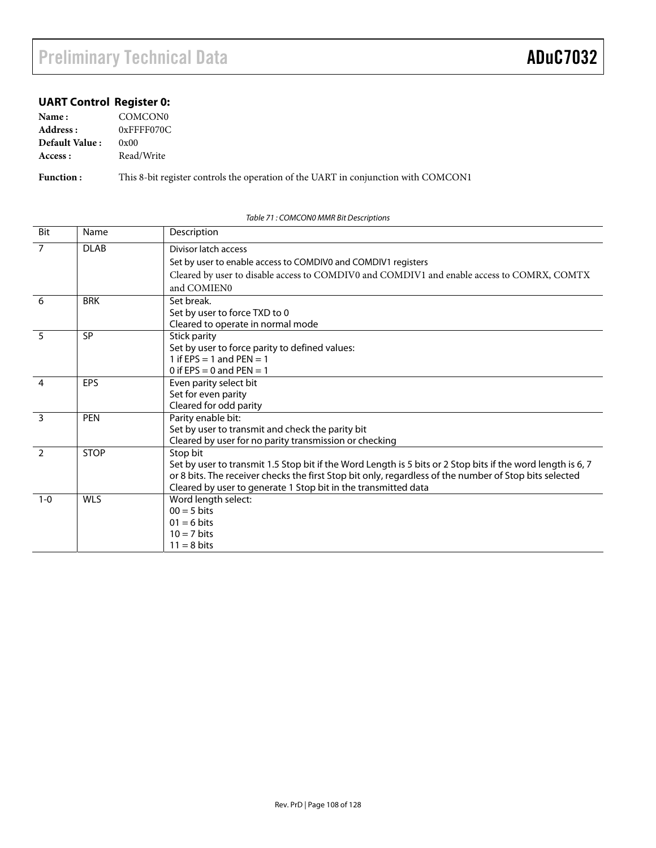#### **UART Control Register 0:**

| COMCON <sub>0</sub><br>Name:  |  |
|-------------------------------|--|
| 0xFFFF070C<br>Address :       |  |
| <b>Default Value:</b><br>0x00 |  |
| Read/Write<br>Access :        |  |
|                               |  |

**Function :** This 8-bit register controls the operation of the UART in conjunction with COMCON1

#### Bit Name Description 7 DLAB Divisor latch access Set by user to enable access to COMDIV0 and COMDIV1 registers Cleared by user to disable access to COMDIV0 and COMDIV1 and enable access to COMRX, COMTX and COMIEN0 6 BRK Set break. Set by user to force TXD to 0 Cleared to operate in normal mode 5 SP Stick parity Set by user to force parity to defined values: 1 if  $EPS = 1$  and  $PEN = 1$ 0 if  $EPS = 0$  and  $PEN = 1$ 4 EPS Even parity select bit Set for even parity Cleared for odd parity 3 PEN Parity enable bit: Set by user to transmit and check the parity bit Cleared by user for no parity transmission or checking 2 STOP Stop bit Set by user to transmit 1.5 Stop bit if the Word Length is 5 bits or 2 Stop bits if the word length is 6, 7 or 8 bits. The receiver checks the first Stop bit only, regardless of the number of Stop bits selected Cleared by user to generate 1 Stop bit in the transmitted data 1-0 WLS Word length select:  $00 = 5$  bits  $01 = 6$  bits  $10 = 7$  bits  $11 = 8$  bits

#### Table 71 : COMCON0 MMR Bit Descriptions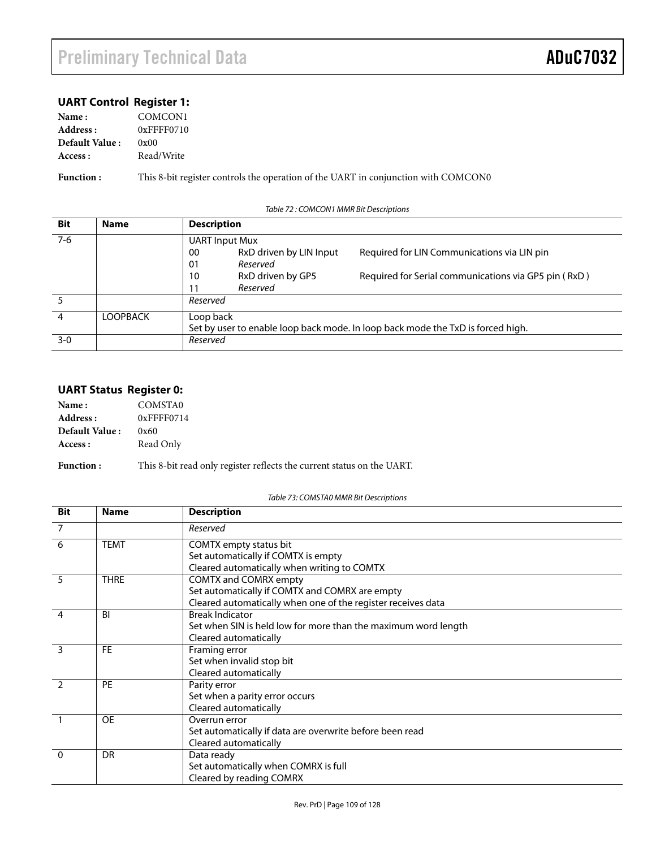### **UART Control Register 1:**

| Name:          | COMCON1       |
|----------------|---------------|
| Address :      | $0x$ FFFF0710 |
| Default Value: | 0x00          |
| Access :       | Read/Write    |

**Function :** This 8-bit register controls the operation of the UART in conjunction with COMCON0

| Table 72: COMCON1 MMR Bit Descriptions |                 |                                                                                                                |                                                                                                     |  |
|----------------------------------------|-----------------|----------------------------------------------------------------------------------------------------------------|-----------------------------------------------------------------------------------------------------|--|
| <b>Bit</b>                             | <b>Name</b>     | <b>Description</b>                                                                                             |                                                                                                     |  |
| $7-6$                                  |                 | UART Input Mux<br>RxD driven by LIN Input<br>00<br>Reserved<br>01<br>10<br>RxD driven by GP5<br>Reserved<br>11 | Required for LIN Communications via LIN pin<br>Required for Serial communications via GP5 pin (RxD) |  |
| 5                                      |                 | Reserved                                                                                                       |                                                                                                     |  |
| -4                                     | <b>LOOPBACK</b> | Loop back<br>Set by user to enable loop back mode. In loop back mode the TxD is forced high.                   |                                                                                                     |  |
| $3-0$                                  |                 | Reserved                                                                                                       |                                                                                                     |  |

### **UART Status Register 0:**

| Name:          | COMSTA0          |
|----------------|------------------|
| Address :      | $0x$ FFFF $0714$ |
| Default Value: | 0x60             |
| Access:        | Read Only        |

**Function :** This 8-bit read only register reflects the current status on the UART.

#### Table 73: COMSTA0 MMR Bit Descriptions

| <b>Bit</b>      | <b>Name</b> | <b>Description</b>                                             |
|-----------------|-------------|----------------------------------------------------------------|
| $\overline{7}$  |             | Reserved                                                       |
| $6\overline{6}$ | <b>TEMT</b> | COMTX empty status bit                                         |
|                 |             | Set automatically if COMTX is empty                            |
|                 |             | Cleared automatically when writing to COMTX                    |
| 5               | <b>THRE</b> | <b>COMTX and COMRX empty</b>                                   |
|                 |             | Set automatically if COMTX and COMRX are empty                 |
|                 |             | Cleared automatically when one of the register receives data   |
| $\overline{4}$  | <b>BI</b>   | <b>Break Indicator</b>                                         |
|                 |             | Set when SIN is held low for more than the maximum word length |
|                 |             | Cleared automatically                                          |
| 3               | <b>FE</b>   | Framing error                                                  |
|                 |             | Set when invalid stop bit                                      |
|                 |             | Cleared automatically                                          |
| $\overline{2}$  | PE          | Parity error                                                   |
|                 |             | Set when a parity error occurs                                 |
|                 |             | Cleared automatically                                          |
|                 | <b>OE</b>   | Overrun error                                                  |
|                 |             | Set automatically if data are overwrite before been read       |
|                 |             | Cleared automatically                                          |
| $\overline{0}$  | <b>DR</b>   | Data ready                                                     |
|                 |             | Set automatically when COMRX is full                           |
|                 |             | Cleared by reading COMRX                                       |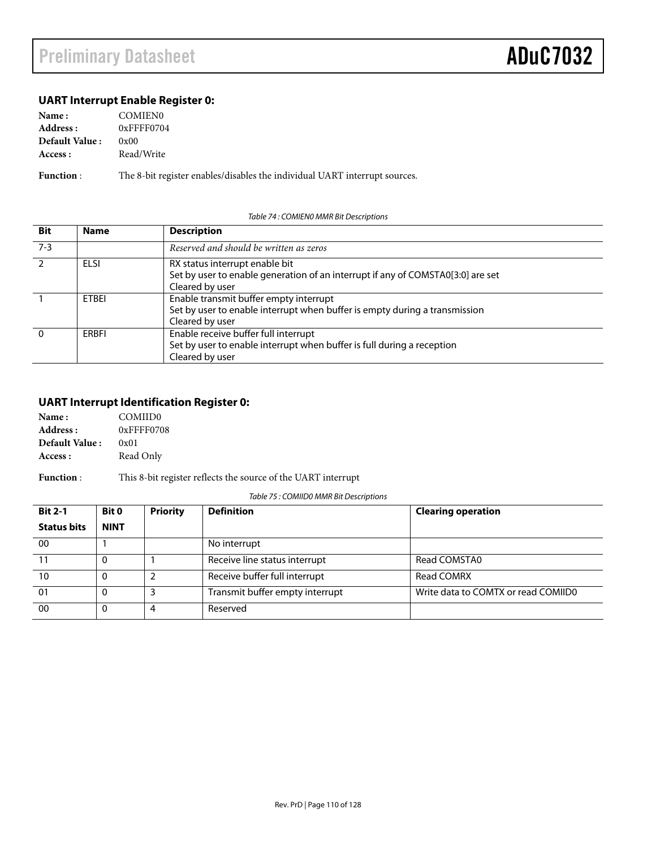### **UART Interrupt Enable Register 0:**

| Name:                 | COMIEN <sub>0</sub>                                                        |
|-----------------------|----------------------------------------------------------------------------|
| Address :             | $0x$ FFFF $0704$                                                           |
| <b>Default Value:</b> | 0x00                                                                       |
| Access :              | Read/Write                                                                 |
| <b>Function:</b>      | The 8-bit register enables/disables the individual UART interrupt sources. |

Table 74 : COMIEN0 MMR Bit Descriptions

| <b>Bit</b><br><b>Name</b> | <b>Description</b>                                                                                 |  |
|---------------------------|----------------------------------------------------------------------------------------------------|--|
| $7 - 3$                   | Reserved and should be written as zeros                                                            |  |
| ELSI                      | RX status interrupt enable bit                                                                     |  |
|                           | Set by user to enable generation of an interrupt if any of COMSTA0[3:0] are set<br>Cleared by user |  |
| ETBEI                     | Enable transmit buffer empty interrupt                                                             |  |
|                           | Set by user to enable interrupt when buffer is empty during a transmission                         |  |
|                           | Cleared by user                                                                                    |  |
| ERBFI                     | Enable receive buffer full interrupt                                                               |  |
|                           | Set by user to enable interrupt when buffer is full during a reception                             |  |
|                           | Cleared by user                                                                                    |  |

### **UART Interrupt Identification Register 0:**

| Name:          | COMIID0          |
|----------------|------------------|
| Address :      | $0x$ FFFF $0708$ |
| Default Value: | 0x01             |
| Access :       | Read Only        |
|                |                  |

Function : This 8-bit register reflects the source of the UART interrupt

Table 75 : COMIID0 MMR Bit Descriptions

| <b>Bit 2-1</b>     | Bit 0       | <b>Priority</b> | <b>Definition</b>               | <b>Clearing operation</b>           |
|--------------------|-------------|-----------------|---------------------------------|-------------------------------------|
| <b>Status bits</b> | <b>NINT</b> |                 |                                 |                                     |
| 00                 |             |                 | No interrupt                    |                                     |
| 11                 |             |                 | Receive line status interrupt   | Read COMSTA0                        |
| 10                 |             |                 | Receive buffer full interrupt   | Read COMRX                          |
| 01                 |             |                 | Transmit buffer empty interrupt | Write data to COMTX or read COMIID0 |
| 00                 |             | 4               | Reserved                        |                                     |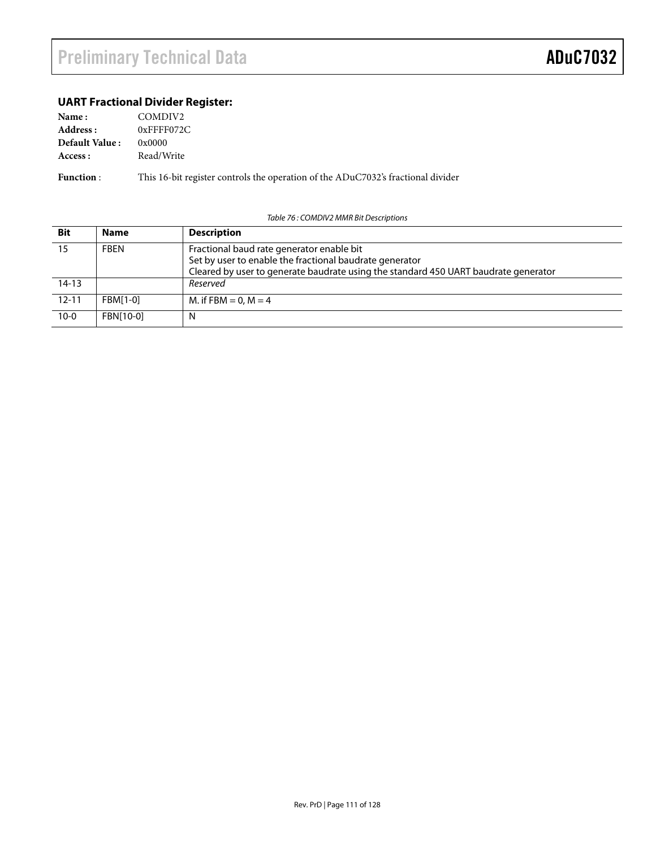### **UART Fractional Divider Register:**

| Name:                 | COMDIV <sub>2</sub> |
|-----------------------|---------------------|
| Address :             | $0x$ FFFF $072C$    |
| <b>Default Value:</b> | 0x0000              |
| Access :              | Read/Write          |

Function : This 16-bit register controls the operation of the ADuC7032's fractional divider

Table 76 : COMDIV2 MMR Bit Descriptions

| Bit       | <b>Name</b>     | <b>Description</b>                                                                  |
|-----------|-----------------|-------------------------------------------------------------------------------------|
| 15        | <b>FBEN</b>     | Fractional baud rate generator enable bit                                           |
|           |                 | Set by user to enable the fractional baudrate generator                             |
|           |                 | Cleared by user to generate baudrate using the standard 450 UART baudrate generator |
| $14 - 13$ |                 | Reserved                                                                            |
| $12 - 11$ | <b>FBM[1-0]</b> | M. if FBM = 0, $M = 4$                                                              |
| $10-0$    | FBN[10-0]       | N                                                                                   |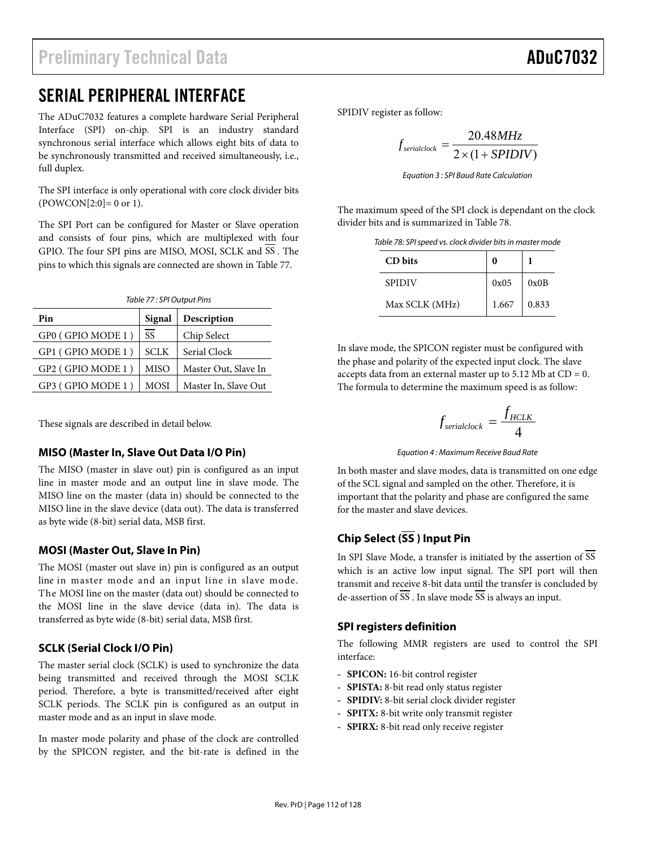## SERIAL PERIPHERAL INTERFACE

The ADuC7032 features a complete hardware Serial Peripheral Interface (SPI) on-chip. SPI is an industry standard synchronous serial interface which allows eight bits of data to be synchronously transmitted and received simultaneously, i.e., full duplex.

The SPI interface is only operational with core clock divider bits  $(POWCON[2:0] = 0 \text{ or } 1).$ 

The SPI Port can be configured for Master or Slave operation and consists of four pins, which are multiplexed with four GPIO. The four SPI pins are MISO, MOSI, SCLK and SS . The pins to which this signals are connected are shown in Table 77.

| Table 77 : SPI Output Pins |                                   |                      |  |  |
|----------------------------|-----------------------------------|----------------------|--|--|
| Pin                        | Signal                            | Description          |  |  |
| GP0 (GPIO MODE 1)          | $\overline{\overline{\text{SS}}}$ | Chip Select          |  |  |
| GP1 (GPIO MODE 1)          | <b>SCLK</b>                       | Serial Clock         |  |  |
| GP2 (GPIO MODE 1)          | MISO                              | Master Out, Slave In |  |  |
| GP3 (GPIO MODE 1)          | <b>MOSI</b>                       | Master In, Slave Out |  |  |

These signals are described in detail below.

### **MISO (Master In, Slave Out Data I/O Pin)**

The MISO (master in slave out) pin is configured as an input line in master mode and an output line in slave mode. The MISO line on the master (data in) should be connected to the MISO line in the slave device (data out). The data is transferred as byte wide (8-bit) serial data, MSB first.

### **MOSI (Master Out, Slave In Pin)**

The MOSI (master out slave in) pin is configured as an output line in master mode and an input line in slave mode. The MOSI line on the master (data out) should be connected to the MOSI line in the slave device (data in). The data is transferred as byte wide (8-bit) serial data, MSB first.

### **SCLK (Serial Clock I/O Pin)**

The master serial clock (SCLK) is used to synchronize the data being transmitted and received through the MOSI SCLK period. Therefore, a byte is transmitted/received after eight SCLK periods. The SCLK pin is configured as an output in master mode and as an input in slave mode.

In master mode polarity and phase of the clock are controlled by the SPICON register, and the bit-rate is defined in the SPIDIV register as follow:

$$
f_{\text{serialclock}} = \frac{20.48MHz}{2 \times (1 + SPIDIV)}
$$

The maximum speed of the SPI clock is dependant on the clock divider bits and is summarized in Table 78.

Table 78: SPI speed vs. clock divider bits in master mode

| CD bits        | 0     |       |
|----------------|-------|-------|
| <b>SPIDIV</b>  | 0x05  | 0x0B  |
| Max SCLK (MHz) | 1.667 | 0.833 |

In slave mode, the SPICON register must be configured with the phase and polarity of the expected input clock. The slave accepts data from an external master up to  $5.12$  Mb at  $CD = 0$ . The formula to determine the maximum speed is as follow:

$$
f_{\text{serialclock}} = \frac{f_{\text{HCLK}}}{4}
$$

Equation 4 : Maximum Receive Baud Rate

In both master and slave modes, data is transmitted on one edge of the SCL signal and sampled on the other. Therefore, it is important that the polarity and phase are configured the same for the master and slave devices.

### **Chip Select (SS ) Input Pin**

In SPI Slave Mode, a transfer is initiated by the assertion of  $\overline{SS}$ which is an active low input signal. The SPI port will then transmit and receive 8-bit data until the transfer is concluded by de-assertion of  $\overline{SS}$ . In slave mode  $\overline{SS}$  is always an input.

### **SPI registers definition**

The following MMR registers are used to control the SPI interface:

- **SPICON:** 16-bit control register
- **SPISTA:** 8-bit read only status register
- **SPIDIV:** 8-bit serial clock divider register
- **SPITX:** 8-bit write only transmit register
- **SPIRX:** 8-bit read only receive register

Equation 3 : SPI Baud Rate Calculation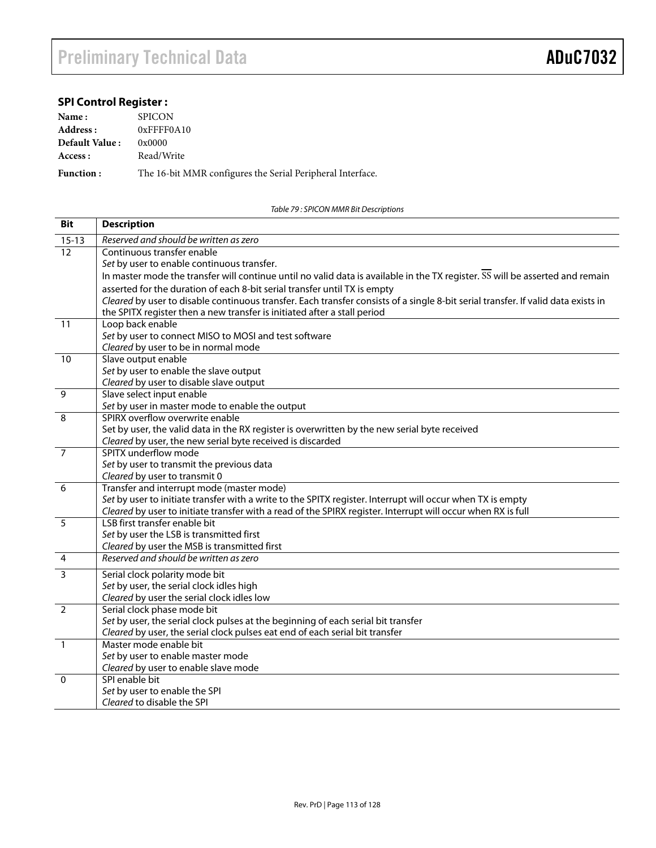### **SPI Control Register :**

| Name:            | <b>SPICON</b>                                              |
|------------------|------------------------------------------------------------|
| Address :        | $0x$ FFFF0A10                                              |
| Default Value:   | 0x0000                                                     |
| Access :         | Read/Write                                                 |
| <b>Function:</b> | The 16-bit MMR configures the Serial Peripheral Interface. |

Table 79 : SPICON MMR Bit Descriptions

| <b>Bit</b>      | <b>Description</b>                                                                                                                         |
|-----------------|--------------------------------------------------------------------------------------------------------------------------------------------|
| $15 - 13$       | Reserved and should be written as zero                                                                                                     |
| 12              | Continuous transfer enable                                                                                                                 |
|                 | Set by user to enable continuous transfer.                                                                                                 |
|                 | In master mode the transfer will continue until no valid data is available in the TX register. $\overline{SS}$ will be asserted and remain |
|                 | asserted for the duration of each 8-bit serial transfer until TX is empty                                                                  |
|                 | Cleared by user to disable continuous transfer. Each transfer consists of a single 8-bit serial transfer. If valid data exists in          |
|                 | the SPITX register then a new transfer is initiated after a stall period                                                                   |
| 11              | Loop back enable                                                                                                                           |
|                 | Set by user to connect MISO to MOSI and test software                                                                                      |
|                 | Cleared by user to be in normal mode                                                                                                       |
| $\overline{10}$ | Slave output enable                                                                                                                        |
|                 | Set by user to enable the slave output                                                                                                     |
|                 | Cleared by user to disable slave output                                                                                                    |
| $\overline{9}$  | Slave select input enable                                                                                                                  |
|                 | Set by user in master mode to enable the output                                                                                            |
| $\overline{8}$  | SPIRX overflow overwrite enable                                                                                                            |
|                 | Set by user, the valid data in the RX register is overwritten by the new serial byte received                                              |
|                 | Cleared by user, the new serial byte received is discarded                                                                                 |
| $\overline{7}$  | SPITX underflow mode                                                                                                                       |
|                 | Set by user to transmit the previous data                                                                                                  |
|                 | Cleared by user to transmit 0                                                                                                              |
| 6               | Transfer and interrupt mode (master mode)                                                                                                  |
|                 | Set by user to initiate transfer with a write to the SPITX register. Interrupt will occur when TX is empty                                 |
|                 | Cleared by user to initiate transfer with a read of the SPIRX register. Interrupt will occur when RX is full                               |
| $\overline{5}$  | LSB first transfer enable bit                                                                                                              |
|                 | Set by user the LSB is transmitted first                                                                                                   |
|                 | Cleared by user the MSB is transmitted first<br>Reserved and should be written as zero                                                     |
| 4               |                                                                                                                                            |
| 3               | Serial clock polarity mode bit                                                                                                             |
|                 | Set by user, the serial clock idles high                                                                                                   |
|                 | Cleared by user the serial clock idles low                                                                                                 |
| $\overline{2}$  | Serial clock phase mode bit                                                                                                                |
|                 | Set by user, the serial clock pulses at the beginning of each serial bit transfer                                                          |
|                 | Cleared by user, the serial clock pulses eat end of each serial bit transfer                                                               |
| $\mathbf{1}$    | Master mode enable bit                                                                                                                     |
|                 | Set by user to enable master mode                                                                                                          |
|                 | Cleared by user to enable slave mode                                                                                                       |
| $\mathbf{0}$    | SPI enable bit                                                                                                                             |
|                 | Set by user to enable the SPI                                                                                                              |
|                 | Cleared to disable the SPI                                                                                                                 |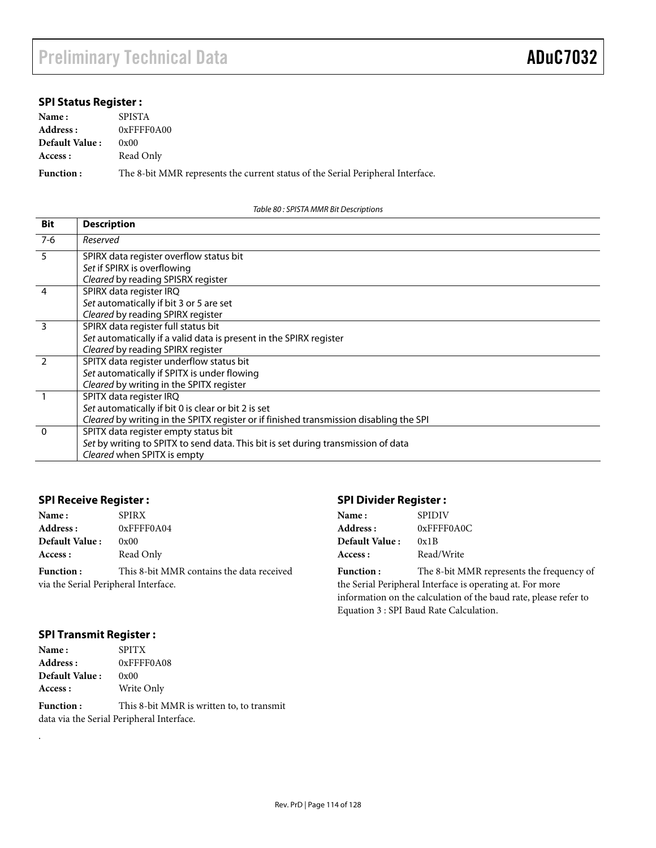# Preliminary Technical Data ADuC7032

### **SPI Status Register :**

| Name:                 | <b>SPISTA</b>                                                                   |
|-----------------------|---------------------------------------------------------------------------------|
| Address :             | $0x$ FFFF $0A00$                                                                |
| <b>Default Value:</b> | 0x00                                                                            |
| Access :              | Read Only                                                                       |
| <b>Function:</b>      | The 8-bit MMR represents the current status of the Serial Peripheral Interface. |

Table 80 : SPISTA MMR Bit Descriptions

| Bit                     | <b>Description</b>                                                                     |
|-------------------------|----------------------------------------------------------------------------------------|
| $7-6$                   | Reserved                                                                               |
| 5                       | SPIRX data register overflow status bit                                                |
|                         | Set if SPIRX is overflowing                                                            |
|                         | Cleared by reading SPISRX register                                                     |
| $\overline{4}$          | SPIRX data register IRQ                                                                |
|                         | Set automatically if bit 3 or 5 are set                                                |
|                         | Cleared by reading SPIRX register                                                      |
| $\overline{\mathbf{3}}$ | SPIRX data register full status bit                                                    |
|                         | Set automatically if a valid data is present in the SPIRX register                     |
|                         | Cleared by reading SPIRX register                                                      |
|                         | SPITX data register underflow status bit                                               |
|                         | Set automatically if SPITX is under flowing                                            |
|                         | Cleared by writing in the SPITX register                                               |
|                         | SPITX data register IRQ                                                                |
|                         | Set automatically if bit 0 is clear or bit 2 is set                                    |
|                         | Cleared by writing in the SPITX register or if finished transmission disabling the SPI |
| $\Omega$                | SPITX data register empty status bit                                                   |
|                         | Set by writing to SPITX to send data. This bit is set during transmission of data      |
|                         | Cleared when SPITX is empty                                                            |

#### **SPI Receive Register :**

| Name:                                | <b>SPIRX</b>                              |  |
|--------------------------------------|-------------------------------------------|--|
| Address :                            | $0x$ FFFF $0A04$                          |  |
| Default Value:                       | 0x00                                      |  |
| Access :                             | Read Only                                 |  |
| <b>Function:</b>                     | This 8-bit MMR contains the data received |  |
| via the Serial Peripheral Interface. |                                           |  |

### **SPI Divider Register :**

| <b>Name :</b>         | <b>SPIDIV</b> |
|-----------------------|---------------|
| <b>Address :</b>      | $0x$ FFFF0A0C |
| <b>Default Value:</b> | 0x1B          |
| <b>Access :</b>       | Read/Write    |

**Function :** The 8-bit MMR represents the frequency of the Serial Peripheral Interface is operating at. For more information on the calculation of the baud rate, please refer to Equation 3 : SPI Baud Rate Calculation.

#### **SPI Transmit Register :**

.

| Name:            | <b>SPITX</b>                              |
|------------------|-------------------------------------------|
| Address:         | 0xFFFF0A08                                |
| Default Value:   | 0x00                                      |
| Access :         | Write Only                                |
| <b>Function:</b> | This 8-bit MMR is written to, to transmit |

data via the Serial Peripheral Interface.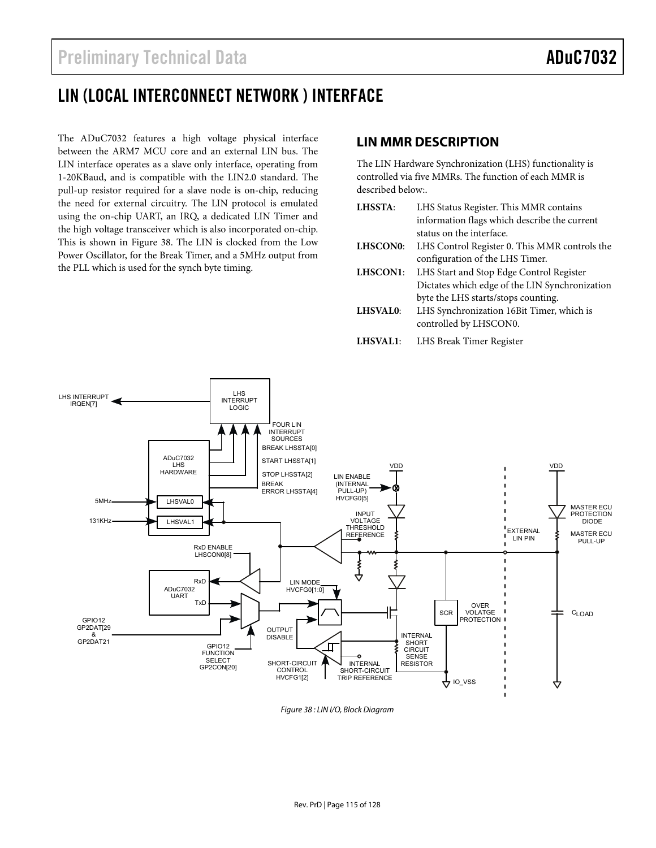# LIN (LOCAL INTERCONNECT NETWORK ) INTERFACE

The ADuC7032 features a high voltage physical interface between the ARM7 MCU core and an external LIN bus. The LIN interface operates as a slave only interface, operating from 1-20KBaud, and is compatible with the LIN2.0 standard. The pull-up resistor required for a slave node is on-chip, reducing the need for external circuitry. The LIN protocol is emulated using the on-chip UART, an IRQ, a dedicated LIN Timer and the high voltage transceiver which is also incorporated on-chip. This is shown in Figure 38. The LIN is clocked from the Low Power Oscillator, for the Break Timer, and a 5MHz output from the PLL which is used for the synch byte timing.

## **LIN MMR DESCRIPTION**

The LIN Hardware Synchronization (LHS) functionality is controlled via five MMRs. The function of each MMR is described below:.

- **LHSSTA**: LHS Status Register. This MMR contains information flags which describe the current status on the interface.
- **LHSCON0**: LHS Control Register 0. This MMR controls the configuration of the LHS Timer.
- **LHSCON1**: LHS Start and Stop Edge Control Register Dictates which edge of the LIN Synchronization byte the LHS starts/stops counting.
- **LHSVAL0**: LHS Synchronization 16Bit Timer, which is controlled by LHSCON0.
- **LHSVAL1**: LHS Break Timer Register



Figure 38 : LIN I/O, Block Diagram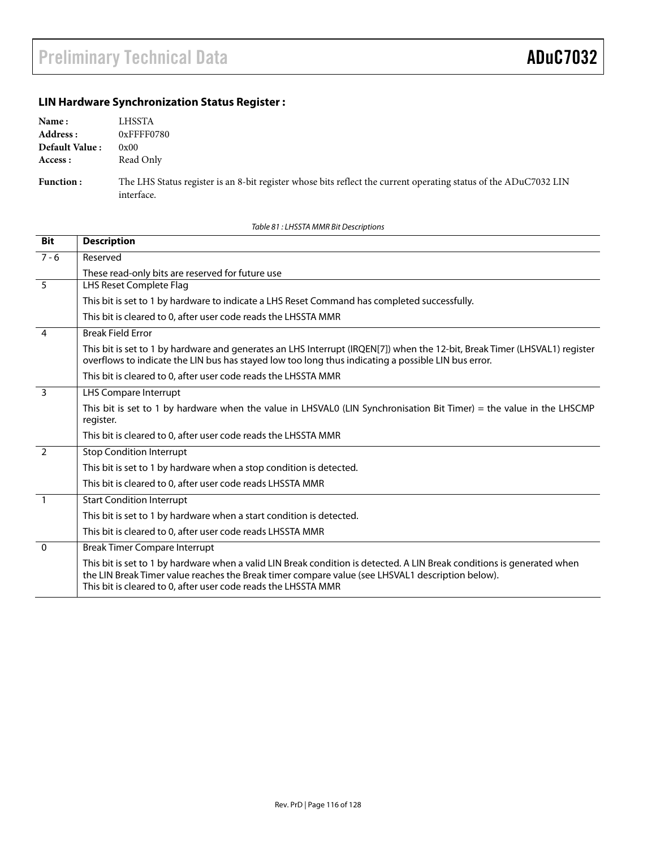### **LIN Hardware Synchronization Status Register :**

| Name:<br>Address: | LHSSTA<br>$0x$ FFFF $0780$ |
|-------------------|----------------------------|
| Default Value:    | 0x00                       |
| Access:           | Read Only                  |
|                   |                            |

**Function :** The LHS Status register is an 8-bit register whose bits reflect the current operating status of the ADuC7032 LIN interface.

Table 81 : LHSSTA MMR Bit Descriptions

| <b>Bit</b>              | <b>Description</b>                                                                                                                                                                                                                                                                            |
|-------------------------|-----------------------------------------------------------------------------------------------------------------------------------------------------------------------------------------------------------------------------------------------------------------------------------------------|
| $7 - 6$                 | Reserved                                                                                                                                                                                                                                                                                      |
|                         | These read-only bits are reserved for future use                                                                                                                                                                                                                                              |
| $\overline{5}$          | LHS Reset Complete Flag                                                                                                                                                                                                                                                                       |
|                         | This bit is set to 1 by hardware to indicate a LHS Reset Command has completed successfully.                                                                                                                                                                                                  |
|                         | This bit is cleared to 0, after user code reads the LHSSTA MMR                                                                                                                                                                                                                                |
| $\overline{4}$          | <b>Break Field Error</b>                                                                                                                                                                                                                                                                      |
|                         | This bit is set to 1 by hardware and generates an LHS Interrupt (IRQEN[7]) when the 12-bit, Break Timer (LHSVAL1) register<br>overflows to indicate the LIN bus has stayed low too long thus indicating a possible LIN bus error.                                                             |
|                         | This bit is cleared to 0, after user code reads the LHSSTA MMR                                                                                                                                                                                                                                |
| $\overline{\mathbf{3}}$ | <b>LHS Compare Interrupt</b>                                                                                                                                                                                                                                                                  |
|                         | This bit is set to 1 by hardware when the value in LHSVAL0 (LIN Synchronisation Bit Timer) = the value in the LHSCMP<br>register.                                                                                                                                                             |
|                         | This bit is cleared to 0, after user code reads the LHSSTA MMR                                                                                                                                                                                                                                |
| $\overline{2}$          | <b>Stop Condition Interrupt</b>                                                                                                                                                                                                                                                               |
|                         | This bit is set to 1 by hardware when a stop condition is detected.                                                                                                                                                                                                                           |
|                         | This bit is cleared to 0, after user code reads LHSSTA MMR                                                                                                                                                                                                                                    |
| $\overline{1}$          | <b>Start Condition Interrupt</b>                                                                                                                                                                                                                                                              |
|                         | This bit is set to 1 by hardware when a start condition is detected.                                                                                                                                                                                                                          |
|                         | This bit is cleared to 0, after user code reads LHSSTA MMR                                                                                                                                                                                                                                    |
| $\overline{0}$          | <b>Break Timer Compare Interrupt</b>                                                                                                                                                                                                                                                          |
|                         | This bit is set to 1 by hardware when a valid LIN Break condition is detected. A LIN Break conditions is generated when<br>the LIN Break Timer value reaches the Break timer compare value (see LHSVAL1 description below).<br>This bit is cleared to 0, after user code reads the LHSSTA MMR |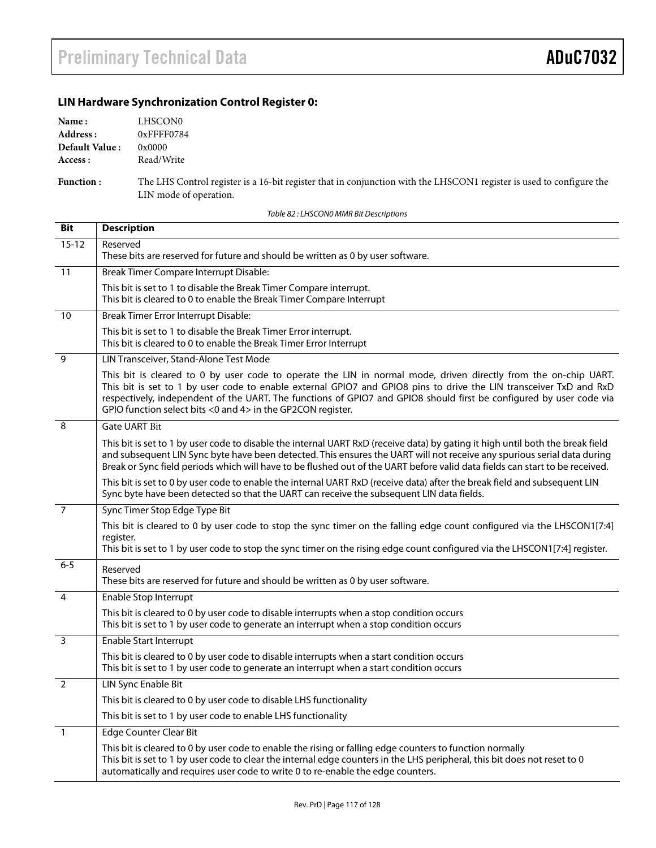### **LIN Hardware Synchronization Control Register 0:**

| Name:          | LHSCON0          |
|----------------|------------------|
| Address:       | $0x$ FFFF $0784$ |
| Default Value: | 0x0000           |
| Access :       | Read/Write       |

**Function :** The LHS Control register is a 16-bit register that in conjunction with the LHSCON1 register is used to configure the LIN mode of operation.

| <b>Bit</b>      | <b>Description</b>                                                                                                                                                                                                                                                                                                                                                                                                          |
|-----------------|-----------------------------------------------------------------------------------------------------------------------------------------------------------------------------------------------------------------------------------------------------------------------------------------------------------------------------------------------------------------------------------------------------------------------------|
| $15 - 12$       | Reserved<br>These bits are reserved for future and should be written as 0 by user software.                                                                                                                                                                                                                                                                                                                                 |
| $\overline{11}$ | Break Timer Compare Interrupt Disable:                                                                                                                                                                                                                                                                                                                                                                                      |
|                 | This bit is set to 1 to disable the Break Timer Compare interrupt.<br>This bit is cleared to 0 to enable the Break Timer Compare Interrupt                                                                                                                                                                                                                                                                                  |
| $\overline{10}$ | Break Timer Error Interrupt Disable:                                                                                                                                                                                                                                                                                                                                                                                        |
|                 | This bit is set to 1 to disable the Break Timer Error interrupt.<br>This bit is cleared to 0 to enable the Break Timer Error Interrupt                                                                                                                                                                                                                                                                                      |
| $\overline{9}$  | LIN Transceiver, Stand-Alone Test Mode                                                                                                                                                                                                                                                                                                                                                                                      |
|                 | This bit is cleared to 0 by user code to operate the LIN in normal mode, driven directly from the on-chip UART.<br>This bit is set to 1 by user code to enable external GPIO7 and GPIO8 pins to drive the LIN transceiver TxD and RxD<br>respectively, independent of the UART. The functions of GPIO7 and GPIO8 should first be configured by user code via<br>GPIO function select bits <0 and 4> in the GP2CON register. |
| 8               | <b>Gate UART Bit</b>                                                                                                                                                                                                                                                                                                                                                                                                        |
|                 | This bit is set to 1 by user code to disable the internal UART RxD (receive data) by gating it high until both the break field<br>and subsequent LIN Sync byte have been detected. This ensures the UART will not receive any spurious serial data during<br>Break or Sync field periods which will have to be flushed out of the UART before valid data fields can start to be received.                                   |
|                 | This bit is set to 0 by user code to enable the internal UART RxD (receive data) after the break field and subsequent LIN<br>Sync byte have been detected so that the UART can receive the subsequent LIN data fields.                                                                                                                                                                                                      |
| $\overline{7}$  | Sync Timer Stop Edge Type Bit                                                                                                                                                                                                                                                                                                                                                                                               |
|                 | This bit is cleared to 0 by user code to stop the sync timer on the falling edge count configured via the LHSCON1[7:4]<br>register.<br>This bit is set to 1 by user code to stop the sync timer on the rising edge count configured via the LHSCON1[7:4] register.                                                                                                                                                          |
| $6 - 5$         | Reserved<br>These bits are reserved for future and should be written as 0 by user software.                                                                                                                                                                                                                                                                                                                                 |
| $\overline{4}$  | Enable Stop Interrupt                                                                                                                                                                                                                                                                                                                                                                                                       |
|                 | This bit is cleared to 0 by user code to disable interrupts when a stop condition occurs<br>This bit is set to 1 by user code to generate an interrupt when a stop condition occurs                                                                                                                                                                                                                                         |
| 3               | <b>Enable Start Interrupt</b>                                                                                                                                                                                                                                                                                                                                                                                               |
|                 | This bit is cleared to 0 by user code to disable interrupts when a start condition occurs<br>This bit is set to 1 by user code to generate an interrupt when a start condition occurs                                                                                                                                                                                                                                       |
| $\overline{2}$  | <b>LIN Sync Enable Bit</b>                                                                                                                                                                                                                                                                                                                                                                                                  |
|                 | This bit is cleared to 0 by user code to disable LHS functionality                                                                                                                                                                                                                                                                                                                                                          |
|                 | This bit is set to 1 by user code to enable LHS functionality                                                                                                                                                                                                                                                                                                                                                               |
| $\overline{1}$  | <b>Edge Counter Clear Bit</b>                                                                                                                                                                                                                                                                                                                                                                                               |
|                 | This bit is cleared to 0 by user code to enable the rising or falling edge counters to function normally<br>This bit is set to 1 by user code to clear the internal edge counters in the LHS peripheral, this bit does not reset to 0<br>automatically and requires user code to write 0 to re-enable the edge counters.                                                                                                    |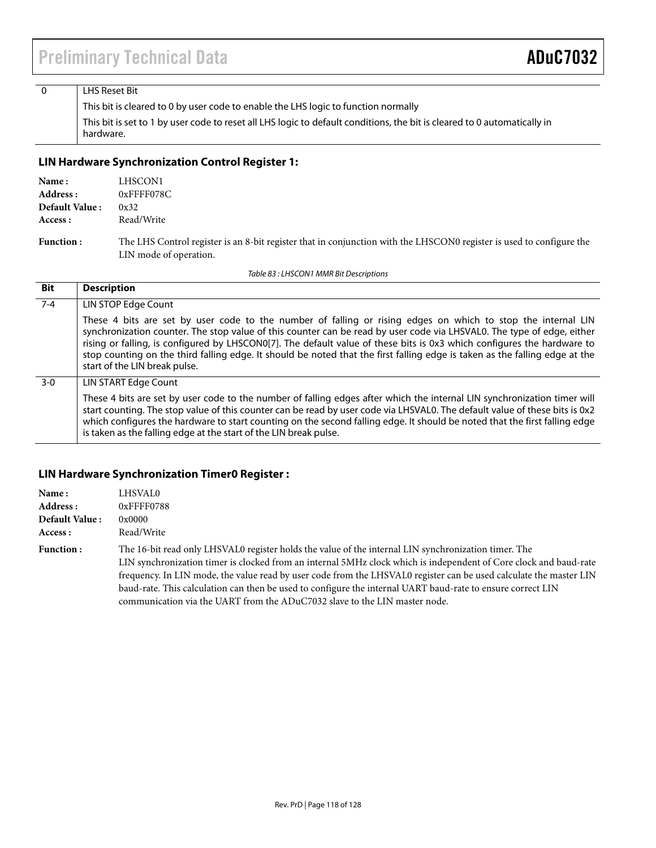## 0 | LHS Reset Bit

This bit is cleared to 0 by user code to enable the LHS logic to function normally This bit is set to 1 by user code to reset all LHS logic to default conditions, the bit is cleared to 0 automatically in hardware.

### **LIN Hardware Synchronization Control Register 1:**

| Name:<br>Address:<br>Default Value:<br>Access :                                                                                                                    | LHSCON1<br>0xFFFF078C<br>0x32<br>Read/Write |
|--------------------------------------------------------------------------------------------------------------------------------------------------------------------|---------------------------------------------|
| The LHS Control register is an 8-bit register that in conjunction with the LHSCON0 register is used to configure the<br><b>Function:</b><br>LIN mode of operation. |                                             |
|                                                                                                                                                                    | Table 83 : LHSCON1 MMR Bit Descriptions     |

| Bit     | <b>Description</b>                                                                                                                                                                                                                                                                                                                                                                                                                                                                                                                |
|---------|-----------------------------------------------------------------------------------------------------------------------------------------------------------------------------------------------------------------------------------------------------------------------------------------------------------------------------------------------------------------------------------------------------------------------------------------------------------------------------------------------------------------------------------|
| $7 - 4$ | LIN STOP Edge Count                                                                                                                                                                                                                                                                                                                                                                                                                                                                                                               |
|         | These 4 bits are set by user code to the number of falling or rising edges on which to stop the internal LIN<br>synchronization counter. The stop value of this counter can be read by user code via LHSVAL0. The type of edge, either<br>rising or falling, is configured by LHSCON0[7]. The default value of these bits is 0x3 which configures the hardware to<br>stop counting on the third falling edge. It should be noted that the first falling edge is taken as the falling edge at the<br>start of the LIN break pulse. |
| $3-0$   | LIN START Edge Count                                                                                                                                                                                                                                                                                                                                                                                                                                                                                                              |
|         | These 4 bits are set by user code to the number of falling edges after which the internal LIN synchronization timer will<br>start counting. The stop value of this counter can be read by user code via LHSVAL0. The default value of these bits is 0x2<br>which configures the hardware to start counting on the second falling edge. It should be noted that the first falling edge<br>is taken as the falling edge at the start of the LIN break pulse.                                                                        |

### **LIN Hardware Synchronization Timer0 Register :**

| Name:            | LHSVAL0                                                                                                                                                                                                                                                                                                                                                                                                                                                                                                                                      |  |
|------------------|----------------------------------------------------------------------------------------------------------------------------------------------------------------------------------------------------------------------------------------------------------------------------------------------------------------------------------------------------------------------------------------------------------------------------------------------------------------------------------------------------------------------------------------------|--|
| Address :        | $0x$ FFFF0788                                                                                                                                                                                                                                                                                                                                                                                                                                                                                                                                |  |
| Default Value:   | 0x0000                                                                                                                                                                                                                                                                                                                                                                                                                                                                                                                                       |  |
| Access :         | Read/Write                                                                                                                                                                                                                                                                                                                                                                                                                                                                                                                                   |  |
| <b>Function:</b> | The 16-bit read only LHSVAL0 register holds the value of the internal LIN synchronization timer. The<br>LIN synchronization timer is clocked from an internal 5MHz clock which is independent of Core clock and baud-rate<br>frequency. In LIN mode, the value read by user code from the LHSVAL0 register can be used calculate the master LIN<br>baud-rate. This calculation can then be used to configure the internal UART baud-rate to ensure correct LIN<br>communication via the UART from the ADuC7032 slave to the LIN master node. |  |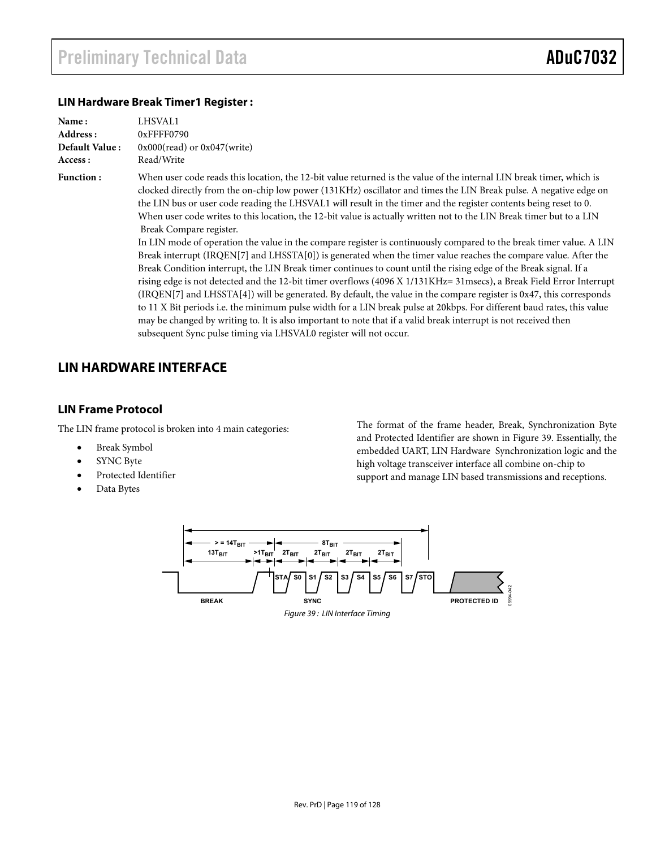#### **LIN Hardware Break Timer1 Register :**

| Name:<br>Address:<br>Default Value:<br>Access: | LHSVAL1<br>$0x$ FFFF0790<br>$0x000$ (read) or $0x047$ (write)                                                                                                                                                                                                                                                                                                                                                                                                                                                                                                                                                                                                                                                                                                                                                                                                                                                                                                                                                                                                                                                                                                                                                                                                                                                                                                                                                                                                        |  |
|------------------------------------------------|----------------------------------------------------------------------------------------------------------------------------------------------------------------------------------------------------------------------------------------------------------------------------------------------------------------------------------------------------------------------------------------------------------------------------------------------------------------------------------------------------------------------------------------------------------------------------------------------------------------------------------------------------------------------------------------------------------------------------------------------------------------------------------------------------------------------------------------------------------------------------------------------------------------------------------------------------------------------------------------------------------------------------------------------------------------------------------------------------------------------------------------------------------------------------------------------------------------------------------------------------------------------------------------------------------------------------------------------------------------------------------------------------------------------------------------------------------------------|--|
| <b>Function:</b>                               | Read/Write<br>When user code reads this location, the 12-bit value returned is the value of the internal LIN break timer, which is<br>clocked directly from the on-chip low power (131KHz) oscillator and times the LIN Break pulse. A negative edge on<br>the LIN bus or user code reading the LHSVAL1 will result in the timer and the register contents being reset to 0.<br>When user code writes to this location, the 12-bit value is actually written not to the LIN Break timer but to a LIN<br>Break Compare register.<br>In LIN mode of operation the value in the compare register is continuously compared to the break timer value. A LIN<br>Break interrupt (IRQEN[7] and LHSSTA[0]) is generated when the timer value reaches the compare value. After the<br>Break Condition interrupt, the LIN Break timer continues to count until the rising edge of the Break signal. If a<br>rising edge is not detected and the 12-bit timer overflows (4096 X 1/131KHz= 31msecs), a Break Field Error Interrupt<br>$(IRQEN[7]$ and LHSSTA[4]) will be generated. By default, the value in the compare register is $0x47$ , this corresponds<br>to 11 X Bit periods i.e. the minimum pulse width for a LIN break pulse at 20kbps. For different baud rates, this value<br>may be changed by writing to. It is also important to note that if a valid break interrupt is not received then<br>subsequent Sync pulse timing via LHSVAL0 register will not occur. |  |

## **LIN HARDWARE INTERFACE**

### **LIN Frame Protocol**

The LIN frame protocol is broken into 4 main categories:

- Break Symbol
- **SYNC Byte**
- Protected Identifier
- Data Bytes

The format of the frame header, Break, Synchronization Byte and Protected Identifier are shown in Figure 39. Essentially, the embedded UART, LIN Hardware Synchronization logic and the high voltage transceiver interface all combine on-chip to support and manage LIN based transmissions and receptions.

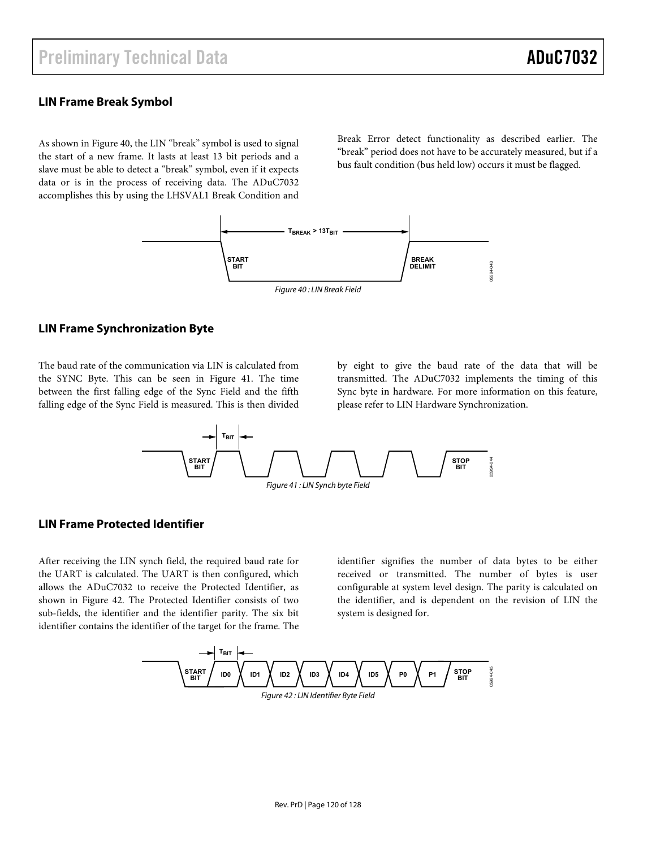### **LIN Frame Break Symbol**

As shown in Figure 40, the LIN "break" symbol is used to signal the start of a new frame. It lasts at least 13 bit periods and a slave must be able to detect a "break" symbol, even if it expects data or is in the process of receiving data. The ADuC7032 accomplishes this by using the LHSVAL1 Break Condition and Break Error detect functionality as described earlier. The "break" period does not have to be accurately measured, but if a bus fault condition (bus held low) occurs it must be flagged.



### **LIN Frame Synchronization Byte**

The baud rate of the communication via LIN is calculated from the SYNC Byte. This can be seen in Figure 41. The time between the first falling edge of the Sync Field and the fifth falling edge of the Sync Field is measured. This is then divided by eight to give the baud rate of the data that will be transmitted. The ADuC7032 implements the timing of this Sync byte in hardware. For more information on this feature, please refer to LIN Hardware Synchronization.



### **LIN Frame Protected Identifier**

After receiving the LIN synch field, the required baud rate for the UART is calculated. The UART is then configured, which allows the ADuC7032 to receive the Protected Identifier, as shown in Figure 42. The Protected Identifier consists of two sub-fields, the identifier and the identifier parity. The six bit identifier contains the identifier of the target for the frame. The

identifier signifies the number of data bytes to be either received or transmitted. The number of bytes is user configurable at system level design. The parity is calculated on the identifier, and is dependent on the revision of LIN the system is designed for.

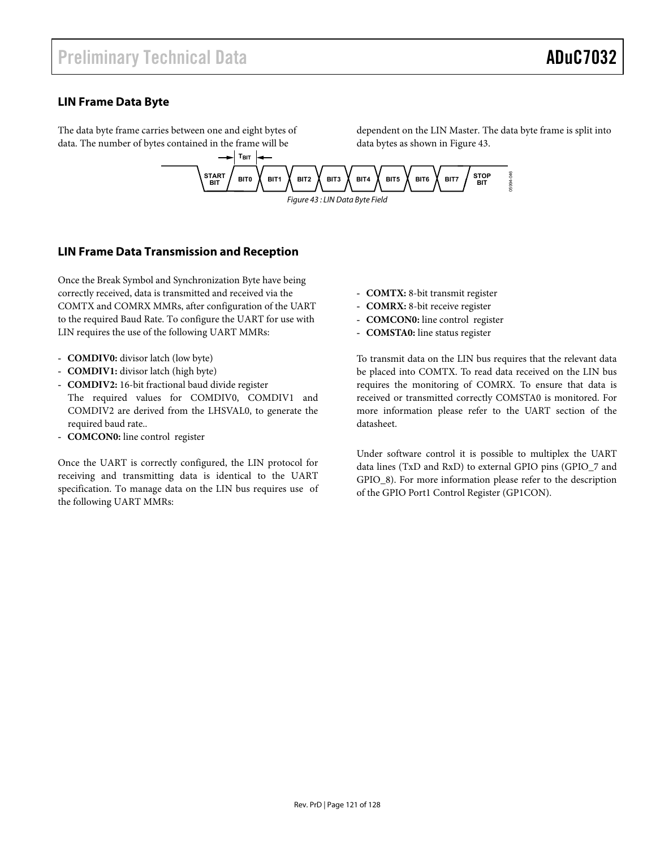### **LIN Frame Data Byte**

The data byte frame carries between one and eight bytes of data. The number of bytes contained in the frame will be

dependent on the LIN Master. The data byte frame is split into data bytes as shown in Figure 43.



### **LIN Frame Data Transmission and Reception**

Once the Break Symbol and Synchronization Byte have being correctly received, data is transmitted and received via the COMTX and COMRX MMRs, after configuration of the UART to the required Baud Rate. To configure the UART for use with LIN requires the use of the following UART MMRs:

- **COMDIV0:** divisor latch (low byte)
- **COMDIV1:** divisor latch (high byte)
- **COMDIV2:** 16-bit fractional baud divide register The required values for COMDIV0, COMDIV1 and COMDIV2 are derived from the LHSVAL0, to generate the required baud rate..
- **COMCON0:** line control register

Once the UART is correctly configured, the LIN protocol for receiving and transmitting data is identical to the UART specification. To manage data on the LIN bus requires use of the following UART MMRs:

- **COMTX:** 8-bit transmit register
- **COMRX:** 8-bit receive register
- **COMCON0:** line control register
- **COMSTA0:** line status register

To transmit data on the LIN bus requires that the relevant data be placed into COMTX. To read data received on the LIN bus requires the monitoring of COMRX. To ensure that data is received or transmitted correctly COMSTA0 is monitored. For more information please refer to the UART section of the datasheet.

Under software control it is possible to multiplex the UART data lines (TxD and RxD) to external GPIO pins (GPIO\_7 and GPIO\_8). For more information please refer to the description of the GPIO Port1 Control Register (GP1CON).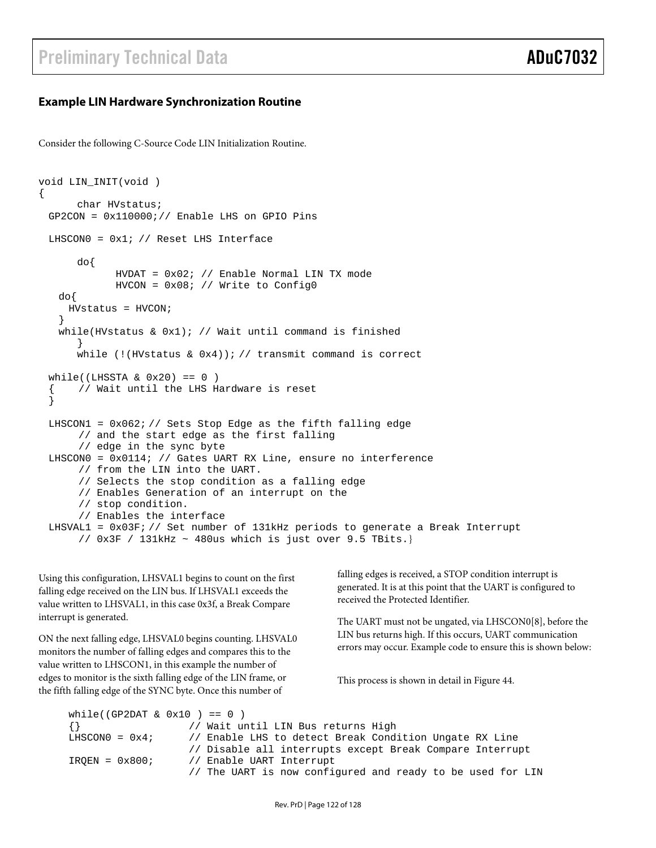### **Example LIN Hardware Synchronization Routine**

Consider the following C-Source Code LIN Initialization Routine.

```
void LIN_INIT(void ) 
\left\{ \right.char HVstatus; 
 GP2CON = 0x110000i// Enable LHS on GPIO Pins
  LHSCON0 = 0x1; // Reset LHS Interface 
      do{ 
             HVDAT = 0x02; // Enable Normal LIN TX mode 
             HVCON = 0x08; // Write to Config0 
    do{ 
      HVstatus = HVCON; 
 } 
    while(HVstatus & 0x1); // Wait until command is finished 
      } 
      while (!(HVstatus & 0x4)); // transmit command is correct
 while((LHSSTA & 0x20) == 0) { // Wait until the LHS Hardware is reset 
 } 
  LHSCON1 = 0x062; // Sets Stop Edge as the fifth falling edge 
        // and the start edge as the first falling 
        // edge in the sync byte 
  LHSCON0 = 0x0114; // Gates UART RX Line, ensure no interference 
        // from the LIN into the UART. 
        // Selects the stop condition as a falling edge 
        // Enables Generation of an interrupt on the 
        // stop condition. 
        // Enables the interface 
  LHSVAL1 = 0x03F; // Set number of 131kHz periods to generate a Break Interrupt 
       // 0x3F / 131kHz ~ 480us which is just over 9.5 TBits.}
```
Using this configuration, LHSVAL1 begins to count on the first falling edge received on the LIN bus. If LHSVAL1 exceeds the value written to LHSVAL1, in this case 0x3f, a Break Compare interrupt is generated.

ON the next falling edge, LHSVAL0 begins counting. LHSVAL0 monitors the number of falling edges and compares this to the value written to LHSCON1, in this example the number of edges to monitor is the sixth falling edge of the LIN frame, or the fifth falling edge of the SYNC byte. Once this number of

falling edges is received, a STOP condition interrupt is generated. It is at this point that the UART is configured to received the Protected Identifier.

The UART must not be ungated, via LHSCON0[8], before the LIN bus returns high. If this occurs, UART communication errors may occur. Example code to ensure this is shown below:

This process is shown in detail in Figure 44.

```
while((GP2DAT & 0x10) == 0) {} // Wait until LIN Bus returns High 
LHSCON0 = 0x4; // Enable LHS to detect Break Condition Ungate RX Line
                   // Disable all interrupts except Break Compare Interrupt 
 IRQEN = 0x800; // Enable UART Interrupt 
                   // The UART is now configured and ready to be used for LIN
```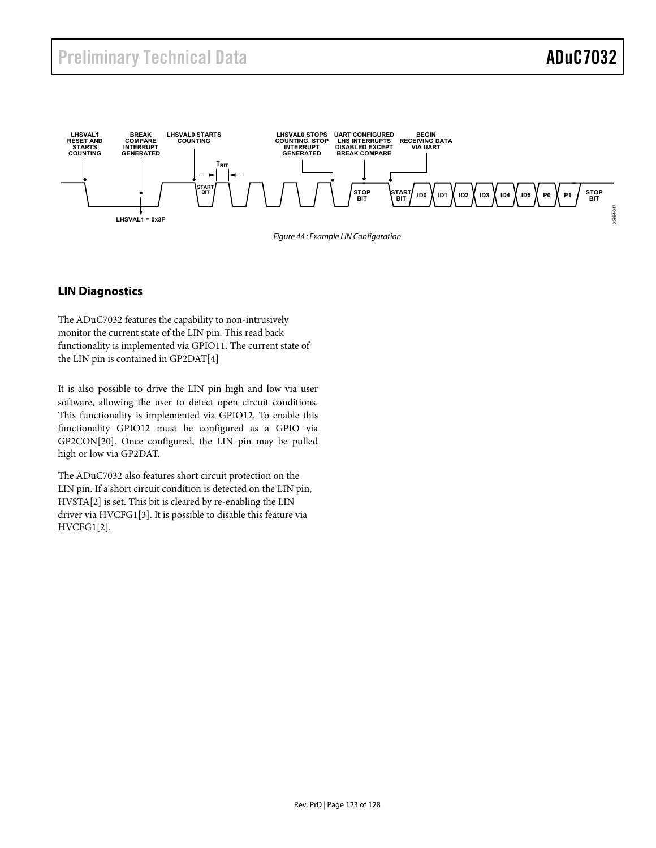

### **LIN Diagnostics**

The ADuC7032 features the capability to non-intrusively monitor the current state of the LIN pin. This read back functionality is implemented via GPIO11. The current state of the LIN pin is contained in GP2DAT[4]

It is also possible to drive the LIN pin high and low via user software, allowing the user to detect open circuit conditions. This functionality is implemented via GPIO12. To enable this functionality GPIO12 must be configured as a GPIO via GP2CON[20]. Once configured, the LIN pin may be pulled high or low via GP2DAT.

The ADuC7032 also features short circuit protection on the LIN pin. If a short circuit condition is detected on the LIN pin, HVSTA[2] is set. This bit is cleared by re-enabling the LIN driver via HVCFG1[3]. It is possible to disable this feature via HVCFG1[2].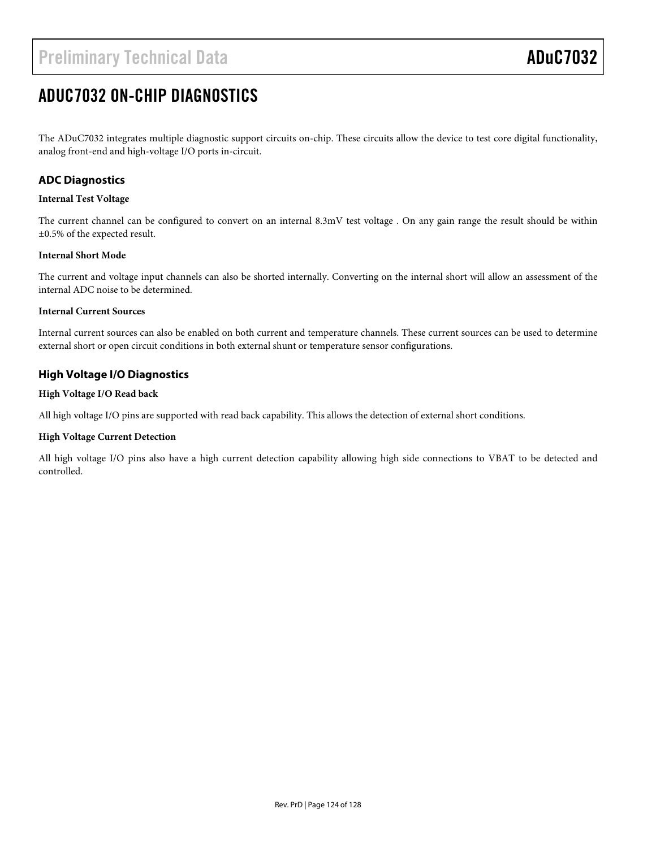# ADUC7032 ON-CHIP DIAGNOSTICS

The ADuC7032 integrates multiple diagnostic support circuits on-chip. These circuits allow the device to test core digital functionality, analog front-end and high-voltage I/O ports in-circuit.

### **ADC Diagnostics**

#### **Internal Test Voltage**

The current channel can be configured to convert on an internal 8.3mV test voltage . On any gain range the result should be within ±0.5% of the expected result.

#### **Internal Short Mode**

The current and voltage input channels can also be shorted internally. Converting on the internal short will allow an assessment of the internal ADC noise to be determined.

#### **Internal Current Sources**

Internal current sources can also be enabled on both current and temperature channels. These current sources can be used to determine external short or open circuit conditions in both external shunt or temperature sensor configurations.

### **High Voltage I/O Diagnostics**

#### **High Voltage I/O Read back**

All high voltage I/O pins are supported with read back capability. This allows the detection of external short conditions.

#### **High Voltage Current Detection**

All high voltage I/O pins also have a high current detection capability allowing high side connections to VBAT to be detected and controlled.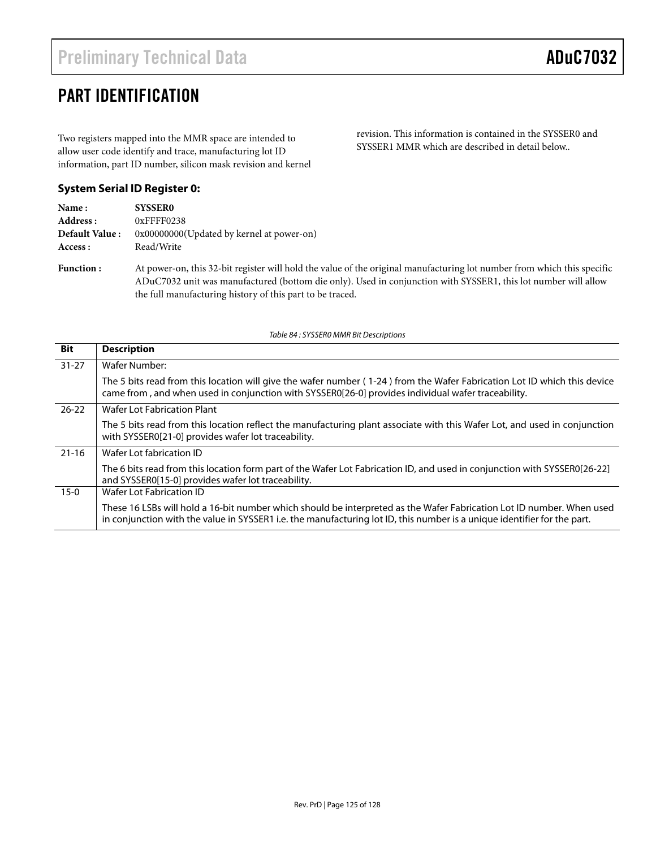# PART IDENTIFICATION

Two registers mapped into the MMR space are intended to allow user code identify and trace, manufacturing lot ID information, part ID number, silicon mask revision and kernel revision. This information is contained in the SYSSER0 and SYSSER1 MMR which are described in detail below..

### **System Serial ID Register 0:**

| <b>SYSSER0</b>                                                                                                                        |  |
|---------------------------------------------------------------------------------------------------------------------------------------|--|
| $0x$ FFFF $0238$                                                                                                                      |  |
| 0x00000000(Updated by kernel at power-on)                                                                                             |  |
| Read/Write                                                                                                                            |  |
| At power-on, this 32-bit register will hold the y<br>$\Lambda$ D. $C$ 7022. $\ldots$ to $\ldots$ $\ldots$ $C$ it and $1/1$ it and $1$ |  |
|                                                                                                                                       |  |

value of the original manufacturing lot number from which this specific ADuC7032 unit was manufactured (bottom die only). Used in conjunction with SYSSER1, this lot number will allow the full manufacturing history of this part to be traced.

Table 84 : SYSSER0 MMR Bit Descriptions

| <b>Bit</b> | <b>Description</b>                                                                                                                                                                                                                                |
|------------|---------------------------------------------------------------------------------------------------------------------------------------------------------------------------------------------------------------------------------------------------|
| $31 - 27$  | Wafer Number:                                                                                                                                                                                                                                     |
|            | The 5 bits read from this location will give the wafer number (1-24) from the Wafer Fabrication Lot ID which this device<br>came from, and when used in conjunction with SYSSER0[26-0] provides individual wafer traceability.                    |
| $26 - 22$  | Wafer Lot Fabrication Plant                                                                                                                                                                                                                       |
|            | The 5 bits read from this location reflect the manufacturing plant associate with this Wafer Lot, and used in conjunction<br>with SYSSER0[21-0] provides wafer lot traceability.                                                                  |
| $21 - 16$  | Wafer Lot fabrication ID                                                                                                                                                                                                                          |
|            | The 6 bits read from this location form part of the Wafer Lot Fabrication ID, and used in conjunction with SYSSER0[26-22]<br>and SYSSER0[15-0] provides wafer lot traceability.                                                                   |
| $15-0$     | Wafer Lot Fabrication ID                                                                                                                                                                                                                          |
|            | These 16 LSBs will hold a 16-bit number which should be interpreted as the Wafer Fabrication Lot ID number. When used<br>in conjunction with the value in SYSSER1 i.e. the manufacturing lot ID, this number is a unique identifier for the part. |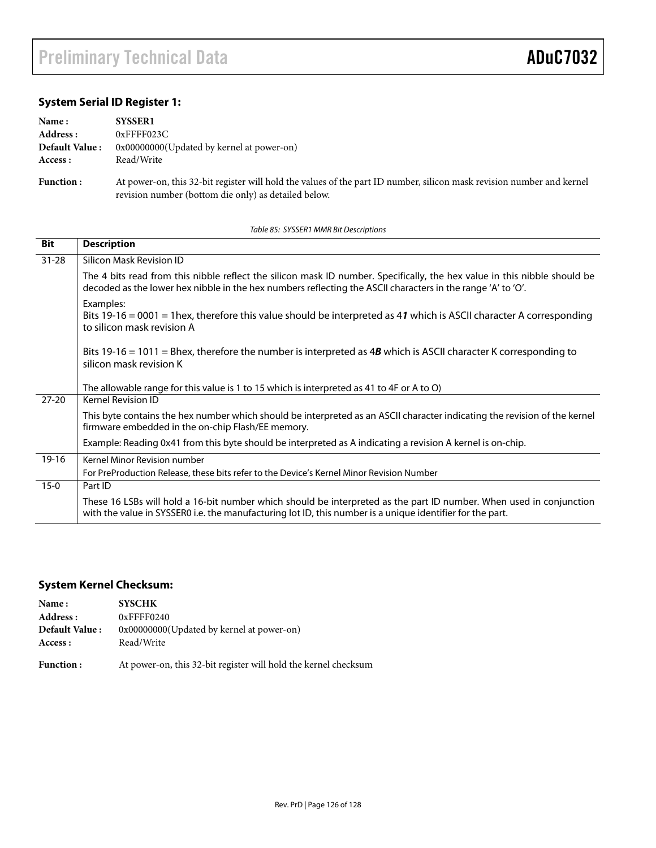### **System Serial ID Register 1:**

| Name:<br>Address :<br>Default Value: | <b>SYSSER1</b><br>$0x$ FFFF $023C$<br>0x00000000(Updated by kernel at power-on)                                                                                               |  |
|--------------------------------------|-------------------------------------------------------------------------------------------------------------------------------------------------------------------------------|--|
| Access :                             | Read/Write                                                                                                                                                                    |  |
| <b>Function:</b>                     | At power-on, this 32-bit register will hold the values of the part ID number, silicon mask revision number and kernel<br>revision number (bottom die only) as detailed below. |  |

Table 85: SYSSER1 MMR Bit Descriptions

| <b>Bit</b> | <b>Description</b>                                                                                                                                                                                                                       |
|------------|------------------------------------------------------------------------------------------------------------------------------------------------------------------------------------------------------------------------------------------|
| $31 - 28$  | Silicon Mask Revision ID                                                                                                                                                                                                                 |
|            | The 4 bits read from this nibble reflect the silicon mask ID number. Specifically, the hex value in this nibble should be<br>decoded as the lower hex nibble in the hex numbers reflecting the ASCII characters in the range 'A' to 'O'. |
|            | Examples:<br>Bits $19-16 = 0001 = 1$ hex, therefore this value should be interpreted as 41 which is ASCII character A corresponding<br>to silicon mask revision A                                                                        |
|            | Bits 19-16 = 1011 = Bhex, therefore the number is interpreted as 4 <b>B</b> which is ASCII character K corresponding to<br>silicon mask revision K                                                                                       |
|            | The allowable range for this value is 1 to 15 which is interpreted as 41 to 4F or A to O)                                                                                                                                                |
| $27 - 20$  | <b>Kernel Revision ID</b>                                                                                                                                                                                                                |
|            | This byte contains the hex number which should be interpreted as an ASCII character indicating the revision of the kernel<br>firmware embedded in the on-chip Flash/EE memory.                                                           |
|            | Example: Reading 0x41 from this byte should be interpreted as A indicating a revision A kernel is on-chip.                                                                                                                               |
| 19-16      | Kernel Minor Revision number                                                                                                                                                                                                             |
|            | For PreProduction Release, these bits refer to the Device's Kernel Minor Revision Number                                                                                                                                                 |
| $15-0$     | Part ID                                                                                                                                                                                                                                  |
|            | These 16 LSBs will hold a 16-bit number which should be interpreted as the part ID number. When used in conjunction<br>with the value in SYSSER0 i.e. the manufacturing lot ID, this number is a unique identifier for the part.         |

## **System Kernel Checksum:**

| Name:            | <b>SYSCHK</b>                                                   |  |
|------------------|-----------------------------------------------------------------|--|
| Address :        | $0x$ FFFF $0240$                                                |  |
| Default Value:   | 0x00000000(Updated by kernel at power-on)                       |  |
| Access :         | Read/Write                                                      |  |
| <b>Function:</b> | At power-on, this 32-bit register will hold the kernel checksum |  |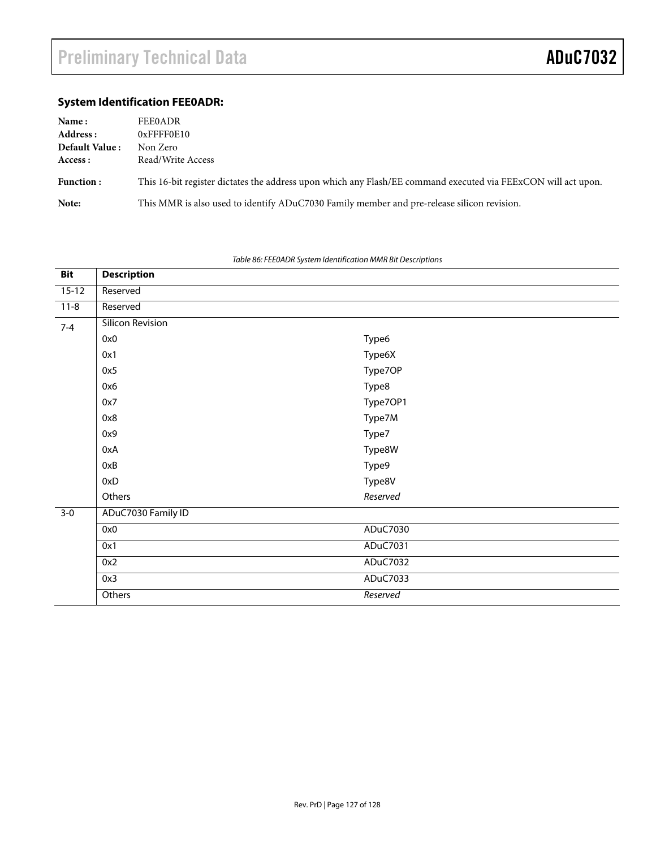## **System Identification FEE0ADR:**

| Name:<br>Address : | <b>FEE0ADR</b><br>0xFFFF0E10                                                                                  |  |
|--------------------|---------------------------------------------------------------------------------------------------------------|--|
| Default Value:     | Non Zero                                                                                                      |  |
| Access :           | Read/Write Access                                                                                             |  |
| <b>Function:</b>   | This 16-bit register dictates the address upon which any Flash/EE command executed via FEExCON will act upon. |  |
| Note:              | This MMR is also used to identify ADuC7030 Family member and pre-release silicon revision.                    |  |

Table 86: FEE0ADR System Identification MMR Bit Descriptions

| <b>Bit</b> | <b>Description</b> |          |
|------------|--------------------|----------|
| $15-12$    | Reserved           |          |
| $11 - 8$   | Reserved           |          |
| $7 - 4$    | Silicon Revision   |          |
|            | 0x0                | Type6    |
|            | 0x1                | Type6X   |
|            | 0x5                | Type7OP  |
|            | 0x6                | Type8    |
|            | 0x7                | Type7OP1 |
|            | 0x8                | Type7M   |
|            | 0x9                | Type7    |
|            | 0xA                | Type8W   |
|            | 0xB                | Type9    |
|            | 0xD                | Type8V   |
|            | Others             | Reserved |
| $3 - 0$    | ADuC7030 Family ID |          |
|            | 0x0                | ADuC7030 |
|            | 0x1                | ADuC7031 |
|            | 0x2                | ADuC7032 |
|            | 0x3                | ADuC7033 |
|            | Others             | Reserved |